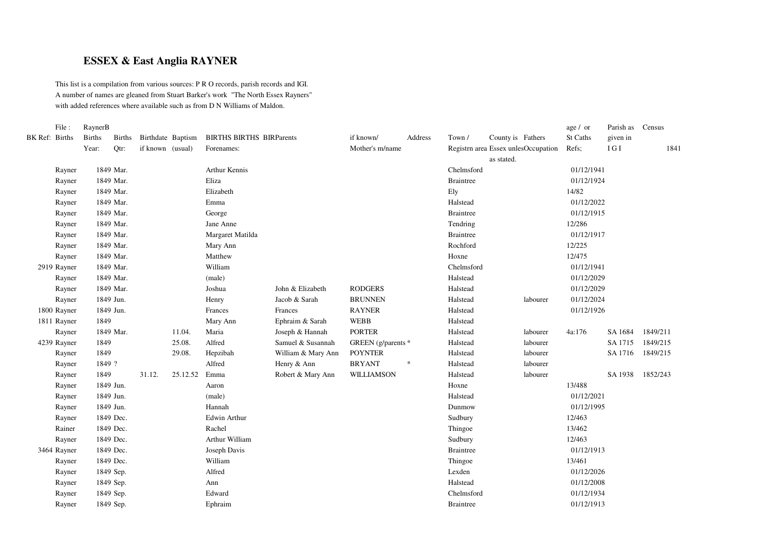## **ESSEX & East Anglia RAYNER**

This list is <sup>a</sup> compilation from various sources: P R O records, parish records and IGI. A number of names are gleaned from Stuart Barker's work "The North Essex Rayners" with added references where available such as from D N Williams of Maldon.

|                | File:       | RaynerB       |               |                   |          |                                 |                    |                    |         |                  |                                     |          | age / or   | Parish as Census |          |
|----------------|-------------|---------------|---------------|-------------------|----------|---------------------------------|--------------------|--------------------|---------|------------------|-------------------------------------|----------|------------|------------------|----------|
| BK Ref: Births |             | <b>Births</b> | <b>Births</b> | Birthdate Baptism |          | <b>BIRTHS BIRTHS BIRParents</b> |                    | if known/          | Address | Town /           | County is Fathers                   |          | St Caths   | given in         |          |
|                |             | Year:         | Qtr:          | if known (usual)  |          | Forenames:                      |                    | Mother's m/name    |         |                  | Registrn area Essex unlesOccupation |          | Refs;      | $\rm I~G~I$      | 1841     |
|                |             |               |               |                   |          |                                 |                    |                    |         |                  | as stated.                          |          |            |                  |          |
|                | Rayner      |               | 1849 Mar.     |                   |          | Arthur Kennis                   |                    |                    |         | Chelmsford       |                                     |          | 01/12/1941 |                  |          |
|                | Rayner      |               | 1849 Mar.     |                   |          | Eliza                           |                    |                    |         | <b>Braintree</b> |                                     |          | 01/12/1924 |                  |          |
|                | Rayner      |               | 1849 Mar.     |                   |          | Elizabeth                       |                    |                    |         | Ely              |                                     |          | 14/82      |                  |          |
|                | Rayner      |               | 1849 Mar.     |                   |          | Emma                            |                    |                    |         | Halstead         |                                     |          | 01/12/2022 |                  |          |
|                | Rayner      |               | 1849 Mar.     |                   |          | George                          |                    |                    |         | <b>Braintree</b> |                                     |          | 01/12/1915 |                  |          |
|                | Rayner      |               | 1849 Mar.     |                   |          | Jane Anne                       |                    |                    |         | Tendring         |                                     |          | 12/286     |                  |          |
|                | Rayner      |               | 1849 Mar.     |                   |          | Margaret Matilda                |                    |                    |         | <b>Braintree</b> |                                     |          | 01/12/1917 |                  |          |
|                | Rayner      |               | 1849 Mar.     |                   |          | Mary Ann                        |                    |                    |         | Rochford         |                                     |          | 12/225     |                  |          |
|                | Rayner      |               | 1849 Mar.     |                   |          | Matthew                         |                    |                    |         | Hoxne            |                                     |          | 12/475     |                  |          |
|                | 2919 Rayner |               | 1849 Mar.     |                   |          | William                         |                    |                    |         | Chelmsford       |                                     |          | 01/12/1941 |                  |          |
|                | Rayner      |               | 1849 Mar.     |                   |          | (male)                          |                    |                    |         | Halstead         |                                     |          | 01/12/2029 |                  |          |
|                | Rayner      |               | 1849 Mar.     |                   |          | Joshua                          | John & Elizabeth   | <b>RODGERS</b>     |         | Halstead         |                                     |          | 01/12/2029 |                  |          |
|                | Rayner      | 1849 Jun.     |               |                   |          | Henry                           | Jacob & Sarah      | <b>BRUNNEN</b>     |         | Halstead         |                                     | labourer | 01/12/2024 |                  |          |
|                | 1800 Rayner | 1849 Jun.     |               |                   |          | Frances                         | Frances            | <b>RAYNER</b>      |         | Halstead         |                                     |          | 01/12/1926 |                  |          |
|                | 1811 Rayner | 1849          |               |                   |          | Mary Ann                        | Ephraim & Sarah    | <b>WEBB</b>        |         | Halstead         |                                     |          |            |                  |          |
|                | Rayner      |               | 1849 Mar.     |                   | 11.04.   | Maria                           | Joseph & Hannah    | <b>PORTER</b>      |         | Halstead         |                                     | labourer | 4a:176     | SA 1684          | 1849/211 |
|                | 4239 Rayner | 1849          |               |                   | 25.08.   | Alfred                          | Samuel & Susannah  | GREEN (g/parents * |         | Halstead         |                                     | labourer |            | SA 1715          | 1849/215 |
|                | Rayner      | 1849          |               |                   | 29.08.   | Hepzibah                        | William & Mary Ann | <b>POYNTER</b>     |         | Halstead         |                                     | labourer |            | SA 1716          | 1849/215 |
|                | Rayner      | 1849 ?        |               |                   |          | Alfred                          | Henry & Ann        | <b>BRYANT</b>      | $\ast$  | Halstead         |                                     | labourer |            |                  |          |
|                | Rayner      | 1849          |               | 31.12.            | 25.12.52 | Emma                            | Robert & Mary Ann  | <b>WILLIAMSON</b>  |         | Halstead         |                                     | labourer |            | SA 1938          | 1852/243 |
|                | Rayner      | 1849 Jun.     |               |                   |          | Aaron                           |                    |                    |         | Hoxne            |                                     |          | 13/488     |                  |          |
|                | Rayner      | 1849 Jun.     |               |                   |          | (male)                          |                    |                    |         | Halstead         |                                     |          | 01/12/2021 |                  |          |
|                | Rayner      | 1849 Jun.     |               |                   |          | Hannah                          |                    |                    |         | Dunmow           |                                     |          | 01/12/1995 |                  |          |
|                | Rayner      |               | 1849 Dec.     |                   |          | <b>Edwin Arthur</b>             |                    |                    |         | Sudbury          |                                     |          | 12/463     |                  |          |
|                | Rainer      |               | 1849 Dec.     |                   |          | Rachel                          |                    |                    |         | Thingoe          |                                     |          | 13/462     |                  |          |
|                | Rayner      |               | 1849 Dec.     |                   |          | Arthur William                  |                    |                    |         | Sudbury          |                                     |          | 12/463     |                  |          |
|                | 3464 Rayner |               | 1849 Dec.     |                   |          | Joseph Davis                    |                    |                    |         | <b>Braintree</b> |                                     |          | 01/12/1913 |                  |          |
|                | Rayner      |               | 1849 Dec.     |                   |          | William                         |                    |                    |         | Thingoe          |                                     |          | 13/461     |                  |          |
|                | Rayner      |               | 1849 Sep.     |                   |          | Alfred                          |                    |                    |         | Lexden           |                                     |          | 01/12/2026 |                  |          |
|                | Rayner      |               | 1849 Sep.     |                   |          | Ann                             |                    |                    |         | Halstead         |                                     |          | 01/12/2008 |                  |          |
|                | Rayner      |               | 1849 Sep.     |                   |          | Edward                          |                    |                    |         | Chelmsford       |                                     |          | 01/12/1934 |                  |          |
|                | Rayner      |               | 1849 Sep.     |                   |          | Ephraim                         |                    |                    |         | <b>Braintree</b> |                                     |          | 01/12/1913 |                  |          |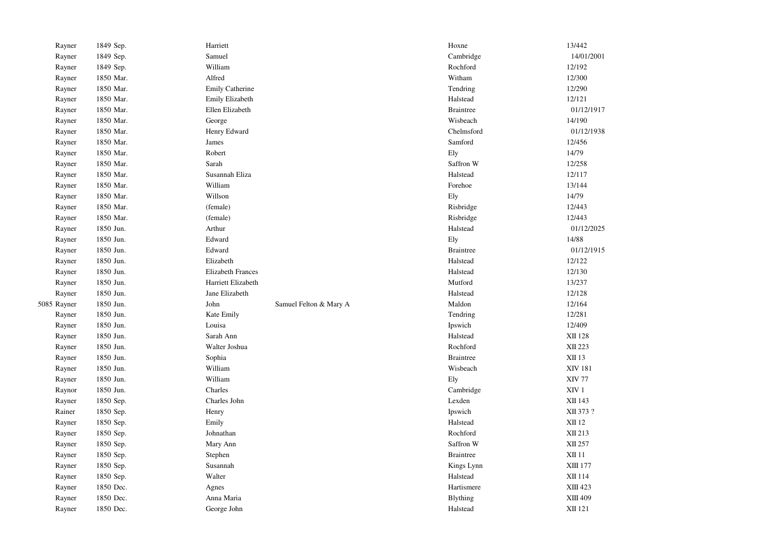| Rayner      | 1849 Sep. | Harriett                 |                        | Hoxne            | 13/442           |            |
|-------------|-----------|--------------------------|------------------------|------------------|------------------|------------|
| Rayner      | 1849 Sep. | Samuel                   |                        | Cambridge        |                  | 14/01/2001 |
| Rayner      | 1849 Sep. | William                  |                        | Rochford         | 12/192           |            |
| Rayner      | 1850 Mar. | Alfred                   |                        | Witham           | 12/300           |            |
| Rayner      | 1850 Mar. | <b>Emily Catherine</b>   |                        | Tendring         | 12/290           |            |
| Rayner      | 1850 Mar. | Emily Elizabeth          |                        | Halstead         | 12/121           |            |
| Rayner      | 1850 Mar. | Ellen Elizabeth          |                        | <b>Braintree</b> |                  | 01/12/1917 |
| Rayner      | 1850 Mar. | George                   |                        | Wisbeach         | 14/190           |            |
| Rayner      | 1850 Mar. | Henry Edward             |                        | Chelmsford       |                  | 01/12/1938 |
| Rayner      | 1850 Mar. | James                    |                        | Samford          | 12/456           |            |
| Rayner      | 1850 Mar. | Robert                   |                        | Ely              | 14/79            |            |
| Rayner      | 1850 Mar. | Sarah                    |                        | Saffron W        | 12/258           |            |
| Rayner      | 1850 Mar. | Susannah Eliza           |                        | Halstead         | 12/117           |            |
| Rayner      | 1850 Mar. | William                  |                        | Forehoe          | 13/144           |            |
| Rayner      | 1850 Mar. | Willson                  |                        | Ely              | 14/79            |            |
| Rayner      | 1850 Mar. | (female)                 |                        | Risbridge        | 12/443           |            |
| Rayner      | 1850 Mar. | (female)                 |                        | Risbridge        | 12/443           |            |
| Rayner      | 1850 Jun. | Arthur                   |                        | Halstead         |                  | 01/12/2025 |
| Rayner      | 1850 Jun. | Edward                   |                        | Ely              | 14/88            |            |
| Rayner      | 1850 Jun. | Edward                   |                        | <b>Braintree</b> |                  | 01/12/1915 |
| Rayner      | 1850 Jun. | Elizabeth                |                        | Halstead         | 12/122           |            |
| Rayner      | 1850 Jun. | <b>Elizabeth Frances</b> |                        | Halstead         | 12/130           |            |
| Rayner      | 1850 Jun. | Harriett Elizabeth       |                        | Mutford          | 13/237           |            |
| Rayner      | 1850 Jun. | Jane Elizabeth           |                        | Halstead         | 12/128           |            |
| 5085 Rayner | 1850 Jun. | John                     | Samuel Felton & Mary A | Maldon           | 12/164           |            |
| Rayner      | 1850 Jun. | Kate Emily               |                        | Tendring         | 12/281           |            |
| Rayner      | 1850 Jun. | Louisa                   |                        | Ipswich          | 12/409           |            |
| Rayner      | 1850 Jun. | Sarah Ann                |                        | Halstead         | XII 128          |            |
| Rayner      | 1850 Jun. | Walter Joshua            |                        | Rochford         | XII 223          |            |
| Rayner      | 1850 Jun. | Sophia                   |                        | <b>Braintree</b> | XII 13           |            |
| Rayner      | 1850 Jun. | William                  |                        | Wisbeach         | <b>XIV 181</b>   |            |
| Rayner      | 1850 Jun. | William                  |                        | Ely              | <b>XIV 77</b>    |            |
| Raynor      | 1850 Jun. | Charles                  |                        | Cambridge        | XIV <sub>1</sub> |            |
| Rayner      | 1850 Sep. | Charles John             |                        | Lexden           | XII 143          |            |
| Rainer      | 1850 Sep. | Henry                    |                        | Ipswich          |                  | XII 373 ?  |
| Rayner      | 1850 Sep. | Emily                    |                        | Halstead         | XII 12           |            |
| Rayner      | 1850 Sep. | Johnathan                |                        | Rochford         | XII 213          |            |
| Rayner      | 1850 Sep. | Mary Ann                 |                        | Saffron W        | XII 257          |            |
| Rayner      | 1850 Sep. | Stephen                  |                        | <b>Braintree</b> | <b>XII 11</b>    |            |
| Rayner      | 1850 Sep. | Susannah                 |                        | Kings Lynn       | XIII 177         |            |
| Rayner      | 1850 Sep. | Walter                   |                        | Halstead         | XII 114          |            |
| Rayner      | 1850 Dec. | Agnes                    |                        | Hartismere       | XIII 423         |            |
| Rayner      | 1850 Dec. | Anna Maria               |                        | Blything         | XIII 409         |            |
| Rayner      | 1850 Dec. | George John              |                        | Halstead         | XII 121          |            |
|             |           |                          |                        |                  |                  |            |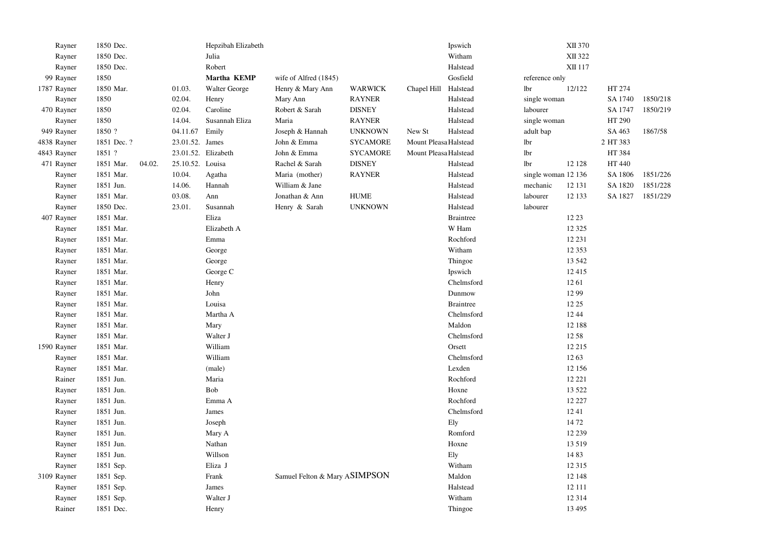| Rayner      | 1850 Dec.   |        |                  | Hepzibah Elizabeth   |                               |                                   |                       | Ipswich          |                     | XII 370  |          |          |
|-------------|-------------|--------|------------------|----------------------|-------------------------------|-----------------------------------|-----------------------|------------------|---------------------|----------|----------|----------|
| Rayner      | 1850 Dec.   |        |                  | Julia                |                               |                                   |                       | Witham           |                     | XII 322  |          |          |
| Rayner      | 1850 Dec.   |        |                  | Robert               |                               |                                   |                       | Halstead         |                     | XII 117  |          |          |
| 99 Rayner   | 1850        |        |                  | Martha KEMP          | wife of Alfred (1845)         |                                   |                       | Gosfield         | reference only      |          |          |          |
| 1787 Rayner | 1850 Mar.   |        | 01.03.           | <b>Walter George</b> | Henry & Mary Ann              | <b>WARWICK</b>                    | Chapel Hill Halstead  |                  | lbr                 | 12/122   | HT 274   |          |
| Rayner      | 1850        |        | 02.04.           | Henry                | Mary Ann                      | <b>RAYNER</b>                     |                       | Halstead         | single woman        |          | SA 1740  | 1850/218 |
| 470 Rayner  | 1850        |        | 02.04.           | Caroline             | Robert & Sarah                | <b>DISNEY</b>                     |                       | Halstead         | labourer            |          | SA 1747  | 1850/219 |
| Rayner      | 1850        |        | 14.04.           | Susannah Eliza       | Maria                         | <b>RAYNER</b>                     |                       | Halstead         | single woman        |          | HT 290   |          |
| 949 Rayner  | 1850 ?      |        | 04.11.67         | Emily                | Joseph & Hannah               | <b>UNKNOWN</b>                    | New St                | Halstead         | adult bap           |          | SA 463   | 1867/58  |
| 4838 Rayner | 1851 Dec. ? |        | 23.01.52. James  |                      | John & Emma                   | <b>SYCAMORE</b>                   | Mount PleasaiHalstead |                  | lbr                 |          | 2 HT 383 |          |
| 4843 Rayner | 1851 ?      |        |                  | 23.01.52. Elizabeth  | John & Emma                   | <b>SYCAMORE</b>                   | Mount Pleasa Halstead |                  | lbr                 |          | HT 384   |          |
| 471 Rayner  | 1851 Mar.   | 04.02. | 25.10.52. Louisa |                      | Rachel & Sarah                | <b>DISNEY</b>                     |                       | Halstead         | lbr                 | 12 128   | HT 440   |          |
| Rayner      | 1851 Mar.   |        | 10.04.           | Agatha               | Maria (mother)                | <b>RAYNER</b>                     |                       | Halstead         | single woman 12 136 |          | SA 1806  | 1851/226 |
| Rayner      | 1851 Jun.   |        | 14.06.           | Hannah               | William & Jane                |                                   |                       | Halstead         | mechanic            | 12 13 1  | SA 1820  | 1851/228 |
| Rayner      | 1851 Mar.   |        | 03.08.           | Ann                  | Jonathan & Ann                | ${\bf H} {\bf U} {\bf M} {\bf E}$ |                       | Halstead         | labourer            | 12 133   | SA 1827  | 1851/229 |
| Rayner      | 1850 Dec.   |        | 23.01.           | Susannah             | Henry & Sarah                 | <b>UNKNOWN</b>                    |                       | Halstead         | labourer            |          |          |          |
| 407 Rayner  | 1851 Mar.   |        |                  | Eliza                |                               |                                   |                       | <b>Braintree</b> |                     | 12 23    |          |          |
| Rayner      | 1851 Mar.   |        |                  | Elizabeth A          |                               |                                   |                       | W Ham            |                     | 12 3 25  |          |          |
| Rayner      | 1851 Mar.   |        |                  | Emma                 |                               |                                   |                       | Rochford         |                     | 12 23 1  |          |          |
| Rayner      | 1851 Mar.   |        |                  | George               |                               |                                   |                       | Witham           |                     | 12 3 5 3 |          |          |
| Rayner      | 1851 Mar.   |        |                  | George               |                               |                                   |                       | Thingoe          |                     | 13 542   |          |          |
| Rayner      | 1851 Mar.   |        |                  | George C             |                               |                                   |                       | Ipswich          |                     | 12 4 15  |          |          |
| Rayner      | 1851 Mar.   |        |                  | Henry                |                               |                                   |                       | Chelmsford       |                     | 1261     |          |          |
| Rayner      | 1851 Mar.   |        |                  | John                 |                               |                                   |                       | Dunmow           |                     | 12 99    |          |          |
| Rayner      | 1851 Mar.   |        |                  | Louisa               |                               |                                   |                       | <b>Braintree</b> |                     | 12 25    |          |          |
| Rayner      | 1851 Mar.   |        |                  | Martha A             |                               |                                   |                       | Chelmsford       |                     | 12 44    |          |          |
| Rayner      | 1851 Mar.   |        |                  | Mary                 |                               |                                   |                       | Maldon           |                     | 12 188   |          |          |
| Rayner      | 1851 Mar.   |        |                  | Walter J             |                               |                                   |                       | Chelmsford       |                     | 12 58    |          |          |
| 1590 Rayner | 1851 Mar.   |        |                  | William              |                               |                                   |                       | Orsett           |                     | 12 215   |          |          |
| Rayner      | 1851 Mar.   |        |                  | William              |                               |                                   |                       | Chelmsford       |                     | 1263     |          |          |
| Rayner      | 1851 Mar.   |        |                  | (male)               |                               |                                   |                       | Lexden           |                     | 12 15 6  |          |          |
| Rainer      | 1851 Jun.   |        |                  | Maria                |                               |                                   |                       | Rochford         |                     | 12 22 1  |          |          |
| Rayner      | 1851 Jun.   |        |                  | Bob                  |                               |                                   |                       | Hoxne            |                     | 13 5 22  |          |          |
| Rayner      | 1851 Jun.   |        |                  | Emma A               |                               |                                   |                       | Rochford         |                     | 12 227   |          |          |
| Rayner      | 1851 Jun.   |        |                  | James                |                               |                                   |                       | Chelmsford       |                     | 1241     |          |          |
| Rayner      | 1851 Jun.   |        |                  | Joseph               |                               |                                   |                       | Ely              |                     | 1472     |          |          |
| Rayner      | 1851 Jun.   |        |                  | Mary A               |                               |                                   |                       | Romford          |                     | 12 239   |          |          |
| Rayner      | 1851 Jun.   |        |                  | Nathan               |                               |                                   |                       | Hoxne            |                     | 13 5 19  |          |          |
| Rayner      | 1851 Jun.   |        |                  | Willson              |                               |                                   |                       | Ely              |                     | 1483     |          |          |
| Rayner      | 1851 Sep.   |        |                  | Eliza J              |                               |                                   |                       | Witham           |                     | 12 3 15  |          |          |
| 3109 Rayner | 1851 Sep.   |        |                  | Frank                | Samuel Felton & Mary ASIMPSON |                                   |                       | Maldon           |                     | 12 148   |          |          |
| Rayner      | 1851 Sep.   |        |                  | James                |                               |                                   |                       | Halstead         |                     | 12 11 1  |          |          |
| Rayner      | 1851 Sep.   |        |                  | Walter J             |                               |                                   |                       | Witham           |                     | 12 3 14  |          |          |
| Rainer      | 1851 Dec.   |        |                  | Henry                |                               |                                   |                       | Thingoe          |                     | 13 4 95  |          |          |
|             |             |        |                  |                      |                               |                                   |                       |                  |                     |          |          |          |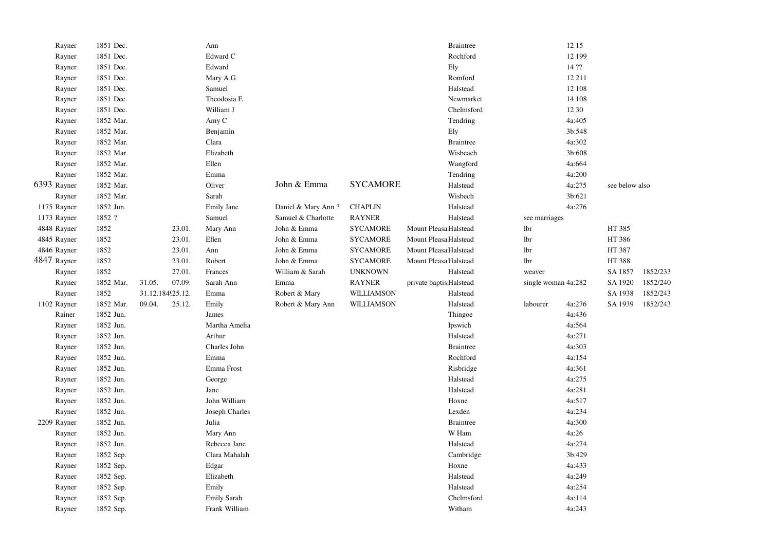| Rayner      | 1851 Dec. |        |                  | Ann                |                    |                 | <b>Braintree</b>         |                     | 12 15  |                |          |
|-------------|-----------|--------|------------------|--------------------|--------------------|-----------------|--------------------------|---------------------|--------|----------------|----------|
| Rayner      | 1851 Dec. |        |                  | Edward C           |                    |                 | Rochford                 |                     | 12 199 |                |          |
| Rayner      | 1851 Dec. |        |                  | Edward             |                    |                 | Ely                      |                     | 14 ??  |                |          |
| Rayner      | 1851 Dec. |        |                  | Mary A G           |                    |                 | Romford                  |                     | 12 211 |                |          |
| Rayner      | 1851 Dec. |        |                  | Samuel             |                    |                 | Halstead                 |                     | 12 108 |                |          |
| Rayner      | 1851 Dec. |        |                  | Theodosia E        |                    |                 | Newmarket                |                     | 14 108 |                |          |
| Rayner      | 1851 Dec. |        |                  | William J          |                    |                 | Chelmsford               |                     | 12 30  |                |          |
| Rayner      | 1852 Mar. |        |                  | Amy C              |                    |                 | Tendring                 |                     | 4a:405 |                |          |
| Rayner      | 1852 Mar. |        |                  | Benjamin           |                    |                 | Ely                      |                     | 3b:548 |                |          |
| Rayner      | 1852 Mar. |        |                  | Clara              |                    |                 | <b>Braintree</b>         |                     | 4a:302 |                |          |
| Rayner      | 1852 Mar. |        |                  | Elizabeth          |                    |                 | Wisbeach                 |                     | 3b:608 |                |          |
| Rayner      | 1852 Mar. |        |                  | Ellen              |                    |                 | Wangford                 |                     | 4a:664 |                |          |
| Rayner      | 1852 Mar. |        |                  | Emma               |                    |                 | Tendring                 |                     | 4a:200 |                |          |
| 6393 Rayner | 1852 Mar. |        |                  | Oliver             | John & Emma        | <b>SYCAMORE</b> | Halstead                 |                     | 4a:275 | see below also |          |
| Rayner      | 1852 Mar. |        |                  | Sarah              |                    |                 | Wisbech                  |                     | 3b:621 |                |          |
| 1175 Rayner | 1852 Jun. |        |                  | Emily Jane         | Daniel & Mary Ann? | <b>CHAPLIN</b>  | Halstead                 |                     | 4a:276 |                |          |
| 1173 Rayner | 1852 ?    |        |                  | Samuel             | Samuel & Charlotte | <b>RAYNER</b>   | Halstead                 | see marriages       |        |                |          |
| 4848 Rayner | 1852      |        | 23.01.           | Mary Ann           | John & Emma        | <b>SYCAMORE</b> | Mount Pleasa Halstead    | lbr                 |        | HT 385         |          |
| 4845 Rayner | 1852      |        | 23.01.           | Ellen              | John & Emma        | <b>SYCAMORE</b> | Mount Pleasa Halstead    | lbr                 |        | HT 386         |          |
| 4846 Rayner | 1852      |        | 23.01.           | Ann                | John & Emma        | <b>SYCAMORE</b> | Mount Pleasa Halstead    | lbr                 |        | HT 387         |          |
| 4847 Rayner | 1852      |        | 23.01.           | Robert             | John & Emma        | <b>SYCAMORE</b> | Mount Pleasa Halstead    | lbr                 |        | HT 388         |          |
| Rayner      | 1852      |        | 27.01.           | Frances            | William & Sarah    | <b>UNKNOWN</b>  | Halstead                 | weaver              |        | SA 1857        | 1852/233 |
| Rayner      | 1852 Mar. | 31.05. | 07.09.           | Sarah Ann          | Emma               | <b>RAYNER</b>   | private baptis: Halstead | single woman 4a:282 |        | SA 1920        | 1852/240 |
| Rayner      | 1852      |        | 31.12.184925.12. | Emma               | Robert & Mary      | WILLIAMSON      | Halstead                 |                     |        | SA 1938        | 1852/243 |
| 1102 Rayner | 1852 Mar. | 09.04. | 25.12.           | Emily              | Robert & Mary Ann  | WILLIAMSON      | Halstead                 | labourer            | 4a:276 | SA 1939        | 1852/243 |
| Rainer      | 1852 Jun. |        |                  | James              |                    |                 | Thingoe                  |                     | 4a:436 |                |          |
| Rayner      | 1852 Jun. |        |                  | Martha Amelia      |                    |                 | Ipswich                  |                     | 4a:564 |                |          |
| Rayner      | 1852 Jun. |        |                  | Arthur             |                    |                 | Halstead                 |                     | 4a:271 |                |          |
| Rayner      | 1852 Jun. |        |                  | Charles John       |                    |                 | <b>Braintree</b>         |                     | 4a:303 |                |          |
| Rayner      | 1852 Jun. |        |                  | Emma               |                    |                 | Rochford                 |                     | 4a:154 |                |          |
| Rayner      | 1852 Jun. |        |                  | Emma Frost         |                    |                 | Risbridge                |                     | 4a:361 |                |          |
| Rayner      | 1852 Jun. |        |                  | George             |                    |                 | Halstead                 |                     | 4a:275 |                |          |
| Rayner      | 1852 Jun. |        |                  | Jane               |                    |                 | Halstead                 |                     | 4a:281 |                |          |
| Rayner      | 1852 Jun. |        |                  | John William       |                    |                 | Hoxne                    |                     | 4a:517 |                |          |
| Rayner      | 1852 Jun. |        |                  | Joseph Charles     |                    |                 | Lexden                   |                     | 4a:234 |                |          |
| 2209 Rayner | 1852 Jun. |        |                  | Julia              |                    |                 | <b>Braintree</b>         |                     | 4a:300 |                |          |
| Rayner      | 1852 Jun. |        |                  | Mary Ann           |                    |                 | W Ham                    |                     | 4a:26  |                |          |
| Rayner      | 1852 Jun. |        |                  | Rebecca Jane       |                    |                 | Halstead                 |                     | 4a:274 |                |          |
| Rayner      | 1852 Sep. |        |                  | Clara Mahalah      |                    |                 | Cambridge                |                     | 3b:429 |                |          |
| Rayner      | 1852 Sep. |        |                  | Edgar              |                    |                 | Hoxne                    |                     | 4a:433 |                |          |
| Rayner      | 1852 Sep. |        |                  | Elizabeth          |                    |                 | Halstead                 |                     | 4a:249 |                |          |
| Rayner      | 1852 Sep. |        |                  | Emily              |                    |                 | Halstead                 |                     | 4a:254 |                |          |
| Rayner      | 1852 Sep. |        |                  | <b>Emily Sarah</b> |                    |                 | Chelmsford               |                     | 4a:114 |                |          |
| Rayner      | 1852 Sep. |        |                  | Frank William      |                    |                 | Witham                   |                     | 4a:243 |                |          |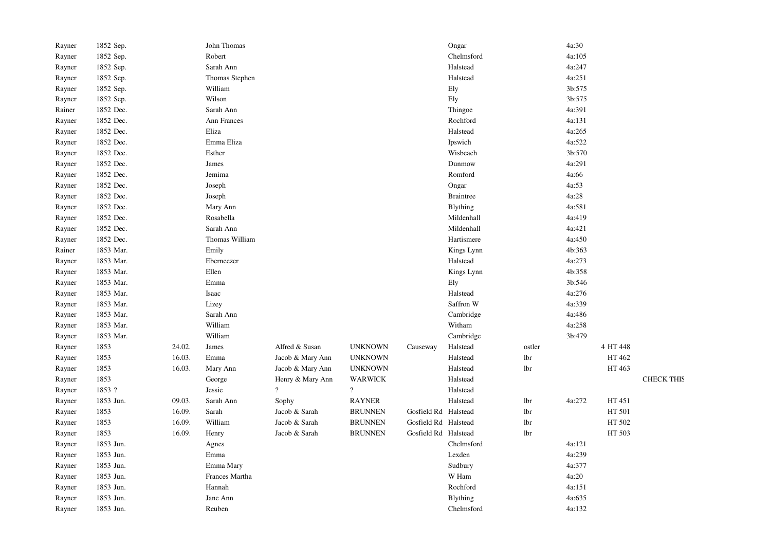| Rayner | 1852 Sep. |        | John Thomas    |                  |                |                      | Ongar            |        | 4a:30  |          |                   |
|--------|-----------|--------|----------------|------------------|----------------|----------------------|------------------|--------|--------|----------|-------------------|
| Rayner | 1852 Sep. |        | Robert         |                  |                |                      | Chelmsford       |        | 4a:105 |          |                   |
| Rayner | 1852 Sep. |        | Sarah Ann      |                  |                |                      | Halstead         |        | 4a:247 |          |                   |
| Rayner | 1852 Sep. |        | Thomas Stephen |                  |                |                      | Halstead         |        | 4a:251 |          |                   |
| Rayner | 1852 Sep. |        | William        |                  |                |                      | Ely              |        | 3b:575 |          |                   |
| Rayner | 1852 Sep. |        | Wilson         |                  |                |                      | Ely              |        | 3b:575 |          |                   |
| Rainer | 1852 Dec. |        | Sarah Ann      |                  |                |                      | Thingoe          |        | 4a:391 |          |                   |
| Rayner | 1852 Dec. |        | Ann Frances    |                  |                |                      | Rochford         |        | 4a:131 |          |                   |
| Rayner | 1852 Dec. |        | Eliza          |                  |                |                      | Halstead         |        | 4a:265 |          |                   |
| Rayner | 1852 Dec. |        | Emma Eliza     |                  |                |                      | Ipswich          |        | 4a:522 |          |                   |
| Rayner | 1852 Dec. |        | Esther         |                  |                |                      | Wisbeach         |        | 3b:570 |          |                   |
| Rayner | 1852 Dec. |        | James          |                  |                |                      | Dunmow           |        | 4a:291 |          |                   |
| Rayner | 1852 Dec. |        | Jemima         |                  |                |                      | Romford          |        | 4a:66  |          |                   |
| Rayner | 1852 Dec. |        | Joseph         |                  |                |                      | Ongar            |        | 4a:53  |          |                   |
| Rayner | 1852 Dec. |        | Joseph         |                  |                |                      | <b>Braintree</b> |        | 4a:28  |          |                   |
| Rayner | 1852 Dec. |        | Mary Ann       |                  |                |                      | Blything         |        | 4a:581 |          |                   |
| Rayner | 1852 Dec. |        | Rosabella      |                  |                |                      | Mildenhall       |        | 4a:419 |          |                   |
| Rayner | 1852 Dec. |        | Sarah Ann      |                  |                |                      | Mildenhall       |        | 4a:421 |          |                   |
| Rayner | 1852 Dec. |        | Thomas William |                  |                |                      | Hartismere       |        | 4a:450 |          |                   |
| Rainer | 1853 Mar. |        | Emily          |                  |                |                      | Kings Lynn       |        | 4b:363 |          |                   |
| Rayner | 1853 Mar. |        | Eberneezer     |                  |                |                      | Halstead         |        | 4a:273 |          |                   |
| Rayner | 1853 Mar. |        | Ellen          |                  |                |                      | Kings Lynn       |        | 4b:358 |          |                   |
| Rayner | 1853 Mar. |        | Emma           |                  |                |                      | Ely              |        | 3b:546 |          |                   |
| Rayner | 1853 Mar. |        | Isaac          |                  |                |                      | Halstead         |        | 4a:276 |          |                   |
| Rayner | 1853 Mar. |        | Lizey          |                  |                |                      | Saffron W        |        | 4a:339 |          |                   |
| Rayner | 1853 Mar. |        | Sarah Ann      |                  |                |                      | Cambridge        |        | 4a:486 |          |                   |
| Rayner | 1853 Mar. |        | William        |                  |                |                      | Witham           |        | 4a:258 |          |                   |
| Rayner | 1853 Mar. |        | William        |                  |                |                      | Cambridge        |        | 3b:479 |          |                   |
| Rayner | 1853      | 24.02. | James          | Alfred & Susan   | <b>UNKNOWN</b> | Causeway             | Halstead         | ostler |        | 4 HT 448 |                   |
| Rayner | 1853      | 16.03. | Emma           | Jacob & Mary Ann | <b>UNKNOWN</b> |                      | Halstead         | lbr    |        | HT 462   |                   |
| Rayner | 1853      | 16.03. | Mary Ann       | Jacob & Mary Ann | <b>UNKNOWN</b> |                      | Halstead         | lbr    |        | HT 463   |                   |
| Rayner | 1853      |        | George         | Henry & Mary Ann | <b>WARWICK</b> |                      | Halstead         |        |        |          | <b>CHECK THIS</b> |
| Rayner | 1853 ?    |        | Jessie         | $\gamma$         | $\overline{?}$ |                      | Halstead         |        |        |          |                   |
| Rayner | 1853 Jun. | 09.03. | Sarah Ann      | Sophy            | <b>RAYNER</b>  |                      | Halstead         | lbr    | 4a:272 | HT 451   |                   |
| Rayner | 1853      | 16.09. | Sarah          | Jacob & Sarah    | <b>BRUNNEN</b> | Gosfield Rd Halstead |                  | lbr    |        | HT 501   |                   |
| Rayner | 1853      | 16.09. | William        | Jacob & Sarah    | <b>BRUNNEN</b> | Gosfield Rd Halstead |                  | lbr    |        | HT 502   |                   |
| Rayner | 1853      | 16.09. | Henry          | Jacob & Sarah    | <b>BRUNNEN</b> | Gosfield Rd Halstead |                  | lbr    |        | HT 503   |                   |
| Rayner | 1853 Jun. |        | Agnes          |                  |                |                      | Chelmsford       |        | 4a:121 |          |                   |
| Rayner | 1853 Jun. |        | Emma           |                  |                |                      | Lexden           |        | 4a:239 |          |                   |
| Rayner | 1853 Jun. |        | Emma Mary      |                  |                |                      | Sudbury          |        | 4a:377 |          |                   |
| Rayner | 1853 Jun. |        | Frances Martha |                  |                |                      | W Ham            |        | 4a:20  |          |                   |
| Rayner | 1853 Jun. |        | Hannah         |                  |                |                      | Rochford         |        | 4a:151 |          |                   |
| Rayner | 1853 Jun. |        | Jane Ann       |                  |                |                      | Blything         |        | 4a:635 |          |                   |
| Rayner | 1853 Jun. |        | Reuben         |                  |                |                      | Chelmsford       |        | 4a:132 |          |                   |
|        |           |        |                |                  |                |                      |                  |        |        |          |                   |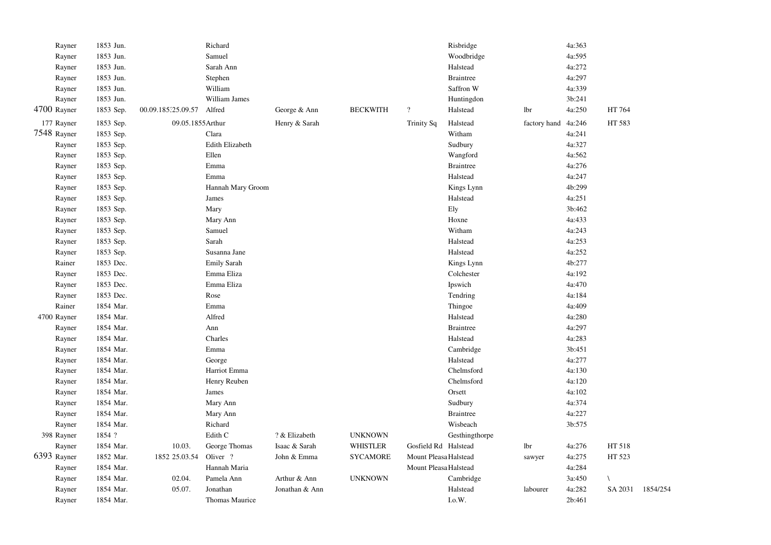| Rayner      | 1853 Jun. |                    | Richard           |                |                 |                        | Risbridge        |              | 4a:363 |           |          |
|-------------|-----------|--------------------|-------------------|----------------|-----------------|------------------------|------------------|--------------|--------|-----------|----------|
| Rayner      | 1853 Jun. |                    | Samuel            |                |                 |                        | Woodbridge       |              | 4a:595 |           |          |
| Rayner      | 1853 Jun. |                    | Sarah Ann         |                |                 |                        | Halstead         |              | 4a:272 |           |          |
| Rayner      | 1853 Jun. |                    | Stephen           |                |                 |                        | <b>Braintree</b> |              | 4a:297 |           |          |
| Rayner      | 1853 Jun. |                    | William           |                |                 |                        | Saffron W        |              | 4a:339 |           |          |
| Rayner      | 1853 Jun. |                    | William James     |                |                 |                        | Huntingdon       |              | 3b:241 |           |          |
| 4700 Rayner | 1853 Sep. | 00.09.185.25.09.57 | Alfred            | George & Ann   | <b>BECKWITH</b> | $\overline{?}$         | Halstead         | lbr          | 4a:250 | HT 764    |          |
| 177 Rayner  | 1853 Sep. | 09.05.1855Arthur   |                   | Henry & Sarah  |                 | <b>Trinity Sq</b>      | Halstead         | factory hand | 4a:246 | HT 583    |          |
| 7548 Rayner | 1853 Sep. |                    | Clara             |                |                 |                        | Witham           |              | 4a:241 |           |          |
| Rayner      | 1853 Sep. |                    | Edith Elizabeth   |                |                 |                        | Sudbury          |              | 4a:327 |           |          |
| Rayner      | 1853 Sep. |                    | Ellen             |                |                 |                        | Wangford         |              | 4a:562 |           |          |
| Rayner      | 1853 Sep. |                    | Emma              |                |                 |                        | <b>Braintree</b> |              | 4a:276 |           |          |
| Rayner      | 1853 Sep. |                    | Emma              |                |                 |                        | Halstead         |              | 4a:247 |           |          |
| Rayner      | 1853 Sep. |                    | Hannah Mary Groom |                |                 |                        | Kings Lynn       |              | 4b:299 |           |          |
| Rayner      | 1853 Sep. |                    | James             |                |                 |                        | Halstead         |              | 4a:251 |           |          |
| Rayner      | 1853 Sep. |                    | Mary              |                |                 |                        | Ely              |              | 3b:462 |           |          |
| Rayner      | 1853 Sep. |                    | Mary Ann          |                |                 |                        | Hoxne            |              | 4a:433 |           |          |
| Rayner      | 1853 Sep. |                    | Samuel            |                |                 |                        | Witham           |              | 4a:243 |           |          |
| Rayner      | 1853 Sep. |                    | Sarah             |                |                 |                        | Halstead         |              | 4a:253 |           |          |
| Rayner      | 1853 Sep. |                    | Susanna Jane      |                |                 |                        | Halstead         |              | 4a:252 |           |          |
| Rainer      | 1853 Dec. |                    | Emily Sarah       |                |                 |                        | Kings Lynn       |              | 4b:277 |           |          |
| Rayner      | 1853 Dec. |                    | Emma Eliza        |                |                 |                        | Colchester       |              | 4a:192 |           |          |
| Rayner      | 1853 Dec. |                    | Emma Eliza        |                |                 |                        | Ipswich          |              | 4a:470 |           |          |
| Rayner      | 1853 Dec. |                    | Rose              |                |                 |                        | Tendring         |              | 4a:184 |           |          |
| Rainer      | 1854 Mar. |                    | Emma              |                |                 |                        | Thingoe          |              | 4a:409 |           |          |
| 4700 Rayner | 1854 Mar. |                    | Alfred            |                |                 |                        | Halstead         |              | 4a:280 |           |          |
| Rayner      | 1854 Mar. |                    | Ann               |                |                 |                        | <b>Braintree</b> |              | 4a:297 |           |          |
| Rayner      | 1854 Mar. |                    | Charles           |                |                 |                        | Halstead         |              | 4a:283 |           |          |
| Rayner      | 1854 Mar. |                    | Emma              |                |                 |                        | Cambridge        |              | 3b:451 |           |          |
| Rayner      | 1854 Mar. |                    | George            |                |                 |                        | Halstead         |              | 4a:277 |           |          |
| Rayner      | 1854 Mar. |                    | Harriot Emma      |                |                 |                        | Chelmsford       |              | 4a:130 |           |          |
| Rayner      | 1854 Mar. |                    | Henry Reuben      |                |                 |                        | Chelmsford       |              | 4a:120 |           |          |
| Rayner      | 1854 Mar. |                    | James             |                |                 |                        | Orsett           |              | 4a:102 |           |          |
| Rayner      | 1854 Mar. |                    | Mary Ann          |                |                 |                        | Sudbury          |              | 4a:374 |           |          |
| Rayner      | 1854 Mar. |                    | Mary Ann          |                |                 |                        | <b>Braintree</b> |              | 4a:227 |           |          |
| Rayner      | 1854 Mar. |                    | Richard           |                |                 |                        | Wisbeach         |              | 3b:575 |           |          |
| 398 Rayner  | 1854 ?    |                    | Edith C           | ? & Elizabeth  | <b>UNKNOWN</b>  |                        | Gesthingthorpe   |              |        |           |          |
| Rayner      | 1854 Mar. | 10.03.             | George Thomas     | Isaac & Sarah  | <b>WHISTLER</b> | Gosfield Rd Halstead   |                  | lbr          | 4a:276 | HT 518    |          |
| 6393 Rayner | 1852 Mar. | 1852 25.03.54      | Oliver ?          | John & Emma    | <b>SYCAMORE</b> | Mount Pleasa Halstead  |                  | sawyer       | 4a:275 | HT 523    |          |
| Rayner      | 1854 Mar. |                    | Hannah Maria      |                |                 | Mount Pleasa: Halstead |                  |              | 4a:284 |           |          |
| Rayner      | 1854 Mar. | 02.04.             | Pamela Ann        | Arthur & Ann   | <b>UNKNOWN</b>  |                        | Cambridge        |              | 3a:450 | $\lambda$ |          |
| Rayner      | 1854 Mar. | 05.07.             | Jonathan          | Jonathan & Ann |                 |                        | Halstead         | labourer     | 4a:282 | SA 2031   | 1854/254 |
| Rayner      | 1854 Mar. |                    | Thomas Maurice    |                |                 |                        | I.o.W.           |              | 2b:461 |           |          |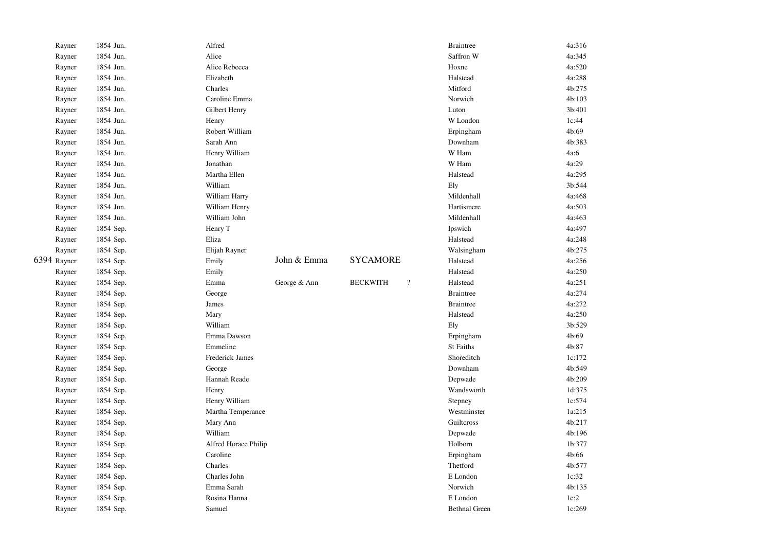| Rayner      | 1854 Jun. | Alfred               |              |                                             | <b>Braintree</b>     | 4a:316 |
|-------------|-----------|----------------------|--------------|---------------------------------------------|----------------------|--------|
| Rayner      | 1854 Jun. | Alice                |              |                                             | Saffron W            | 4a:345 |
| Rayner      | 1854 Jun. | Alice Rebecca        |              |                                             | Hoxne                | 4a:520 |
| Rayner      | 1854 Jun. | Elizabeth            |              |                                             | Halstead             | 4a:288 |
| Rayner      | 1854 Jun. | Charles              |              |                                             | Mitford              | 4b:275 |
| Rayner      | 1854 Jun. | Caroline Emma        |              |                                             | Norwich              | 4b:103 |
| Rayner      | 1854 Jun. | Gilbert Henry        |              |                                             | Luton                | 3b:401 |
| Rayner      | 1854 Jun. | Henry                |              |                                             | W London             | 1c:44  |
| Rayner      | 1854 Jun. | Robert William       |              |                                             | Erpingham            | 4b:69  |
| Rayner      | 1854 Jun. | Sarah Ann            |              |                                             | Downham              | 4b:383 |
| Rayner      | 1854 Jun. | Henry William        |              |                                             | W Ham                | 4a:6   |
| Rayner      | 1854 Jun. | Jonathan             |              |                                             | W Ham                | 4a:29  |
| Rayner      | 1854 Jun. | Martha Ellen         |              |                                             | Halstead             | 4a:295 |
| Rayner      | 1854 Jun. | William              |              |                                             | Ely                  | 3b:544 |
| Rayner      | 1854 Jun. | William Harry        |              |                                             | Mildenhall           | 4a:468 |
| Rayner      | 1854 Jun. | William Henry        |              |                                             | Hartismere           | 4a:503 |
| Rayner      | 1854 Jun. | William John         |              |                                             | Mildenhall           | 4a:463 |
| Rayner      | 1854 Sep. | Henry T              |              |                                             | Ipswich              | 4a:497 |
| Rayner      | 1854 Sep. | Eliza                |              |                                             | Halstead             | 4a:248 |
| Rayner      | 1854 Sep. | Elijah Rayner        |              |                                             | Walsingham           | 4b:275 |
| 6394 Rayner | 1854 Sep. | Emily                | John & Emma  | <b>SYCAMORE</b>                             | Halstead             | 4a:256 |
| Rayner      | 1854 Sep. | Emily                |              |                                             | Halstead             | 4a:250 |
| Rayner      | 1854 Sep. | Emma                 | George & Ann | <b>BECKWITH</b><br>$\overline{\mathcal{L}}$ | Halstead             | 4a:251 |
| Rayner      | 1854 Sep. | George               |              |                                             | <b>Braintree</b>     | 4a:274 |
| Rayner      | 1854 Sep. | James                |              |                                             | <b>Braintree</b>     | 4a:272 |
| Rayner      | 1854 Sep. | Mary                 |              |                                             | Halstead             | 4a:250 |
| Rayner      | 1854 Sep. | William              |              |                                             | Ely                  | 3b:529 |
| Rayner      | 1854 Sep. | Emma Dawson          |              |                                             | Erpingham            | 4b:69  |
| Rayner      | 1854 Sep. | Emmeline             |              |                                             | <b>St Faiths</b>     | 4b:87  |
| Rayner      | 1854 Sep. | Frederick James      |              |                                             | Shoreditch           | 1c:172 |
| Rayner      | 1854 Sep. | George               |              |                                             | Downham              | 4b:549 |
| Rayner      | 1854 Sep. | Hannah Reade         |              |                                             | Depwade              | 4b:209 |
| Rayner      | 1854 Sep. | Henry                |              |                                             | Wandsworth           | 1d:375 |
| Rayner      | 1854 Sep. | Henry William        |              |                                             | Stepney              | 1c:574 |
| Rayner      | 1854 Sep. | Martha Temperance    |              |                                             | Westminster          | 1a:215 |
| Rayner      | 1854 Sep. | Mary Ann             |              |                                             | Guilteross           | 4b:217 |
| Rayner      | 1854 Sep. | William              |              |                                             | Depwade              | 4b:196 |
| Rayner      | 1854 Sep. | Alfred Horace Philip |              |                                             | Holborn              | 1b:377 |
| Rayner      | 1854 Sep. | Caroline             |              |                                             | Erpingham            | 4b:66  |
| Rayner      | 1854 Sep. | Charles              |              |                                             | Thetford             | 4b:577 |
| Rayner      | 1854 Sep. | Charles John         |              |                                             | E London             | 1c:32  |
| Rayner      | 1854 Sep. | Emma Sarah           |              |                                             | Norwich              | 4b:135 |
| Rayner      | 1854 Sep. | Rosina Hanna         |              |                                             | E London             | 1c:2   |
| Rayner      | 1854 Sep. | Samuel               |              |                                             | <b>Bethnal Green</b> | 1c:269 |
|             |           |                      |              |                                             |                      |        |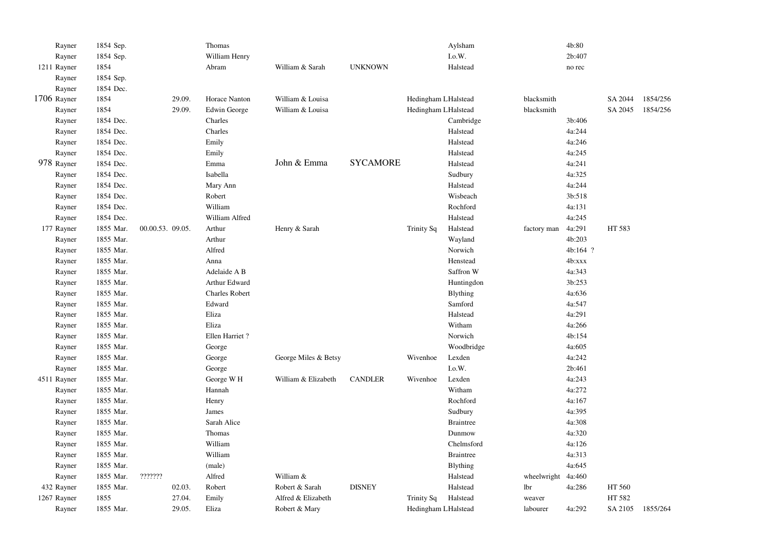| Rayner      | 1854 Sep. |                  | Thomas                |                      |                 |                     | Aylsham          |                    | 4b:80    |         |          |
|-------------|-----------|------------------|-----------------------|----------------------|-----------------|---------------------|------------------|--------------------|----------|---------|----------|
| Rayner      | 1854 Sep. |                  | William Henry         |                      |                 |                     | $_{\rm I.0.}$ W. |                    | 2b:407   |         |          |
| 1211 Rayner | 1854      |                  | Abram                 | William & Sarah      | <b>UNKNOWN</b>  |                     | Halstead         |                    | no rec   |         |          |
| Rayner      | 1854 Sep. |                  |                       |                      |                 |                     |                  |                    |          |         |          |
| Rayner      | 1854 Dec. |                  |                       |                      |                 |                     |                  |                    |          |         |          |
| 1706 Rayner | 1854      | 29.09.           | Horace Nanton         | William & Louisa     |                 | Hedingham LHalstead |                  | blacksmith         |          | SA 2044 | 1854/256 |
| Rayner      | 1854      | 29.09.           | Edwin George          | William & Louisa     |                 | Hedingham LHalstead |                  | blacksmith         |          | SA 2045 | 1854/256 |
| Rayner      | 1854 Dec. |                  | Charles               |                      |                 |                     | Cambridge        |                    | 3b:406   |         |          |
| Rayner      | 1854 Dec. |                  | Charles               |                      |                 |                     | Halstead         |                    | 4a:244   |         |          |
| Rayner      | 1854 Dec. |                  | Emily                 |                      |                 |                     | Halstead         |                    | 4a:246   |         |          |
| Rayner      | 1854 Dec. |                  | Emily                 |                      |                 |                     | Halstead         |                    | 4a:245   |         |          |
| 978 Rayner  | 1854 Dec. |                  | Emma                  | John & Emma          | <b>SYCAMORE</b> |                     | Halstead         |                    | 4a:241   |         |          |
| Rayner      | 1854 Dec. |                  | Isabella              |                      |                 |                     | Sudbury          |                    | 4a:325   |         |          |
| Rayner      | 1854 Dec. |                  | Mary Ann              |                      |                 |                     | Halstead         |                    | 4a:244   |         |          |
| Rayner      | 1854 Dec. |                  | Robert                |                      |                 |                     | Wisbeach         |                    | 3b:518   |         |          |
| Rayner      | 1854 Dec. |                  | William               |                      |                 |                     | Rochford         |                    | 4a:131   |         |          |
| Rayner      | 1854 Dec. |                  | William Alfred        |                      |                 |                     | Halstead         |                    | 4a:245   |         |          |
| 177 Rayner  | 1855 Mar. | 00.00.53. 09.05. | Arthur                | Henry & Sarah        |                 | <b>Trinity Sq</b>   | Halstead         | factory man        | 4a:291   | HT 583  |          |
| Rayner      | 1855 Mar. |                  | Arthur                |                      |                 |                     | Wayland          |                    | 4b:203   |         |          |
| Rayner      | 1855 Mar. |                  | Alfred                |                      |                 |                     | Norwich          |                    | 4b:164 ? |         |          |
| Rayner      | 1855 Mar. |                  | Anna                  |                      |                 |                     | Henstead         |                    | 4b:xxx   |         |          |
| Rayner      | 1855 Mar. |                  | Adelaide A B          |                      |                 |                     | Saffron W        |                    | 4a:343   |         |          |
| Rayner      | 1855 Mar. |                  | Arthur Edward         |                      |                 |                     | Huntingdon       |                    | 3b:253   |         |          |
| Rayner      | 1855 Mar. |                  | <b>Charles Robert</b> |                      |                 |                     | <b>B</b> lything |                    | 4a:636   |         |          |
| Rayner      | 1855 Mar. |                  | Edward                |                      |                 |                     | Samford          |                    | 4a:547   |         |          |
| Rayner      | 1855 Mar. |                  | Eliza                 |                      |                 |                     | Halstead         |                    | 4a:291   |         |          |
| Rayner      | 1855 Mar. |                  | Eliza                 |                      |                 |                     | Witham           |                    | 4a:266   |         |          |
| Rayner      | 1855 Mar. |                  | Ellen Harriet?        |                      |                 |                     | Norwich          |                    | 4b:154   |         |          |
| Rayner      | 1855 Mar. |                  | George                |                      |                 |                     | Woodbridge       |                    | 4a:605   |         |          |
| Rayner      | 1855 Mar. |                  | George                | George Miles & Betsy |                 | Wivenhoe            | Lexden           |                    | 4a:242   |         |          |
| Rayner      | 1855 Mar. |                  | George                |                      |                 |                     | I.o.W.           |                    | 2b:461   |         |          |
| 4511 Rayner | 1855 Mar. |                  | George W <sub>H</sub> | William & Elizabeth  | <b>CANDLER</b>  | Wivenhoe            | Lexden           |                    | 4a:243   |         |          |
| Rayner      | 1855 Mar. |                  | Hannah                |                      |                 |                     | Witham           |                    | 4a:272   |         |          |
| Rayner      | 1855 Mar. |                  | Henry                 |                      |                 |                     | Rochford         |                    | 4a:167   |         |          |
| Rayner      | 1855 Mar. |                  | James                 |                      |                 |                     | Sudbury          |                    | 4a:395   |         |          |
| Rayner      | 1855 Mar. |                  | Sarah Alice           |                      |                 |                     | <b>Braintree</b> |                    | 4a:308   |         |          |
| Rayner      | 1855 Mar. |                  | Thomas                |                      |                 |                     | Dunmow           |                    | 4a:320   |         |          |
| Rayner      | 1855 Mar. |                  | William               |                      |                 |                     | Chelmsford       |                    | 4a:126   |         |          |
| Rayner      | 1855 Mar. |                  | William               |                      |                 |                     | <b>Braintree</b> |                    | 4a:313   |         |          |
| Rayner      | 1855 Mar. |                  | (male)                |                      |                 |                     | <b>Blything</b>  |                    | 4a:645   |         |          |
| Rayner      | 1855 Mar. | ???????          | Alfred                | William &            |                 |                     | Halstead         | wheelwright 4a:460 |          |         |          |
| 432 Rayner  | 1855 Mar. | 02.03.           | Robert                | Robert & Sarah       | <b>DISNEY</b>   |                     | Halstead         | lbr                | 4a:286   | HT 560  |          |
| 1267 Rayner | 1855      | 27.04.           | Emily                 | Alfred & Elizabeth   |                 | Trinity Sq          | Halstead         | weaver             |          | HT 582  |          |
| Rayner      | 1855 Mar. | 29.05.           | Eliza                 | Robert & Mary        |                 | Hedingham LHalstead |                  | labourer           | 4a:292   | SA 2105 | 1855/264 |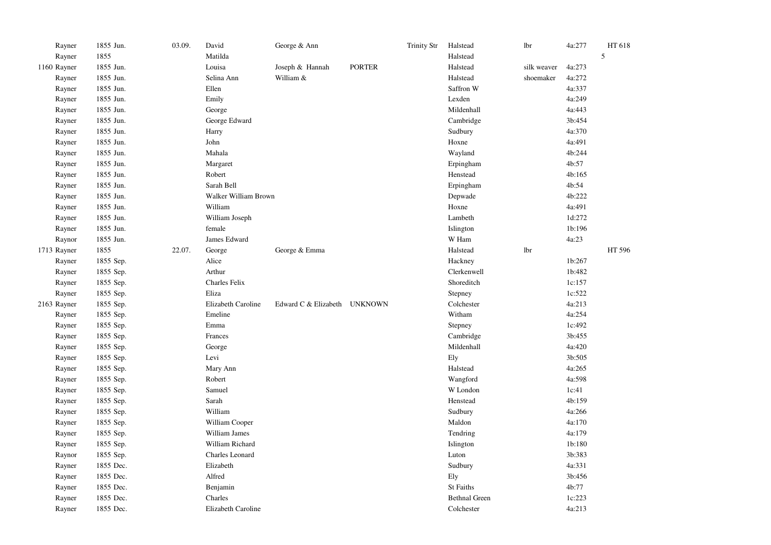| Rayner      | 1855 Jun. | 03.09. | David                | George & Ann                 |               | <b>Trinity Str</b> | Halstead             | lbr         | 4a:277 | HT 618 |
|-------------|-----------|--------|----------------------|------------------------------|---------------|--------------------|----------------------|-------------|--------|--------|
| Rayner      | 1855      |        | Matilda              |                              |               |                    | Halstead             |             |        | 5      |
| 1160 Rayner | 1855 Jun. |        | Louisa               | Joseph & Hannah              | <b>PORTER</b> |                    | Halstead             | silk weaver | 4a:273 |        |
| Rayner      | 1855 Jun. |        | Selina Ann           | William &                    |               |                    | Halstead             | shoemaker   | 4a:272 |        |
| Rayner      | 1855 Jun. |        | Ellen                |                              |               |                    | Saffron W            |             | 4a:337 |        |
| Rayner      | 1855 Jun. |        | Emily                |                              |               |                    | Lexden               |             | 4a:249 |        |
| Rayner      | 1855 Jun. |        | George               |                              |               |                    | Mildenhall           |             | 4a:443 |        |
| Rayner      | 1855 Jun. |        | George Edward        |                              |               |                    | Cambridge            |             | 3b:454 |        |
| Rayner      | 1855 Jun. |        | Harry                |                              |               |                    | Sudbury              |             | 4a:370 |        |
| Rayner      | 1855 Jun. |        | John                 |                              |               |                    | Hoxne                |             | 4a:491 |        |
| Rayner      | 1855 Jun. |        | Mahala               |                              |               |                    | Wayland              |             | 4b:244 |        |
| Rayner      | 1855 Jun. |        | Margaret             |                              |               |                    | Erpingham            |             | 4b:57  |        |
| Rayner      | 1855 Jun. |        | Robert               |                              |               |                    | Henstead             |             | 4b:165 |        |
| Rayner      | 1855 Jun. |        | Sarah Bell           |                              |               |                    | Erpingham            |             | 4b:54  |        |
| Rayner      | 1855 Jun. |        | Walker William Brown |                              |               |                    | Depwade              |             | 4b:222 |        |
| Rayner      | 1855 Jun. |        | William              |                              |               |                    | Hoxne                |             | 4a:491 |        |
| Rayner      | 1855 Jun. |        | William Joseph       |                              |               |                    | Lambeth              |             | 1d:272 |        |
| Rayner      | 1855 Jun. |        | female               |                              |               |                    | Islington            |             | 1b:196 |        |
| Raynor      | 1855 Jun. |        | James Edward         |                              |               |                    | W Ham                |             | 4a:23  |        |
| 1713 Rayner | 1855      | 22.07. | George               | George & Emma                |               |                    | Halstead             | <b>lbr</b>  |        | HT 596 |
| Rayner      | 1855 Sep. |        | Alice                |                              |               |                    | Hackney              |             | 1b:267 |        |
| Rayner      | 1855 Sep. |        | Arthur               |                              |               |                    | Clerkenwell          |             | 1b:482 |        |
| Rayner      | 1855 Sep. |        | Charles Felix        |                              |               |                    | Shoreditch           |             | 1c:157 |        |
| Rayner      | 1855 Sep. |        | Eliza                |                              |               |                    | Stepney              |             | 1c:522 |        |
| 2163 Rayner | 1855 Sep. |        | Elizabeth Caroline   | Edward C & Elizabeth UNKNOWN |               |                    | Colchester           |             | 4a:213 |        |
| Rayner      | 1855 Sep. |        | Emeline              |                              |               |                    | Witham               |             | 4a:254 |        |
| Rayner      | 1855 Sep. |        | Emma                 |                              |               |                    | Stepney              |             | 1c:492 |        |
| Rayner      | 1855 Sep. |        | Frances              |                              |               |                    | Cambridge            |             | 3b:455 |        |
| Rayner      | 1855 Sep. |        | George               |                              |               |                    | Mildenhall           |             | 4a:420 |        |
| Rayner      | 1855 Sep. |        | Levi                 |                              |               |                    | Ely                  |             | 3b:505 |        |
| Rayner      | 1855 Sep. |        | Mary Ann             |                              |               |                    | Halstead             |             | 4a:265 |        |
| Rayner      | 1855 Sep. |        | Robert               |                              |               |                    | Wangford             |             | 4a:598 |        |
| Rayner      | 1855 Sep. |        | Samuel               |                              |               |                    | W London             |             | 1c:41  |        |
| Rayner      | 1855 Sep. |        | Sarah                |                              |               |                    | Henstead             |             | 4b:159 |        |
| Rayner      | 1855 Sep. |        | William              |                              |               |                    | Sudbury              |             | 4a:266 |        |
| Rayner      | 1855 Sep. |        | William Cooper       |                              |               |                    | Maldon               |             | 4a:170 |        |
| Rayner      | 1855 Sep. |        | William James        |                              |               |                    | Tendring             |             | 4a:179 |        |
| Rayner      | 1855 Sep. |        | William Richard      |                              |               |                    | Islington            |             | 1b:180 |        |
| Raynor      | 1855 Sep. |        | Charles Leonard      |                              |               |                    | Luton                |             | 3b:383 |        |
| Rayner      | 1855 Dec. |        | Elizabeth            |                              |               |                    | Sudbury              |             | 4a:331 |        |
| Rayner      | 1855 Dec. |        | Alfred               |                              |               |                    | Ely                  |             | 3b:456 |        |
| Rayner      | 1855 Dec. |        | Benjamin             |                              |               |                    | St Faiths            |             | 4b:77  |        |
| Rayner      | 1855 Dec. |        | Charles              |                              |               |                    | <b>Bethnal Green</b> |             | 1c:223 |        |
| Rayner      | 1855 Dec. |        | Elizabeth Caroline   |                              |               |                    | Colchester           |             | 4a:213 |        |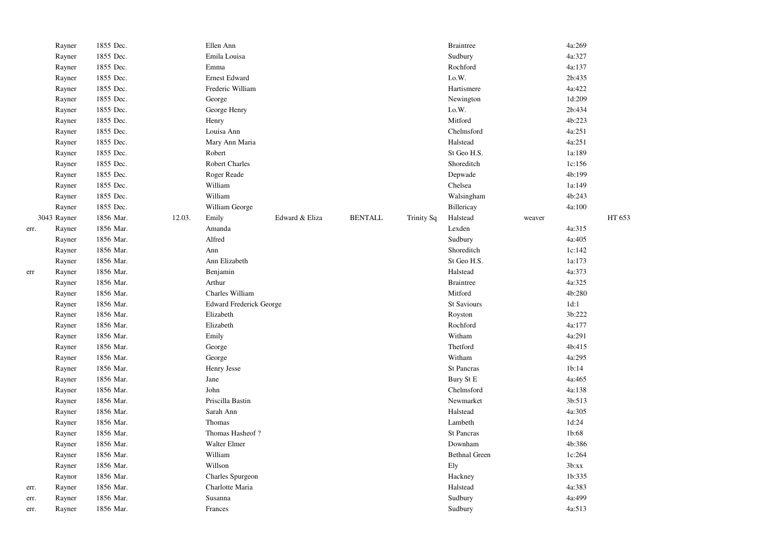|      | Rayner      | 1855 Dec. |        | Ellen Ann                      |                |                |                   | <b>Braintree</b>     |        | 4a:269 |        |
|------|-------------|-----------|--------|--------------------------------|----------------|----------------|-------------------|----------------------|--------|--------|--------|
|      | Rayner      | 1855 Dec. |        | Emila Louisa                   |                |                |                   | Sudbury              |        | 4a:327 |        |
|      | Rayner      | 1855 Dec. |        | Emma                           |                |                |                   | Rochford             |        | 4a:137 |        |
|      | Rayner      | 1855 Dec. |        | Ernest Edward                  |                |                |                   | I.o.W.               |        | 2b:435 |        |
|      | Rayner      | 1855 Dec. |        | Frederic William               |                |                |                   | Hartismere           |        | 4a:422 |        |
|      | Rayner      | 1855 Dec. |        | George                         |                |                |                   | Newington            |        | 1d:209 |        |
|      | Rayner      | 1855 Dec. |        | George Henry                   |                |                |                   | I.o.W.               |        | 2b:434 |        |
|      | Rayner      | 1855 Dec. |        | Henry                          |                |                |                   | Mitford              |        | 4b:223 |        |
|      | Rayner      | 1855 Dec. |        | Louisa Ann                     |                |                |                   | Chelmsford           |        | 4a:251 |        |
|      | Rayner      | 1855 Dec. |        | Mary Ann Maria                 |                |                |                   | Halstead             |        | 4a:251 |        |
|      | Rayner      | 1855 Dec. |        | Robert                         |                |                |                   | St Geo H.S.          |        | 1a:189 |        |
|      | Rayner      | 1855 Dec. |        | <b>Robert Charles</b>          |                |                |                   | Shoreditch           |        | 1c:156 |        |
|      | Rayner      | 1855 Dec. |        | Roger Reade                    |                |                |                   | Depwade              |        | 4b:199 |        |
|      | Rayner      | 1855 Dec. |        | William                        |                |                |                   | Chelsea              |        | 1a:149 |        |
|      | Rayner      | 1855 Dec. |        | William                        |                |                |                   | Walsingham           |        | 4b:243 |        |
|      | Rayner      | 1855 Dec. |        | William George                 |                |                |                   | Billericay           |        | 4a:100 |        |
|      | 3043 Rayner | 1856 Mar. | 12.03. | Emily                          | Edward & Eliza | <b>BENTALL</b> | <b>Trinity Sq</b> | Halstead             | weaver |        | HT 653 |
| err. | Rayner      | 1856 Mar. |        | Amanda                         |                |                |                   | Lexden               |        | 4a:315 |        |
|      | Rayner      | 1856 Mar. |        | Alfred                         |                |                |                   | Sudbury              |        | 4a:405 |        |
|      | Rayner      | 1856 Mar. |        | Ann                            |                |                |                   | Shoreditch           |        | 1c:142 |        |
|      | Rayner      | 1856 Mar. |        | Ann Elizabeth                  |                |                |                   | St Geo H.S.          |        | 1a:173 |        |
| err  | Rayner      | 1856 Mar. |        | Benjamin                       |                |                |                   | Halstead             |        | 4a:373 |        |
|      | Rayner      | 1856 Mar. |        | Arthur                         |                |                |                   | <b>Braintree</b>     |        | 4a:325 |        |
|      | Rayner      | 1856 Mar. |        | Charles William                |                |                |                   | Mitford              |        | 4b:280 |        |
|      | Rayner      | 1856 Mar. |        | <b>Edward Frederick George</b> |                |                |                   | <b>St Saviours</b>   |        | 1d:1   |        |
|      | Rayner      | 1856 Mar. |        | Elizabeth                      |                |                |                   | Royston              |        | 3b:222 |        |
|      | Rayner      | 1856 Mar. |        | Elizabeth                      |                |                |                   | Rochford             |        | 4a:177 |        |
|      | Rayner      | 1856 Mar. |        | Emily                          |                |                |                   | Witham               |        | 4a:291 |        |
|      | Rayner      | 1856 Mar. |        | George                         |                |                |                   | Thetford             |        | 4b:415 |        |
|      | Rayner      | 1856 Mar. |        | George                         |                |                |                   | Witham               |        | 4a:295 |        |
|      | Rayner      | 1856 Mar. |        | Henry Jesse                    |                |                |                   | <b>St Pancras</b>    |        | 1b:14  |        |
|      | Rayner      | 1856 Mar. |        | Jane                           |                |                |                   | Bury St E            |        | 4a:465 |        |
|      | Rayner      | 1856 Mar. |        | John                           |                |                |                   | Chelmsford           |        | 4a:138 |        |
|      | Rayner      | 1856 Mar. |        | Priscilla Bastin               |                |                |                   | Newmarket            |        | 3b:513 |        |
|      | Rayner      | 1856 Mar. |        | Sarah Ann                      |                |                |                   | Halstead             |        | 4a:305 |        |
|      | Rayner      | 1856 Mar. |        | Thomas                         |                |                |                   | Lambeth              |        | 1d:24  |        |
|      | Rayner      | 1856 Mar. |        | Thomas Hasheof?                |                |                |                   | <b>St Pancras</b>    |        | 1b:68  |        |
|      | Rayner      | 1856 Mar. |        | Walter Elmer                   |                |                |                   | Downham              |        | 4b:386 |        |
|      | Rayner      | 1856 Mar. |        | William                        |                |                |                   | <b>Bethnal Green</b> |        | 1c:264 |        |
|      | Rayner      | 1856 Mar. |        | Willson                        |                |                |                   | Ely                  |        | 3b:xx  |        |
|      | Raynor      | 1856 Mar. |        | Charles Spurgeon               |                |                |                   | Hackney              |        | 1b:335 |        |
| err. | Rayner      | 1856 Mar. |        | Charlotte Maria                |                |                |                   | Halstead             |        | 4a:383 |        |
| err. | Rayner      | 1856 Mar. |        | Susanna                        |                |                |                   | Sudbury              |        | 4a:499 |        |
| err. | Rayner      | 1856 Mar. |        | Frances                        |                |                |                   | Sudbury              |        | 4a:513 |        |
|      |             |           |        |                                |                |                |                   |                      |        |        |        |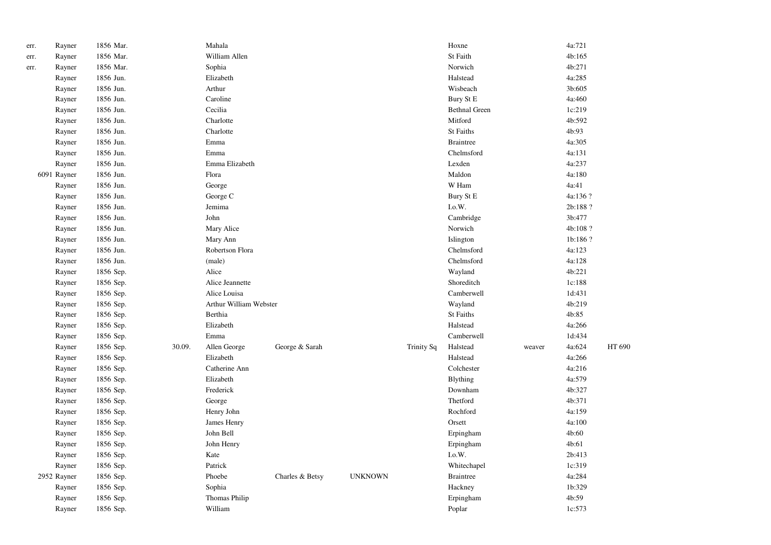| err. | Rayner      | 1856 Mar. |        | Mahala                 |                 |                |            | Hoxne                |        | 4a:721   |        |
|------|-------------|-----------|--------|------------------------|-----------------|----------------|------------|----------------------|--------|----------|--------|
| err. | Rayner      | 1856 Mar. |        | William Allen          |                 |                |            | St Faith             |        | 4b:165   |        |
| err. | Rayner      | 1856 Mar. |        | Sophia                 |                 |                |            | Norwich              |        | 4b:271   |        |
|      | Rayner      | 1856 Jun. |        | Elizabeth              |                 |                |            | Halstead             |        | 4a:285   |        |
|      | Rayner      | 1856 Jun. |        | Arthur                 |                 |                |            | Wisbeach             |        | 3b:605   |        |
|      | Rayner      | 1856 Jun. |        | Caroline               |                 |                |            | Bury St E            |        | 4a:460   |        |
|      | Rayner      | 1856 Jun. |        | Cecilia                |                 |                |            | <b>Bethnal Green</b> |        | 1c:219   |        |
|      | Rayner      | 1856 Jun. |        | Charlotte              |                 |                |            | Mitford              |        | 4b:592   |        |
|      | Rayner      | 1856 Jun. |        | Charlotte              |                 |                |            | St Faiths            |        | 4b:93    |        |
|      | Rayner      | 1856 Jun. |        | Emma                   |                 |                |            | <b>Braintree</b>     |        | 4a:305   |        |
|      | Rayner      | 1856 Jun. |        | Emma                   |                 |                |            | Chelmsford           |        | 4a:131   |        |
|      | Rayner      | 1856 Jun. |        | Emma Elizabeth         |                 |                |            | Lexden               |        | 4a:237   |        |
|      | 6091 Rayner | 1856 Jun. |        | Flora                  |                 |                |            | Maldon               |        | 4a:180   |        |
|      | Rayner      | 1856 Jun. |        | George                 |                 |                |            | W Ham                |        | 4a:41    |        |
|      | Rayner      | 1856 Jun. |        | George C               |                 |                |            | Bury St E            |        | 4a:136 ? |        |
|      | Rayner      | 1856 Jun. |        | Jemima                 |                 |                |            | I.o.W.               |        | 2b:188 ? |        |
|      | Rayner      | 1856 Jun. |        | John                   |                 |                |            | Cambridge            |        | 3b:477   |        |
|      | Rayner      | 1856 Jun. |        | Mary Alice             |                 |                |            | Norwich              |        | 4b:108?  |        |
|      | Rayner      | 1856 Jun. |        | Mary Ann               |                 |                |            | Islington            |        | 1b:186 ? |        |
|      | Rayner      | 1856 Jun. |        | Robertson Flora        |                 |                |            | Chelmsford           |        | 4a:123   |        |
|      | Rayner      | 1856 Jun. |        | (male)                 |                 |                |            | Chelmsford           |        | 4a:128   |        |
|      | Rayner      | 1856 Sep. |        | Alice                  |                 |                |            | Wayland              |        | 4b:221   |        |
|      | Rayner      | 1856 Sep. |        | Alice Jeannette        |                 |                |            | Shoreditch           |        | 1c:188   |        |
|      | Rayner      | 1856 Sep. |        | Alice Louisa           |                 |                |            | Camberwell           |        | 1d:431   |        |
|      | Rayner      | 1856 Sep. |        | Arthur William Webster |                 |                |            | Wayland              |        | 4b:219   |        |
|      | Rayner      | 1856 Sep. |        | Berthia                |                 |                |            | St Faiths            |        | 4b:85    |        |
|      | Rayner      | 1856 Sep. |        | Elizabeth              |                 |                |            | Halstead             |        | 4a:266   |        |
|      | Rayner      | 1856 Sep. |        | Emma                   |                 |                |            | Camberwell           |        | 1d:434   |        |
|      | Rayner      | 1856 Sep. | 30.09. | Allen George           | George & Sarah  |                | Trinity Sq | Halstead             | weaver | 4a:624   | HT 690 |
|      | Rayner      | 1856 Sep. |        | Elizabeth              |                 |                |            | Halstead             |        | 4a:266   |        |
|      | Rayner      | 1856 Sep. |        | Catherine Ann          |                 |                |            | Colchester           |        | 4a:216   |        |
|      | Rayner      | 1856 Sep. |        | Elizabeth              |                 |                |            | <b>Blything</b>      |        | 4a:579   |        |
|      | Rayner      | 1856 Sep. |        | Frederick              |                 |                |            | Downham              |        | 4b:327   |        |
|      | Rayner      | 1856 Sep. |        | George                 |                 |                |            | Thetford             |        | 4b:371   |        |
|      | Rayner      | 1856 Sep. |        | Henry John             |                 |                |            | Rochford             |        | 4a:159   |        |
|      | Rayner      | 1856 Sep. |        | James Henry            |                 |                |            | Orsett               |        | 4a:100   |        |
|      | Rayner      | 1856 Sep. |        | John Bell              |                 |                |            | Erpingham            |        | 4b:60    |        |
|      | Rayner      | 1856 Sep. |        | John Henry             |                 |                |            | Erpingham            |        | 4b:61    |        |
|      | Rayner      | 1856 Sep. |        | Kate                   |                 |                |            | I.o.W.               |        | 2b:413   |        |
|      | Rayner      | 1856 Sep. |        | Patrick                |                 |                |            | Whitechapel          |        | 1c:319   |        |
|      | 2952 Rayner | 1856 Sep. |        | Phoebe                 | Charles & Betsy | <b>UNKNOWN</b> |            | <b>Braintree</b>     |        | 4a:284   |        |
|      | Rayner      | 1856 Sep. |        | Sophia                 |                 |                |            | Hackney              |        | 1b:329   |        |
|      | Rayner      | 1856 Sep. |        | Thomas Philip          |                 |                |            | Erpingham            |        | 4b:59    |        |
|      | Rayner      | 1856 Sep. |        | William                |                 |                |            | Poplar               |        | 1c:573   |        |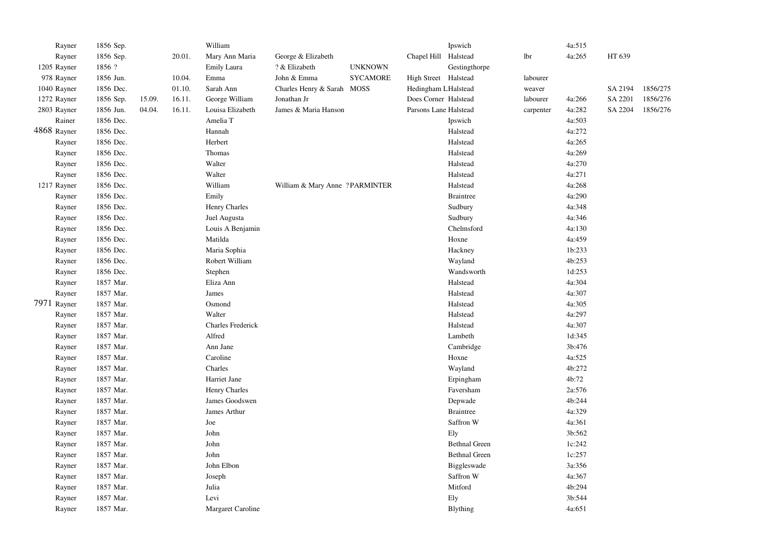| Rayner      | 1856 Sep. |        |        | William                  |                                 |                 |                       | Ipswich              |           | 4a:515 |         |          |
|-------------|-----------|--------|--------|--------------------------|---------------------------------|-----------------|-----------------------|----------------------|-----------|--------|---------|----------|
| Rayner      | 1856 Sep. |        | 20.01. | Mary Ann Maria           | George & Elizabeth              |                 | Chapel Hill Halstead  |                      | lbr       | 4a:265 | HT 639  |          |
| 1205 Rayner | 1856 ?    |        |        | Emily Laura              | ? & Elizabeth                   | <b>UNKNOWN</b>  |                       | Gestingthorpe        |           |        |         |          |
| 978 Rayner  | 1856 Jun. |        | 10.04. | Emma                     | John & Emma                     | <b>SYCAMORE</b> | High Street Halstead  |                      | labourer  |        |         |          |
| 1040 Rayner | 1856 Dec. |        | 01.10. | Sarah Ann                | Charles Henry & Sarah MOSS      |                 | Hedingham LHalstead   |                      | weaver    |        | SA 2194 | 1856/275 |
| 1272 Rayner | 1856 Sep. | 15.09. | 16.11. | George William           | Jonathan Jr                     |                 | Does Corner Halstead  |                      | labourer  | 4a:266 | SA 2201 | 1856/276 |
| 2803 Rayner | 1856 Jun. | 04.04. | 16.11. | Louisa Elizabeth         | James & Maria Hanson            |                 | Parsons Lane Halstead |                      | carpenter | 4a:282 | SA 2204 | 1856/276 |
| Rainer      | 1856 Dec. |        |        | Amelia T                 |                                 |                 |                       | Ipswich              |           | 4a:503 |         |          |
| 4868 Rayner | 1856 Dec. |        |        | Hannah                   |                                 |                 |                       | Halstead             |           | 4a:272 |         |          |
| Rayner      | 1856 Dec. |        |        | Herbert                  |                                 |                 |                       | Halstead             |           | 4a:265 |         |          |
| Rayner      | 1856 Dec. |        |        | Thomas                   |                                 |                 |                       | Halstead             |           | 4a:269 |         |          |
| Rayner      | 1856 Dec. |        |        | Walter                   |                                 |                 |                       | Halstead             |           | 4a:270 |         |          |
| Rayner      | 1856 Dec. |        |        | Walter                   |                                 |                 |                       | Halstead             |           | 4a:271 |         |          |
| 1217 Rayner | 1856 Dec. |        |        | William                  | William & Mary Anne ? PARMINTER |                 |                       | Halstead             |           | 4a:268 |         |          |
| Rayner      | 1856 Dec. |        |        | Emily                    |                                 |                 |                       | <b>Braintree</b>     |           | 4a:290 |         |          |
| Rayner      | 1856 Dec. |        |        | Henry Charles            |                                 |                 |                       | Sudbury              |           | 4a:348 |         |          |
| Rayner      | 1856 Dec. |        |        | Juel Augusta             |                                 |                 |                       | Sudbury              |           | 4a:346 |         |          |
| Rayner      | 1856 Dec. |        |        | Louis A Benjamin         |                                 |                 |                       | Chelmsford           |           | 4a:130 |         |          |
| Rayner      | 1856 Dec. |        |        | Matilda                  |                                 |                 |                       | Hoxne                |           | 4a:459 |         |          |
| Rayner      | 1856 Dec. |        |        | Maria Sophia             |                                 |                 |                       | Hackney              |           | 1b:233 |         |          |
| Rayner      | 1856 Dec. |        |        | Robert William           |                                 |                 |                       | Wayland              |           | 4b:253 |         |          |
| Rayner      | 1856 Dec. |        |        | Stephen                  |                                 |                 |                       | Wandsworth           |           | 1d:253 |         |          |
| Rayner      | 1857 Mar. |        |        | Eliza Ann                |                                 |                 |                       | Halstead             |           | 4a:304 |         |          |
| Rayner      | 1857 Mar. |        |        | James                    |                                 |                 |                       | Halstead             |           | 4a:307 |         |          |
| 7971 Rayner | 1857 Mar. |        |        | Osmond                   |                                 |                 |                       | Halstead             |           | 4a:305 |         |          |
| Rayner      | 1857 Mar. |        |        | Walter                   |                                 |                 |                       | Halstead             |           | 4a:297 |         |          |
| Rayner      | 1857 Mar. |        |        | <b>Charles Frederick</b> |                                 |                 |                       | Halstead             |           | 4a:307 |         |          |
| Rayner      | 1857 Mar. |        |        | Alfred                   |                                 |                 |                       | Lambeth              |           | 1d:345 |         |          |
| Rayner      | 1857 Mar. |        |        | Ann Jane                 |                                 |                 |                       | Cambridge            |           | 3b:476 |         |          |
| Rayner      | 1857 Mar. |        |        | Caroline                 |                                 |                 |                       | Hoxne                |           | 4a:525 |         |          |
| Rayner      | 1857 Mar. |        |        | Charles                  |                                 |                 |                       | Wayland              |           | 4b:272 |         |          |
| Rayner      | 1857 Mar. |        |        | Harriet Jane             |                                 |                 |                       | Erpingham            |           | 4b:72  |         |          |
| Rayner      | 1857 Mar. |        |        | Henry Charles            |                                 |                 |                       | Faversham            |           | 2a:576 |         |          |
| Rayner      | 1857 Mar. |        |        | James Goodswen           |                                 |                 |                       | Depwade              |           | 4b:244 |         |          |
| Rayner      | 1857 Mar. |        |        | James Arthur             |                                 |                 |                       | <b>Braintree</b>     |           | 4a:329 |         |          |
| Rayner      | 1857 Mar. |        |        | Joe                      |                                 |                 |                       | Saffron W            |           | 4a:361 |         |          |
| Rayner      | 1857 Mar. |        |        | John                     |                                 |                 |                       | Ely                  |           | 3b:562 |         |          |
| Rayner      | 1857 Mar. |        |        | John                     |                                 |                 |                       | <b>Bethnal Green</b> |           | 1c:242 |         |          |
| Rayner      | 1857 Mar. |        |        | John                     |                                 |                 |                       | <b>Bethnal Green</b> |           | 1c:257 |         |          |
| Rayner      | 1857 Mar. |        |        | John Elbon               |                                 |                 |                       | Biggleswade          |           | 3a:356 |         |          |
| Rayner      | 1857 Mar. |        |        | Joseph                   |                                 |                 |                       | Saffron W            |           | 4a:367 |         |          |
| Rayner      | 1857 Mar. |        |        | Julia                    |                                 |                 |                       | Mitford              |           | 4b:294 |         |          |
| Rayner      | 1857 Mar. |        |        | Levi                     |                                 |                 |                       | Ely                  |           | 3b:544 |         |          |
| Rayner      | 1857 Mar. |        |        | Margaret Caroline        |                                 |                 |                       | <b>Blything</b>      |           | 4a:651 |         |          |
|             |           |        |        |                          |                                 |                 |                       |                      |           |        |         |          |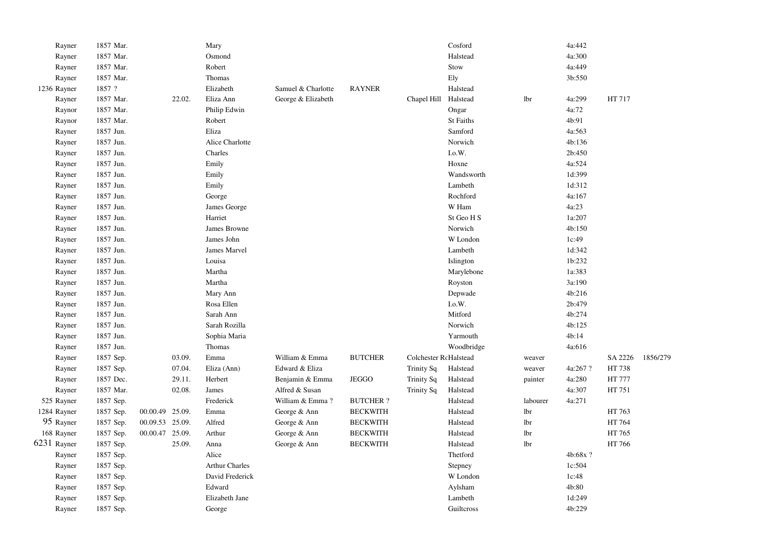| Rayner      | 1857 Mar. |                 |        | Mary                  |                    |                 |                       | Cosford           |          | 4a:442   |         |          |
|-------------|-----------|-----------------|--------|-----------------------|--------------------|-----------------|-----------------------|-------------------|----------|----------|---------|----------|
| Rayner      | 1857 Mar. |                 |        | Osmond                |                    |                 |                       | Halstead          |          | 4a:300   |         |          |
| Rayner      | 1857 Mar. |                 |        | Robert                |                    |                 |                       | Stow              |          | 4a:449   |         |          |
| Rayner      | 1857 Mar. |                 |        | Thomas                |                    |                 |                       | Ely               |          | 3b:550   |         |          |
| 1236 Rayner | 1857 ?    |                 |        | Elizabeth             | Samuel & Charlotte | <b>RAYNER</b>   |                       | Halstead          |          |          |         |          |
| Rayner      | 1857 Mar. |                 | 22.02. | Eliza Ann             | George & Elizabeth |                 | Chapel Hill           | Halstead          | lbr      | 4a:299   | HT 717  |          |
| Raynor      | 1857 Mar. |                 |        | Philip Edwin          |                    |                 |                       | Ongar             |          | 4a:72    |         |          |
| Raynor      | 1857 Mar. |                 |        | Robert                |                    |                 |                       | <b>St Faiths</b>  |          | 4b:91    |         |          |
| Rayner      | 1857 Jun. |                 |        | Eliza                 |                    |                 |                       | Samford           |          | 4a:563   |         |          |
| Rayner      | 1857 Jun. |                 |        | Alice Charlotte       |                    |                 |                       | Norwich           |          | 4b:136   |         |          |
| Rayner      | 1857 Jun. |                 |        | Charles               |                    |                 |                       | I.o.W.            |          | 2b:450   |         |          |
| Rayner      | 1857 Jun. |                 |        | Emily                 |                    |                 |                       | Hoxne             |          | 4a:524   |         |          |
| Rayner      | 1857 Jun. |                 |        | Emily                 |                    |                 |                       | Wandsworth        |          | 1d:399   |         |          |
| Rayner      | 1857 Jun. |                 |        | Emily                 |                    |                 |                       | Lambeth           |          | 1d:312   |         |          |
| Rayner      | 1857 Jun. |                 |        | George                |                    |                 |                       | Rochford          |          | 4a:167   |         |          |
| Rayner      | 1857 Jun. |                 |        | James George          |                    |                 |                       | W Ham             |          | 4a:23    |         |          |
| Rayner      | 1857 Jun. |                 |        | Harriet               |                    |                 |                       | St Geo H S        |          | 1a:207   |         |          |
| Rayner      | 1857 Jun. |                 |        | James Browne          |                    |                 |                       | Norwich           |          | 4b:150   |         |          |
| Rayner      | 1857 Jun. |                 |        | James John            |                    |                 |                       | W London          |          | 1c:49    |         |          |
| Rayner      | 1857 Jun. |                 |        | James Marvel          |                    |                 |                       | Lambeth           |          | 1d:342   |         |          |
| Rayner      | 1857 Jun. |                 |        | Louisa                |                    |                 |                       | Islington         |          | 1b:232   |         |          |
| Rayner      | 1857 Jun. |                 |        | Martha                |                    |                 |                       | Marylebone        |          | 1a:383   |         |          |
| Rayner      | 1857 Jun. |                 |        | Martha                |                    |                 |                       | Royston           |          | 3a:190   |         |          |
| Rayner      | 1857 Jun. |                 |        | Mary Ann              |                    |                 |                       | Depwade           |          | 4b:216   |         |          |
| Rayner      | 1857 Jun. |                 |        | Rosa Ellen            |                    |                 |                       | $_{\rm I. o. W.}$ |          | 2b:479   |         |          |
| Rayner      | 1857 Jun. |                 |        | Sarah Ann             |                    |                 |                       | Mitford           |          | 4b:274   |         |          |
| Rayner      | 1857 Jun. |                 |        | Sarah Rozilla         |                    |                 |                       | Norwich           |          | 4b:125   |         |          |
| Rayner      | 1857 Jun. |                 |        | Sophia Maria          |                    |                 |                       | Yarmouth          |          | 4b:14    |         |          |
| Rayner      | 1857 Jun. |                 |        | Thomas                |                    |                 |                       | Woodbridge        |          | 4a:616   |         |          |
| Rayner      | 1857 Sep. |                 | 03.09. | Emma                  | William & Emma     | <b>BUTCHER</b>  | Colchester RcHalstead |                   | weaver   |          | SA 2226 | 1856/279 |
| Rayner      | 1857 Sep. |                 | 07.04. | Eliza (Ann)           | Edward & Eliza     |                 | Trinity Sq            | Halstead          | weaver   | 4a:267?  | HT 738  |          |
| Rayner      | 1857 Dec. |                 | 29.11. | Herbert               | Benjamin & Emma    | <b>JEGGO</b>    | <b>Trinity Sq</b>     | Halstead          | painter  | 4a:280   | HT 777  |          |
| Rayner      | 1857 Mar. |                 | 02.08. | James                 | Alfred & Susan     |                 | <b>Trinity Sq</b>     | Halstead          |          | 4a:307   | HT 751  |          |
| 525 Rayner  | 1857 Sep. |                 |        | Frederick             | William & Emma?    | <b>BUTCHER?</b> |                       | Halstead          | labourer | 4a:271   |         |          |
| 1284 Rayner | 1857 Sep. | 00.00.49 25.09. |        | Emma                  | George & Ann       | <b>BECKWITH</b> |                       | Halstead          | lbr      |          | HT 763  |          |
| 95 Rayner   | 1857 Sep. | 00.09.53 25.09. |        | Alfred                | George & Ann       | <b>BECKWITH</b> |                       | Halstead          | lbr      |          | HT 764  |          |
| 168 Rayner  | 1857 Sep. | 00.00.47        | 25.09. | Arthur                | George & Ann       | <b>BECKWITH</b> |                       | Halstead          | lbr      |          | HT 765  |          |
| 6231 Rayner | 1857 Sep. |                 | 25.09. | Anna                  | George & Ann       | <b>BECKWITH</b> |                       | Halstead          | lbr      |          | HT 766  |          |
| Rayner      | 1857 Sep. |                 |        | Alice                 |                    |                 |                       | Thetford          |          | 4b:68x ? |         |          |
| Rayner      | 1857 Sep. |                 |        | <b>Arthur Charles</b> |                    |                 |                       | Stepney           |          | 1c:504   |         |          |
| Rayner      | 1857 Sep. |                 |        | David Frederick       |                    |                 |                       | W London          |          | 1c:48    |         |          |
| Rayner      | 1857 Sep. |                 |        | Edward                |                    |                 |                       | Aylsham           |          | 4b:80    |         |          |
| Rayner      | 1857 Sep. |                 |        | Elizabeth Jane        |                    |                 |                       | Lambeth           |          | 1d:249   |         |          |
| Rayner      | 1857 Sep. |                 |        | George                |                    |                 |                       | Guilteross        |          | 4b:229   |         |          |
|             |           |                 |        |                       |                    |                 |                       |                   |          |          |         |          |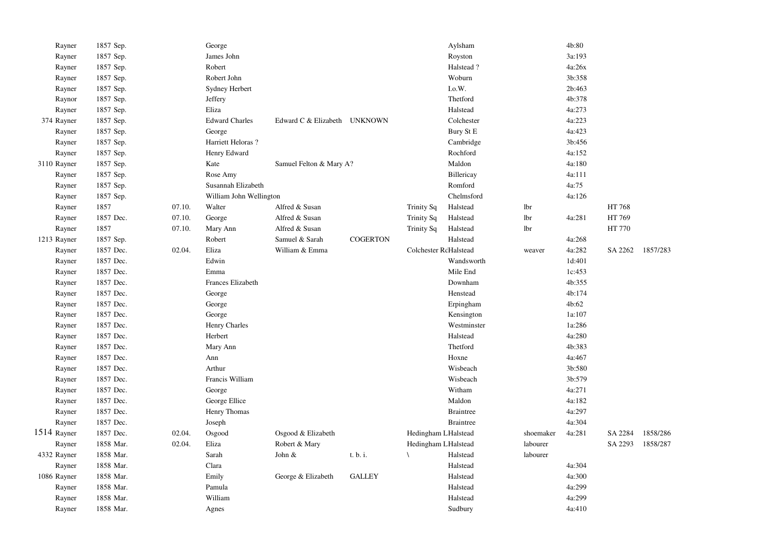| Rayner      | 1857 Sep. |        | George                  |                              |                 |                       | Aylsham          |           | 4b:80  |         |          |
|-------------|-----------|--------|-------------------------|------------------------------|-----------------|-----------------------|------------------|-----------|--------|---------|----------|
| Rayner      | 1857 Sep. |        | James John              |                              |                 |                       | Royston          |           | 3a:193 |         |          |
| Rayner      | 1857 Sep. |        | Robert                  |                              |                 |                       | Halstead?        |           | 4a:26x |         |          |
| Rayner      | 1857 Sep. |        | Robert John             |                              |                 |                       | Woburn           |           | 3b:358 |         |          |
| Rayner      | 1857 Sep. |        | Sydney Herbert          |                              |                 |                       | I.o.W.           |           | 2b:463 |         |          |
| Raynor      | 1857 Sep. |        | Jeffery                 |                              |                 |                       | Thetford         |           | 4b:378 |         |          |
| Rayner      | 1857 Sep. |        | Eliza                   |                              |                 |                       | Halstead         |           | 4a:273 |         |          |
| 374 Rayner  | 1857 Sep. |        | <b>Edward Charles</b>   | Edward C & Elizabeth UNKNOWN |                 |                       | Colchester       |           | 4a:223 |         |          |
| Rayner      | 1857 Sep. |        | George                  |                              |                 |                       | Bury St E        |           | 4a:423 |         |          |
| Rayner      | 1857 Sep. |        | Harriett Heloras?       |                              |                 |                       | Cambridge        |           | 3b:456 |         |          |
| Rayner      | 1857 Sep. |        | Henry Edward            |                              |                 |                       | Rochford         |           | 4a:152 |         |          |
| 3110 Rayner | 1857 Sep. |        | Kate                    | Samuel Felton & Mary A?      |                 |                       | Maldon           |           | 4a:180 |         |          |
| Rayner      | 1857 Sep. |        | Rose Amy                |                              |                 |                       | Billericay       |           | 4a:111 |         |          |
| Rayner      | 1857 Sep. |        | Susannah Elizabeth      |                              |                 |                       | Romford          |           | 4a:75  |         |          |
| Rayner      | 1857 Sep. |        | William John Wellington |                              |                 |                       | Chelmsford       |           | 4a:126 |         |          |
| Rayner      | 1857      | 07.10. | Walter                  | Alfred & Susan               |                 | <b>Trinity Sq</b>     | Halstead         | lbr       |        | HT 768  |          |
| Rayner      | 1857 Dec. | 07.10. | George                  | Alfred & Susan               |                 | <b>Trinity Sq</b>     | Halstead         | lbr       | 4a:281 | HT 769  |          |
| Rayner      | 1857      | 07.10. | Mary Ann                | Alfred & Susan               |                 | Trinity Sq            | Halstead         | lbr       |        | HT 770  |          |
| 1213 Rayner | 1857 Sep. |        | Robert                  | Samuel & Sarah               | <b>COGERTON</b> |                       | Halstead         |           | 4a:268 |         |          |
| Rayner      | 1857 Dec. | 02.04. | Eliza                   | William & Emma               |                 | Colchester RdHalstead |                  | weaver    | 4a:282 | SA 2262 | 1857/283 |
| Rayner      | 1857 Dec. |        | Edwin                   |                              |                 |                       | Wandsworth       |           | 1d:401 |         |          |
| Rayner      | 1857 Dec. |        | Emma                    |                              |                 |                       | Mile End         |           | 1c:453 |         |          |
| Rayner      | 1857 Dec. |        | Frances Elizabeth       |                              |                 |                       | Downham          |           | 4b:355 |         |          |
| Rayner      | 1857 Dec. |        | George                  |                              |                 |                       | Henstead         |           | 4b:174 |         |          |
| Rayner      | 1857 Dec. |        | George                  |                              |                 |                       | Erpingham        |           | 4b:62  |         |          |
| Rayner      | 1857 Dec. |        | George                  |                              |                 |                       | Kensington       |           | 1a:107 |         |          |
| Rayner      | 1857 Dec. |        | Henry Charles           |                              |                 |                       | Westminster      |           | 1a:286 |         |          |
| Rayner      | 1857 Dec. |        | Herbert                 |                              |                 |                       | Halstead         |           | 4a:280 |         |          |
| Rayner      | 1857 Dec. |        | Mary Ann                |                              |                 |                       | Thetford         |           | 4b:383 |         |          |
| Rayner      | 1857 Dec. |        | Ann                     |                              |                 |                       | Hoxne            |           | 4a:467 |         |          |
| Rayner      | 1857 Dec. |        | Arthur                  |                              |                 |                       | Wisbeach         |           | 3b:580 |         |          |
| Rayner      | 1857 Dec. |        | Francis William         |                              |                 |                       | Wisbeach         |           | 3b:579 |         |          |
| Rayner      | 1857 Dec. |        | George                  |                              |                 |                       | Witham           |           | 4a:271 |         |          |
| Rayner      | 1857 Dec. |        | George Ellice           |                              |                 |                       | Maldon           |           | 4a:182 |         |          |
| Rayner      | 1857 Dec. |        | Henry Thomas            |                              |                 |                       | <b>Braintree</b> |           | 4a:297 |         |          |
| Rayner      | 1857 Dec. |        | Joseph                  |                              |                 |                       | <b>Braintree</b> |           | 4a:304 |         |          |
| 1514 Rayner | 1857 Dec. | 02.04. | Osgood                  | Osgood & Elizabeth           |                 | Hedingham LHalstead   |                  | shoemaker | 4a:281 | SA 2284 | 1858/286 |
| Rayner      | 1858 Mar. | 02.04. | Eliza                   | Robert & Mary                |                 | Hedingham LHalstead   |                  | labourer  |        | SA 2293 | 1858/287 |
| 4332 Rayner | 1858 Mar. |        | Sarah                   | John &                       | t. b. i.        | $\lambda$             | Halstead         | labourer  |        |         |          |
| Rayner      | 1858 Mar. |        | Clara                   |                              |                 |                       | Halstead         |           | 4a:304 |         |          |
| 1086 Rayner | 1858 Mar. |        | Emily                   | George & Elizabeth           | <b>GALLEY</b>   |                       | Halstead         |           | 4a:300 |         |          |
| Rayner      | 1858 Mar. |        | Pamula                  |                              |                 |                       | Halstead         |           | 4a:299 |         |          |
| Rayner      | 1858 Mar. |        | William                 |                              |                 |                       | Halstead         |           | 4a:299 |         |          |
| Rayner      | 1858 Mar. |        | Agnes                   |                              |                 |                       | Sudbury          |           | 4a:410 |         |          |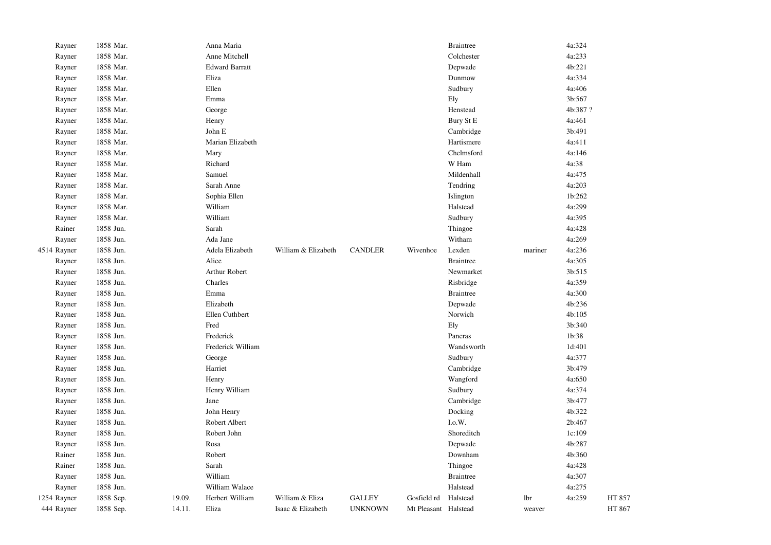| 444 Rayner  | 1858 Sep. | 14.11. | Eliza                 | Isaac & Elizabeth   | <b>UNKNOWN</b> | Mt Pleasant Halstead |                  | weaver  |         | HT 867 |
|-------------|-----------|--------|-----------------------|---------------------|----------------|----------------------|------------------|---------|---------|--------|
| 1254 Rayner | 1858 Sep. | 19.09. | Herbert William       | William & Eliza     | <b>GALLEY</b>  | Gosfield rd          | Halstead         | lbr     | 4a:259  | HT 857 |
| Rayner      | 1858 Jun. |        | William Walace        |                     |                |                      | Halstead         |         | 4a:275  |        |
| Rayner      | 1858 Jun. |        | William               |                     |                |                      | <b>Braintree</b> |         | 4a:307  |        |
| Rainer      | 1858 Jun. |        | Sarah                 |                     |                |                      | Thingoe          |         | 4a:428  |        |
| Rainer      | 1858 Jun. |        | Robert                |                     |                |                      | Downham          |         | 4b:360  |        |
| Rayner      | 1858 Jun. |        | Rosa                  |                     |                |                      | Depwade          |         | 4b:287  |        |
| Rayner      | 1858 Jun. |        | Robert John           |                     |                |                      | Shoreditch       |         | 1c:109  |        |
| Rayner      | 1858 Jun. |        | Robert Albert         |                     |                |                      | $_{\rm I.0.}$ W. |         | 2b:467  |        |
| Rayner      | 1858 Jun. |        | John Henry            |                     |                |                      | Docking          |         | 4b:322  |        |
| Rayner      | 1858 Jun. |        | Jane                  |                     |                |                      | Cambridge        |         | 3b:477  |        |
| Rayner      | 1858 Jun. |        | Henry William         |                     |                |                      | Sudbury          |         | 4a:374  |        |
| Rayner      | 1858 Jun. |        | Henry                 |                     |                |                      | Wangford         |         | 4a:650  |        |
| Rayner      | 1858 Jun. |        | Harriet               |                     |                |                      | Cambridge        |         | 3b:479  |        |
| Rayner      | 1858 Jun. |        | George                |                     |                |                      | Sudbury          |         | 4a:377  |        |
| Rayner      | 1858 Jun. |        | Frederick William     |                     |                |                      | Wandsworth       |         | 1d:401  |        |
| Rayner      | 1858 Jun. |        | Frederick             |                     |                |                      | Pancras          |         | 1b:38   |        |
| Rayner      | 1858 Jun. |        | Fred                  |                     |                |                      | Ely              |         | 3b:340  |        |
| Rayner      | 1858 Jun. |        | Ellen Cuthbert        |                     |                |                      | Norwich          |         | 4b:105  |        |
| Rayner      | 1858 Jun. |        | Elizabeth             |                     |                |                      | Depwade          |         | 4b:236  |        |
| Rayner      | 1858 Jun. |        | Emma                  |                     |                |                      | <b>Braintree</b> |         | 4a:300  |        |
| Rayner      | 1858 Jun. |        | Charles               |                     |                |                      | Risbridge        |         | 4a:359  |        |
| Rayner      | 1858 Jun. |        | Arthur Robert         |                     |                |                      | Newmarket        |         | 3b:515  |        |
| Rayner      | 1858 Jun. |        | Alice                 |                     |                |                      | <b>Braintree</b> |         | 4a:305  |        |
| 4514 Rayner | 1858 Jun. |        | Adela Elizabeth       | William & Elizabeth | <b>CANDLER</b> | Wivenhoe             | Lexden           | mariner | 4a:236  |        |
| Rayner      | 1858 Jun. |        | Ada Jane              |                     |                |                      | Witham           |         | 4a:269  |        |
| Rainer      | 1858 Jun. |        | Sarah                 |                     |                |                      | Thingoe          |         | 4a:428  |        |
| Rayner      | 1858 Mar. |        | William               |                     |                |                      | Sudbury          |         | 4a:395  |        |
| Rayner      | 1858 Mar. |        | William               |                     |                |                      | Halstead         |         | 4a:299  |        |
| Rayner      | 1858 Mar. |        | Sophia Ellen          |                     |                |                      | Islington        |         | 1b:262  |        |
| Rayner      | 1858 Mar. |        | Sarah Anne            |                     |                |                      | Tendring         |         | 4a:203  |        |
| Rayner      | 1858 Mar. |        | Samuel                |                     |                |                      | Mildenhall       |         | 4a:475  |        |
| Rayner      | 1858 Mar. |        | Richard               |                     |                |                      | W Ham            |         | 4a:38   |        |
| Rayner      | 1858 Mar. |        | Mary                  |                     |                |                      | Chelmsford       |         | 4a:146  |        |
| Rayner      | 1858 Mar. |        | Marian Elizabeth      |                     |                |                      | Hartismere       |         | 4a:411  |        |
| Rayner      | 1858 Mar. |        | John E                |                     |                |                      | Cambridge        |         | 3b:491  |        |
| Rayner      | 1858 Mar. |        | Henry                 |                     |                |                      | Bury St E        |         | 4a:461  |        |
| Rayner      | 1858 Mar. |        | George                |                     |                |                      | Henstead         |         | 4b:387? |        |
| Rayner      | 1858 Mar. |        | Emma                  |                     |                |                      | Ely              |         | 3b:567  |        |
| Rayner      | 1858 Mar. |        | Ellen                 |                     |                |                      | Sudbury          |         | 4a:406  |        |
| Rayner      | 1858 Mar. |        | Eliza                 |                     |                |                      | Dunmow           |         | 4a:334  |        |
| Rayner      | 1858 Mar. |        | <b>Edward Barratt</b> |                     |                |                      | Depwade          |         | 4b:221  |        |
| Rayner      | 1858 Mar. |        | Anne Mitchell         |                     |                |                      | Colchester       |         | 4a:233  |        |
| Rayner      | 1858 Mar. |        | Anna Maria            |                     |                |                      | <b>Braintree</b> |         | 4a:324  |        |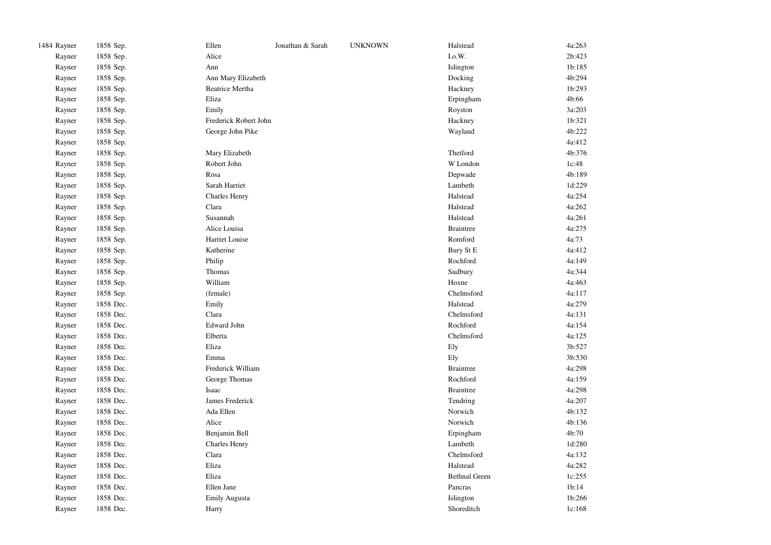| 1484 Rayner | 1858 Sep. | Ellen                  | Jonathan & Sarah | <b>UNKNOWN</b> | Halstead             | 4a:263 |
|-------------|-----------|------------------------|------------------|----------------|----------------------|--------|
| Rayner      | 1858 Sep. | Alice                  |                  |                | I.o.W.               | 2b:423 |
| Rayner      | 1858 Sep. | Ann                    |                  |                | Islington            | 1b:185 |
| Rayner      | 1858 Sep. | Ann Mary Elizabeth     |                  |                | Docking              | 4b:294 |
| Rayner      | 1858 Sep. | <b>Beatrice Mertha</b> |                  |                | Hackney              | 1b:293 |
| Rayner      | 1858 Sep. | Eliza                  |                  |                | Erpingham            | 4b:66  |
| Rayner      | 1858 Sep. | Emily                  |                  |                | Royston              | 3a:203 |
| Rayner      | 1858 Sep. | Frederick Robert John  |                  |                | Hackney              | 1b:321 |
| Rayner      | 1858 Sep. | George John Pike       |                  |                | Wayland              | 4b:222 |
| Rayner      | 1858 Sep. |                        |                  |                |                      | 4a:412 |
| Rayner      | 1858 Sep. | Mary Elizabeth         |                  |                | Thetford             | 4b:376 |
| Rayner      | 1858 Sep. | Robert John            |                  |                | W London             | 1c:48  |
| Rayner      | 1858 Sep. | Rosa                   |                  |                | Depwade              | 4b:189 |
| Rayner      | 1858 Sep. | Sarah Harriet          |                  |                | Lambeth              | 1d:229 |
| Rayner      | 1858 Sep. | <b>Charles Henry</b>   |                  |                | Halstead             | 4a:254 |
| Rayner      | 1858 Sep. | Clara                  |                  |                | Halstead             | 4a:262 |
| Rayner      | 1858 Sep. | Susannah               |                  |                | Halstead             | 4a:261 |
| Rayner      | 1858 Sep. | Alice Louisa           |                  |                | <b>Braintree</b>     | 4a:275 |
| Rayner      | 1858 Sep. | Harriet Louise         |                  |                | Romford              | 4a:73  |
| Rayner      | 1858 Sep. | Katherine              |                  |                | Bury St E            | 4a:412 |
| Rayner      | 1858 Sep. | Philip                 |                  |                | Rochford             | 4a:149 |
| Rayner      | 1858 Sep. | Thomas                 |                  |                | Sudbury              | 4a:344 |
| Rayner      | 1858 Sep. | William                |                  |                | Hoxne                | 4a:463 |
| Rayner      | 1858 Sep. | (female)               |                  |                | Chelmsford           | 4a:117 |
| Rayner      | 1858 Dec. | Emily                  |                  |                | Halstead             | 4a:279 |
| Rayner      | 1858 Dec. | Clara                  |                  |                | Chelmsford           | 4a:131 |
| Rayner      | 1858 Dec. | Edward John            |                  |                | Rochford             | 4a:154 |
| Rayner      | 1858 Dec. | Elberta                |                  |                | Chelmsford           | 4a:125 |
| Rayner      | 1858 Dec. | Eliza                  |                  |                | Ely                  | 3b:527 |
| Rayner      | 1858 Dec. | Emma                   |                  |                | Ely                  | 3b:530 |
| Rayner      | 1858 Dec. | Frederick William      |                  |                | <b>Braintree</b>     | 4a:298 |
| Rayner      | 1858 Dec. | George Thomas          |                  |                | Rochford             | 4a:159 |
| Rayner      | 1858 Dec. | Isaac                  |                  |                | <b>Braintree</b>     | 4a:298 |
| Rayner      | 1858 Dec. | James Frederick        |                  |                | Tendring             | 4a:207 |
| Rayner      | 1858 Dec. | Ada Ellen              |                  |                | Norwich              | 4b:132 |
| Rayner      | 1858 Dec. | Alice                  |                  |                | Norwich              | 4b:136 |
| Rayner      | 1858 Dec. | Benjamin Bell          |                  |                | Erpingham            | 4b:70  |
| Rayner      | 1858 Dec. | <b>Charles Henry</b>   |                  |                | Lambeth              | 1d:280 |
| Rayner      | 1858 Dec. | Clara                  |                  |                | Chelmsford           | 4a:132 |
| Rayner      | 1858 Dec. | Eliza                  |                  |                | Halstead             | 4a:282 |
| Rayner      | 1858 Dec. | Eliza                  |                  |                | <b>Bethnal Green</b> | 1c:255 |
| Rayner      | 1858 Dec. | Ellen Jane             |                  |                | Pancras              | 1b:14  |
| Rayner      | 1858 Dec. | <b>Emily Augusta</b>   |                  |                | Islington            | 1b:266 |
| Rayner      | 1858 Dec. | Harry                  |                  |                | Shoreditch           | 1c:168 |
|             |           |                        |                  |                |                      |        |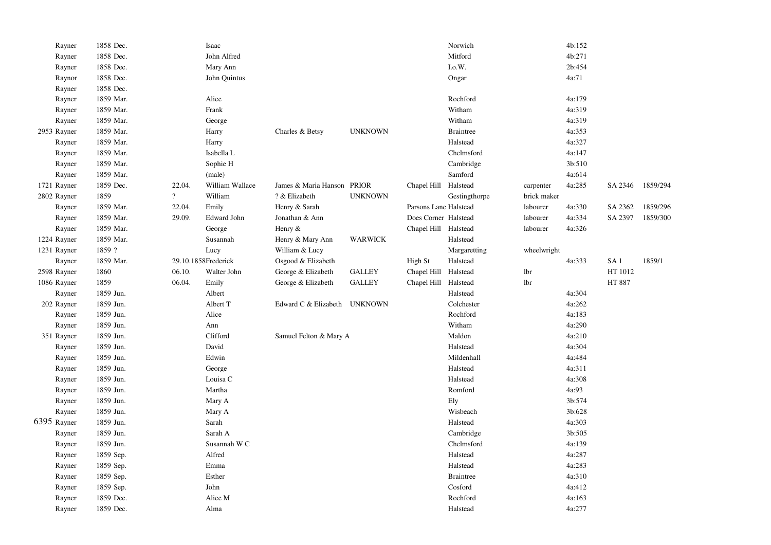| Rayner      | 1858 Dec. |                | Isaac               |                              |                |                       | Norwich          |             | 4b:152 |                 |          |
|-------------|-----------|----------------|---------------------|------------------------------|----------------|-----------------------|------------------|-------------|--------|-----------------|----------|
| Rayner      | 1858 Dec. |                | John Alfred         |                              |                |                       | Mitford          |             | 4b:271 |                 |          |
| Rayner      | 1858 Dec. |                | Mary Ann            |                              |                |                       | I.o.W.           |             | 2b:454 |                 |          |
| Raynor      | 1858 Dec. |                | John Quintus        |                              |                |                       | Ongar            |             | 4a:71  |                 |          |
| Rayner      | 1858 Dec. |                |                     |                              |                |                       |                  |             |        |                 |          |
| Rayner      | 1859 Mar. |                | Alice               |                              |                |                       | Rochford         |             | 4a:179 |                 |          |
| Rayner      | 1859 Mar. |                | Frank               |                              |                |                       | Witham           |             | 4a:319 |                 |          |
| Rayner      | 1859 Mar. |                | George              |                              |                |                       | Witham           |             | 4a:319 |                 |          |
| 2953 Rayner | 1859 Mar. |                | Harry               | Charles & Betsy              | <b>UNKNOWN</b> |                       | <b>Braintree</b> |             | 4a:353 |                 |          |
| Rayner      | 1859 Mar. |                | Harry               |                              |                |                       | Halstead         |             | 4a:327 |                 |          |
| Rayner      | 1859 Mar. |                | Isabella L          |                              |                |                       | Chelmsford       |             | 4a:147 |                 |          |
| Rayner      | 1859 Mar. |                | Sophie H            |                              |                |                       | Cambridge        |             | 3b:510 |                 |          |
| Rayner      | 1859 Mar. |                | (male)              |                              |                |                       | Samford          |             | 4a:614 |                 |          |
| 1721 Rayner | 1859 Dec. | 22.04.         | William Wallace     | James & Maria Hanson PRIOR   |                | Chapel Hill           | Halstead         | carpenter   | 4a:285 | SA 2346         | 1859/294 |
| 2802 Rayner | 1859      | $\overline{?}$ | William             | ? & Elizabeth                | <b>UNKNOWN</b> |                       | Gestingthorpe    | brick maker |        |                 |          |
| Rayner      | 1859 Mar. | 22.04.         | Emily               | Henry & Sarah                |                | Parsons Lane Halstead |                  | labourer    | 4a:330 | SA 2362         | 1859/296 |
| Rayner      | 1859 Mar. | 29.09.         | Edward John         | Jonathan & Ann               |                | Does Corner Halstead  |                  | labourer    | 4a:334 | SA 2397         | 1859/300 |
| Rayner      | 1859 Mar. |                | George              | Henry $&$                    |                | Chapel Hill Halstead  |                  | labourer    | 4a:326 |                 |          |
| 1224 Rayner | 1859 Mar. |                | Susannah            | Henry & Mary Ann             | <b>WARWICK</b> |                       | Halstead         |             |        |                 |          |
| 1231 Rayner | 1859 ?    |                | Lucy                | William & Lucy               |                |                       | Margaretting     | wheelwright |        |                 |          |
| Rayner      | 1859 Mar. |                | 29.10.1858Frederick | Osgood & Elizabeth           |                | High St               | Halstead         |             | 4a:333 | SA <sub>1</sub> | 1859/1   |
| 2598 Rayner | 1860      | 06.10.         | Walter John         | George & Elizabeth           | <b>GALLEY</b>  | Chapel Hill Halstead  |                  | lbr         |        | HT 1012         |          |
| 1086 Rayner | 1859      | 06.04.         | Emily               | George & Elizabeth           | <b>GALLEY</b>  | Chapel Hill Halstead  |                  | lbr         |        | HT 887          |          |
| Rayner      | 1859 Jun. |                | Albert              |                              |                |                       | Halstead         |             | 4a:304 |                 |          |
| 202 Rayner  | 1859 Jun. |                | Albert T            | Edward C & Elizabeth UNKNOWN |                |                       | Colchester       |             | 4a:262 |                 |          |
| Rayner      | 1859 Jun. |                | Alice               |                              |                |                       | Rochford         |             | 4a:183 |                 |          |
| Rayner      | 1859 Jun. |                | Ann                 |                              |                |                       | Witham           |             | 4a:290 |                 |          |
| 351 Rayner  | 1859 Jun. |                | Clifford            | Samuel Felton & Mary A       |                |                       | Maldon           |             | 4a:210 |                 |          |
| Rayner      | 1859 Jun. |                | David               |                              |                |                       | Halstead         |             | 4a:304 |                 |          |
| Rayner      | 1859 Jun. |                | Edwin               |                              |                |                       | Mildenhall       |             | 4a:484 |                 |          |
| Rayner      | 1859 Jun. |                | George              |                              |                |                       | Halstead         |             | 4a:311 |                 |          |
| Rayner      | 1859 Jun. |                | Louisa C            |                              |                |                       | Halstead         |             | 4a:308 |                 |          |
| Rayner      | 1859 Jun. |                | Martha              |                              |                |                       | Romford          |             | 4a:93  |                 |          |
| Rayner      | 1859 Jun. |                | Mary A              |                              |                |                       | Ely              |             | 3b:574 |                 |          |
| Rayner      | 1859 Jun. |                | Mary A              |                              |                |                       | Wisbeach         |             | 3b:628 |                 |          |
| 6395 Rayner | 1859 Jun. |                | Sarah               |                              |                |                       | Halstead         |             | 4a:303 |                 |          |
| Rayner      | 1859 Jun. |                | Sarah A             |                              |                |                       | Cambridge        |             | 3b:505 |                 |          |
| Rayner      | 1859 Jun. |                | Susannah WC         |                              |                |                       | Chelmsford       |             | 4a:139 |                 |          |
| Rayner      | 1859 Sep. |                | Alfred              |                              |                |                       | Halstead         |             | 4a:287 |                 |          |
| Rayner      | 1859 Sep. |                | Emma                |                              |                |                       | Halstead         |             | 4a:283 |                 |          |
| Rayner      | 1859 Sep. |                | Esther              |                              |                |                       | <b>Braintree</b> |             | 4a:310 |                 |          |
| Rayner      | 1859 Sep. |                | John                |                              |                |                       | Cosford          |             | 4a:412 |                 |          |
| Rayner      | 1859 Dec. |                | Alice M             |                              |                |                       | Rochford         |             | 4a:163 |                 |          |
| Rayner      | 1859 Dec. |                | Alma                |                              |                |                       | Halstead         |             | 4a:277 |                 |          |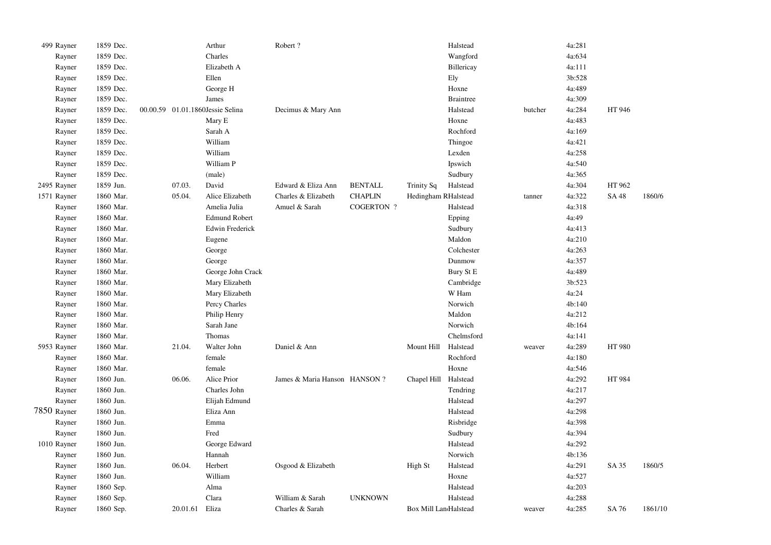| 499 Rayner  | 1859 Dec. |                                  | Arthur                 | Robert?                      |                   |                       | Halstead         |         | 4a:281 |        |         |
|-------------|-----------|----------------------------------|------------------------|------------------------------|-------------------|-----------------------|------------------|---------|--------|--------|---------|
| Rayner      | 1859 Dec. |                                  | Charles                |                              |                   |                       | Wangford         |         | 4a:634 |        |         |
| Rayner      | 1859 Dec. |                                  | Elizabeth A            |                              |                   |                       | Billericay       |         | 4a:111 |        |         |
| Rayner      | 1859 Dec. |                                  | Ellen                  |                              |                   |                       | Ely              |         | 3b:528 |        |         |
| Rayner      | 1859 Dec. |                                  | George H               |                              |                   |                       | Hoxne            |         | 4a:489 |        |         |
| Rayner      | 1859 Dec. |                                  | James                  |                              |                   |                       | <b>Braintree</b> |         | 4a:309 |        |         |
| Rayner      | 1859 Dec. | 00.00.59 01.01.1860Jessie Selina |                        | Decimus & Mary Ann           |                   |                       | Halstead         | butcher | 4a:284 | HT 946 |         |
| Rayner      | 1859 Dec. |                                  | Mary E                 |                              |                   |                       | Hoxne            |         | 4a:483 |        |         |
| Rayner      | 1859 Dec. |                                  | Sarah A                |                              |                   |                       | Rochford         |         | 4a:169 |        |         |
| Rayner      | 1859 Dec. |                                  | William                |                              |                   |                       | Thingoe          |         | 4a:421 |        |         |
| Rayner      | 1859 Dec. |                                  | William                |                              |                   |                       | Lexden           |         | 4a:258 |        |         |
| Rayner      | 1859 Dec. |                                  | William P              |                              |                   |                       | Ipswich          |         | 4a:540 |        |         |
| Rayner      | 1859 Dec. |                                  | (male)                 |                              |                   |                       | Sudbury          |         | 4a:365 |        |         |
| 2495 Rayner | 1859 Jun. | 07.03.                           | David                  | Edward & Eliza Ann           | <b>BENTALL</b>    | Trinity Sq            | Halstead         |         | 4a:304 | HT 962 |         |
| 1571 Rayner | 1860 Mar. | 05.04.                           | Alice Elizabeth        | Charles & Elizabeth          | <b>CHAPLIN</b>    | Hedingham RHalstead   |                  | tanner  | 4a:322 | SA 48  | 1860/6  |
| Rayner      | 1860 Mar. |                                  | Amelia Julia           | Amuel & Sarah                | <b>COGERTON ?</b> |                       | Halstead         |         | 4a:318 |        |         |
| Rayner      | 1860 Mar. |                                  | <b>Edmund Robert</b>   |                              |                   |                       | Epping           |         | 4a:49  |        |         |
| Rayner      | 1860 Mar. |                                  | <b>Edwin Frederick</b> |                              |                   |                       | Sudbury          |         | 4a:413 |        |         |
| Rayner      | 1860 Mar. |                                  | Eugene                 |                              |                   |                       | Maldon           |         | 4a:210 |        |         |
| Rayner      | 1860 Mar. |                                  | George                 |                              |                   |                       | Colchester       |         | 4a:263 |        |         |
| Rayner      | 1860 Mar. |                                  | George                 |                              |                   |                       | Dunmow           |         | 4a:357 |        |         |
| Rayner      | 1860 Mar. |                                  | George John Crack      |                              |                   |                       | Bury St E        |         | 4a:489 |        |         |
| Rayner      | 1860 Mar. |                                  | Mary Elizabeth         |                              |                   |                       | Cambridge        |         | 3b:523 |        |         |
| Rayner      | 1860 Mar. |                                  | Mary Elizabeth         |                              |                   |                       | W Ham            |         | 4a:24  |        |         |
| Rayner      | 1860 Mar. |                                  | Percy Charles          |                              |                   |                       | Norwich          |         | 4b:140 |        |         |
| Rayner      | 1860 Mar. |                                  | Philip Henry           |                              |                   |                       | Maldon           |         | 4a:212 |        |         |
| Rayner      | 1860 Mar. |                                  | Sarah Jane             |                              |                   |                       | Norwich          |         | 4b:164 |        |         |
| Rayner      | 1860 Mar. |                                  | Thomas                 |                              |                   |                       | Chelmsford       |         | 4a:141 |        |         |
| 5953 Rayner | 1860 Mar. | 21.04.                           | Walter John            | Daniel & Ann                 |                   | Mount Hill            | Halstead         | weaver  | 4a:289 | HT 980 |         |
| Rayner      | 1860 Mar. |                                  | female                 |                              |                   |                       | Rochford         |         | 4a:180 |        |         |
| Rayner      | 1860 Mar. |                                  | female                 |                              |                   |                       | Hoxne            |         | 4a:546 |        |         |
| Rayner      | 1860 Jun. | 06.06.                           | Alice Prior            | James & Maria Hanson HANSON? |                   | Chapel Hill           | Halstead         |         | 4a:292 | HT 984 |         |
| Rayner      | 1860 Jun. |                                  | Charles John           |                              |                   |                       | Tendring         |         | 4a:217 |        |         |
| Rayner      | 1860 Jun. |                                  | Elijah Edmund          |                              |                   |                       | Halstead         |         | 4a:297 |        |         |
| 7850 Rayner | 1860 Jun. |                                  | Eliza Ann              |                              |                   |                       | Halstead         |         | 4a:298 |        |         |
| Rayner      | 1860 Jun. |                                  | Emma                   |                              |                   |                       | Risbridge        |         | 4a:398 |        |         |
| Rayner      | 1860 Jun. |                                  | Fred                   |                              |                   |                       | Sudbury          |         | 4a:394 |        |         |
| 1010 Rayner | 1860 Jun. |                                  | George Edward          |                              |                   |                       | Halstead         |         | 4a:292 |        |         |
| Rayner      | 1860 Jun. |                                  | Hannah                 |                              |                   |                       | Norwich          |         | 4b:136 |        |         |
| Rayner      | 1860 Jun. | 06.04.                           | Herbert                | Osgood & Elizabeth           |                   | High St               | Halstead         |         | 4a:291 | SA 35  | 1860/5  |
| Rayner      | 1860 Jun. |                                  | William                |                              |                   |                       | Hoxne            |         | 4a:527 |        |         |
| Rayner      | 1860 Sep. |                                  | Alma                   |                              |                   |                       | Halstead         |         | 4a:203 |        |         |
| Rayner      | 1860 Sep. |                                  | Clara                  | William & Sarah              | <b>UNKNOWN</b>    |                       | Halstead         |         | 4a:288 |        |         |
| Rayner      | 1860 Sep. | 20.01.61                         | Eliza                  | Charles & Sarah              |                   | Box Mill LandHalstead |                  | weaver  | 4a:285 | SA 76  | 1861/10 |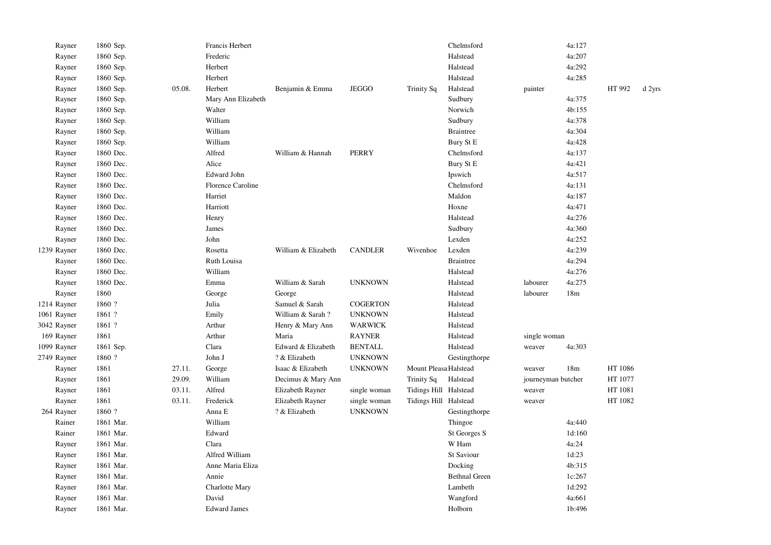|             | Rayner     | 1860 Sep. |        | Francis Herbert          |                     |                 |                       | Chelmsford           |                    | 4a:127          |         |        |
|-------------|------------|-----------|--------|--------------------------|---------------------|-----------------|-----------------------|----------------------|--------------------|-----------------|---------|--------|
|             | Rayner     | 1860 Sep. |        | Frederic                 |                     |                 |                       | Halstead             |                    | 4a:207          |         |        |
|             | Rayner     | 1860 Sep. |        | Herbert                  |                     |                 |                       | Halstead             |                    | 4a:292          |         |        |
|             | Rayner     | 1860 Sep. |        | Herbert                  |                     |                 |                       | Halstead             |                    | 4a:285          |         |        |
|             | Rayner     | 1860 Sep. | 05.08. | Herbert                  | Benjamin & Emma     | <b>JEGGO</b>    | Trinity Sq            | Halstead             | painter            |                 | HT 992  | d 2yrs |
|             | Rayner     | 1860 Sep. |        | Mary Ann Elizabeth       |                     |                 |                       | Sudbury              |                    | 4a:375          |         |        |
|             | Rayner     | 1860 Sep. |        | Walter                   |                     |                 |                       | Norwich              |                    | 4b:155          |         |        |
|             | Rayner     | 1860 Sep. |        | William                  |                     |                 |                       | Sudbury              |                    | 4a:378          |         |        |
|             | Rayner     | 1860 Sep. |        | William                  |                     |                 |                       | <b>Braintree</b>     |                    | 4a:304          |         |        |
|             | Rayner     | 1860 Sep. |        | William                  |                     |                 |                       | Bury St E            |                    | 4a:428          |         |        |
|             | Rayner     | 1860 Dec. |        | Alfred                   | William & Hannah    | <b>PERRY</b>    |                       | Chelmsford           |                    | 4a:137          |         |        |
|             | Rayner     | 1860 Dec. |        | Alice                    |                     |                 |                       | Bury St E            |                    | 4a:421          |         |        |
|             | Rayner     | 1860 Dec. |        | <b>Edward John</b>       |                     |                 |                       | Ipswich              |                    | 4a:517          |         |        |
|             | Rayner     | 1860 Dec. |        | <b>Florence Caroline</b> |                     |                 |                       | Chelmsford           |                    | 4a:131          |         |        |
|             | Rayner     | 1860 Dec. |        | Harriet                  |                     |                 |                       | Maldon               |                    | 4a:187          |         |        |
|             | Rayner     | 1860 Dec. |        | Harriott                 |                     |                 |                       | Hoxne                |                    | 4a:471          |         |        |
|             | Rayner     | 1860 Dec. |        | Henry                    |                     |                 |                       | Halstead             |                    | 4a:276          |         |        |
|             | Rayner     | 1860 Dec. |        | James                    |                     |                 |                       | Sudbury              |                    | 4a:360          |         |        |
|             | Rayner     | 1860 Dec. |        | John                     |                     |                 |                       | Lexden               |                    | 4a:252          |         |        |
| 1239 Rayner |            | 1860 Dec. |        | Rosetta                  | William & Elizabeth | <b>CANDLER</b>  | Wivenhoe              | Lexden               |                    | 4a:239          |         |        |
|             | Rayner     | 1860 Dec. |        | Ruth Louisa              |                     |                 |                       | <b>Braintree</b>     |                    | 4a:294          |         |        |
|             | Rayner     | 1860 Dec. |        | William                  |                     |                 |                       | Halstead             |                    | 4a:276          |         |        |
|             | Rayner     | 1860 Dec. |        | Emma                     | William & Sarah     | <b>UNKNOWN</b>  |                       | Halstead             | labourer           | 4a:275          |         |        |
|             | Rayner     | 1860      |        | George                   | George              |                 |                       | Halstead             | labourer           | 18m             |         |        |
| 1214 Rayner |            | 1860?     |        | Julia                    | Samuel & Sarah      | <b>COGERTON</b> |                       | Halstead             |                    |                 |         |        |
| 1061 Rayner |            | 1861 ?    |        | Emily                    | William & Sarah?    | <b>UNKNOWN</b>  |                       | Halstead             |                    |                 |         |        |
| 3042 Rayner |            | 1861 ?    |        | Arthur                   | Henry & Mary Ann    | <b>WARWICK</b>  |                       | Halstead             |                    |                 |         |        |
| 169 Rayner  |            | 1861      |        | Arthur                   | Maria               | <b>RAYNER</b>   |                       | Halstead             | single woman       |                 |         |        |
| 1099 Rayner |            | 1861 Sep. |        | Clara                    | Edward & Elizabeth  | <b>BENTALL</b>  |                       | Halstead             | weaver             | 4a:303          |         |        |
| 2749 Rayner |            | 1860 ?    |        | John J                   | ? & Elizabeth       | <b>UNKNOWN</b>  |                       | Gestingthorpe        |                    |                 |         |        |
|             | Rayner     | 1861      | 27.11. | George                   | Isaac & Elizabeth   | <b>UNKNOWN</b>  | Mount Pleasa Halstead |                      | weaver             | 18 <sub>m</sub> | HT 1086 |        |
|             | Rayner     | 1861      | 29.09. | William                  | Decimus & Mary Ann  |                 | <b>Trinity Sq</b>     | Halstead             | journeyman butcher |                 | HT 1077 |        |
|             | Rayner     | 1861      | 03.11. | Alfred                   | Elizabeth Rayner    | single woman    | Tidings Hill Halstead |                      | weaver             |                 | HT 1081 |        |
|             | Rayner     | 1861      | 03.11. | Frederick                | Elizabeth Rayner    | single woman    | Tidings Hill Halstead |                      | weaver             |                 | HT 1082 |        |
|             | 264 Rayner | 1860 ?    |        | Anna E                   | ? & Elizabeth       | <b>UNKNOWN</b>  |                       | Gestingthorpe        |                    |                 |         |        |
|             | Rainer     | 1861 Mar. |        | William                  |                     |                 |                       | Thingoe              |                    | 4a:440          |         |        |
|             | Rainer     | 1861 Mar. |        | Edward                   |                     |                 |                       | St Georges S         |                    | 1d:160          |         |        |
|             | Rayner     | 1861 Mar. |        | Clara                    |                     |                 |                       | W Ham                |                    | 4a:24           |         |        |
|             | Rayner     | 1861 Mar. |        | Alfred William           |                     |                 |                       | St Saviour           |                    | 1d:23           |         |        |
|             | Rayner     | 1861 Mar. |        | Anne Maria Eliza         |                     |                 |                       | Docking              |                    | 4b:315          |         |        |
|             | Rayner     | 1861 Mar. |        | Annie                    |                     |                 |                       | <b>Bethnal Green</b> |                    | 1c:267          |         |        |
|             | Rayner     | 1861 Mar. |        | Charlotte Mary           |                     |                 |                       | Lambeth              |                    | 1d:292          |         |        |
|             | Rayner     | 1861 Mar. |        | David                    |                     |                 |                       | Wangford             |                    | 4a:661          |         |        |
|             | Rayner     | 1861 Mar. |        | <b>Edward James</b>      |                     |                 |                       | Holborn              |                    | 1b:496          |         |        |
|             |            |           |        |                          |                     |                 |                       |                      |                    |                 |         |        |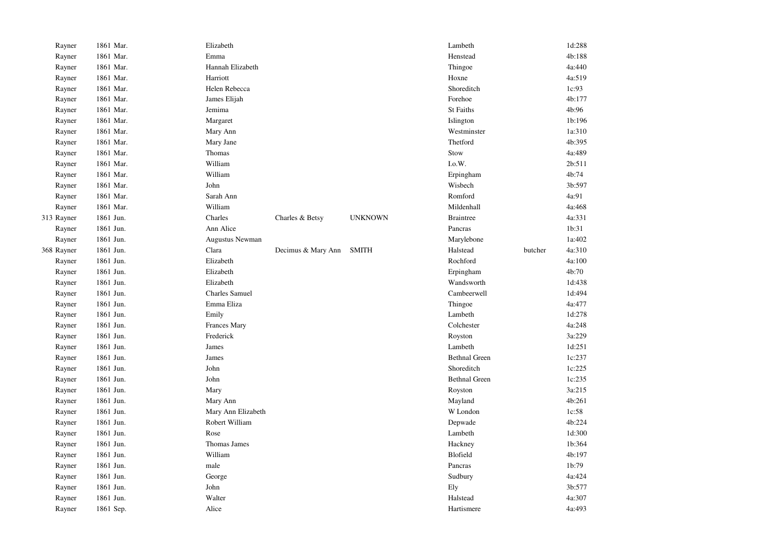| Rayner     | 1861 Mar. | Elizabeth             |                    |                | Lambeth              |         | 1d:288 |
|------------|-----------|-----------------------|--------------------|----------------|----------------------|---------|--------|
| Rayner     | 1861 Mar. | Emma                  |                    |                | Henstead             |         | 4b:188 |
| Rayner     | 1861 Mar. | Hannah Elizabeth      |                    |                | Thingoe              |         | 4a:440 |
| Rayner     | 1861 Mar. | Harriott              |                    |                | Hoxne                |         | 4a:519 |
| Rayner     | 1861 Mar. | Helen Rebecca         |                    |                | Shoreditch           |         | 1c:93  |
| Rayner     | 1861 Mar. | James Elijah          |                    |                | Forehoe              |         | 4b:177 |
| Rayner     | 1861 Mar. | Jemima                |                    |                | <b>St Faiths</b>     |         | 4b:96  |
| Rayner     | 1861 Mar. | Margaret              |                    |                | Islington            |         | 1b:196 |
| Rayner     | 1861 Mar. | Mary Ann              |                    |                | Westminster          |         | 1a:310 |
| Rayner     | 1861 Mar. | Mary Jane             |                    |                | Thetford             |         | 4b:395 |
| Rayner     | 1861 Mar. | Thomas                |                    |                | Stow                 |         | 4a:489 |
| Rayner     | 1861 Mar. | William               |                    |                | I.o.W.               |         | 2b:511 |
| Rayner     | 1861 Mar. | William               |                    |                | Erpingham            |         | 4b:74  |
| Rayner     | 1861 Mar. | John                  |                    |                | Wisbech              |         | 3b:597 |
| Rayner     | 1861 Mar. | Sarah Ann             |                    |                | Romford              |         | 4a:91  |
| Rayner     | 1861 Mar. | William               |                    |                | Mildenhall           |         | 4a:468 |
| 313 Rayner | 1861 Jun. | Charles               | Charles & Betsy    | <b>UNKNOWN</b> | <b>Braintree</b>     |         | 4a:331 |
| Rayner     | 1861 Jun. | Ann Alice             |                    |                | Pancras              |         | 1b:31  |
| Rayner     | 1861 Jun. | Augustus Newman       |                    |                | Marylebone           |         | 1a:402 |
| 368 Rayner | 1861 Jun. | Clara                 | Decimus & Mary Ann | <b>SMITH</b>   | Halstead             | butcher | 4a:310 |
| Rayner     | 1861 Jun. | Elizabeth             |                    |                | Rochford             |         | 4a:100 |
| Rayner     | 1861 Jun. | Elizabeth             |                    |                | Erpingham            |         | 4b:70  |
| Rayner     | 1861 Jun. | Elizabeth             |                    |                | Wandsworth           |         | 1d:438 |
| Rayner     | 1861 Jun. | <b>Charles Samuel</b> |                    |                | Cambeerwell          |         | 1d:494 |
| Rayner     | 1861 Jun. | Emma Eliza            |                    |                | Thingoe              |         | 4a:477 |
| Rayner     | 1861 Jun. | Emily                 |                    |                | Lambeth              |         | 1d:278 |
| Rayner     | 1861 Jun. | Frances Mary          |                    |                | Colchester           |         | 4a:248 |
| Rayner     | 1861 Jun. | Frederick             |                    |                | Royston              |         | 3a:229 |
| Rayner     | 1861 Jun. | James                 |                    |                | Lambeth              |         | 1d:251 |
| Rayner     | 1861 Jun. | James                 |                    |                | <b>Bethnal Green</b> |         | 1c:237 |
| Rayner     | 1861 Jun. | John                  |                    |                | Shoreditch           |         | 1c:225 |
| Rayner     | 1861 Jun. | John                  |                    |                | <b>Bethnal Green</b> |         | 1c:235 |
| Rayner     | 1861 Jun. | Mary                  |                    |                | Royston              |         | 3a:215 |
| Rayner     | 1861 Jun. | Mary Ann              |                    |                | Mayland              |         | 4b:261 |
| Rayner     | 1861 Jun. | Mary Ann Elizabeth    |                    |                | W London             |         | 1c:58  |
| Rayner     | 1861 Jun. | Robert William        |                    |                | Depwade              |         | 4b:224 |
| Rayner     | 1861 Jun. | Rose                  |                    |                | Lambeth              |         | 1d:300 |
| Rayner     | 1861 Jun. | Thomas James          |                    |                | Hackney              |         | 1b:364 |
| Rayner     | 1861 Jun. | William               |                    |                | Blofield             |         | 4b:197 |
| Rayner     | 1861 Jun. | male                  |                    |                | Pancras              |         | 1b:79  |
| Rayner     | 1861 Jun. | George                |                    |                | Sudbury              |         | 4a:424 |
| Rayner     | 1861 Jun. | John                  |                    |                | Ely                  |         | 3b:577 |
| Rayner     | 1861 Jun. | Walter                |                    |                | Halstead             |         | 4a:307 |
| Rayner     | 1861 Sep. | Alice                 |                    |                | Hartismere           |         | 4a:493 |
|            |           |                       |                    |                |                      |         |        |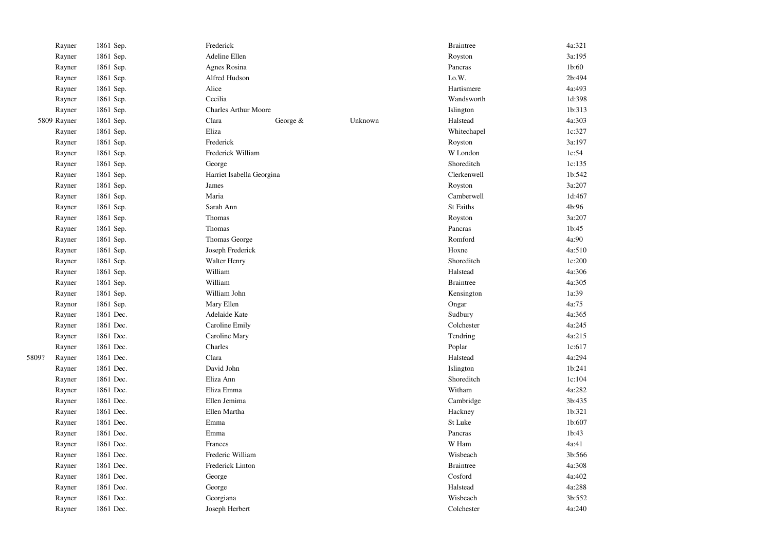|       | Rayner      | 1861 Sep. | Frederick                   |          |         | <b>Braintree</b> | 4a:321 |
|-------|-------------|-----------|-----------------------------|----------|---------|------------------|--------|
|       | Rayner      | 1861 Sep. | Adeline Ellen               |          |         | Royston          | 3a:195 |
|       | Rayner      | 1861 Sep. | Agnes Rosina                |          |         | Pancras          | 1b:60  |
|       | Rayner      | 1861 Sep. | Alfred Hudson               |          |         | I.o.W.           | 2b:494 |
|       | Rayner      | 1861 Sep. | Alice                       |          |         | Hartismere       | 4a:493 |
|       | Rayner      | 1861 Sep. | Cecilia                     |          |         | Wandsworth       | 1d:398 |
|       | Rayner      | 1861 Sep. | <b>Charles Arthur Moore</b> |          |         | Islington        | 1b:313 |
|       | 5809 Rayner | 1861 Sep. | Clara                       | George & | Unknown | Halstead         | 4a:303 |
|       | Rayner      | 1861 Sep. | Eliza                       |          |         | Whitechapel      | 1c:327 |
|       | Rayner      | 1861 Sep. | Frederick                   |          |         | Royston          | 3a:197 |
|       | Rayner      | 1861 Sep. | Frederick William           |          |         | W London         | 1c:54  |
|       | Rayner      | 1861 Sep. | George                      |          |         | Shoreditch       | 1c:135 |
|       | Rayner      | 1861 Sep. | Harriet Isabella Georgina   |          |         | Clerkenwell      | 1b:542 |
|       | Rayner      | 1861 Sep. | James                       |          |         | Royston          | 3a:207 |
|       | Rayner      | 1861 Sep. | Maria                       |          |         | Camberwell       | 1d:467 |
|       | Rayner      | 1861 Sep. | Sarah Ann                   |          |         | <b>St Faiths</b> | 4b:96  |
|       | Rayner      | 1861 Sep. | Thomas                      |          |         | Royston          | 3a:207 |
|       | Rayner      | 1861 Sep. | Thomas                      |          |         | Pancras          | 1b:45  |
|       | Rayner      | 1861 Sep. | Thomas George               |          |         | Romford          | 4a:90  |
|       | Rayner      | 1861 Sep. | Joseph Frederick            |          |         | Hoxne            | 4a:510 |
|       | Rayner      | 1861 Sep. | <b>Walter Henry</b>         |          |         | Shoreditch       | 1c:200 |
|       | Rayner      | 1861 Sep. | William                     |          |         | Halstead         | 4a:306 |
|       | Rayner      | 1861 Sep. | William                     |          |         | <b>Braintree</b> | 4a:305 |
|       | Rayner      | 1861 Sep. | William John                |          |         | Kensington       | 1a:39  |
|       | Raynor      | 1861 Sep. | Mary Ellen                  |          |         | Ongar            | 4a:75  |
|       | Rayner      | 1861 Dec. | Adelaide Kate               |          |         | Sudbury          | 4a:365 |
|       | Rayner      | 1861 Dec. | Caroline Emily              |          |         | Colchester       | 4a:245 |
|       | Rayner      | 1861 Dec. | Caroline Mary               |          |         | Tendring         | 4a:215 |
|       | Rayner      | 1861 Dec. | Charles                     |          |         | Poplar           | 1c:617 |
| 5809? | Rayner      | 1861 Dec. | Clara                       |          |         | Halstead         | 4a:294 |
|       | Rayner      | 1861 Dec. | David John                  |          |         | Islington        | 1b:241 |
|       | Rayner      | 1861 Dec. | Eliza Ann                   |          |         | Shoreditch       | 1c:104 |
|       | Rayner      | 1861 Dec. | Eliza Emma                  |          |         | Witham           | 4a:282 |
|       | Rayner      | 1861 Dec. | Ellen Jemima                |          |         | Cambridge        | 3b:435 |
|       | Rayner      | 1861 Dec. | Ellen Martha                |          |         | Hackney          | 1b:321 |
|       | Rayner      | 1861 Dec. | Emma                        |          |         | St Luke          | 1b:607 |
|       | Rayner      | 1861 Dec. | Emma                        |          |         | Pancras          | 1b:43  |
|       | Rayner      | 1861 Dec. | Frances                     |          |         | W Ham            | 4a:41  |
|       | Rayner      | 1861 Dec. | Frederic William            |          |         | Wisbeach         | 3b:566 |
|       | Rayner      | 1861 Dec. | Frederick Linton            |          |         | <b>Braintree</b> | 4a:308 |
|       | Rayner      | 1861 Dec. | George                      |          |         | Cosford          | 4a:402 |
|       | Rayner      | 1861 Dec. | George                      |          |         | Halstead         | 4a:288 |
|       | Rayner      | 1861 Dec. | Georgiana                   |          |         | Wisbeach         | 3b:552 |
|       | Rayner      | 1861 Dec. | Joseph Herbert              |          |         | Colchester       | 4a:240 |
|       |             |           |                             |          |         |                  |        |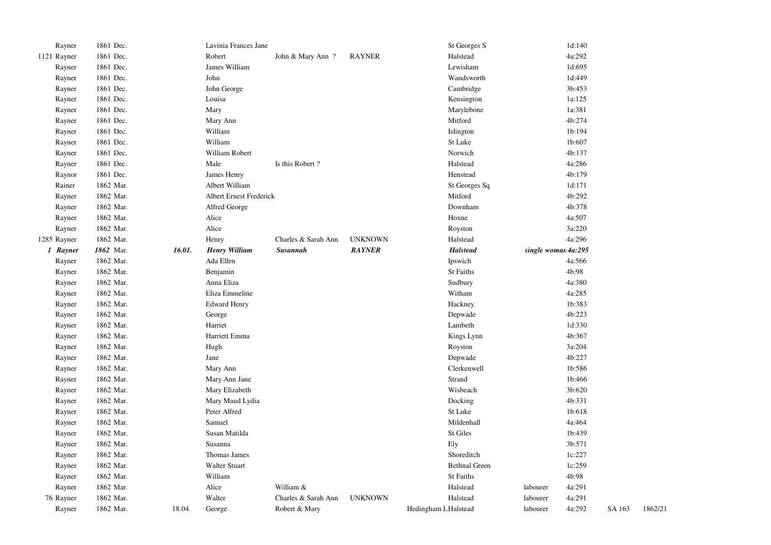| Rayner      | 1861 Dec. |        | Lavinia Frances Jane    |                     |                | St Georges S         |                     | 1d:140 |        |         |
|-------------|-----------|--------|-------------------------|---------------------|----------------|----------------------|---------------------|--------|--------|---------|
| 1121 Rayner | 1861 Dec. |        | Robert                  | John & Mary Ann?    | <b>RAYNER</b>  | Halstead             |                     | 4a:292 |        |         |
| Rayner      | 1861 Dec. |        | James William           |                     |                | Lewisham             |                     | 1d:695 |        |         |
| Rayner      | 1861 Dec. |        | John                    |                     |                | Wandsworth           |                     | 1d:449 |        |         |
| Rayner      | 1861 Dec. |        | John George             |                     |                | Cambridge            |                     | 3b:453 |        |         |
| Rayner      | 1861 Dec. |        | Louisa                  |                     |                | Kensington           |                     | 1a:125 |        |         |
| Rayner      | 1861 Dec. |        | Mary                    |                     |                | Marylebone           |                     | 1a:381 |        |         |
| Rayner      | 1861 Dec. |        | Mary Ann                |                     |                | Mitford              |                     | 4b:274 |        |         |
| Rayner      | 1861 Dec. |        | William                 |                     |                | Islington            |                     | 1b:194 |        |         |
| Rayner      | 1861 Dec. |        | William                 |                     |                | St Luke              |                     | 1b:607 |        |         |
| Rayner      | 1861 Dec. |        | William Robert          |                     |                | Norwich              |                     | 4b:137 |        |         |
| Rayner      | 1861 Dec. |        | Male                    | Is this Robert?     |                | Halstead             |                     | 4a:286 |        |         |
| Raynor      | 1861 Dec. |        | James Henry             |                     |                | Henstead             |                     | 4b:179 |        |         |
| Rainer      | 1862 Mar. |        | Albert William          |                     |                | St Georges Sq        |                     | 1d:171 |        |         |
| Rayner      | 1862 Mar. |        | Albert Ernest Frederick |                     |                | Mitford              |                     | 4b:292 |        |         |
| Rayner      | 1862 Mar. |        | Alfred George           |                     |                | Downham              |                     | 4b:378 |        |         |
| Rayner      | 1862 Mar. |        | Alice                   |                     |                | Hoxne                |                     | 4a:507 |        |         |
| Rayner      | 1862 Mar. |        | Alice                   |                     |                | Royston              |                     | 3a:220 |        |         |
| 1285 Rayner | 1862 Mar. |        | Henry                   | Charles & Sarah Ann | <b>UNKNOWN</b> | Halstead             |                     | 4a:296 |        |         |
| 1 Rayner    | 1862 Mar. | 16.01. | <b>Henry William</b>    | <b>Susannah</b>     | <b>RAYNER</b>  | <b>Halstead</b>      | single woman 4a:295 |        |        |         |
| Rayner      | 1862 Mar. |        | Ada Ellen               |                     |                | Ipswich              |                     | 4a:566 |        |         |
| Rayner      | 1862 Mar. |        | Benjamin                |                     |                | <b>St Faiths</b>     |                     | 4b:98  |        |         |
| Rayner      | 1862 Mar. |        | Anna Eliza              |                     |                | Sudbury              |                     | 4a:380 |        |         |
| Rayner      | 1862 Mar. |        | Eliza Emmeline          |                     |                | Witham               |                     | 4a:285 |        |         |
| Rayner      | 1862 Mar. |        | <b>Edward Henry</b>     |                     |                | Hackney              |                     | 1b:383 |        |         |
| Rayner      | 1862 Mar. |        | George                  |                     |                | Depwade              |                     | 4b:223 |        |         |
| Rayner      | 1862 Mar. |        | Harriet                 |                     |                | Lambeth              |                     | 1d:330 |        |         |
| Rayner      | 1862 Mar. |        | Harriett Emma           |                     |                | Kings Lynn           |                     | 4b:367 |        |         |
| Rayner      | 1862 Mar. |        | Hugh                    |                     |                | Royston              |                     | 3a:204 |        |         |
| Rayner      | 1862 Mar. |        | Jane                    |                     |                | Depwade              |                     | 4b:227 |        |         |
| Rayner      | 1862 Mar. |        | Mary Ann                |                     |                | Clerkenwell          |                     | 1b:586 |        |         |
| Rayner      | 1862 Mar. |        | Mary Ann Jane           |                     |                | Strand               |                     | 1b:466 |        |         |
| Rayner      | 1862 Mar. |        | Mary Elizabeth          |                     |                | Wisbeach             |                     | 3b:620 |        |         |
| Rayner      | 1862 Mar. |        | Mary Maud Lydia         |                     |                | Docking              |                     | 4b:331 |        |         |
| Rayner      | 1862 Mar. |        | Peter Alfred            |                     |                | St Luke              |                     | 1b:618 |        |         |
| Rayner      | 1862 Mar. |        | Samuel                  |                     |                | Mildenhall           |                     | 4a:464 |        |         |
| Rayner      | 1862 Mar. |        | Susan Matilda           |                     |                | St Giles             |                     | 1b:439 |        |         |
| Rayner      | 1862 Mar. |        | Susanna                 |                     |                | Ely                  |                     | 3b:571 |        |         |
| Rayner      | 1862 Mar. |        | Thomas James            |                     |                | Shoreditch           |                     | 1c:227 |        |         |
| Rayner      | 1862 Mar. |        | <b>Walter Stuart</b>    |                     |                | <b>Bethnal Green</b> |                     | 1c:259 |        |         |
| Rayner      | 1862 Mar. |        | William                 |                     |                | <b>St Faiths</b>     |                     | 4b:98  |        |         |
| Rayner      | 1862 Mar. |        | Alice                   | William &           |                | Halstead             | labourer            | 4a:291 |        |         |
| 76 Rayner   | 1862 Mar. |        | Walter                  | Charles & Sarah Ann | <b>UNKNOWN</b> | Halstead             | labourer            | 4a:291 |        |         |
| Rayner      | 1862 Mar. | 18.04. | George                  | Robert & Mary       |                | Hedingham LHalstead  | labourer            | 4a:292 | SA 163 | 1862/21 |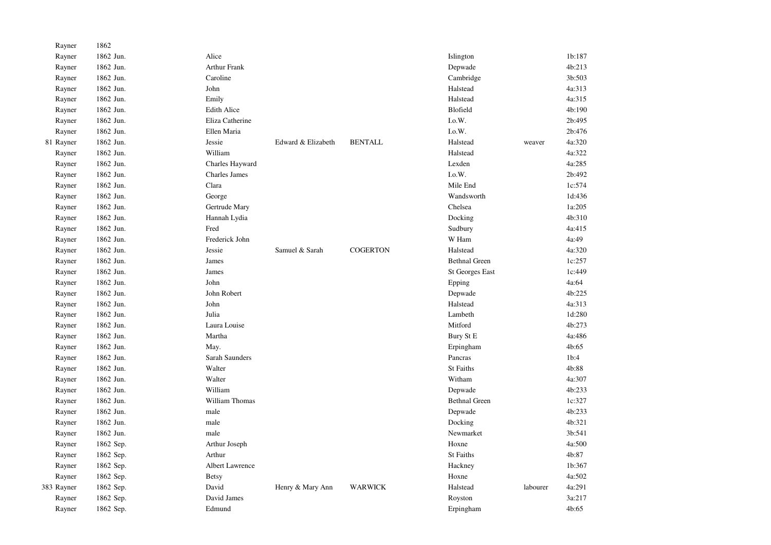| Rayner     | 1862      |                      |                    |                 |                        |          |        |
|------------|-----------|----------------------|--------------------|-----------------|------------------------|----------|--------|
| Rayner     | 1862 Jun. | Alice                |                    |                 | Islington              |          | 1b:187 |
| Rayner     | 1862 Jun. | <b>Arthur Frank</b>  |                    |                 | Depwade                |          | 4b:213 |
| Rayner     | 1862 Jun. | Caroline             |                    |                 | Cambridge              |          | 3b:503 |
| Rayner     | 1862 Jun. | John                 |                    |                 | Halstead               |          | 4a:313 |
| Rayner     | 1862 Jun. | Emily                |                    |                 | Halstead               |          | 4a:315 |
| Rayner     | 1862 Jun. | <b>Edith Alice</b>   |                    |                 | Blofield               |          | 4b:190 |
| Rayner     | 1862 Jun. | Eliza Catherine      |                    |                 | I.o.W.                 |          | 2b:495 |
| Rayner     | 1862 Jun. | Ellen Maria          |                    |                 | I.o.W.                 |          | 2b:476 |
| 81 Rayner  | 1862 Jun. | Jessie               | Edward & Elizabeth | <b>BENTALL</b>  | Halstead               | weaver   | 4a:320 |
| Rayner     | 1862 Jun. | William              |                    |                 | Halstead               |          | 4a:322 |
| Rayner     | 1862 Jun. | Charles Hayward      |                    |                 | Lexden                 |          | 4a:285 |
| Rayner     | 1862 Jun. | <b>Charles James</b> |                    |                 | I.o.W.                 |          | 2b:492 |
| Rayner     | 1862 Jun. | Clara                |                    |                 | Mile End               |          | 1c:574 |
| Rayner     | 1862 Jun. | George               |                    |                 | Wandsworth             |          | 1d:436 |
| Rayner     | 1862 Jun. | Gertrude Mary        |                    |                 | Chelsea                |          | 1a:205 |
| Rayner     | 1862 Jun. | Hannah Lydia         |                    |                 | Docking                |          | 4b:310 |
| Rayner     | 1862 Jun. | Fred                 |                    |                 | Sudbury                |          | 4a:415 |
| Rayner     | 1862 Jun. | Frederick John       |                    |                 | W Ham                  |          | 4a:49  |
| Rayner     | 1862 Jun. | Jessie               | Samuel & Sarah     | <b>COGERTON</b> | Halstead               |          | 4a:320 |
| Rayner     | 1862 Jun. | James                |                    |                 | <b>Bethnal Green</b>   |          | 1c:257 |
| Rayner     | 1862 Jun. | James                |                    |                 | <b>St Georges East</b> |          | 1c:449 |
| Rayner     | 1862 Jun. | John                 |                    |                 | Epping                 |          | 4a:64  |
| Rayner     | 1862 Jun. | John Robert          |                    |                 | Depwade                |          | 4b:225 |
| Rayner     | 1862 Jun. | John                 |                    |                 | Halstead               |          | 4a:313 |
| Rayner     | 1862 Jun. | Julia                |                    |                 | Lambeth                |          | 1d:280 |
| Rayner     | 1862 Jun. | Laura Louise         |                    |                 | Mitford                |          | 4b:273 |
| Rayner     | 1862 Jun. | Martha               |                    |                 | Bury St E              |          | 4a:486 |
| Rayner     | 1862 Jun. | May.                 |                    |                 | Erpingham              |          | 4b:65  |
| Rayner     | 1862 Jun. | Sarah Saunders       |                    |                 | Pancras                |          | 1b:4   |
| Rayner     | 1862 Jun. | Walter               |                    |                 | <b>St Faiths</b>       |          | 4b:88  |
| Rayner     | 1862 Jun. | Walter               |                    |                 | Witham                 |          | 4a:307 |
| Rayner     | 1862 Jun. | William              |                    |                 | Depwade                |          | 4b:233 |
| Rayner     | 1862 Jun. | William Thomas       |                    |                 | <b>Bethnal Green</b>   |          | 1c:327 |
| Rayner     | 1862 Jun. | male                 |                    |                 | Depwade                |          | 4b:233 |
| Rayner     | 1862 Jun. | male                 |                    |                 | Docking                |          | 4b:321 |
| Rayner     | 1862 Jun. | male                 |                    |                 | Newmarket              |          | 3b:541 |
| Rayner     | 1862 Sep. | Arthur Joseph        |                    |                 | Hoxne                  |          | 4a:500 |
| Rayner     | 1862 Sep. | Arthur               |                    |                 | St Faiths              |          | 4b:87  |
| Rayner     | 1862 Sep. | Albert Lawrence      |                    |                 | Hackney                |          | 1b:367 |
| Rayner     | 1862 Sep. | <b>Betsy</b>         |                    |                 | Hoxne                  |          | 4a:502 |
| 383 Rayner | 1862 Sep. | David                | Henry & Mary Ann   | <b>WARWICK</b>  | Halstead               | labourer | 4a:291 |
| Rayner     | 1862 Sep. | David James          |                    |                 | Royston                |          | 3a:217 |
| Rayner     | 1862 Sep. | Edmund               |                    |                 | Erpingham              |          | 4b:65  |
|            |           |                      |                    |                 |                        |          |        |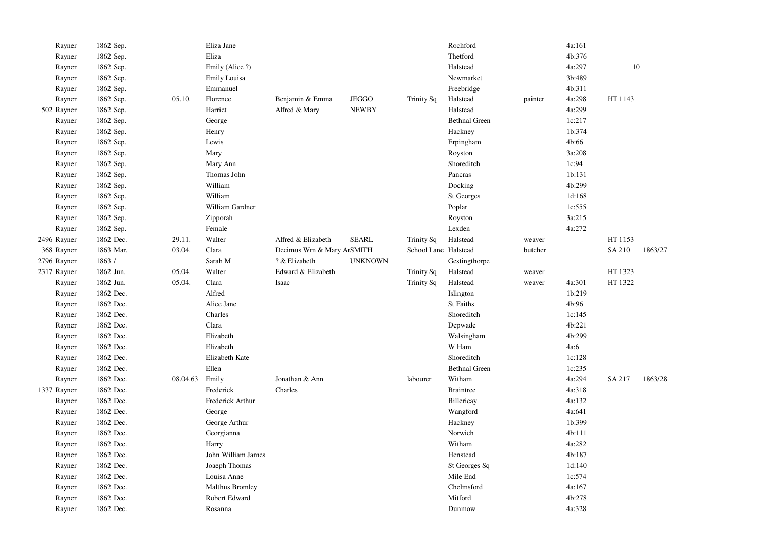| Rayner      | 1862 Sep. |          | Eliza Jane          |                           |                |                      | Rochford             |         | 4a:161 |         |         |
|-------------|-----------|----------|---------------------|---------------------------|----------------|----------------------|----------------------|---------|--------|---------|---------|
| Rayner      | 1862 Sep. |          | Eliza               |                           |                |                      | Thetford             |         | 4b:376 |         |         |
| Rayner      | 1862 Sep. |          | Emily (Alice ?)     |                           |                |                      | Halstead             |         | 4a:297 | $10\,$  |         |
| Rayner      | 1862 Sep. |          | <b>Emily Louisa</b> |                           |                |                      | Newmarket            |         | 3b:489 |         |         |
| Rayner      | 1862 Sep. |          | Emmanuel            |                           |                |                      | Freebridge           |         | 4b:311 |         |         |
| Rayner      | 1862 Sep. | 05.10.   | Florence            | Benjamin & Emma           | <b>JEGGO</b>   | Trinity Sq           | Halstead             | painter | 4a:298 | HT 1143 |         |
| 502 Rayner  | 1862 Sep. |          | Harriet             | Alfred & Mary             | <b>NEWBY</b>   |                      | Halstead             |         | 4a:299 |         |         |
| Rayner      | 1862 Sep. |          | George              |                           |                |                      | <b>Bethnal Green</b> |         | 1c:217 |         |         |
| Rayner      | 1862 Sep. |          | Henry               |                           |                |                      | Hackney              |         | 1b:374 |         |         |
| Rayner      | 1862 Sep. |          | Lewis               |                           |                |                      | Erpingham            |         | 4b:66  |         |         |
| Rayner      | 1862 Sep. |          | Mary                |                           |                |                      | Royston              |         | 3a:208 |         |         |
| Rayner      | 1862 Sep. |          | Mary Ann            |                           |                |                      | Shoreditch           |         | 1c:94  |         |         |
| Rayner      | 1862 Sep. |          | Thomas John         |                           |                |                      | Pancras              |         | 1b:131 |         |         |
| Rayner      | 1862 Sep. |          | William             |                           |                |                      | Docking              |         | 4b:299 |         |         |
| Rayner      | 1862 Sep. |          | William             |                           |                |                      | St Georges           |         | 1d:168 |         |         |
| Rayner      | 1862 Sep. |          | William Gardner     |                           |                |                      | Poplar               |         | 1c:555 |         |         |
| Rayner      | 1862 Sep. |          | Zipporah            |                           |                |                      | Royston              |         | 3a:215 |         |         |
| Rayner      | 1862 Sep. |          | Female              |                           |                |                      | Lexden               |         | 4a:272 |         |         |
| 2496 Rayner | 1862 Dec. | 29.11.   | Walter              | Alfred & Elizabeth        | <b>SEARL</b>   | Trinity Sq           | Halstead             | weaver  |        | HT 1153 |         |
| 368 Rayner  | 1863 Mar. | 03.04.   | Clara               | Decimus Wm & Mary ArSMITH |                | School Lane Halstead |                      | butcher |        | SA 210  | 1863/27 |
| 2796 Rayner | 1863 /    |          | Sarah M             | ? & Elizabeth             | <b>UNKNOWN</b> |                      | Gestingthorpe        |         |        |         |         |
| 2317 Rayner | 1862 Jun. | 05.04.   | Walter              | Edward & Elizabeth        |                | <b>Trinity Sq</b>    | Halstead             | weaver  |        | HT 1323 |         |
| Rayner      | 1862 Jun. | 05.04.   | Clara               | Isaac                     |                | Trinity Sq           | Halstead             | weaver  | 4a:301 | HT 1322 |         |
| Rayner      | 1862 Dec. |          | Alfred              |                           |                |                      | Islington            |         | 1b:219 |         |         |
| Rayner      | 1862 Dec. |          | Alice Jane          |                           |                |                      | St Faiths            |         | 4b:96  |         |         |
| Rayner      | 1862 Dec. |          | Charles             |                           |                |                      | Shoreditch           |         | 1c:145 |         |         |
| Rayner      | 1862 Dec. |          | Clara               |                           |                |                      | Depwade              |         | 4b:221 |         |         |
| Rayner      | 1862 Dec. |          | Elizabeth           |                           |                |                      | Walsingham           |         | 4b:299 |         |         |
| Rayner      | 1862 Dec. |          | Elizabeth           |                           |                |                      | W Ham                |         | 4a:6   |         |         |
| Rayner      | 1862 Dec. |          | Elizabeth Kate      |                           |                |                      | Shoreditch           |         | 1c:128 |         |         |
| Rayner      | 1862 Dec. |          | Ellen               |                           |                |                      | <b>Bethnal Green</b> |         | 1c:235 |         |         |
| Rayner      | 1862 Dec. | 08.04.63 | Emily               | Jonathan & Ann            |                | labourer             | Witham               |         | 4a:294 | SA 217  | 1863/28 |
| 1337 Rayner | 1862 Dec. |          | Frederick           | Charles                   |                |                      | <b>Braintree</b>     |         | 4a:318 |         |         |
| Rayner      | 1862 Dec. |          | Frederick Arthur    |                           |                |                      | Billericay           |         | 4a:132 |         |         |
| Rayner      | 1862 Dec. |          | George              |                           |                |                      | Wangford             |         | 4a:641 |         |         |
| Rayner      | 1862 Dec. |          | George Arthur       |                           |                |                      | Hackney              |         | 1b:399 |         |         |
| Rayner      | 1862 Dec. |          | Georgianna          |                           |                |                      | Norwich              |         | 4b:111 |         |         |
| Rayner      | 1862 Dec. |          | Harry               |                           |                |                      | Witham               |         | 4a:282 |         |         |
| Rayner      | 1862 Dec. |          | John William James  |                           |                |                      | Henstead             |         | 4b:187 |         |         |
| Rayner      | 1862 Dec. |          | Joaeph Thomas       |                           |                |                      | St Georges Sq        |         | 1d:140 |         |         |
| Rayner      | 1862 Dec. |          | Louisa Anne         |                           |                |                      | Mile End             |         | 1c:574 |         |         |
| Rayner      | 1862 Dec. |          | Malthus Bromley     |                           |                |                      | Chelmsford           |         | 4a:167 |         |         |
| Rayner      | 1862 Dec. |          | Robert Edward       |                           |                |                      | Mitford              |         | 4b:278 |         |         |
| Rayner      | 1862 Dec. |          | Rosanna             |                           |                |                      | Dunmow               |         | 4a:328 |         |         |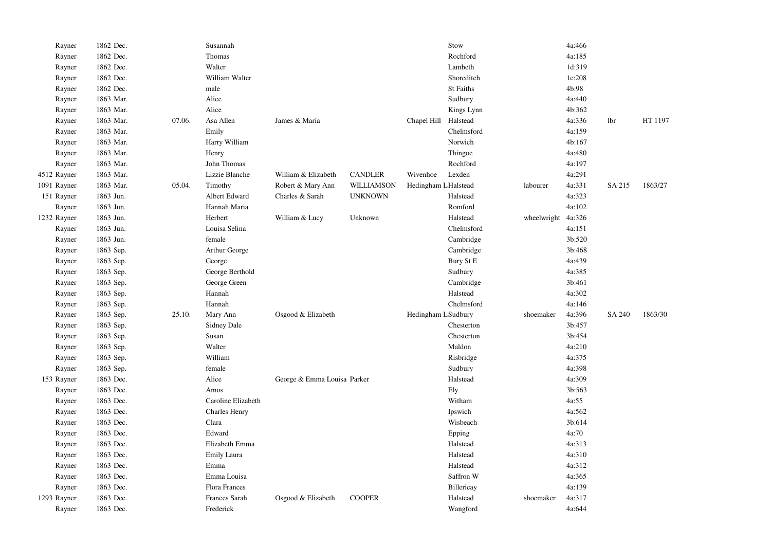| Rayner      | 1862 Dec. |        | Susannah             |                             |                |                     | Stow       |                    | 4a:466 |            |         |
|-------------|-----------|--------|----------------------|-----------------------------|----------------|---------------------|------------|--------------------|--------|------------|---------|
| Rayner      | 1862 Dec. |        | Thomas               |                             |                |                     | Rochford   |                    | 4a:185 |            |         |
| Rayner      | 1862 Dec. |        | Walter               |                             |                |                     | Lambeth    |                    | 1d:319 |            |         |
| Rayner      | 1862 Dec. |        | William Walter       |                             |                |                     | Shoreditch |                    | 1c:208 |            |         |
| Rayner      | 1862 Dec. |        | male                 |                             |                |                     | St Faiths  |                    | 4b:98  |            |         |
| Rayner      | 1863 Mar. |        | Alice                |                             |                |                     | Sudbury    |                    | 4a:440 |            |         |
| Rayner      | 1863 Mar. |        | Alice                |                             |                |                     | Kings Lynn |                    | 4b:362 |            |         |
| Rayner      | 1863 Mar. | 07.06. | Asa Allen            | James & Maria               |                | Chapel Hill         | Halstead   |                    | 4a:336 | <b>lbr</b> | HT 1197 |
| Rayner      | 1863 Mar. |        | Emily                |                             |                |                     | Chelmsford |                    | 4a:159 |            |         |
| Rayner      | 1863 Mar. |        | Harry William        |                             |                |                     | Norwich    |                    | 4b:167 |            |         |
| Rayner      | 1863 Mar. |        | Henry                |                             |                |                     | Thingoe    |                    | 4a:480 |            |         |
| Rayner      | 1863 Mar. |        | John Thomas          |                             |                |                     | Rochford   |                    | 4a:197 |            |         |
| 4512 Rayner | 1863 Mar. |        | Lizzie Blanche       | William & Elizabeth         | <b>CANDLER</b> | Wivenhoe            | Lexden     |                    | 4a:291 |            |         |
| 1091 Rayner | 1863 Mar. | 05.04. | Timothy              | Robert & Mary Ann           | WILLIAMSON     | Hedingham LHalstead |            | labourer           | 4a:331 | SA 215     | 1863/27 |
| 151 Rayner  | 1863 Jun. |        | Albert Edward        | Charles & Sarah             | <b>UNKNOWN</b> |                     | Halstead   |                    | 4a:323 |            |         |
| Rayner      | 1863 Jun. |        | Hannah Maria         |                             |                |                     | Romford    |                    | 4a:102 |            |         |
| 1232 Rayner | 1863 Jun. |        | Herbert              | William & Lucy              | Unknown        |                     | Halstead   | wheelwright 4a:326 |        |            |         |
| Rayner      | 1863 Jun. |        | Louisa Selina        |                             |                |                     | Chelmsford |                    | 4a:151 |            |         |
| Rayner      | 1863 Jun. |        | female               |                             |                |                     | Cambridge  |                    | 3b:520 |            |         |
| Rayner      | 1863 Sep. |        | Arthur George        |                             |                |                     | Cambridge  |                    | 3b:468 |            |         |
| Rayner      | 1863 Sep. |        | George               |                             |                |                     | Bury St E  |                    | 4a:439 |            |         |
| Rayner      | 1863 Sep. |        | George Berthold      |                             |                |                     | Sudbury    |                    | 4a:385 |            |         |
| Rayner      | 1863 Sep. |        | George Green         |                             |                |                     | Cambridge  |                    | 3b:461 |            |         |
| Rayner      | 1863 Sep. |        | Hannah               |                             |                |                     | Halstead   |                    | 4a:302 |            |         |
| Rayner      | 1863 Sep. |        | Hannah               |                             |                |                     | Chelmsford |                    | 4a:146 |            |         |
| Rayner      | 1863 Sep. | 25.10. | Mary Ann             | Osgood & Elizabeth          |                | Hedingham LSudbury  |            | shoemaker          | 4a:396 | SA 240     | 1863/30 |
| Rayner      | 1863 Sep. |        | <b>Sidney Dale</b>   |                             |                |                     | Chesterton |                    | 3b:457 |            |         |
| Rayner      | 1863 Sep. |        | Susan                |                             |                |                     | Chesterton |                    | 3b:454 |            |         |
| Rayner      | 1863 Sep. |        | Walter               |                             |                |                     | Maldon     |                    | 4a:210 |            |         |
| Rayner      | 1863 Sep. |        | William              |                             |                |                     | Risbridge  |                    | 4a:375 |            |         |
| Rayner      | 1863 Sep. |        | female               |                             |                |                     | Sudbury    |                    | 4a:398 |            |         |
| 153 Rayner  | 1863 Dec. |        | Alice                | George & Emma Louisa Parker |                |                     | Halstead   |                    | 4a:309 |            |         |
| Rayner      | 1863 Dec. |        | Amos                 |                             |                |                     | Ely        |                    | 3b:563 |            |         |
| Rayner      | 1863 Dec. |        | Caroline Elizabeth   |                             |                |                     | Witham     |                    | 4a:55  |            |         |
| Rayner      | 1863 Dec. |        | <b>Charles Henry</b> |                             |                |                     | Ipswich    |                    | 4a:562 |            |         |
| Rayner      | 1863 Dec. |        | Clara                |                             |                |                     | Wisbeach   |                    | 3b:614 |            |         |
| Rayner      | 1863 Dec. |        | Edward               |                             |                |                     | Epping     |                    | 4a:70  |            |         |
| Rayner      | 1863 Dec. |        | Elizabeth Emma       |                             |                |                     | Halstead   |                    | 4a:313 |            |         |
| Rayner      | 1863 Dec. |        | Emily Laura          |                             |                |                     | Halstead   |                    | 4a:310 |            |         |
| Rayner      | 1863 Dec. |        | Emma                 |                             |                |                     | Halstead   |                    | 4a:312 |            |         |
| Rayner      | 1863 Dec. |        | Emma Louisa          |                             |                |                     | Saffron W  |                    | 4a:365 |            |         |
| Rayner      | 1863 Dec. |        | Flora Frances        |                             |                |                     | Billericay |                    | 4a:139 |            |         |
| 1293 Rayner | 1863 Dec. |        | <b>Frances Sarah</b> | Osgood & Elizabeth          | <b>COOPER</b>  |                     | Halstead   | shoemaker          | 4a:317 |            |         |
| Rayner      | 1863 Dec. |        | Frederick            |                             |                |                     | Wangford   |                    | 4a:644 |            |         |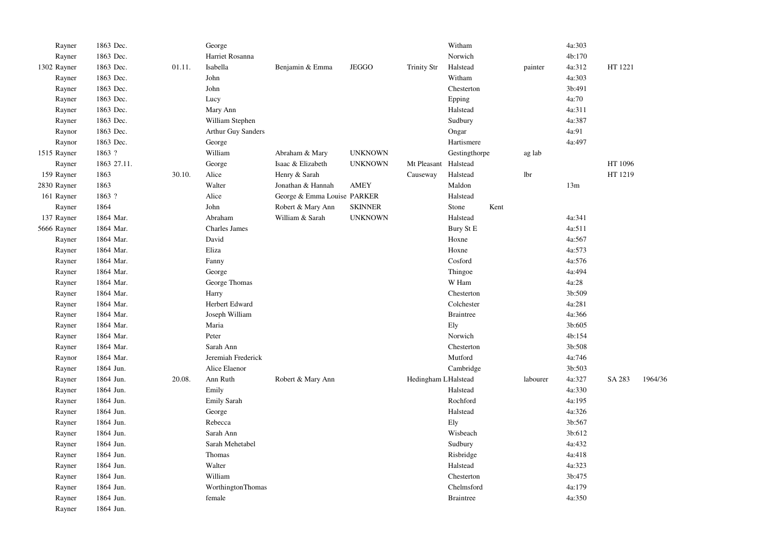| Rayner      | 1863 Dec.   |        | George               |                             |                |                     | Witham           |      |          | 4a:303 |         |         |
|-------------|-------------|--------|----------------------|-----------------------------|----------------|---------------------|------------------|------|----------|--------|---------|---------|
| Rayner      | 1863 Dec.   |        | Harriet Rosanna      |                             |                |                     | Norwich          |      |          | 4b:170 |         |         |
| 1302 Rayner | 1863 Dec.   | 01.11. | Isabella             | Benjamin & Emma             | <b>JEGGO</b>   | <b>Trinity Str</b>  | Halstead         |      | painter  | 4a:312 | HT 1221 |         |
| Rayner      | 1863 Dec.   |        | John                 |                             |                |                     | Witham           |      |          | 4a:303 |         |         |
| Rayner      | 1863 Dec.   |        | John                 |                             |                |                     | Chesterton       |      |          | 3b:491 |         |         |
| Rayner      | 1863 Dec.   |        | Lucy                 |                             |                |                     | Epping           |      |          | 4a:70  |         |         |
| Rayner      | 1863 Dec.   |        | Mary Ann             |                             |                |                     | Halstead         |      |          | 4a:311 |         |         |
| Rayner      | 1863 Dec.   |        | William Stephen      |                             |                |                     | Sudbury          |      |          | 4a:387 |         |         |
| Raynor      | 1863 Dec.   |        | Arthur Guy Sanders   |                             |                |                     | Ongar            |      |          | 4a:91  |         |         |
| Raynor      | 1863 Dec.   |        | George               |                             |                |                     | Hartismere       |      |          | 4a:497 |         |         |
| 1515 Rayner | 1863 ?      |        | William              | Abraham & Mary              | <b>UNKNOWN</b> |                     | Gestingthorpe    |      | ag lab   |        |         |         |
| Rayner      | 1863 27.11. |        | George               | Isaac & Elizabeth           | <b>UNKNOWN</b> | Mt Pleasant         | Halstead         |      |          |        | HT 1096 |         |
| 159 Rayner  | 1863        | 30.10. | Alice                | Henry & Sarah               |                | Causeway            | Halstead         |      | lbr      |        | HT 1219 |         |
| 2830 Rayner | 1863        |        | Walter               | Jonathan & Hannah           | <b>AMEY</b>    |                     | Maldon           |      |          | 13m    |         |         |
| 161 Rayner  | 1863 ?      |        | Alice                | George & Emma Louise PARKER |                |                     | Halstead         |      |          |        |         |         |
| Rayner      | 1864        |        | John                 | Robert & Mary Ann           | <b>SKINNER</b> |                     | Stone            | Kent |          |        |         |         |
| 137 Rayner  | 1864 Mar.   |        | Abraham              | William & Sarah             | <b>UNKNOWN</b> |                     | Halstead         |      |          | 4a:341 |         |         |
| 5666 Rayner | 1864 Mar.   |        | <b>Charles James</b> |                             |                |                     | Bury St E        |      |          | 4a:511 |         |         |
| Rayner      | 1864 Mar.   |        | David                |                             |                |                     | Hoxne            |      |          | 4a:567 |         |         |
| Rayner      | 1864 Mar.   |        | Eliza                |                             |                |                     | Hoxne            |      |          | 4a:573 |         |         |
| Rayner      | 1864 Mar.   |        | Fanny                |                             |                |                     | Cosford          |      |          | 4a:576 |         |         |
| Rayner      | 1864 Mar.   |        | George               |                             |                |                     | Thingoe          |      |          | 4a:494 |         |         |
| Rayner      | 1864 Mar.   |        | George Thomas        |                             |                |                     | W Ham            |      |          | 4a:28  |         |         |
| Rayner      | 1864 Mar.   |        | Harry                |                             |                |                     | Chesterton       |      |          | 3b:509 |         |         |
| Rayner      | 1864 Mar.   |        | Herbert Edward       |                             |                |                     | Colchester       |      |          | 4a:281 |         |         |
| Rayner      | 1864 Mar.   |        | Joseph William       |                             |                |                     | <b>Braintree</b> |      |          | 4a:366 |         |         |
| Rayner      | 1864 Mar.   |        | Maria                |                             |                |                     | Ely              |      |          | 3b:605 |         |         |
| Rayner      | 1864 Mar.   |        | Peter                |                             |                |                     | Norwich          |      |          | 4b:154 |         |         |
| Rayner      | 1864 Mar.   |        | Sarah Ann            |                             |                |                     | Chesterton       |      |          | 3b:508 |         |         |
| Raynor      | 1864 Mar.   |        | Jeremiah Frederick   |                             |                |                     | Mutford          |      |          | 4a:746 |         |         |
| Rayner      | 1864 Jun.   |        | Alice Elaenor        |                             |                |                     | Cambridge        |      |          | 3b:503 |         |         |
| Rayner      | 1864 Jun.   | 20.08. | Ann Ruth             | Robert & Mary Ann           |                | Hedingham LHalstead |                  |      | labourer | 4a:327 | SA 283  | 1964/36 |
| Rayner      | 1864 Jun.   |        | Emily                |                             |                |                     | Halstead         |      |          | 4a:330 |         |         |
| Rayner      | 1864 Jun.   |        | <b>Emily Sarah</b>   |                             |                |                     | Rochford         |      |          | 4a:195 |         |         |
| Rayner      | 1864 Jun.   |        | George               |                             |                |                     | Halstead         |      |          | 4a:326 |         |         |
| Rayner      | 1864 Jun.   |        | Rebecca              |                             |                |                     | Ely              |      |          | 3b:567 |         |         |
| Rayner      | 1864 Jun.   |        | Sarah Ann            |                             |                |                     | Wisbeach         |      |          | 3b:612 |         |         |
| Rayner      | 1864 Jun.   |        | Sarah Mehetabel      |                             |                |                     | Sudbury          |      |          | 4a:432 |         |         |
| Rayner      | 1864 Jun.   |        | Thomas               |                             |                |                     | Risbridge        |      |          | 4a:418 |         |         |
| Rayner      | 1864 Jun.   |        | Walter               |                             |                |                     | Halstead         |      |          | 4a:323 |         |         |
| Rayner      | 1864 Jun.   |        | William              |                             |                |                     | Chesterton       |      |          | 3b:475 |         |         |
| Rayner      | 1864 Jun.   |        | WorthingtonThomas    |                             |                |                     | Chelmsford       |      |          | 4a:179 |         |         |
| Rayner      | 1864 Jun.   |        | female               |                             |                |                     | <b>Braintree</b> |      |          | 4a:350 |         |         |
| Rayner      | 1864 Jun.   |        |                      |                             |                |                     |                  |      |          |        |         |         |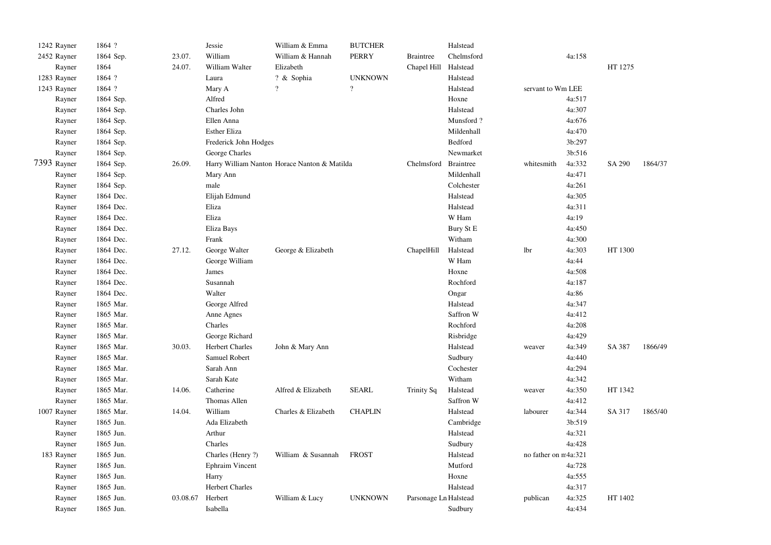| 1242 Rayner | 1864 ?    |          | Jessie                 | William & Emma                               | <b>BUTCHER</b> |                       | Halstead   |                      |        |         |         |
|-------------|-----------|----------|------------------------|----------------------------------------------|----------------|-----------------------|------------|----------------------|--------|---------|---------|
| 2452 Rayner | 1864 Sep. | 23.07.   | William                | William & Hannah                             | <b>PERRY</b>   | <b>Braintree</b>      | Chelmsford |                      | 4a:158 |         |         |
| Rayner      | 1864      | 24.07.   | William Walter         | Elizabeth                                    |                | Chapel Hill           | Halstead   |                      |        | HT 1275 |         |
| 1283 Rayner | 1864 ?    |          | Laura                  | ? & Sophia                                   | <b>UNKNOWN</b> |                       | Halstead   |                      |        |         |         |
| 1243 Rayner | 1864 ?    |          | Mary A                 | $\gamma$                                     | $\gamma$       |                       | Halstead   | servant to Wm LEE    |        |         |         |
| Rayner      | 1864 Sep. |          | Alfred                 |                                              |                |                       | Hoxne      |                      | 4a:517 |         |         |
| Rayner      | 1864 Sep. |          | Charles John           |                                              |                |                       | Halstead   |                      | 4a:307 |         |         |
| Rayner      | 1864 Sep. |          | Ellen Anna             |                                              |                |                       | Munsford?  |                      | 4a:676 |         |         |
| Rayner      | 1864 Sep. |          | <b>Esther Eliza</b>    |                                              |                |                       | Mildenhall |                      | 4a:470 |         |         |
| Rayner      | 1864 Sep. |          | Frederick John Hodges  |                                              |                |                       | Bedford    |                      | 3b:297 |         |         |
| Rayner      | 1864 Sep. |          | George Charles         |                                              |                |                       | Newmarket  |                      | 3b:516 |         |         |
| 7393 Rayner | 1864 Sep. | 26.09.   |                        | Harry William Nanton Horace Nanton & Matilda |                | Chelmsford            | Braintree  | whitesmith           | 4a:332 | SA 290  | 1864/37 |
| Rayner      | 1864 Sep. |          | Mary Ann               |                                              |                |                       | Mildenhall |                      | 4a:471 |         |         |
| Rayner      | 1864 Sep. |          | male                   |                                              |                |                       | Colchester |                      | 4a:261 |         |         |
| Rayner      | 1864 Dec. |          | Elijah Edmund          |                                              |                |                       | Halstead   |                      | 4a:305 |         |         |
| Rayner      | 1864 Dec. |          | Eliza                  |                                              |                |                       | Halstead   |                      | 4a:311 |         |         |
| Rayner      | 1864 Dec. |          | Eliza                  |                                              |                |                       | W Ham      |                      | 4a:19  |         |         |
| Rayner      | 1864 Dec. |          | Eliza Bays             |                                              |                |                       | Bury St E  |                      | 4a:450 |         |         |
| Rayner      | 1864 Dec. |          | Frank                  |                                              |                |                       | Witham     |                      | 4a:300 |         |         |
| Rayner      | 1864 Dec. | 27.12.   | George Walter          | George & Elizabeth                           |                | ChapelHill            | Halstead   | lbr                  | 4a:303 | HT 1300 |         |
| Rayner      | 1864 Dec. |          | George William         |                                              |                |                       | W Ham      |                      | 4a:44  |         |         |
| Rayner      | 1864 Dec. |          | James                  |                                              |                |                       | Hoxne      |                      | 4a:508 |         |         |
| Rayner      | 1864 Dec. |          | Susannah               |                                              |                |                       | Rochford   |                      | 4a:187 |         |         |
| Rayner      | 1864 Dec. |          | Walter                 |                                              |                |                       | Ongar      |                      | 4a:86  |         |         |
| Rayner      | 1865 Mar. |          | George Alfred          |                                              |                |                       | Halstead   |                      | 4a:347 |         |         |
| Rayner      | 1865 Mar. |          | Anne Agnes             |                                              |                |                       | Saffron W  |                      | 4a:412 |         |         |
| Rayner      | 1865 Mar. |          | Charles                |                                              |                |                       | Rochford   |                      | 4a:208 |         |         |
| Rayner      | 1865 Mar. |          | George Richard         |                                              |                |                       | Risbridge  |                      | 4a:429 |         |         |
| Rayner      | 1865 Mar. | 30.03.   | <b>Herbert Charles</b> | John & Mary Ann                              |                |                       | Halstead   | weaver               | 4a:349 | SA 387  | 1866/49 |
| Rayner      | 1865 Mar. |          | Samuel Robert          |                                              |                |                       | Sudbury    |                      | 4a:440 |         |         |
| Rayner      | 1865 Mar. |          | Sarah Ann              |                                              |                |                       | Cochester  |                      | 4a:294 |         |         |
| Rayner      | 1865 Mar. |          | Sarah Kate             |                                              |                |                       | Witham     |                      | 4a:342 |         |         |
| Rayner      | 1865 Mar. | 14.06.   | Catherine              | Alfred & Elizabeth                           | <b>SEARL</b>   | <b>Trinity Sq</b>     | Halstead   | weaver               | 4a:350 | HT 1342 |         |
| Rayner      | 1865 Mar. |          | Thomas Allen           |                                              |                |                       | Saffron W  |                      | 4a:412 |         |         |
| 1007 Rayner | 1865 Mar. | 14.04.   | William                | Charles & Elizabeth                          | <b>CHAPLIN</b> |                       | Halstead   | labourer             | 4a:344 | SA 317  | 1865/40 |
| Rayner      | 1865 Jun. |          | Ada Elizabeth          |                                              |                |                       | Cambridge  |                      | 3b:519 |         |         |
| Rayner      | 1865 Jun. |          | Arthur                 |                                              |                |                       | Halstead   |                      | 4a:321 |         |         |
| Rayner      | 1865 Jun. |          | Charles                |                                              |                |                       | Sudbury    |                      | 4a:428 |         |         |
| 183 Rayner  | 1865 Jun. |          | Charles (Henry ?)      | William & Susannah                           | <b>FROST</b>   |                       | Halstead   | no father on m4a:321 |        |         |         |
| Rayner      | 1865 Jun. |          | Ephraim Vincent        |                                              |                |                       | Mutford    |                      | 4a:728 |         |         |
| Rayner      | 1865 Jun. |          | Harry                  |                                              |                |                       | Hoxne      |                      | 4a:555 |         |         |
| Rayner      | 1865 Jun. |          | <b>Herbert Charles</b> |                                              |                |                       | Halstead   |                      | 4a:317 |         |         |
| Rayner      | 1865 Jun. | 03.08.67 | Herbert                | William & Lucy                               | <b>UNKNOWN</b> | Parsonage Ln Halstead |            | publican             | 4a:325 | HT 1402 |         |
| Rayner      | 1865 Jun. |          | Isabella               |                                              |                |                       | Sudbury    |                      | 4a:434 |         |         |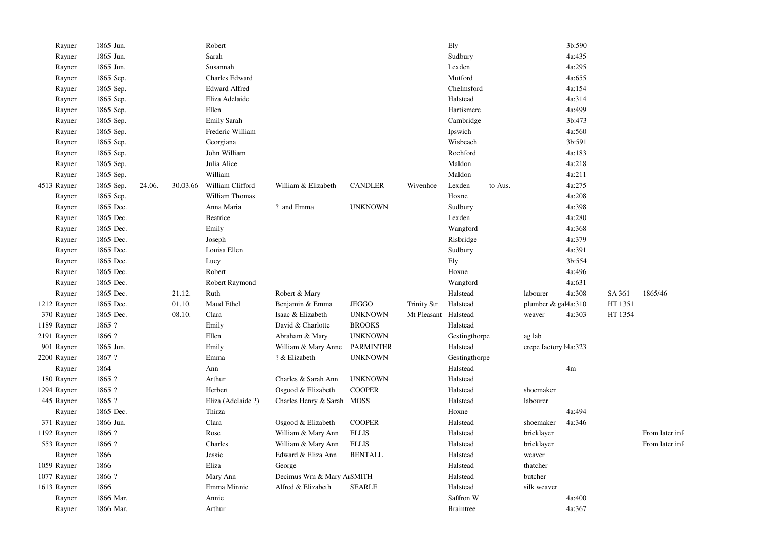| Rayner      | 1865 Jun. |        |          | Robert               |                            |                  |                    | Ely               |                           | 3b:590 |         |                |
|-------------|-----------|--------|----------|----------------------|----------------------------|------------------|--------------------|-------------------|---------------------------|--------|---------|----------------|
| Rayner      | 1865 Jun. |        |          | Sarah                |                            |                  |                    | Sudbury           |                           | 4a:435 |         |                |
| Rayner      | 1865 Jun. |        |          | Susannah             |                            |                  |                    | Lexden            |                           | 4a:295 |         |                |
| Rayner      | 1865 Sep. |        |          | Charles Edward       |                            |                  |                    | Mutford           |                           | 4a:655 |         |                |
| Rayner      | 1865 Sep. |        |          | <b>Edward Alfred</b> |                            |                  |                    | Chelmsford        |                           | 4a:154 |         |                |
| Rayner      | 1865 Sep. |        |          | Eliza Adelaide       |                            |                  |                    | Halstead          |                           | 4a:314 |         |                |
| Rayner      | 1865 Sep. |        |          | Ellen                |                            |                  |                    | Hartismere        |                           | 4a:499 |         |                |
| Rayner      | 1865 Sep. |        |          | <b>Emily Sarah</b>   |                            |                  |                    | Cambridge         |                           | 3b:473 |         |                |
| Rayner      | 1865 Sep. |        |          | Frederic William     |                            |                  |                    | Ipswich           |                           | 4a:560 |         |                |
| Rayner      | 1865 Sep. |        |          | Georgiana            |                            |                  |                    | Wisbeach          |                           | 3b:591 |         |                |
| Rayner      | 1865 Sep. |        |          | John William         |                            |                  |                    | Rochford          |                           | 4a:183 |         |                |
| Rayner      | 1865 Sep. |        |          | Julia Alice          |                            |                  |                    | Maldon            |                           | 4a:218 |         |                |
| Rayner      | 1865 Sep. |        |          | William              |                            |                  |                    | Maldon            |                           | 4a:211 |         |                |
| 4513 Rayner | 1865 Sep. | 24.06. | 30.03.66 | William Clifford     | William & Elizabeth        | <b>CANDLER</b>   | Wivenhoe           | Lexden<br>to Aus. |                           | 4a:275 |         |                |
| Rayner      | 1865 Sep. |        |          | William Thomas       |                            |                  |                    | Hoxne             |                           | 4a:208 |         |                |
| Rayner      | 1865 Dec. |        |          | Anna Maria           | ? and Emma                 | <b>UNKNOWN</b>   |                    | Sudbury           |                           | 4a:398 |         |                |
| Rayner      | 1865 Dec. |        |          | Beatrice             |                            |                  |                    | Lexden            |                           | 4a:280 |         |                |
| Rayner      | 1865 Dec. |        |          | Emily                |                            |                  |                    | Wangford          |                           | 4a:368 |         |                |
| Rayner      | 1865 Dec. |        |          | Joseph               |                            |                  |                    | Risbridge         |                           | 4a:379 |         |                |
| Rayner      | 1865 Dec. |        |          | Louisa Ellen         |                            |                  |                    | Sudbury           |                           | 4a:391 |         |                |
| Rayner      | 1865 Dec. |        |          | Lucy                 |                            |                  |                    | Ely               |                           | 3b:554 |         |                |
| Rayner      | 1865 Dec. |        |          | Robert               |                            |                  |                    | Hoxne             |                           | 4a:496 |         |                |
| Rayner      | 1865 Dec. |        |          | Robert Raymond       |                            |                  |                    | Wangford          |                           | 4a:631 |         |                |
| Rayner      | 1865 Dec. |        | 21.12.   | Ruth                 | Robert & Mary              |                  |                    | Halstead          | labourer                  | 4a:308 | SA 361  | 1865/46        |
| 1212 Rayner | 1865 Dec. |        | 01.10.   | Maud Ethel           | Benjamin & Emma            | <b>JEGGO</b>     | <b>Trinity Str</b> | Halstead          | plumber $\&$ gal $4a:310$ |        | HT 1351 |                |
| 370 Rayner  | 1865 Dec. |        | 08.10.   | Clara                | Isaac & Elizabeth          | <b>UNKNOWN</b>   | Mt Pleasant        | Halstead          | weaver                    | 4a:303 | HT 1354 |                |
| 1189 Rayner | 1865 ?    |        |          | Emily                | David & Charlotte          | <b>BROOKS</b>    |                    | Halstead          |                           |        |         |                |
| 2191 Rayner | 1866 ?    |        |          | Ellen                | Abraham & Mary             | <b>UNKNOWN</b>   |                    | Gestingthorpe     | ag lab                    |        |         |                |
| 901 Rayner  | 1865 Jun. |        |          | Emily                | William & Mary Anne        | <b>PARMINTER</b> |                    | Halstead          | crepe factory ł4a:323     |        |         |                |
| 2200 Rayner | 1867 ?    |        |          | Emma                 | ? & Elizabeth              | <b>UNKNOWN</b>   |                    | Gestingthorpe     |                           |        |         |                |
| Rayner      | 1864      |        |          | Ann                  |                            |                  |                    | Halstead          |                           | 4m     |         |                |
| 180 Rayner  | 1865 ?    |        |          | Arthur               | Charles & Sarah Ann        | <b>UNKNOWN</b>   |                    | Halstead          |                           |        |         |                |
| 1294 Rayner | 1865 ?    |        |          | Herbert              | Osgood & Elizabeth         | <b>COOPER</b>    |                    | Halstead          | shoemaker                 |        |         |                |
| 445 Rayner  | 1865 ?    |        |          | Eliza (Adelaide ?)   | Charles Henry & Sarah MOSS |                  |                    | Halstead          | labourer                  |        |         |                |
| Rayner      | 1865 Dec. |        |          | Thirza               |                            |                  |                    | Hoxne             |                           | 4a:494 |         |                |
| 371 Rayner  | 1866 Jun. |        |          | Clara                | Osgood & Elizabeth         | <b>COOPER</b>    |                    | Halstead          | shoemaker                 | 4a:346 |         |                |
| 1192 Rayner | 1866 ?    |        |          | Rose                 | William & Mary Ann         | <b>ELLIS</b>     |                    | Halstead          | bricklayer                |        |         | From later inf |
| 553 Rayner  | 1866 ?    |        |          | Charles              | William & Mary Ann         | <b>ELLIS</b>     |                    | Halstead          | bricklayer                |        |         | From later inf |
| Rayner      | 1866      |        |          | Jessie               | Edward & Eliza Ann         | <b>BENTALL</b>   |                    | Halstead          | weaver                    |        |         |                |
| 1059 Rayner | 1866      |        |          | Eliza                | George                     |                  |                    | Halstead          | thatcher                  |        |         |                |
| 1077 Rayner | 1866 ?    |        |          | Mary Ann             | Decimus Wm & Mary ArSMITH  |                  |                    | Halstead          | butcher                   |        |         |                |
| 1613 Rayner | 1866      |        |          | Emma Minnie          | Alfred & Elizabeth         | <b>SEARLE</b>    |                    | Halstead          | silk weaver               |        |         |                |
| Rayner      | 1866 Mar. |        |          | Annie                |                            |                  |                    | Saffron W         |                           | 4a:400 |         |                |
| Rayner      | 1866 Mar. |        |          | Arthur               |                            |                  |                    | <b>Braintree</b>  |                           | 4a:367 |         |                |
|             |           |        |          |                      |                            |                  |                    |                   |                           |        |         |                |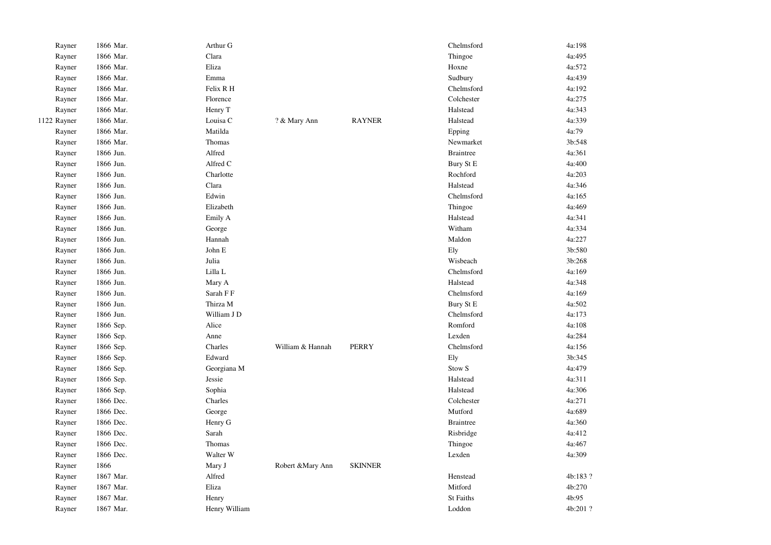| Rayner      | 1866 Mar. | Arthur G      |                   |                | Chelmsford        | 4a:198   |
|-------------|-----------|---------------|-------------------|----------------|-------------------|----------|
| Rayner      | 1866 Mar. | Clara         |                   |                | Thingoe           | 4a:495   |
| Rayner      | 1866 Mar. | Eliza         |                   |                | Hoxne             | 4a:572   |
| Rayner      | 1866 Mar. | Emma          |                   |                | Sudbury           | 4a:439   |
| Rayner      | 1866 Mar. | Felix R H     |                   |                | Chelmsford        | 4a:192   |
| Rayner      | 1866 Mar. | Florence      |                   |                | Colchester        | 4a:275   |
| Rayner      | 1866 Mar. | Henry T       |                   |                | Halstead          | 4a:343   |
| 1122 Rayner | 1866 Mar. | Louisa C      | ? & Mary Ann      | <b>RAYNER</b>  | Halstead          | 4a:339   |
| Rayner      | 1866 Mar. | Matilda       |                   |                | Epping            | 4a:79    |
| Rayner      | 1866 Mar. | Thomas        |                   |                | Newmarket         | 3b:548   |
| Rayner      | 1866 Jun. | Alfred        |                   |                | <b>Braintree</b>  | 4a:361   |
| Rayner      | 1866 Jun. | Alfred C      |                   |                | Bury St E         | 4a:400   |
| Rayner      | 1866 Jun. | Charlotte     |                   |                | Rochford          | 4a:203   |
| Rayner      | 1866 Jun. | Clara         |                   |                | Halstead          | 4a:346   |
| Rayner      | 1866 Jun. | Edwin         |                   |                | Chelmsford        | 4a:165   |
| Rayner      | 1866 Jun. | Elizabeth     |                   |                | Thingoe           | 4a:469   |
| Rayner      | 1866 Jun. | Emily A       |                   |                | Halstead          | 4a:341   |
| Rayner      | 1866 Jun. | George        |                   |                | Witham            | 4a:334   |
| Rayner      | 1866 Jun. | Hannah        |                   |                | Maldon            | 4a:227   |
| Rayner      | 1866 Jun. | John E        |                   |                | Ely               | 3b:580   |
| Rayner      | 1866 Jun. | Julia         |                   |                | Wisbeach          | 3b:268   |
| Rayner      | 1866 Jun. | Lilla L       |                   |                | Chelmsford        | 4a:169   |
| Rayner      | 1866 Jun. | Mary A        |                   |                | Halstead          | 4a:348   |
| Rayner      | 1866 Jun. | Sarah F F     |                   |                | Chelmsford        | 4a:169   |
| Rayner      | 1866 Jun. | Thirza M      |                   |                | Bury St E         | 4a:502   |
| Rayner      | 1866 Jun. | William J D   |                   |                | Chelmsford        | 4a:173   |
| Rayner      | 1866 Sep. | Alice         |                   |                | Romford           | 4a:108   |
| Rayner      | 1866 Sep. | Anne          |                   |                | Lexden            | 4a:284   |
| Rayner      | 1866 Sep. | Charles       | William & Hannah  | <b>PERRY</b>   | Chelmsford        | 4a:156   |
| Rayner      | 1866 Sep. | Edward        |                   |                | Ely               | 3b:345   |
| Rayner      | 1866 Sep. | Georgiana M   |                   |                | Stow <sub>S</sub> | 4a:479   |
| Rayner      | 1866 Sep. | Jessie        |                   |                | Halstead          | 4a:311   |
| Rayner      | 1866 Sep. | Sophia        |                   |                | Halstead          | 4a:306   |
| Rayner      | 1866 Dec. | Charles       |                   |                | Colchester        | 4a:271   |
| Rayner      | 1866 Dec. | George        |                   |                | Mutford           | 4a:689   |
| Rayner      | 1866 Dec. | Henry G       |                   |                | <b>Braintree</b>  | 4a:360   |
| Rayner      | 1866 Dec. | Sarah         |                   |                | Risbridge         | 4a:412   |
| Rayner      | 1866 Dec. | Thomas        |                   |                | Thingoe           | 4a:467   |
| Rayner      | 1866 Dec. | Walter W      |                   |                | Lexden            | 4a:309   |
| Rayner      | 1866      | Mary J        | Robert & Mary Ann | <b>SKINNER</b> |                   |          |
| Rayner      | 1867 Mar. | Alfred        |                   |                | Henstead          | 4b:183?  |
| Rayner      | 1867 Mar. | Eliza         |                   |                | Mitford           | 4b:270   |
| Rayner      | 1867 Mar. | Henry         |                   |                | St Faiths         | 4b:95    |
| Rayner      | 1867 Mar. | Henry William |                   |                | Loddon            | 4b:201 ? |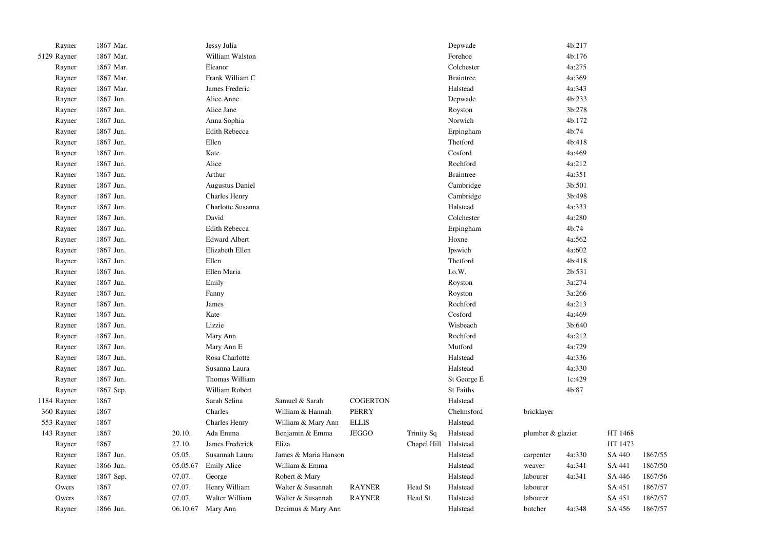| Rayner      | 1867 Mar. |          | Jessy Julia            |                      |                 |                   | Depwade          |                   | 4b:217 |         |         |
|-------------|-----------|----------|------------------------|----------------------|-----------------|-------------------|------------------|-------------------|--------|---------|---------|
| 5129 Rayner | 1867 Mar. |          | William Walston        |                      |                 |                   | Forehoe          |                   | 4b:176 |         |         |
| Rayner      | 1867 Mar. |          | Eleanor                |                      |                 |                   | Colchester       |                   | 4a:275 |         |         |
| Rayner      | 1867 Mar. |          | Frank William C        |                      |                 |                   | <b>Braintree</b> |                   | 4a:369 |         |         |
| Rayner      | 1867 Mar. |          | James Frederic         |                      |                 |                   | Halstead         |                   | 4a:343 |         |         |
| Rayner      | 1867 Jun. |          | Alice Anne             |                      |                 |                   | Depwade          |                   | 4b:233 |         |         |
| Rayner      | 1867 Jun. |          | Alice Jane             |                      |                 |                   | Royston          |                   | 3b:278 |         |         |
| Rayner      | 1867 Jun. |          | Anna Sophia            |                      |                 |                   | Norwich          |                   | 4b:172 |         |         |
| Rayner      | 1867 Jun. |          | Edith Rebecca          |                      |                 |                   | Erpingham        |                   | 4b:74  |         |         |
| Rayner      | 1867 Jun. |          | Ellen                  |                      |                 |                   | Thetford         |                   | 4b:418 |         |         |
| Rayner      | 1867 Jun. |          | Kate                   |                      |                 |                   | Cosford          |                   | 4a:469 |         |         |
| Rayner      | 1867 Jun. |          | Alice                  |                      |                 |                   | Rochford         |                   | 4a:212 |         |         |
| Rayner      | 1867 Jun. |          | Arthur                 |                      |                 |                   | <b>Braintree</b> |                   | 4a:351 |         |         |
| Rayner      | 1867 Jun. |          | <b>Augustus Daniel</b> |                      |                 |                   | Cambridge        |                   | 3b:501 |         |         |
| Rayner      | 1867 Jun. |          | <b>Charles Henry</b>   |                      |                 |                   | Cambridge        |                   | 3b:498 |         |         |
| Rayner      | 1867 Jun. |          | Charlotte Susanna      |                      |                 |                   | Halstead         |                   | 4a:333 |         |         |
| Rayner      | 1867 Jun. |          | David                  |                      |                 |                   | Colchester       |                   | 4a:280 |         |         |
| Rayner      | 1867 Jun. |          | Edith Rebecca          |                      |                 |                   | Erpingham        |                   | 4b:74  |         |         |
| Rayner      | 1867 Jun. |          | <b>Edward Albert</b>   |                      |                 |                   | Hoxne            |                   | 4a:562 |         |         |
| Rayner      | 1867 Jun. |          | Elizabeth Ellen        |                      |                 |                   | Ipswich          |                   | 4a:602 |         |         |
| Rayner      | 1867 Jun. |          | Ellen                  |                      |                 |                   | Thetford         |                   | 4b:418 |         |         |
| Rayner      | 1867 Jun. |          | Ellen Maria            |                      |                 |                   | I.o.W.           |                   | 2b:531 |         |         |
| Rayner      | 1867 Jun. |          | Emily                  |                      |                 |                   | Royston          |                   | 3a:274 |         |         |
| Rayner      | 1867 Jun. |          | Fanny                  |                      |                 |                   | Royston          |                   | 3a:266 |         |         |
| Rayner      | 1867 Jun. |          | James                  |                      |                 |                   | Rochford         |                   | 4a:213 |         |         |
| Rayner      | 1867 Jun. |          | Kate                   |                      |                 |                   | Cosford          |                   | 4a:469 |         |         |
| Rayner      | 1867 Jun. |          | Lizzie                 |                      |                 |                   | Wisbeach         |                   | 3b:640 |         |         |
| Rayner      | 1867 Jun. |          | Mary Ann               |                      |                 |                   | Rochford         |                   | 4a:212 |         |         |
| Rayner      | 1867 Jun. |          | Mary Ann E             |                      |                 |                   | Mutford          |                   | 4a:729 |         |         |
| Rayner      | 1867 Jun. |          | Rosa Charlotte         |                      |                 |                   | Halstead         |                   | 4a:336 |         |         |
| Rayner      | 1867 Jun. |          | Susanna Laura          |                      |                 |                   | Halstead         |                   | 4a:330 |         |         |
| Rayner      | 1867 Jun. |          | Thomas William         |                      |                 |                   | St George E      |                   | 1c:429 |         |         |
| Rayner      | 1867 Sep. |          | William Robert         |                      |                 |                   | St Faiths        |                   | 4b:87  |         |         |
| 1184 Rayner | 1867      |          | Sarah Selina           | Samuel & Sarah       | <b>COGERTON</b> |                   | Halstead         |                   |        |         |         |
| 360 Rayner  | 1867      |          | Charles                | William & Hannah     | <b>PERRY</b>    |                   | Chelmsford       | bricklayer        |        |         |         |
| 553 Rayner  | 1867      |          | Charles Henry          | William & Mary Ann   | <b>ELLIS</b>    |                   | Halstead         |                   |        |         |         |
| 143 Rayner  | 1867      | 20.10.   | Ada Emma               | Benjamin & Emma      | <b>JEGGO</b>    | <b>Trinity Sq</b> | Halstead         | plumber & glazier |        | HT 1468 |         |
| Rayner      | 1867      | 27.10.   | James Frederick        | Eliza                |                 | Chapel Hill       | Halstead         |                   |        | HT 1473 |         |
| Rayner      | 1867 Jun. | 05.05.   | Susannah Laura         | James & Maria Hanson |                 |                   | Halstead         | carpenter         | 4a:330 | SA 440  | 1867/55 |
| Rayner      | 1866 Jun. | 05.05.67 | <b>Emily Alice</b>     | William & Emma       |                 |                   | Halstead         | weaver            | 4a:341 | SA 441  | 1867/50 |
| Rayner      | 1867 Sep. | 07.07.   | George                 | Robert & Mary        |                 |                   | Halstead         | labourer          | 4a:341 | SA 446  | 1867/56 |
| Owers       | 1867      | 07.07.   | Henry William          | Walter & Susannah    | <b>RAYNER</b>   | Head St           | Halstead         | labourer          |        | SA 451  | 1867/57 |
| Owers       | 1867      | 07.07.   | Walter William         | Walter & Susannah    | <b>RAYNER</b>   | Head St           | Halstead         | labourer          |        | SA 451  | 1867/57 |
| Rayner      | 1866 Jun. |          | 06.10.67 Mary Ann      | Decimus & Mary Ann   |                 |                   | Halstead         | butcher           | 4a:348 | SA 456  | 1867/57 |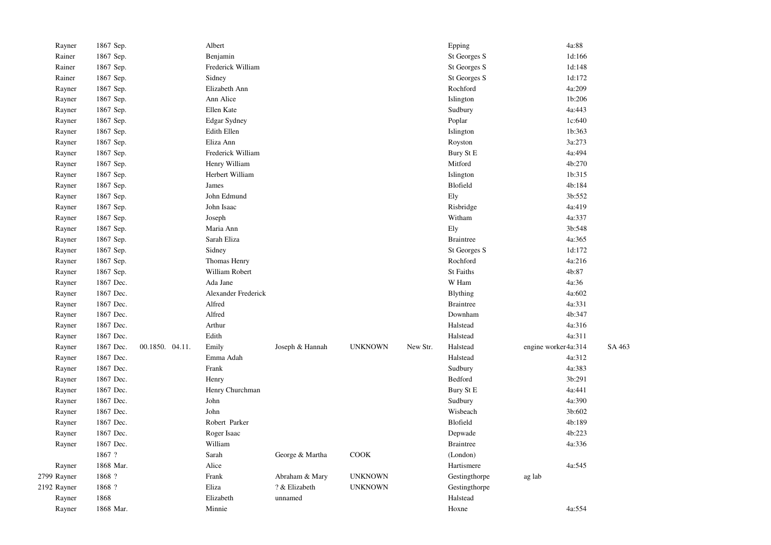| Rayner      | 1867 Sep. |                 | Albert              |                 |                |          | Epping           | 4a:88               |        |
|-------------|-----------|-----------------|---------------------|-----------------|----------------|----------|------------------|---------------------|--------|
| Rainer      | 1867 Sep. |                 | Benjamin            |                 |                |          | St Georges S     | 1d:166              |        |
| Rainer      | 1867 Sep. |                 | Frederick William   |                 |                |          | St Georges S     | 1d:148              |        |
| Rainer      | 1867 Sep. |                 | Sidney              |                 |                |          | St Georges S     | 1d:172              |        |
| Rayner      | 1867 Sep. |                 | Elizabeth Ann       |                 |                |          | Rochford         | 4a:209              |        |
| Rayner      | 1867 Sep. |                 | Ann Alice           |                 |                |          | Islington        | 1b:206              |        |
| Rayner      | 1867 Sep. |                 | Ellen Kate          |                 |                |          | Sudbury          | 4a:443              |        |
| Rayner      | 1867 Sep. |                 | <b>Edgar Sydney</b> |                 |                |          | Poplar           | 1c:640              |        |
| Rayner      | 1867 Sep. |                 | <b>Edith Ellen</b>  |                 |                |          | Islington        | 1b:363              |        |
| Rayner      | 1867 Sep. |                 | Eliza Ann           |                 |                |          | Royston          | 3a:273              |        |
| Rayner      | 1867 Sep. |                 | Frederick William   |                 |                |          | Bury St E        | 4a:494              |        |
| Rayner      | 1867 Sep. |                 | Henry William       |                 |                |          | Mitford          | 4b:270              |        |
| Rayner      | 1867 Sep. |                 | Herbert William     |                 |                |          | Islington        | 1b:315              |        |
| Rayner      | 1867 Sep. |                 | James               |                 |                |          | Blofield         | 4b:184              |        |
| Rayner      | 1867 Sep. |                 | John Edmund         |                 |                |          | Ely              | 3b:552              |        |
| Rayner      | 1867 Sep. |                 | John Isaac          |                 |                |          | Risbridge        | 4a:419              |        |
| Rayner      | 1867 Sep. |                 | Joseph              |                 |                |          | Witham           | 4a:337              |        |
| Rayner      | 1867 Sep. |                 | Maria Ann           |                 |                |          | Ely              | 3b:548              |        |
| Rayner      | 1867 Sep. |                 | Sarah Eliza         |                 |                |          | <b>Braintree</b> | 4a:365              |        |
| Rayner      | 1867 Sep. |                 | Sidney              |                 |                |          | St Georges S     | 1d:172              |        |
| Rayner      | 1867 Sep. |                 | Thomas Henry        |                 |                |          | Rochford         | 4a:216              |        |
| Rayner      | 1867 Sep. |                 | William Robert      |                 |                |          | <b>St Faiths</b> | 4b:87               |        |
| Rayner      | 1867 Dec. |                 | Ada Jane            |                 |                |          | W Ham            | 4a:36               |        |
| Rayner      | 1867 Dec. |                 | Alexander Frederick |                 |                |          | <b>Blything</b>  | 4a:602              |        |
| Rayner      | 1867 Dec. |                 | Alfred              |                 |                |          | <b>Braintree</b> | 4a:331              |        |
| Rayner      | 1867 Dec. |                 | Alfred              |                 |                |          | Downham          | 4b:347              |        |
| Rayner      | 1867 Dec. |                 | Arthur              |                 |                |          | Halstead         | 4a:316              |        |
| Rayner      | 1867 Dec. |                 | Edith               |                 |                |          | Halstead         | 4a:311              |        |
| Rayner      | 1867 Dec. | 00.1850. 04.11. | Emily               | Joseph & Hannah | <b>UNKNOWN</b> | New Str. | Halstead         | engine worker4a:314 | SA 463 |
| Rayner      | 1867 Dec. |                 | Emma Adah           |                 |                |          | Halstead         | 4a:312              |        |
| Rayner      | 1867 Dec. |                 | Frank               |                 |                |          | Sudbury          | 4a:383              |        |
| Rayner      | 1867 Dec. |                 | Henry               |                 |                |          | Bedford          | 3b:291              |        |
| Rayner      | 1867 Dec. |                 | Henry Churchman     |                 |                |          | Bury St E        | 4a:441              |        |
| Rayner      | 1867 Dec. |                 | John                |                 |                |          | Sudbury          | 4a:390              |        |
| Rayner      | 1867 Dec. |                 | John                |                 |                |          | Wisbeach         | 3b:602              |        |
| Rayner      | 1867 Dec. |                 | Robert Parker       |                 |                |          | Blofield         | 4b:189              |        |
| Rayner      | 1867 Dec. |                 | Roger Isaac         |                 |                |          | Depwade          | 4b:223              |        |
| Rayner      | 1867 Dec. |                 | William             |                 |                |          | <b>Braintree</b> | 4a:336              |        |
|             | 1867 ?    |                 | Sarah               | George & Martha | COOK           |          | (London)         |                     |        |
| Rayner      | 1868 Mar. |                 | Alice               |                 |                |          | Hartismere       | 4a:545              |        |
| 2799 Rayner | 1868 ?    |                 | Frank               | Abraham & Mary  | <b>UNKNOWN</b> |          | Gestingthorpe    | ag lab              |        |
| 2192 Rayner | 1868 ?    |                 | Eliza               | ? & Elizabeth   | <b>UNKNOWN</b> |          | Gestingthorpe    |                     |        |
| Rayner      | 1868      |                 | Elizabeth           | unnamed         |                |          | Halstead         |                     |        |
| Rayner      | 1868 Mar. |                 | Minnie              |                 |                |          | Hoxne            | 4a:554              |        |
|             |           |                 |                     |                 |                |          |                  |                     |        |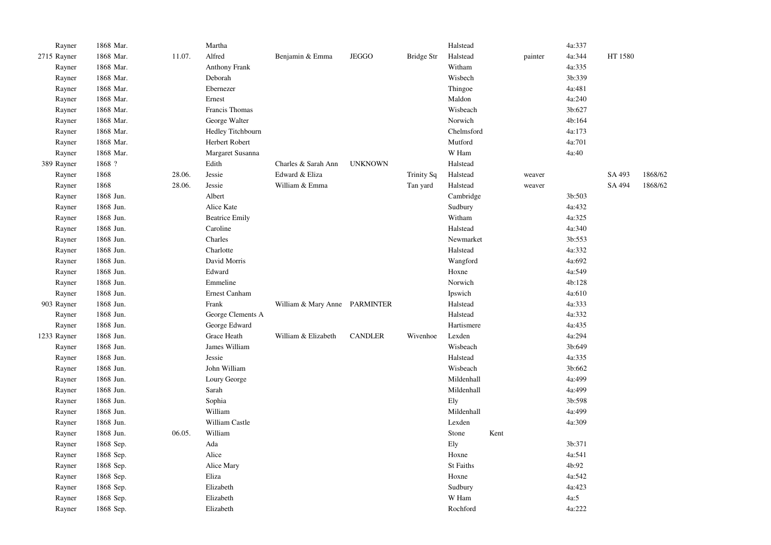| Rayner      | 1868 Mar. |        | Martha                |                               |                |                   | Halstead   |      |         | 4a:337 |         |         |
|-------------|-----------|--------|-----------------------|-------------------------------|----------------|-------------------|------------|------|---------|--------|---------|---------|
| 2715 Rayner | 1868 Mar. | 11.07. | Alfred                | Benjamin & Emma               | <b>JEGGO</b>   | Bridge Str        | Halstead   |      | painter | 4a:344 | HT 1580 |         |
| Rayner      | 1868 Mar. |        | <b>Anthony Frank</b>  |                               |                |                   | Witham     |      |         | 4a:335 |         |         |
| Rayner      | 1868 Mar. |        | Deborah               |                               |                |                   | Wisbech    |      |         | 3b:339 |         |         |
| Rayner      | 1868 Mar. |        | Ebernezer             |                               |                |                   | Thingoe    |      |         | 4a:481 |         |         |
| Rayner      | 1868 Mar. |        | Ernest                |                               |                |                   | Maldon     |      |         | 4a:240 |         |         |
| Rayner      | 1868 Mar. |        | Francis Thomas        |                               |                |                   | Wisbeach   |      |         | 3b:627 |         |         |
| Rayner      | 1868 Mar. |        | George Walter         |                               |                |                   | Norwich    |      |         | 4b:164 |         |         |
| Rayner      | 1868 Mar. |        | Hedley Titchbourn     |                               |                |                   | Chelmsford |      |         | 4a:173 |         |         |
| Rayner      | 1868 Mar. |        | Herbert Robert        |                               |                |                   | Mutford    |      |         | 4a:701 |         |         |
| Rayner      | 1868 Mar. |        | Margaret Susanna      |                               |                |                   | W Ham      |      |         | 4a:40  |         |         |
| 389 Rayner  | 1868 ?    |        | Edith                 | Charles & Sarah Ann           | <b>UNKNOWN</b> |                   | Halstead   |      |         |        |         |         |
| Rayner      | 1868      | 28.06. | Jessie                | Edward & Eliza                |                | <b>Trinity Sq</b> | Halstead   |      | weaver  |        | SA 493  | 1868/62 |
| Rayner      | 1868      | 28.06. | Jessie                | William & Emma                |                | Tan yard          | Halstead   |      | weaver  |        | SA 494  | 1868/62 |
| Rayner      | 1868 Jun. |        | Albert                |                               |                |                   | Cambridge  |      |         | 3b:503 |         |         |
| Rayner      | 1868 Jun. |        | Alice Kate            |                               |                |                   | Sudbury    |      |         | 4a:432 |         |         |
| Rayner      | 1868 Jun. |        | <b>Beatrice Emily</b> |                               |                |                   | Witham     |      |         | 4a:325 |         |         |
| Rayner      | 1868 Jun. |        | Caroline              |                               |                |                   | Halstead   |      |         | 4a:340 |         |         |
| Rayner      | 1868 Jun. |        | Charles               |                               |                |                   | Newmarket  |      |         | 3b:553 |         |         |
| Rayner      | 1868 Jun. |        | Charlotte             |                               |                |                   | Halstead   |      |         | 4a:332 |         |         |
| Rayner      | 1868 Jun. |        | David Morris          |                               |                |                   | Wangford   |      |         | 4a:692 |         |         |
| Rayner      | 1868 Jun. |        | Edward                |                               |                |                   | Hoxne      |      |         | 4a:549 |         |         |
| Rayner      | 1868 Jun. |        | Emmeline              |                               |                |                   | Norwich    |      |         | 4b:128 |         |         |
| Rayner      | 1868 Jun. |        | Ernest Canham         |                               |                |                   | Ipswich    |      |         | 4a:610 |         |         |
| 903 Rayner  | 1868 Jun. |        | Frank                 | William & Mary Anne PARMINTER |                |                   | Halstead   |      |         | 4a:333 |         |         |
| Rayner      | 1868 Jun. |        | George Clements A     |                               |                |                   | Halstead   |      |         | 4a:332 |         |         |
| Rayner      | 1868 Jun. |        | George Edward         |                               |                |                   | Hartismere |      |         | 4a:435 |         |         |
| 1233 Rayner | 1868 Jun. |        | Grace Heath           | William & Elizabeth           | <b>CANDLER</b> | Wivenhoe          | Lexden     |      |         | 4a:294 |         |         |
| Rayner      | 1868 Jun. |        | James William         |                               |                |                   | Wisbeach   |      |         | 3b:649 |         |         |
| Rayner      | 1868 Jun. |        | Jessie                |                               |                |                   | Halstead   |      |         | 4a:335 |         |         |
| Rayner      | 1868 Jun. |        | John William          |                               |                |                   | Wisbeach   |      |         | 3b:662 |         |         |
| Rayner      | 1868 Jun. |        | Loury George          |                               |                |                   | Mildenhall |      |         | 4a:499 |         |         |
| Rayner      | 1868 Jun. |        | Sarah                 |                               |                |                   | Mildenhall |      |         | 4a:499 |         |         |
| Rayner      | 1868 Jun. |        | Sophia                |                               |                |                   | Ely        |      |         | 3b:598 |         |         |
| Rayner      | 1868 Jun. |        | William               |                               |                |                   | Mildenhall |      |         | 4a:499 |         |         |
| Rayner      | 1868 Jun. |        | William Castle        |                               |                |                   | Lexden     |      |         | 4a:309 |         |         |
| Rayner      | 1868 Jun. | 06.05. | William               |                               |                |                   | Stone      | Kent |         |        |         |         |
| Rayner      | 1868 Sep. |        | Ada                   |                               |                |                   | Ely        |      |         | 3b:371 |         |         |
| Rayner      | 1868 Sep. |        | Alice                 |                               |                |                   | Hoxne      |      |         | 4a:541 |         |         |
| Rayner      | 1868 Sep. |        | Alice Mary            |                               |                |                   | St Faiths  |      |         | 4b:92  |         |         |
| Rayner      | 1868 Sep. |        | Eliza                 |                               |                |                   | Hoxne      |      |         | 4a:542 |         |         |
| Rayner      | 1868 Sep. |        | Elizabeth             |                               |                |                   | Sudbury    |      |         | 4a:423 |         |         |
| Rayner      | 1868 Sep. |        | Elizabeth             |                               |                |                   | W Ham      |      |         | 4a:5   |         |         |
| Rayner      | 1868 Sep. |        | Elizabeth             |                               |                |                   | Rochford   |      |         | 4a:222 |         |         |
|             |           |        |                       |                               |                |                   |            |      |         |        |         |         |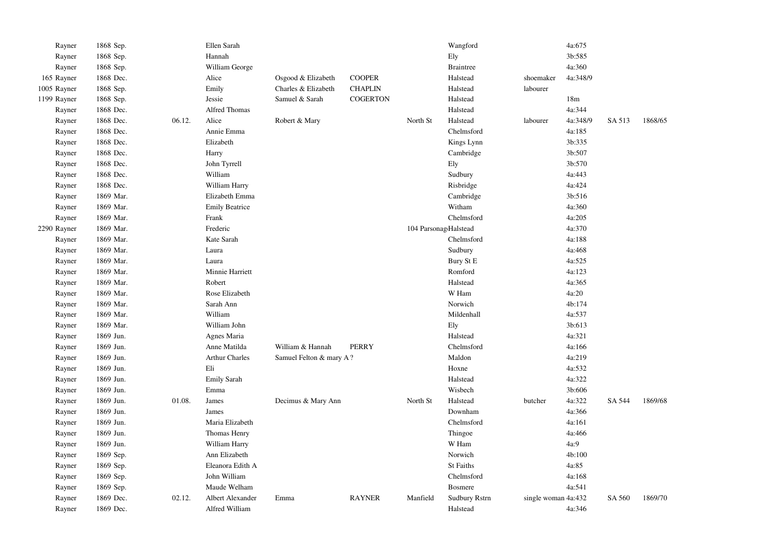| Rayner      | 1868 Sep. |        | Ellen Sarah           |                         |                 |                       | Wangford             |                     | 4a:675          |        |         |
|-------------|-----------|--------|-----------------------|-------------------------|-----------------|-----------------------|----------------------|---------------------|-----------------|--------|---------|
| Rayner      | 1868 Sep. |        | Hannah                |                         |                 |                       | Ely                  |                     | 3b:585          |        |         |
| Rayner      | 1868 Sep. |        | William George        |                         |                 |                       | <b>Braintree</b>     |                     | 4a:360          |        |         |
| 165 Rayner  | 1868 Dec. |        | Alice                 | Osgood & Elizabeth      | <b>COOPER</b>   |                       | Halstead             | shoemaker           | 4a:348/9        |        |         |
| 1005 Rayner | 1868 Sep. |        | Emily                 | Charles & Elizabeth     | <b>CHAPLIN</b>  |                       | Halstead             | labourer            |                 |        |         |
| 1199 Rayner | 1868 Sep. |        | Jessie                | Samuel & Sarah          | <b>COGERTON</b> |                       | Halstead             |                     | 18 <sub>m</sub> |        |         |
| Rayner      | 1868 Dec. |        | Alfred Thomas         |                         |                 |                       | Halstead             |                     | 4a:344          |        |         |
| Rayner      | 1868 Dec. | 06.12. | Alice                 | Robert & Mary           |                 | North St              | Halstead             | labourer            | 4a:348/9        | SA 513 | 1868/65 |
| Rayner      | 1868 Dec. |        | Annie Emma            |                         |                 |                       | Chelmsford           |                     | 4a:185          |        |         |
| Rayner      | 1868 Dec. |        | Elizabeth             |                         |                 |                       | Kings Lynn           |                     | 3b:335          |        |         |
| Rayner      | 1868 Dec. |        | Harry                 |                         |                 |                       | Cambridge            |                     | 3b:507          |        |         |
| Rayner      | 1868 Dec. |        | John Tyrrell          |                         |                 |                       | Ely                  |                     | 3b:570          |        |         |
| Rayner      | 1868 Dec. |        | William               |                         |                 |                       | Sudbury              |                     | 4a:443          |        |         |
| Rayner      | 1868 Dec. |        | William Harry         |                         |                 |                       | Risbridge            |                     | 4a:424          |        |         |
| Rayner      | 1869 Mar. |        | Elizabeth Emma        |                         |                 |                       | Cambridge            |                     | 3b:516          |        |         |
| Rayner      | 1869 Mar. |        | <b>Emily Beatrice</b> |                         |                 |                       | Witham               |                     | 4a:360          |        |         |
| Rayner      | 1869 Mar. |        | Frank                 |                         |                 |                       | Chelmsford           |                     | 4a:205          |        |         |
| 2290 Rayner | 1869 Mar. |        | Frederic              |                         |                 | 104 ParsonagdHalstead |                      |                     | 4a:370          |        |         |
| Rayner      | 1869 Mar. |        | Kate Sarah            |                         |                 |                       | Chelmsford           |                     | 4a:188          |        |         |
| Rayner      | 1869 Mar. |        | Laura                 |                         |                 |                       | Sudbury              |                     | 4a:468          |        |         |
| Rayner      | 1869 Mar. |        | Laura                 |                         |                 |                       | Bury St E            |                     | 4a:525          |        |         |
| Rayner      | 1869 Mar. |        | Minnie Harriett       |                         |                 |                       | Romford              |                     | 4a:123          |        |         |
| Rayner      | 1869 Mar. |        | Robert                |                         |                 |                       | Halstead             |                     | 4a:365          |        |         |
| Rayner      | 1869 Mar. |        | Rose Elizabeth        |                         |                 |                       | W Ham                |                     | 4a:20           |        |         |
| Rayner      | 1869 Mar. |        | Sarah Ann             |                         |                 |                       | Norwich              |                     | 4b:174          |        |         |
| Rayner      | 1869 Mar. |        | William               |                         |                 |                       | Mildenhall           |                     | 4a:537          |        |         |
| Rayner      | 1869 Mar. |        | William John          |                         |                 |                       | Ely                  |                     | 3b:613          |        |         |
| Rayner      | 1869 Jun. |        | Agnes Maria           |                         |                 |                       | Halstead             |                     | 4a:321          |        |         |
| Rayner      | 1869 Jun. |        | Anne Matilda          | William & Hannah        | <b>PERRY</b>    |                       | Chelmsford           |                     | 4a:166          |        |         |
| Rayner      | 1869 Jun. |        | <b>Arthur Charles</b> | Samuel Felton & mary A? |                 |                       | Maldon               |                     | 4a:219          |        |         |
| Rayner      | 1869 Jun. |        | Eli                   |                         |                 |                       | Hoxne                |                     | 4a:532          |        |         |
| Rayner      | 1869 Jun. |        | <b>Emily Sarah</b>    |                         |                 |                       | Halstead             |                     | 4a:322          |        |         |
| Rayner      | 1869 Jun. |        | Emma                  |                         |                 |                       | Wisbech              |                     | 3b:606          |        |         |
| Rayner      | 1869 Jun. | 01.08. | James                 | Decimus & Mary Ann      |                 | North St              | Halstead             | butcher             | 4a:322          | SA 544 | 1869/68 |
| Rayner      | 1869 Jun. |        | James                 |                         |                 |                       | Downham              |                     | 4a:366          |        |         |
| Rayner      | 1869 Jun. |        | Maria Elizabeth       |                         |                 |                       | Chelmsford           |                     | 4a:161          |        |         |
| Rayner      | 1869 Jun. |        | Thomas Henry          |                         |                 |                       | Thingoe              |                     | 4a:466          |        |         |
| Rayner      | 1869 Jun. |        | William Harry         |                         |                 |                       | W Ham                |                     | 4a:9            |        |         |
| Rayner      | 1869 Sep. |        | Ann Elizabeth         |                         |                 |                       | Norwich              |                     | 4b:100          |        |         |
| Rayner      | 1869 Sep. |        | Eleanora Edith A      |                         |                 |                       | St Faiths            |                     | 4a:85           |        |         |
| Rayner      | 1869 Sep. |        | John William          |                         |                 |                       | Chelmsford           |                     | 4a:168          |        |         |
| Rayner      | 1869 Sep. |        | Maude Welham          |                         |                 |                       | <b>Bosmere</b>       |                     | 4a:541          |        |         |
| Rayner      | 1869 Dec. | 02.12. | Albert Alexander      | Emma                    | <b>RAYNER</b>   | Manfield              | <b>Sudbury Rstrn</b> | single woman 4a:432 |                 | SA 560 | 1869/70 |
| Rayner      | 1869 Dec. |        | Alfred William        |                         |                 |                       | Halstead             |                     | 4a:346          |        |         |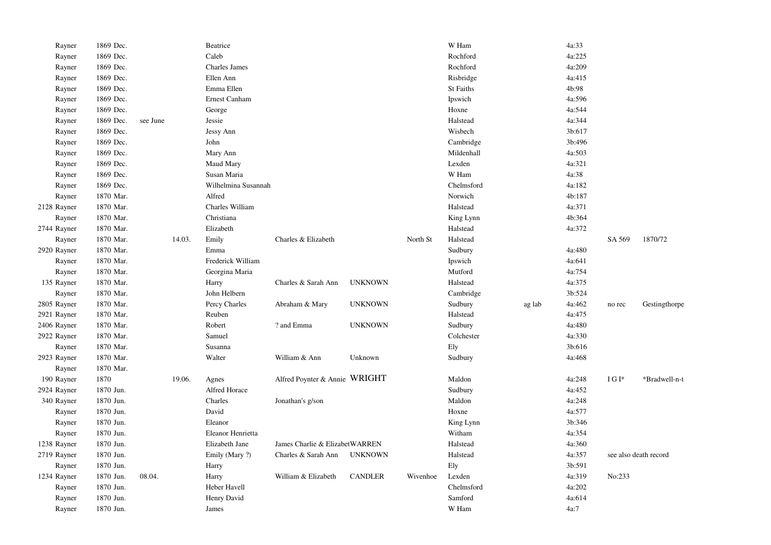| Rayner      | 1869 Dec. |          |        | Beatrice            |                                |                |          | W Ham      |        | 4a:33  |                       |               |
|-------------|-----------|----------|--------|---------------------|--------------------------------|----------------|----------|------------|--------|--------|-----------------------|---------------|
| Rayner      | 1869 Dec. |          |        | Caleb               |                                |                |          | Rochford   |        | 4a:225 |                       |               |
| Rayner      | 1869 Dec. |          |        | Charles James       |                                |                |          | Rochford   |        | 4a:209 |                       |               |
| Rayner      | 1869 Dec. |          |        | Ellen Ann           |                                |                |          | Risbridge  |        | 4a:415 |                       |               |
| Rayner      | 1869 Dec. |          |        | Emma Ellen          |                                |                |          | St Faiths  |        | 4b:98  |                       |               |
| Rayner      | 1869 Dec. |          |        | Ernest Canham       |                                |                |          | Ipswich    |        | 4a:596 |                       |               |
| Rayner      | 1869 Dec. |          |        | George              |                                |                |          | Hoxne      |        | 4a:544 |                       |               |
| Rayner      | 1869 Dec. | see June |        | Jessie              |                                |                |          | Halstead   |        | 4a:344 |                       |               |
| Rayner      | 1869 Dec. |          |        | Jessy Ann           |                                |                |          | Wisbech    |        | 3b:617 |                       |               |
| Rayner      | 1869 Dec. |          |        | John                |                                |                |          | Cambridge  |        | 3b:496 |                       |               |
| Rayner      | 1869 Dec. |          |        | Mary Ann            |                                |                |          | Mildenhall |        | 4a:503 |                       |               |
| Rayner      | 1869 Dec. |          |        | Maud Mary           |                                |                |          | Lexden     |        | 4a:321 |                       |               |
| Rayner      | 1869 Dec. |          |        | Susan Maria         |                                |                |          | W Ham      |        | 4a:38  |                       |               |
| Rayner      | 1869 Dec. |          |        | Wilhelmina Susannah |                                |                |          | Chelmsford |        | 4a:182 |                       |               |
| Rayner      | 1870 Mar. |          |        | Alfred              |                                |                |          | Norwich    |        | 4b:187 |                       |               |
| 2128 Rayner | 1870 Mar. |          |        | Charles William     |                                |                |          | Halstead   |        | 4a:371 |                       |               |
| Rayner      | 1870 Mar. |          |        | Christiana          |                                |                |          | King Lynn  |        | 4b:364 |                       |               |
| 2744 Rayner | 1870 Mar. |          |        | Elizabeth           |                                |                |          | Halstead   |        | 4a:372 |                       |               |
| Rayner      | 1870 Mar. |          | 14.03. | Emily               | Charles & Elizabeth            |                | North St | Halstead   |        |        | SA 569                | 1870/72       |
| 2920 Rayner | 1870 Mar. |          |        | Emma                |                                |                |          | Sudbury    |        | 4a:480 |                       |               |
| Rayner      | 1870 Mar. |          |        | Frederick William   |                                |                |          | Ipswich    |        | 4a:641 |                       |               |
| Rayner      | 1870 Mar. |          |        | Georgina Maria      |                                |                |          | Mutford    |        | 4a:754 |                       |               |
| 135 Rayner  | 1870 Mar. |          |        | Harry               | Charles & Sarah Ann            | <b>UNKNOWN</b> |          | Halstead   |        | 4a:375 |                       |               |
| Rayner      | 1870 Mar. |          |        | John Helbern        |                                |                |          | Cambridge  |        | 3b:524 |                       |               |
| 2805 Rayner | 1870 Mar. |          |        | Percy Charles       | Abraham & Mary                 | <b>UNKNOWN</b> |          | Sudbury    | ag lab | 4a:462 | no rec                | Gestingthorpe |
| 2921 Rayner | 1870 Mar. |          |        | Reuben              |                                |                |          | Halstead   |        | 4a:475 |                       |               |
| 2406 Rayner | 1870 Mar. |          |        | Robert              | ? and Emma                     | <b>UNKNOWN</b> |          | Sudbury    |        | 4a:480 |                       |               |
| 2922 Rayner | 1870 Mar. |          |        | Samuel              |                                |                |          | Colchester |        | 4a:330 |                       |               |
| Rayner      | 1870 Mar. |          |        | Susanna             |                                |                |          | Ely        |        | 3b:616 |                       |               |
| 2923 Rayner | 1870 Mar. |          |        | Walter              | William & Ann                  | Unknown        |          | Sudbury    |        | 4a:468 |                       |               |
| Rayner      | 1870 Mar. |          |        |                     |                                |                |          |            |        |        |                       |               |
| 190 Rayner  | 1870      |          | 19.06. | Agnes               | Alfred Poynter & Annie WRIGHT  |                |          | Maldon     |        | 4a:248 | IGI*                  | *Bradwell-n-t |
| 2924 Rayner | 1870 Jun. |          |        | Alfred Horace       |                                |                |          | Sudbury    |        | 4a:452 |                       |               |
| 340 Rayner  | 1870 Jun. |          |        | Charles             | Jonathan's g/son               |                |          | Maldon     |        | 4a:248 |                       |               |
| Rayner      | 1870 Jun. |          |        | David               |                                |                |          | Hoxne      |        | 4a:577 |                       |               |
| Rayner      | 1870 Jun. |          |        | Eleanor             |                                |                |          | King Lynn  |        | 3b:346 |                       |               |
| Rayner      | 1870 Jun. |          |        | Eleanor Henrietta   |                                |                |          | Witham     |        | 4a:354 |                       |               |
| 1238 Rayner | 1870 Jun. |          |        | Elizabeth Jane      | James Charlie & ElizabetWARREN |                |          | Halstead   |        | 4a:360 |                       |               |
| 2719 Rayner | 1870 Jun. |          |        | Emily (Mary ?)      | Charles & Sarah Ann            | <b>UNKNOWN</b> |          | Halstead   |        | 4a:357 | see also death record |               |
| Rayner      | 1870 Jun. |          |        | Harry               |                                |                |          | Ely        |        | 3b:591 |                       |               |
| 1234 Rayner | 1870 Jun. | 08.04.   |        | Harry               | William & Elizabeth            | <b>CANDLER</b> | Wivenhoe | Lexden     |        | 4a:319 | No:233                |               |
| Rayner      | 1870 Jun. |          |        | Heber Havell        |                                |                |          | Chelmsford |        | 4a:202 |                       |               |
| Rayner      | 1870 Jun. |          |        | Henry David         |                                |                |          | Samford    |        | 4a:614 |                       |               |
| Rayner      | 1870 Jun. |          |        | James               |                                |                |          | W Ham      |        | 4a:7   |                       |               |
|             |           |          |        |                     |                                |                |          |            |        |        |                       |               |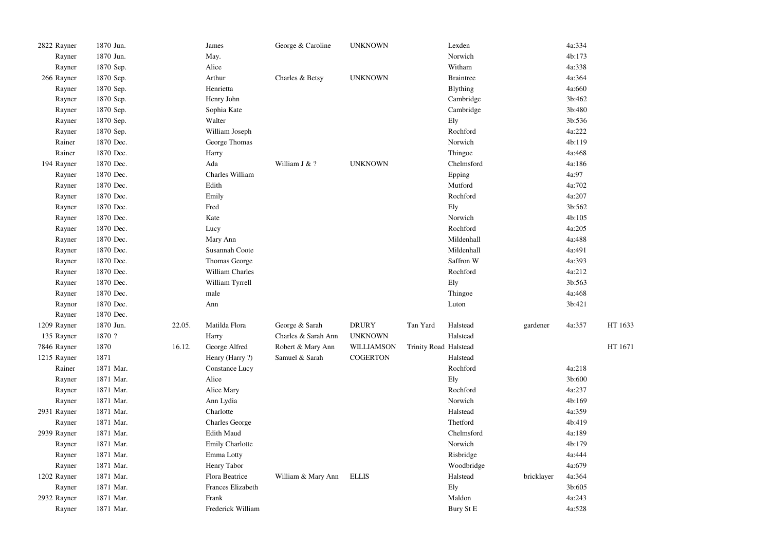| 2822 Rayner | 1870 Jun. |        | James                  | George & Caroline   | <b>UNKNOWN</b>    |                       | Lexden           |            | 4a:334 |         |
|-------------|-----------|--------|------------------------|---------------------|-------------------|-----------------------|------------------|------------|--------|---------|
| Rayner      | 1870 Jun. |        | May.                   |                     |                   |                       | Norwich          |            | 4b:173 |         |
| Rayner      | 1870 Sep. |        | Alice                  |                     |                   |                       | Witham           |            | 4a:338 |         |
| 266 Rayner  | 1870 Sep. |        | Arthur                 | Charles & Betsy     | <b>UNKNOWN</b>    |                       | <b>Braintree</b> |            | 4a:364 |         |
| Rayner      | 1870 Sep. |        | Henrietta              |                     |                   |                       | <b>B</b> lything |            | 4a:660 |         |
| Rayner      | 1870 Sep. |        | Henry John             |                     |                   |                       | Cambridge        |            | 3b:462 |         |
| Rayner      | 1870 Sep. |        | Sophia Kate            |                     |                   |                       | Cambridge        |            | 3b:480 |         |
| Rayner      | 1870 Sep. |        | Walter                 |                     |                   |                       | Ely              |            | 3b:536 |         |
| Rayner      | 1870 Sep. |        | William Joseph         |                     |                   |                       | Rochford         |            | 4a:222 |         |
| Rainer      | 1870 Dec. |        | George Thomas          |                     |                   |                       | Norwich          |            | 4b:119 |         |
| Rainer      | 1870 Dec. |        | Harry                  |                     |                   |                       | Thingoe          |            | 4a:468 |         |
| 194 Rayner  | 1870 Dec. |        | Ada                    | William J & ?       | <b>UNKNOWN</b>    |                       | Chelmsford       |            | 4a:186 |         |
| Rayner      | 1870 Dec. |        | Charles William        |                     |                   |                       | Epping           |            | 4a:97  |         |
| Rayner      | 1870 Dec. |        | Edith                  |                     |                   |                       | Mutford          |            | 4a:702 |         |
| Rayner      | 1870 Dec. |        | Emily                  |                     |                   |                       | Rochford         |            | 4a:207 |         |
| Rayner      | 1870 Dec. |        | Fred                   |                     |                   |                       | Ely              |            | 3b:562 |         |
| Rayner      | 1870 Dec. |        | Kate                   |                     |                   |                       | Norwich          |            | 4b:105 |         |
| Rayner      | 1870 Dec. |        | Lucy                   |                     |                   |                       | Rochford         |            | 4a:205 |         |
| Rayner      | 1870 Dec. |        | Mary Ann               |                     |                   |                       | Mildenhall       |            | 4a:488 |         |
| Rayner      | 1870 Dec. |        | Susannah Coote         |                     |                   |                       | Mildenhall       |            | 4a:491 |         |
| Rayner      | 1870 Dec. |        | Thomas George          |                     |                   |                       | Saffron W        |            | 4a:393 |         |
| Rayner      | 1870 Dec. |        | William Charles        |                     |                   |                       | Rochford         |            | 4a:212 |         |
| Rayner      | 1870 Dec. |        | William Tyrrell        |                     |                   |                       | Ely              |            | 3b:563 |         |
| Rayner      | 1870 Dec. |        | male                   |                     |                   |                       | Thingoe          |            | 4a:468 |         |
| Raynor      | 1870 Dec. |        | Ann                    |                     |                   |                       | Luton            |            | 3b:421 |         |
| Rayner      | 1870 Dec. |        |                        |                     |                   |                       |                  |            |        |         |
| 1209 Rayner | 1870 Jun. | 22.05. | Matilda Flora          | George & Sarah      | <b>DRURY</b>      | Tan Yard              | Halstead         | gardener   | 4a:357 | HT 1633 |
| 135 Rayner  | 1870 ?    |        | Harry                  | Charles & Sarah Ann | <b>UNKNOWN</b>    |                       | Halstead         |            |        |         |
| 7846 Rayner | 1870      | 16.12. | George Alfred          | Robert & Mary Ann   | <b>WILLIAMSON</b> | Trinity Road Halstead |                  |            |        | HT 1671 |
| 1215 Rayner | 1871      |        | Henry (Harry ?)        | Samuel & Sarah      | <b>COGERTON</b>   |                       | Halstead         |            |        |         |
| Rainer      | 1871 Mar. |        | Constance Lucy         |                     |                   |                       | Rochford         |            | 4a:218 |         |
| Rayner      | 1871 Mar. |        | Alice                  |                     |                   |                       | Ely              |            | 3b:600 |         |
| Rayner      | 1871 Mar. |        | Alice Mary             |                     |                   |                       | Rochford         |            | 4a:237 |         |
| Rayner      | 1871 Mar. |        | Ann Lydia              |                     |                   |                       | Norwich          |            | 4b:169 |         |
| 2931 Rayner | 1871 Mar. |        | Charlotte              |                     |                   |                       | Halstead         |            | 4a:359 |         |
| Rayner      | 1871 Mar. |        | <b>Charles George</b>  |                     |                   |                       | Thetford         |            | 4b:419 |         |
| 2939 Rayner | 1871 Mar. |        | <b>Edith Maud</b>      |                     |                   |                       | Chelmsford       |            | 4a:189 |         |
| Rayner      | 1871 Mar. |        | <b>Emily Charlotte</b> |                     |                   |                       | Norwich          |            | 4b:179 |         |
| Rayner      | 1871 Mar. |        | Emma Lotty             |                     |                   |                       | Risbridge        |            | 4a:444 |         |
| Rayner      | 1871 Mar. |        | Henry Tabor            |                     |                   |                       | Woodbridge       |            | 4a:679 |         |
| 1202 Rayner | 1871 Mar. |        | Flora Beatrice         | William & Mary Ann  | <b>ELLIS</b>      |                       | Halstead         | bricklayer | 4a:364 |         |
| Rayner      | 1871 Mar. |        | Frances Elizabeth      |                     |                   |                       | Ely              |            | 3b:605 |         |
| 2932 Rayner | 1871 Mar. |        | Frank                  |                     |                   |                       | Maldon           |            | 4a:243 |         |
| Rayner      | 1871 Mar. |        | Frederick William      |                     |                   |                       | Bury St E        |            | 4a:528 |         |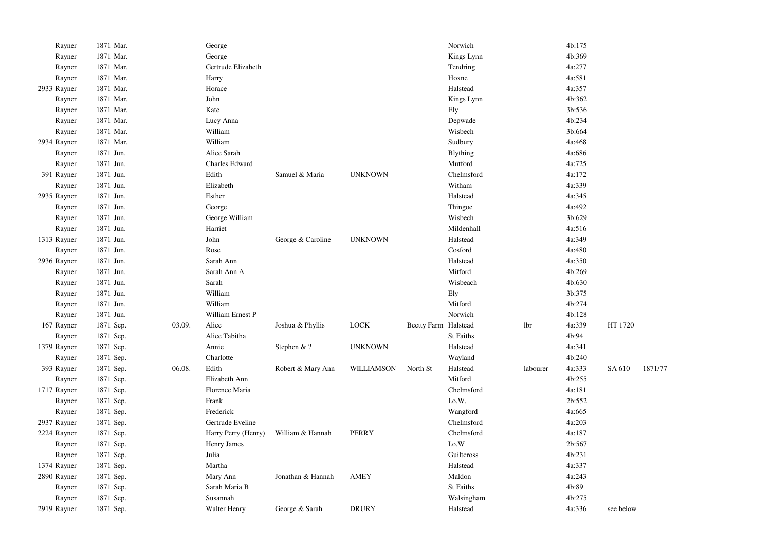| Rayner      | 1871 Mar. |        | George              |                   |                   |                      | Norwich          |          | 4b:175 |           |         |
|-------------|-----------|--------|---------------------|-------------------|-------------------|----------------------|------------------|----------|--------|-----------|---------|
| Rayner      | 1871 Mar. |        | George              |                   |                   |                      | Kings Lynn       |          | 4b:369 |           |         |
| Rayner      | 1871 Mar. |        | Gertrude Elizabeth  |                   |                   |                      | Tendring         |          | 4a:277 |           |         |
| Rayner      | 1871 Mar. |        | Harry               |                   |                   |                      | Hoxne            |          | 4a:581 |           |         |
| 2933 Rayner | 1871 Mar. |        | Horace              |                   |                   |                      | Halstead         |          | 4a:357 |           |         |
| Rayner      | 1871 Mar. |        | John                |                   |                   |                      | Kings Lynn       |          | 4b:362 |           |         |
| Rayner      | 1871 Mar. |        | Kate                |                   |                   |                      | Ely              |          | 3b:536 |           |         |
| Rayner      | 1871 Mar. |        | Lucy Anna           |                   |                   |                      | Depwade          |          | 4b:234 |           |         |
| Rayner      | 1871 Mar. |        | William             |                   |                   |                      | Wisbech          |          | 3b:664 |           |         |
| 2934 Rayner | 1871 Mar. |        | William             |                   |                   |                      | Sudbury          |          | 4a:468 |           |         |
| Rayner      | 1871 Jun. |        | Alice Sarah         |                   |                   |                      | <b>Blything</b>  |          | 4a:686 |           |         |
| Rayner      | 1871 Jun. |        | Charles Edward      |                   |                   |                      | Mutford          |          | 4a:725 |           |         |
| 391 Rayner  | 1871 Jun. |        | Edith               | Samuel & Maria    | <b>UNKNOWN</b>    |                      | Chelmsford       |          | 4a:172 |           |         |
| Rayner      | 1871 Jun. |        | Elizabeth           |                   |                   |                      | Witham           |          | 4a:339 |           |         |
| 2935 Rayner | 1871 Jun. |        | Esther              |                   |                   |                      | Halstead         |          | 4a:345 |           |         |
| Rayner      | 1871 Jun. |        | George              |                   |                   |                      | Thingoe          |          | 4a:492 |           |         |
| Rayner      | 1871 Jun. |        | George William      |                   |                   |                      | Wisbech          |          | 3b:629 |           |         |
| Rayner      | 1871 Jun. |        | Harriet             |                   |                   |                      | Mildenhall       |          | 4a:516 |           |         |
| 1313 Rayner | 1871 Jun. |        | John                | George & Caroline | <b>UNKNOWN</b>    |                      | Halstead         |          | 4a:349 |           |         |
| Rayner      | 1871 Jun. |        | Rose                |                   |                   |                      | Cosford          |          | 4a:480 |           |         |
| 2936 Rayner | 1871 Jun. |        | Sarah Ann           |                   |                   |                      | Halstead         |          | 4a:350 |           |         |
| Rayner      | 1871 Jun. |        | Sarah Ann A         |                   |                   |                      | Mitford          |          | 4b:269 |           |         |
| Rayner      | 1871 Jun. |        | Sarah               |                   |                   |                      | Wisbeach         |          | 4b:630 |           |         |
| Rayner      | 1871 Jun. |        | William             |                   |                   |                      | Ely              |          | 3b:375 |           |         |
| Rayner      | 1871 Jun. |        | William             |                   |                   |                      | Mitford          |          | 4b:274 |           |         |
| Rayner      | 1871 Jun. |        | William Ernest P    |                   |                   |                      | Norwich          |          | 4b:128 |           |         |
| 167 Rayner  | 1871 Sep. | 03.09. | Alice               | Joshua & Phyllis  | <b>LOCK</b>       | Beetty Farm Halstead |                  | lbr      | 4a:339 | HT 1720   |         |
| Rayner      | 1871 Sep. |        | Alice Tabitha       |                   |                   |                      | <b>St Faiths</b> |          | 4b:94  |           |         |
| 1379 Rayner | 1871 Sep. |        | Annie               | Stephen & ?       | <b>UNKNOWN</b>    |                      | Halstead         |          | 4a:341 |           |         |
| Rayner      | 1871 Sep. |        | Charlotte           |                   |                   |                      | Wayland          |          | 4b:240 |           |         |
| 393 Rayner  | 1871 Sep. | 06.08. | Edith               | Robert & Mary Ann | <b>WILLIAMSON</b> | North St             | Halstead         | labourer | 4a:333 | SA 610    | 1871/77 |
| Rayner      | 1871 Sep. |        | Elizabeth Ann       |                   |                   |                      | Mitford          |          | 4b:255 |           |         |
| 1717 Rayner | 1871 Sep. |        | Florence Maria      |                   |                   |                      | Chelmsford       |          | 4a:181 |           |         |
| Rayner      | 1871 Sep. |        | Frank               |                   |                   |                      | I.o.W.           |          | 2b:552 |           |         |
| Rayner      | 1871 Sep. |        | Frederick           |                   |                   |                      | Wangford         |          | 4a:665 |           |         |
| 2937 Rayner | 1871 Sep. |        | Gertrude Eveline    |                   |                   |                      | Chelmsford       |          | 4a:203 |           |         |
| 2224 Rayner | 1871 Sep. |        | Harry Perry (Henry) | William & Hannah  | <b>PERRY</b>      |                      | Chelmsford       |          | 4a:187 |           |         |
| Rayner      | 1871 Sep. |        | Henry James         |                   |                   |                      | I.o.W            |          | 2b:567 |           |         |
| Rayner      | 1871 Sep. |        | Julia               |                   |                   |                      | Guilteross       |          | 4b:231 |           |         |
| 1374 Rayner | 1871 Sep. |        | Martha              |                   |                   |                      | Halstead         |          | 4a:337 |           |         |
| 2890 Rayner | 1871 Sep. |        | Mary Ann            | Jonathan & Hannah | <b>AMEY</b>       |                      | Maldon           |          | 4a:243 |           |         |
| Rayner      | 1871 Sep. |        | Sarah Maria B       |                   |                   |                      | <b>St Faiths</b> |          | 4b:89  |           |         |
| Rayner      | 1871 Sep. |        | Susannah            |                   |                   |                      | Walsingham       |          | 4b:275 |           |         |
| 2919 Rayner | 1871 Sep. |        | <b>Walter Henry</b> | George & Sarah    | <b>DRURY</b>      |                      | Halstead         |          | 4a:336 | see below |         |
|             |           |        |                     |                   |                   |                      |                  |          |        |           |         |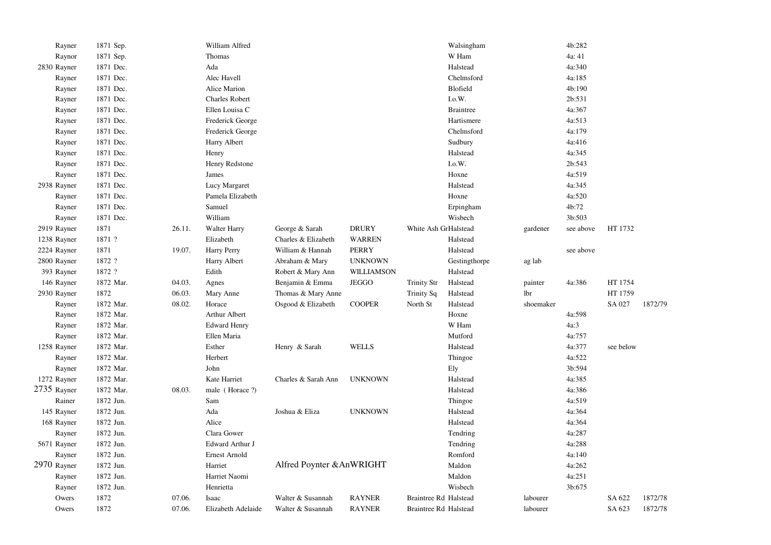| Rayner      | 1871 Sep. |        | William Alfred        |                           |                |                       | Walsingham       |           | 4b:282    |           |         |
|-------------|-----------|--------|-----------------------|---------------------------|----------------|-----------------------|------------------|-----------|-----------|-----------|---------|
| Raynor      | 1871 Sep. |        | Thomas                |                           |                |                       | W Ham            |           | 4a: 41    |           |         |
| 2830 Rayner | 1871 Dec. |        | Ada                   |                           |                |                       | Halstead         |           | 4a:340    |           |         |
| Rayner      | 1871 Dec. |        | Alec Havell           |                           |                |                       | Chelmsford       |           | 4a:185    |           |         |
| Rayner      | 1871 Dec. |        | Alice Marion          |                           |                |                       | Blofield         |           | 4b:190    |           |         |
| Rayner      | 1871 Dec. |        | <b>Charles Robert</b> |                           |                |                       | I.o.W.           |           | 2b:531    |           |         |
| Rayner      | 1871 Dec. |        | Ellen Louisa C        |                           |                |                       | <b>Braintree</b> |           | 4a:367    |           |         |
| Rayner      | 1871 Dec. |        | Frederick George      |                           |                |                       | Hartismere       |           | 4a:513    |           |         |
| Rayner      | 1871 Dec. |        | Frederick George      |                           |                |                       | Chelmsford       |           | 4a:179    |           |         |
| Rayner      | 1871 Dec. |        | Harry Albert          |                           |                |                       | Sudbury          |           | 4a:416    |           |         |
| Rayner      | 1871 Dec. |        | Henry                 |                           |                |                       | Halstead         |           | 4a:345    |           |         |
| Rayner      | 1871 Dec. |        | Henry Redstone        |                           |                |                       | I.o.W.           |           | 2b:543    |           |         |
| Rayner      | 1871 Dec. |        | James                 |                           |                |                       | Hoxne            |           | 4a:519    |           |         |
| 2938 Rayner | 1871 Dec. |        | Lucy Margaret         |                           |                |                       | Halstead         |           | 4a:345    |           |         |
| Rayner      | 1871 Dec. |        | Pamela Elizabeth      |                           |                |                       | Hoxne            |           | 4a:520    |           |         |
| Rayner      | 1871 Dec. |        | Samuel                |                           |                |                       | Erpingham        |           | 4b:72     |           |         |
| Rayner      | 1871 Dec. |        | William               |                           |                |                       | Wisbech          |           | 3b:503    |           |         |
| 2919 Rayner | 1871      | 26.11. | Walter Harry          | George & Sarah            | <b>DRURY</b>   | White Ash GrHalstead  |                  | gardener  | see above | HT 1732   |         |
| 1238 Rayner | 1871 ?    |        | Elizabeth             | Charles & Elizabeth       | <b>WARREN</b>  |                       | Halstead         |           |           |           |         |
| 2224 Rayner | 1871      | 19.07. | Harry Perry           | William & Hannah          | <b>PERRY</b>   |                       | Halstead         |           | see above |           |         |
| 2800 Rayner | 1872 ?    |        | Harry Albert          | Abraham & Mary            | <b>UNKNOWN</b> |                       | Gestingthorpe    | ag lab    |           |           |         |
| 393 Rayner  | 1872 ?    |        | Edith                 | Robert & Mary Ann         | WILLIAMSON     |                       | Halstead         |           |           |           |         |
| 146 Rayner  | 1872 Mar. | 04.03. | Agnes                 | Benjamin & Emma           | <b>JEGGO</b>   | <b>Trinity Str</b>    | Halstead         | painter   | 4a:386    | HT 1754   |         |
| 2930 Rayner | 1872      | 06.03. | Mary Anne             | Thomas & Mary Anne        |                | Trinity Sq            | Halstead         | lbr       |           | HT 1759   |         |
| Rayner      | 1872 Mar. | 08.02. | Horace                | Osgood & Elizabeth        | <b>COOPER</b>  | North St              | Halstead         | shoemaker |           | SA 027    | 1872/79 |
| Rayner      | 1872 Mar. |        | Arthur Albert         |                           |                |                       | Hoxne            |           | 4a:598    |           |         |
| Rayner      | 1872 Mar. |        | <b>Edward Henry</b>   |                           |                |                       | W Ham            |           | 4a:3      |           |         |
| Rayner      | 1872 Mar. |        | Ellen Maria           |                           |                |                       | Mutford          |           | 4a:757    |           |         |
| 1258 Rayner | 1872 Mar. |        | Esther                | Henry & Sarah             | <b>WELLS</b>   |                       | Halstead         |           | 4a:377    | see below |         |
| Rayner      | 1872 Mar. |        | Herbert               |                           |                |                       | Thingoe          |           | 4a:522    |           |         |
| Rayner      | 1872 Mar. |        | John                  |                           |                |                       | Ely              |           | 3b:594    |           |         |
| 1272 Rayner | 1872 Mar. |        | Kate Harriet          | Charles & Sarah Ann       | <b>UNKNOWN</b> |                       | Halstead         |           | 4a:385    |           |         |
| 2735 Rayner | 1872 Mar. | 08.03. | male (Horace ?)       |                           |                |                       | Halstead         |           | 4a:386    |           |         |
| Rainer      | 1872 Jun. |        | Sam                   |                           |                |                       | Thingoe          |           | 4a:519    |           |         |
| 145 Rayner  | 1872 Jun. |        | Ada                   | Joshua & Eliza            | <b>UNKNOWN</b> |                       | Halstead         |           | 4a:364    |           |         |
| 168 Rayner  | 1872 Jun. |        | Alice                 |                           |                |                       | Halstead         |           | 4a:364    |           |         |
| Rayner      | 1872 Jun. |        | Clara Gower           |                           |                |                       | Tendring         |           | 4a:287    |           |         |
| 5671 Rayner | 1872 Jun. |        | Edward Arthur J       |                           |                |                       | Tendring         |           | 4a:288    |           |         |
| Rayner      | 1872 Jun. |        | Ernest Arnold         |                           |                |                       | Romford          |           | 4a:140    |           |         |
| 2970 Rayner | 1872 Jun. |        | Harriet               | Alfred Poynter & AnWRIGHT |                |                       | Maldon           |           | 4a:262    |           |         |
| Rayner      | 1872 Jun. |        | Harriet Naomi         |                           |                |                       | Maldon           |           | 4a:251    |           |         |
| Rayner      | 1872 Jun. |        | Henrietta             |                           |                |                       | Wisbech          |           | 3b:675    |           |         |
| Owers       | 1872      | 07.06. | Isaac                 | Walter & Susannah         | <b>RAYNER</b>  | Braintree Rd Halstead |                  | labourer  |           | SA 622    | 1872/78 |
| Owers       | 1872      | 07.06. | Elizabeth Adelaide    | Walter & Susannah         | <b>RAYNER</b>  | Braintree Rd Halstead |                  | labourer  |           | SA 623    | 1872/78 |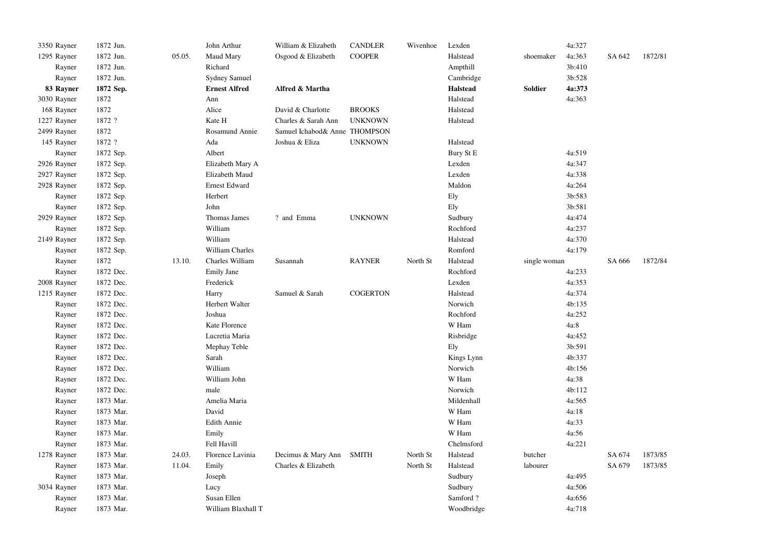| 3350 Rayner | 1872 Jun. |        | John Arthur          | William & Elizabeth           | <b>CANDLER</b>  | Wivenhoe | Lexden          |              | 4a:327 |        |         |
|-------------|-----------|--------|----------------------|-------------------------------|-----------------|----------|-----------------|--------------|--------|--------|---------|
| 1295 Rayner | 1872 Jun. | 05.05. | Maud Mary            | Osgood & Elizabeth            | <b>COOPER</b>   |          | Halstead        | shoemaker    | 4a:363 | SA 642 | 1872/81 |
| Rayner      | 1872 Jun. |        | Richard              |                               |                 |          | Ampthill        |              | 3b:410 |        |         |
| Rayner      | 1872 Jun. |        | <b>Sydney Samuel</b> |                               |                 |          | Cambridge       |              | 3b:528 |        |         |
| 83 Rayner   | 1872 Sep. |        | <b>Ernest Alfred</b> | Alfred & Martha               |                 |          | <b>Halstead</b> | Soldier      | 4a:373 |        |         |
| 3030 Rayner | 1872      |        | Ann                  |                               |                 |          | Halstead        |              | 4a:363 |        |         |
| 168 Rayner  | 1872      |        | Alice                | David & Charlotte             | <b>BROOKS</b>   |          | Halstead        |              |        |        |         |
| 1227 Rayner | 1872 ?    |        | Kate H               | Charles & Sarah Ann           | <b>UNKNOWN</b>  |          | Halstead        |              |        |        |         |
| 2499 Rayner | 1872      |        | Rosamund Annie       | Samuel Ichabod& Anne THOMPSON |                 |          |                 |              |        |        |         |
| 145 Rayner  | 1872 ?    |        | Ada                  | Joshua & Eliza                | <b>UNKNOWN</b>  |          | Halstead        |              |        |        |         |
| Rayner      | 1872 Sep. |        | Albert               |                               |                 |          | Bury St E       |              | 4a:519 |        |         |
| 2926 Rayner | 1872 Sep. |        | Elizabeth Mary A     |                               |                 |          | Lexden          |              | 4a:347 |        |         |
| 2927 Rayner | 1872 Sep. |        | Elizabeth Maud       |                               |                 |          | Lexden          |              | 4a:338 |        |         |
| 2928 Rayner | 1872 Sep. |        | Ernest Edward        |                               |                 |          | Maldon          |              | 4a:264 |        |         |
| Rayner      | 1872 Sep. |        | Herbert              |                               |                 |          | Ely             |              | 3b:583 |        |         |
| Rayner      | 1872 Sep. |        | John                 |                               |                 |          | Ely             |              | 3b:581 |        |         |
| 2929 Rayner | 1872 Sep. |        | Thomas James         | ? and Emma                    | <b>UNKNOWN</b>  |          | Sudbury         |              | 4a:474 |        |         |
| Rayner      | 1872 Sep. |        | William              |                               |                 |          | Rochford        |              | 4a:237 |        |         |
| 2149 Rayner | 1872 Sep. |        | William              |                               |                 |          | Halstead        |              | 4a:370 |        |         |
| Rayner      | 1872 Sep. |        | William Charles      |                               |                 |          | Romford         |              | 4a:179 |        |         |
| Rayner      | 1872      | 13.10. | Charles William      | Susannah                      | <b>RAYNER</b>   | North St | Halstead        | single woman |        | SA 666 | 1872/84 |
| Rayner      | 1872 Dec. |        | Emily Jane           |                               |                 |          | Rochford        |              | 4a:233 |        |         |
| 2008 Rayner | 1872 Dec. |        | Frederick            |                               |                 |          | Lexden          |              | 4a:353 |        |         |
| 1215 Rayner | 1872 Dec. |        | Harry                | Samuel & Sarah                | <b>COGERTON</b> |          | Halstead        |              | 4a:374 |        |         |
| Rayner      | 1872 Dec. |        | Herbert Walter       |                               |                 |          | Norwich         |              | 4b:135 |        |         |
| Rayner      | 1872 Dec. |        | Joshua               |                               |                 |          | Rochford        |              | 4a:252 |        |         |
| Rayner      | 1872 Dec. |        | Kate Florence        |                               |                 |          | W Ham           |              | 4a:8   |        |         |
| Rayner      | 1872 Dec. |        | Lucretia Maria       |                               |                 |          | Risbridge       |              | 4a:452 |        |         |
| Rayner      | 1872 Dec. |        | Mephay Teble         |                               |                 |          | Ely             |              | 3b:591 |        |         |
| Rayner      | 1872 Dec. |        | Sarah                |                               |                 |          | Kings Lynn      |              | 4b:337 |        |         |
| Rayner      | 1872 Dec. |        | William              |                               |                 |          | Norwich         |              | 4b:156 |        |         |
| Rayner      | 1872 Dec. |        | William John         |                               |                 |          | W Ham           |              | 4a:38  |        |         |
| Rayner      | 1872 Dec. |        | male                 |                               |                 |          | Norwich         |              | 4b:112 |        |         |
| Rayner      | 1873 Mar. |        | Amelia Maria         |                               |                 |          | Mildenhall      |              | 4a:565 |        |         |
| Rayner      | 1873 Mar. |        | David                |                               |                 |          | W Ham           |              | 4a:18  |        |         |
| Rayner      | 1873 Mar. |        | <b>Edith Annie</b>   |                               |                 |          | W Ham           |              | 4a:33  |        |         |
| Rayner      | 1873 Mar. |        | Emily                |                               |                 |          | W Ham           |              | 4a:56  |        |         |
| Rayner      | 1873 Mar. |        | Fell Havill          |                               |                 |          | Chelmsford      |              | 4a:221 |        |         |
| 1278 Rayner | 1873 Mar. | 24.03. | Florence Lavinia     | Decimus & Mary Ann            | <b>SMITH</b>    | North St | Halstead        | butcher      |        | SA 674 | 1873/85 |
| Rayner      | 1873 Mar. | 11.04. | Emily                | Charles & Elizabeth           |                 | North St | Halstead        | labourer     |        | SA 679 | 1873/85 |
| Rayner      | 1873 Mar. |        | Joseph               |                               |                 |          | Sudbury         |              | 4a:495 |        |         |
| 3034 Rayner | 1873 Mar. |        | Lucy                 |                               |                 |          | Sudbury         |              | 4a:506 |        |         |
| Rayner      | 1873 Mar. |        | Susan Ellen          |                               |                 |          | Samford?        |              | 4a:656 |        |         |
|             |           |        |                      |                               |                 |          |                 |              |        |        |         |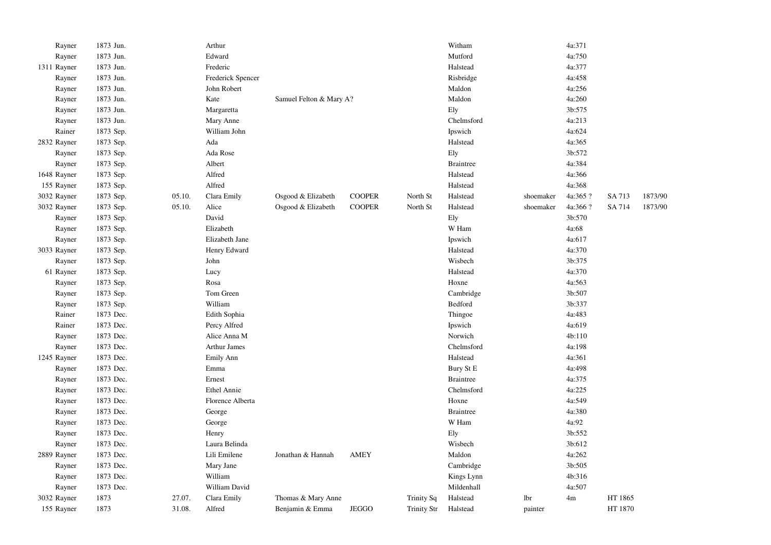| Rayner      | 1873 Jun. |        | Arthur              |                         |               |                    | Witham           |           | 4a:371   |         |         |
|-------------|-----------|--------|---------------------|-------------------------|---------------|--------------------|------------------|-----------|----------|---------|---------|
| Rayner      | 1873 Jun. |        | Edward              |                         |               |                    | Mutford          |           | 4a:750   |         |         |
| 1311 Rayner | 1873 Jun. |        | Frederic            |                         |               |                    | Halstead         |           | 4a:377   |         |         |
| Rayner      | 1873 Jun. |        | Frederick Spencer   |                         |               |                    | Risbridge        |           | 4a:458   |         |         |
| Rayner      | 1873 Jun. |        | John Robert         |                         |               |                    | Maldon           |           | 4a:256   |         |         |
| Rayner      | 1873 Jun. |        | Kate                | Samuel Felton & Mary A? |               |                    | Maldon           |           | 4a:260   |         |         |
| Rayner      | 1873 Jun. |        | Margaretta          |                         |               |                    | Ely              |           | 3b:575   |         |         |
| Rayner      | 1873 Jun. |        | Mary Anne           |                         |               |                    | Chelmsford       |           | 4a:213   |         |         |
| Rainer      | 1873 Sep. |        | William John        |                         |               |                    | Ipswich          |           | 4a:624   |         |         |
| 2832 Rayner | 1873 Sep. |        | Ada                 |                         |               |                    | Halstead         |           | 4a:365   |         |         |
| Rayner      | 1873 Sep. |        | Ada Rose            |                         |               |                    | Ely              |           | 3b:572   |         |         |
| Rayner      | 1873 Sep. |        | Albert              |                         |               |                    | <b>Braintree</b> |           | 4a:384   |         |         |
| 1648 Rayner | 1873 Sep. |        | Alfred              |                         |               |                    | Halstead         |           | 4a:366   |         |         |
| 155 Rayner  | 1873 Sep. |        | Alfred              |                         |               |                    | Halstead         |           | 4a:368   |         |         |
| 3032 Rayner | 1873 Sep. | 05.10. | Clara Emily         | Osgood & Elizabeth      | <b>COOPER</b> | North St           | Halstead         | shoemaker | 4a:365 ? | SA 713  | 1873/90 |
| 3032 Rayner | 1873 Sep. | 05.10. | Alice               | Osgood & Elizabeth      | <b>COOPER</b> | North St           | Halstead         | shoemaker | 4a:366 ? | SA 714  | 1873/90 |
| Rayner      | 1873 Sep. |        | David               |                         |               |                    | Ely              |           | 3b:570   |         |         |
| Rayner      | 1873 Sep. |        | Elizabeth           |                         |               |                    | W Ham            |           | 4a:68    |         |         |
| Rayner      | 1873 Sep. |        | Elizabeth Jane      |                         |               |                    | Ipswich          |           | 4a:617   |         |         |
| 3033 Rayner | 1873 Sep. |        | Henry Edward        |                         |               |                    | Halstead         |           | 4a:370   |         |         |
| Rayner      | 1873 Sep. |        | John                |                         |               |                    | Wisbech          |           | 3b:375   |         |         |
| 61 Rayner   | 1873 Sep. |        | Lucy                |                         |               |                    | Halstead         |           | 4a:370   |         |         |
| Rayner      | 1873 Sep. |        | Rosa                |                         |               |                    | Hoxne            |           | 4a:563   |         |         |
| Rayner      | 1873 Sep. |        | Tom Green           |                         |               |                    | Cambridge        |           | 3b:507   |         |         |
| Rayner      | 1873 Sep. |        | William             |                         |               |                    | Bedford          |           | 3b:337   |         |         |
| Rainer      | 1873 Dec. |        | Edith Sophia        |                         |               |                    | Thingoe          |           | 4a:483   |         |         |
| Rainer      | 1873 Dec. |        | Percy Alfred        |                         |               |                    | Ipswich          |           | 4a:619   |         |         |
| Rayner      | 1873 Dec. |        | Alice Anna M        |                         |               |                    | Norwich          |           | 4b:110   |         |         |
| Rayner      | 1873 Dec. |        | <b>Arthur James</b> |                         |               |                    | Chelmsford       |           | 4a:198   |         |         |
| 1245 Rayner | 1873 Dec. |        | Emily Ann           |                         |               |                    | Halstead         |           | 4a:361   |         |         |
| Rayner      | 1873 Dec. |        | Emma                |                         |               |                    | Bury St E        |           | 4a:498   |         |         |
| Rayner      | 1873 Dec. |        | Ernest              |                         |               |                    | <b>Braintree</b> |           | 4a:375   |         |         |
| Rayner      | 1873 Dec. |        | <b>Ethel Annie</b>  |                         |               |                    | Chelmsford       |           | 4a:225   |         |         |
| Rayner      | 1873 Dec. |        | Florence Alberta    |                         |               |                    | Hoxne            |           | 4a:549   |         |         |
| Rayner      | 1873 Dec. |        | George              |                         |               |                    | <b>Braintree</b> |           | 4a:380   |         |         |
| Rayner      | 1873 Dec. |        | George              |                         |               |                    | W Ham            |           | 4a:92    |         |         |
| Rayner      | 1873 Dec. |        | Henry               |                         |               |                    | Ely              |           | 3b:552   |         |         |
| Rayner      | 1873 Dec. |        | Laura Belinda       |                         |               |                    | Wisbech          |           | 3b:612   |         |         |
| 2889 Rayner | 1873 Dec. |        | Lili Emilene        | Jonathan & Hannah       | <b>AMEY</b>   |                    | Maldon           |           | 4a:262   |         |         |
| Rayner      | 1873 Dec. |        | Mary Jane           |                         |               |                    | Cambridge        |           | 3b:505   |         |         |
| Rayner      | 1873 Dec. |        | William             |                         |               |                    | Kings Lynn       |           | 4b:316   |         |         |
| Rayner      | 1873 Dec. |        | William David       |                         |               |                    | Mildenhall       |           | 4a:507   |         |         |
| 3032 Rayner | 1873      | 27.07. | Clara Emily         | Thomas & Mary Anne      |               | <b>Trinity Sq</b>  | Halstead         | lbr       | 4m       | HT 1865 |         |
| 155 Rayner  | 1873      | 31.08. | Alfred              | Benjamin & Emma         | <b>JEGGO</b>  | <b>Trinity Str</b> | Halstead         | painter   |          | HT 1870 |         |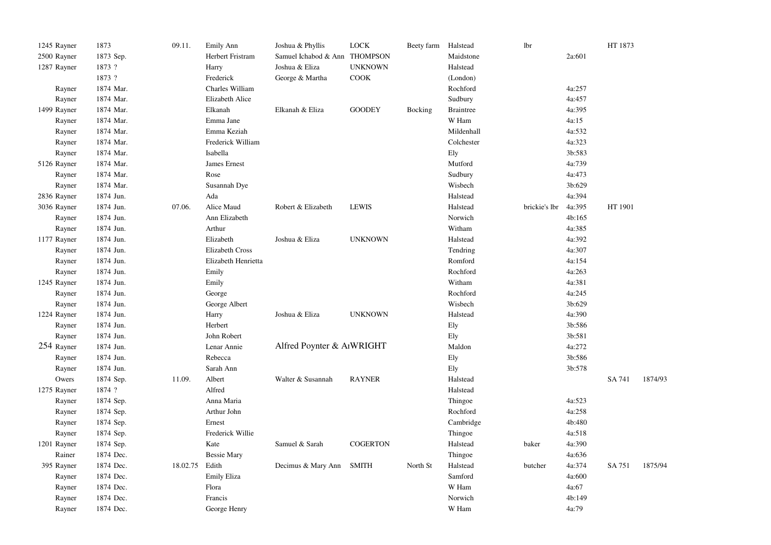| 1245 Rayner | 1873      | 09.11.   | <b>Emily Ann</b>    | Joshua & Phyllis              | $_{\rm LOCK}$   | Beety farm Halstead |                  | lbr           |        | HT 1873 |         |
|-------------|-----------|----------|---------------------|-------------------------------|-----------------|---------------------|------------------|---------------|--------|---------|---------|
| 2500 Rayner | 1873 Sep. |          | Herbert Fristram    | Samuel Ichabod & Ann THOMPSON |                 |                     | Maidstone        |               | 2a:601 |         |         |
| 1287 Rayner | 1873 ?    |          | Harry               | Joshua & Eliza                | <b>UNKNOWN</b>  |                     | Halstead         |               |        |         |         |
|             | 1873 ?    |          | Frederick           | George & Martha               | COOK            |                     | (London)         |               |        |         |         |
| Rayner      | 1874 Mar. |          | Charles William     |                               |                 |                     | Rochford         |               | 4a:257 |         |         |
| Rayner      | 1874 Mar. |          | Elizabeth Alice     |                               |                 |                     | Sudbury          |               | 4a:457 |         |         |
| 1499 Rayner | 1874 Mar. |          | Elkanah             | Elkanah & Eliza               | <b>GOODEY</b>   | Bocking             | <b>Braintree</b> |               | 4a:395 |         |         |
| Rayner      | 1874 Mar. |          | Emma Jane           |                               |                 |                     | W Ham            |               | 4a:15  |         |         |
| Rayner      | 1874 Mar. |          | Emma Keziah         |                               |                 |                     | Mildenhall       |               | 4a:532 |         |         |
| Rayner      | 1874 Mar. |          | Frederick William   |                               |                 |                     | Colchester       |               | 4a:323 |         |         |
| Rayner      | 1874 Mar. |          | Isabella            |                               |                 |                     | Ely              |               | 3b:583 |         |         |
| 5126 Rayner | 1874 Mar. |          | James Ernest        |                               |                 |                     | Mutford          |               | 4a:739 |         |         |
| Rayner      | 1874 Mar. |          | Rose                |                               |                 |                     | Sudbury          |               | 4a:473 |         |         |
| Rayner      | 1874 Mar. |          | Susannah Dye        |                               |                 |                     | Wisbech          |               | 3b:629 |         |         |
| 2836 Rayner | 1874 Jun. |          | Ada                 |                               |                 |                     | Halstead         |               | 4a:394 |         |         |
| 3036 Rayner | 1874 Jun. | 07.06.   | Alice Maud          | Robert & Elizabeth            | <b>LEWIS</b>    |                     | Halstead         | brickie's lbr | 4a:395 | HT 1901 |         |
| Rayner      | 1874 Jun. |          | Ann Elizabeth       |                               |                 |                     | Norwich          |               | 4b:165 |         |         |
| Rayner      | 1874 Jun. |          | Arthur              |                               |                 |                     | Witham           |               | 4a:385 |         |         |
| 1177 Rayner | 1874 Jun. |          | Elizabeth           | Joshua & Eliza                | <b>UNKNOWN</b>  |                     | Halstead         |               | 4a:392 |         |         |
| Rayner      | 1874 Jun. |          | Elizabeth Cross     |                               |                 |                     | Tendring         |               | 4a:307 |         |         |
| Rayner      | 1874 Jun. |          | Elizabeth Henrietta |                               |                 |                     | Romford          |               | 4a:154 |         |         |
| Rayner      | 1874 Jun. |          | Emily               |                               |                 |                     | Rochford         |               | 4a:263 |         |         |
| 1245 Rayner | 1874 Jun. |          | Emily               |                               |                 |                     | Witham           |               | 4a:381 |         |         |
| Rayner      | 1874 Jun. |          | George              |                               |                 |                     | Rochford         |               | 4a:245 |         |         |
| Rayner      | 1874 Jun. |          | George Albert       |                               |                 |                     | Wisbech          |               | 3b:629 |         |         |
| 1224 Rayner | 1874 Jun. |          | Harry               | Joshua & Eliza                | <b>UNKNOWN</b>  |                     | Halstead         |               | 4a:390 |         |         |
| Rayner      | 1874 Jun. |          | Herbert             |                               |                 |                     | Ely              |               | 3b:586 |         |         |
| Rayner      | 1874 Jun. |          | John Robert         |                               |                 |                     | Ely              |               | 3b:581 |         |         |
| 254 Rayner  | 1874 Jun. |          | Lenar Annie         | Alfred Poynter & AIWRIGHT     |                 |                     | Maldon           |               | 4a:272 |         |         |
| Rayner      | 1874 Jun. |          | Rebecca             |                               |                 |                     | Ely              |               | 3b:586 |         |         |
| Rayner      | 1874 Jun. |          | Sarah Ann           |                               |                 |                     | Ely              |               | 3b:578 |         |         |
| Owers       | 1874 Sep. | 11.09.   | Albert              | Walter & Susannah             | <b>RAYNER</b>   |                     | Halstead         |               |        | SA 741  | 1874/93 |
| 1275 Rayner | 1874 ?    |          | Alfred              |                               |                 |                     | Halstead         |               |        |         |         |
| Rayner      | 1874 Sep. |          | Anna Maria          |                               |                 |                     | Thingoe          |               | 4a:523 |         |         |
| Rayner      | 1874 Sep. |          | Arthur John         |                               |                 |                     | Rochford         |               | 4a:258 |         |         |
| Rayner      | 1874 Sep. |          | Ernest              |                               |                 |                     | Cambridge        |               | 4b:480 |         |         |
| Rayner      | 1874 Sep. |          | Frederick Willie    |                               |                 |                     | Thingoe          |               | 4a:518 |         |         |
| 1201 Rayner | 1874 Sep. |          | Kate                | Samuel & Sarah                | <b>COGERTON</b> |                     | Halstead         | baker         | 4a:390 |         |         |
| Rainer      | 1874 Dec. |          | <b>Bessie Mary</b>  |                               |                 |                     | Thingoe          |               | 4a:636 |         |         |
| 395 Rayner  | 1874 Dec. | 18.02.75 | Edith               | Decimus & Mary Ann            | <b>SMITH</b>    | North St            | Halstead         | butcher       | 4a:374 | SA 751  | 1875/94 |
| Rayner      | 1874 Dec. |          | Emily Eliza         |                               |                 |                     | Samford          |               | 4a:600 |         |         |
| Rayner      | 1874 Dec. |          | Flora               |                               |                 |                     | W Ham            |               | 4a:67  |         |         |
| Rayner      | 1874 Dec. |          | Francis             |                               |                 |                     | Norwich          |               | 4b:149 |         |         |
| Rayner      | 1874 Dec. |          | George Henry        |                               |                 |                     | W Ham            |               | 4a:79  |         |         |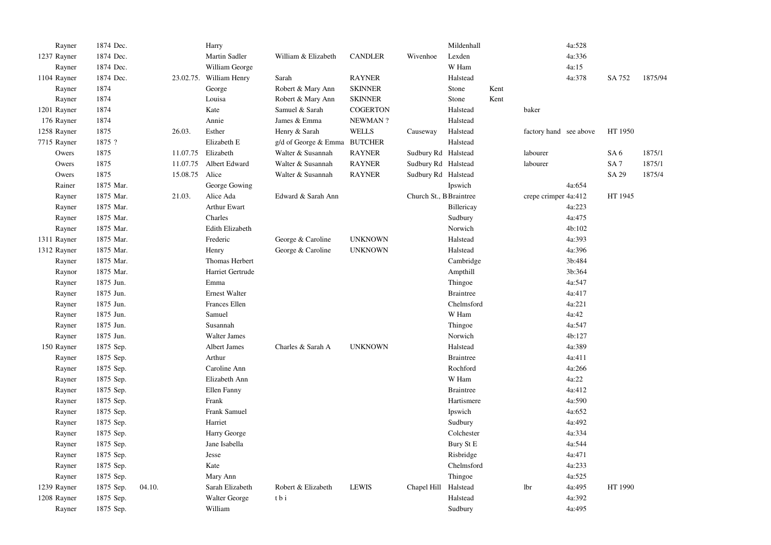| Rayner      | 1874 Dec. |                | Harry                   |                              |                 |                         | Mildenhall       |      |                        | 4a:528 |                 |         |
|-------------|-----------|----------------|-------------------------|------------------------------|-----------------|-------------------------|------------------|------|------------------------|--------|-----------------|---------|
| 1237 Rayner | 1874 Dec. |                | Martin Sadler           | William & Elizabeth          | <b>CANDLER</b>  | Wivenhoe                | Lexden           |      |                        | 4a:336 |                 |         |
| Rayner      | 1874 Dec. |                | William George          |                              |                 |                         | W Ham            |      |                        | 4a:15  |                 |         |
| 1104 Rayner | 1874 Dec. |                | 23.02.75. William Henry | Sarah                        | <b>RAYNER</b>   |                         | Halstead         |      |                        | 4a:378 | SA 752          | 1875/94 |
| Rayner      | 1874      |                | George                  | Robert & Mary Ann            | <b>SKINNER</b>  |                         | Stone            | Kent |                        |        |                 |         |
| Rayner      | 1874      |                | Louisa                  | Robert & Mary Ann            | <b>SKINNER</b>  |                         | Stone            | Kent |                        |        |                 |         |
| 1201 Rayner | 1874      |                | Kate                    | Samuel & Sarah               | <b>COGERTON</b> |                         | Halstead         |      | baker                  |        |                 |         |
| 176 Rayner  | 1874      |                | Annie                   | James & Emma                 | NEWMAN?         |                         | Halstead         |      |                        |        |                 |         |
| 1258 Rayner | 1875      | 26.03.         | Esther                  | Henry & Sarah                | <b>WELLS</b>    | Causeway                | Halstead         |      | factory hand see above |        | HT 1950         |         |
| 7715 Rayner | 1875 ?    |                | Elizabeth E             | g/d of George & Emma BUTCHER |                 |                         | Halstead         |      |                        |        |                 |         |
| Owers       | 1875      | 11.07.75       | Elizabeth               | Walter & Susannah            | <b>RAYNER</b>   | Sudbury Rd Halstead     |                  |      | labourer               |        | SA <sub>6</sub> | 1875/1  |
| Owers       | 1875      | 11.07.75       | Albert Edward           | Walter & Susannah            | <b>RAYNER</b>   | Sudbury Rd Halstead     |                  |      | labourer               |        | SA <sub>7</sub> | 1875/1  |
| Owers       | 1875      | 15.08.75 Alice |                         | Walter & Susannah            | <b>RAYNER</b>   | Sudbury Rd Halstead     |                  |      |                        |        | SA 29           | 1875/4  |
| Rainer      | 1875 Mar. |                | George Gowing           |                              |                 |                         | Ipswich          |      |                        | 4a:654 |                 |         |
| Rayner      | 1875 Mar. | 21.03.         | Alice Ada               | Edward & Sarah Ann           |                 | Church St., B Braintree |                  |      | crepe crimper 4a:412   |        | HT 1945         |         |
| Rayner      | 1875 Mar. |                | <b>Arthur Ewart</b>     |                              |                 |                         | Billericay       |      |                        | 4a:223 |                 |         |
| Rayner      | 1875 Mar. |                | Charles                 |                              |                 |                         | Sudbury          |      |                        | 4a:475 |                 |         |
| Rayner      | 1875 Mar. |                | Edith Elizabeth         |                              |                 |                         | Norwich          |      |                        | 4b:102 |                 |         |
| 1311 Rayner | 1875 Mar. |                | Frederic                | George & Caroline            | <b>UNKNOWN</b>  |                         | Halstead         |      |                        | 4a:393 |                 |         |
| 1312 Rayner | 1875 Mar. |                | Henry                   | George & Caroline            | <b>UNKNOWN</b>  |                         | Halstead         |      |                        | 4a:396 |                 |         |
| Rayner      | 1875 Mar. |                | Thomas Herbert          |                              |                 |                         | Cambridge        |      |                        | 3b:484 |                 |         |
| Raynor      | 1875 Mar. |                | Harriet Gertrude        |                              |                 |                         | Ampthill         |      |                        | 3b:364 |                 |         |
| Rayner      | 1875 Jun. |                | Emma                    |                              |                 |                         | Thingoe          |      |                        | 4a:547 |                 |         |
| Rayner      | 1875 Jun. |                | <b>Ernest Walter</b>    |                              |                 |                         | <b>Braintree</b> |      |                        | 4a:417 |                 |         |
| Rayner      | 1875 Jun. |                | <b>Frances Ellen</b>    |                              |                 |                         | Chelmsford       |      |                        | 4a:221 |                 |         |
| Rayner      | 1875 Jun. |                | Samuel                  |                              |                 |                         | W Ham            |      |                        | 4a:42  |                 |         |
| Rayner      | 1875 Jun. |                | Susannah                |                              |                 |                         | Thingoe          |      |                        | 4a:547 |                 |         |
| Rayner      | 1875 Jun. |                | <b>Walter James</b>     |                              |                 |                         | Norwich          |      |                        | 4b:127 |                 |         |
| 150 Rayner  | 1875 Sep. |                | Albert James            | Charles & Sarah A            | <b>UNKNOWN</b>  |                         | Halstead         |      |                        | 4a:389 |                 |         |
| Rayner      | 1875 Sep. |                | Arthur                  |                              |                 |                         | <b>Braintree</b> |      |                        | 4a:411 |                 |         |
| Rayner      | 1875 Sep. |                | Caroline Ann            |                              |                 |                         | Rochford         |      |                        | 4a:266 |                 |         |
| Rayner      | 1875 Sep. |                | Elizabeth Ann           |                              |                 |                         | W Ham            |      |                        | 4a:22  |                 |         |
| Rayner      | 1875 Sep. |                | Ellen Fanny             |                              |                 |                         | <b>Braintree</b> |      |                        | 4a:412 |                 |         |
| Rayner      | 1875 Sep. |                | Frank                   |                              |                 |                         | Hartismere       |      |                        | 4a:590 |                 |         |
| Rayner      | 1875 Sep. |                | Frank Samuel            |                              |                 |                         | Ipswich          |      |                        | 4a:652 |                 |         |
| Rayner      | 1875 Sep. |                | Harriet                 |                              |                 |                         | Sudbury          |      |                        | 4a:492 |                 |         |
| Rayner      | 1875 Sep. |                | Harry George            |                              |                 |                         | Colchester       |      |                        | 4a:334 |                 |         |
| Rayner      | 1875 Sep. |                | Jane Isabella           |                              |                 |                         | Bury St E        |      |                        | 4a:544 |                 |         |
| Rayner      | 1875 Sep. |                | Jesse                   |                              |                 |                         | Risbridge        |      |                        | 4a:471 |                 |         |
| Rayner      | 1875 Sep. |                | Kate                    |                              |                 |                         | Chelmsford       |      |                        | 4a:233 |                 |         |
| Rayner      | 1875 Sep. |                | Mary Ann                |                              |                 |                         | Thingoe          |      |                        | 4a:525 |                 |         |
| 1239 Rayner | 1875 Sep. | 04.10.         | Sarah Elizabeth         | Robert & Elizabeth           | <b>LEWIS</b>    | Chapel Hill             | Halstead         |      | lbr                    | 4a:495 | HT 1990         |         |
| 1208 Rayner | 1875 Sep. |                | Walter George           | tbi                          |                 |                         | Halstead         |      |                        | 4a:392 |                 |         |
| Rayner      | 1875 Sep. |                | William                 |                              |                 |                         | Sudbury          |      |                        | 4a:495 |                 |         |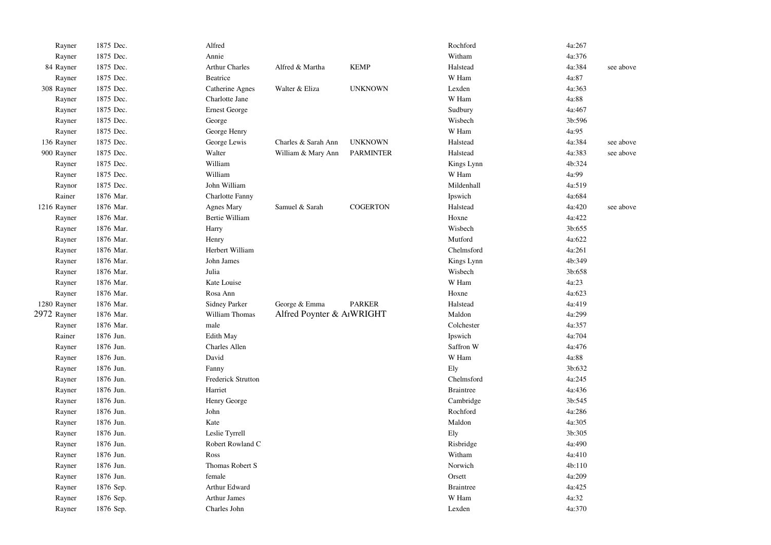| Rayner      | 1875 Dec. | Alfred                    |                           |                  | Rochford         | 4a:267 |           |
|-------------|-----------|---------------------------|---------------------------|------------------|------------------|--------|-----------|
| Rayner      | 1875 Dec. | Annie                     |                           |                  | Witham           | 4a:376 |           |
| 84 Rayner   | 1875 Dec. | <b>Arthur Charles</b>     | Alfred & Martha           | <b>KEMP</b>      | Halstead         | 4a:384 | see above |
| Rayner      | 1875 Dec. | Beatrice                  |                           |                  | W Ham            | 4a:87  |           |
| 308 Rayner  | 1875 Dec. | Catherine Agnes           | Walter & Eliza            | <b>UNKNOWN</b>   | Lexden           | 4a:363 |           |
| Rayner      | 1875 Dec. | Charlotte Jane            |                           |                  | W Ham            | 4a:88  |           |
| Rayner      | 1875 Dec. | <b>Ernest George</b>      |                           |                  | Sudbury          | 4a:467 |           |
| Rayner      | 1875 Dec. | George                    |                           |                  | Wisbech          | 3b:596 |           |
| Rayner      | 1875 Dec. | George Henry              |                           |                  | W Ham            | 4a:95  |           |
| 136 Rayner  | 1875 Dec. | George Lewis              | Charles & Sarah Ann       | <b>UNKNOWN</b>   | Halstead         | 4a:384 | see above |
| 900 Rayner  | 1875 Dec. | Walter                    | William & Mary Ann        | <b>PARMINTER</b> | Halstead         | 4a:383 | see above |
| Rayner      | 1875 Dec. | William                   |                           |                  | Kings Lynn       | 4b:324 |           |
| Rayner      | 1875 Dec. | William                   |                           |                  | W Ham            | 4a:99  |           |
| Raynor      | 1875 Dec. | John William              |                           |                  | Mildenhall       | 4a:519 |           |
| Rainer      | 1876 Mar. | <b>Charlotte Fanny</b>    |                           |                  | Ipswich          | 4a:684 |           |
| 1216 Rayner | 1876 Mar. | <b>Agnes Mary</b>         | Samuel & Sarah            | <b>COGERTON</b>  | Halstead         | 4a:420 | see above |
| Rayner      | 1876 Mar. | Bertie William            |                           |                  | Hoxne            | 4a:422 |           |
| Rayner      | 1876 Mar. | Harry                     |                           |                  | Wisbech          | 3b:655 |           |
| Rayner      | 1876 Mar. | Henry                     |                           |                  | Mutford          | 4a:622 |           |
| Rayner      | 1876 Mar. | Herbert William           |                           |                  | Chelmsford       | 4a:261 |           |
| Rayner      | 1876 Mar. | John James                |                           |                  | Kings Lynn       | 4b:349 |           |
| Rayner      | 1876 Mar. | Julia                     |                           |                  | Wisbech          | 3b:658 |           |
| Rayner      | 1876 Mar. | Kate Louise               |                           |                  | W Ham            | 4a:23  |           |
| Rayner      | 1876 Mar. | Rosa Ann                  |                           |                  | Hoxne            | 4a:623 |           |
| 1280 Rayner | 1876 Mar. | <b>Sidney Parker</b>      | George & Emma             | <b>PARKER</b>    | Halstead         | 4a:419 |           |
| 2972 Rayner | 1876 Mar. | William Thomas            | Alfred Poynter & AIWRIGHT |                  | Maldon           | 4a:299 |           |
| Rayner      | 1876 Mar. | male                      |                           |                  | Colchester       | 4a:357 |           |
| Rainer      | 1876 Jun. | <b>Edith May</b>          |                           |                  | Ipswich          | 4a:704 |           |
| Rayner      | 1876 Jun. | Charles Allen             |                           |                  | Saffron W        | 4a:476 |           |
| Rayner      | 1876 Jun. | David                     |                           |                  | W Ham            | 4a:88  |           |
| Rayner      | 1876 Jun. | Fanny                     |                           |                  | Ely              | 3b:632 |           |
| Rayner      | 1876 Jun. | <b>Frederick Strutton</b> |                           |                  | Chelmsford       | 4a:245 |           |
| Rayner      | 1876 Jun. | Harriet                   |                           |                  | <b>Braintree</b> | 4a:436 |           |
| Rayner      | 1876 Jun. | Henry George              |                           |                  | Cambridge        | 3b:545 |           |
| Rayner      | 1876 Jun. | John                      |                           |                  | Rochford         | 4a:286 |           |
| Rayner      | 1876 Jun. | Kate                      |                           |                  | Maldon           | 4a:305 |           |
| Rayner      | 1876 Jun. | Leslie Tyrrell            |                           |                  | Ely              | 3b:305 |           |
| Rayner      | 1876 Jun. | Robert Rowland C          |                           |                  | Risbridge        | 4a:490 |           |
| Rayner      | 1876 Jun. | Ross                      |                           |                  | Witham           | 4a:410 |           |
| Rayner      | 1876 Jun. | Thomas Robert S           |                           |                  | Norwich          | 4b:110 |           |
| Rayner      | 1876 Jun. | female                    |                           |                  | Orsett           | 4a:209 |           |
| Rayner      | 1876 Sep. | Arthur Edward             |                           |                  | <b>Braintree</b> | 4a:425 |           |
| Rayner      | 1876 Sep. | <b>Arthur James</b>       |                           |                  | W Ham            | 4a:32  |           |
| Rayner      | 1876 Sep. | Charles John              |                           |                  | Lexden           | 4a:370 |           |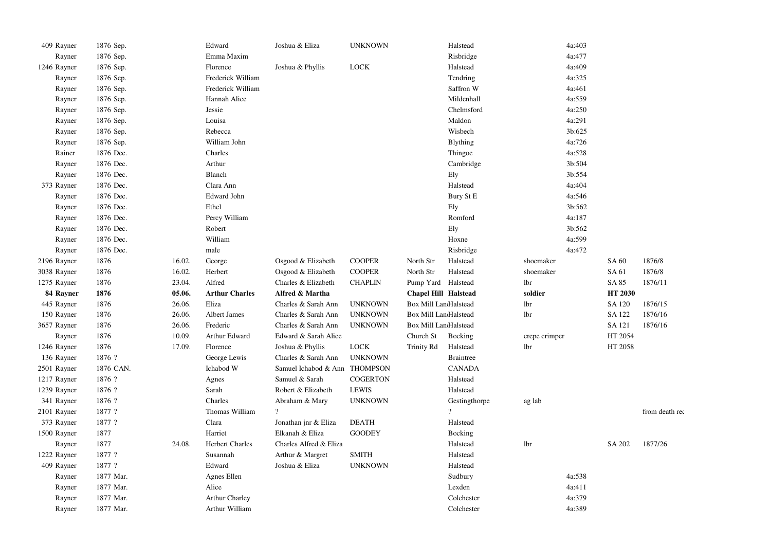| 409 Rayner  | 1876 Sep. |        | Edward                 | Joshua & Eliza         | <b>UNKNOWN</b>  |                             | Halstead         |               | 4a:403 |         |                |
|-------------|-----------|--------|------------------------|------------------------|-----------------|-----------------------------|------------------|---------------|--------|---------|----------------|
| Rayner      | 1876 Sep. |        | Emma Maxim             |                        |                 |                             | Risbridge        |               | 4a:477 |         |                |
| 1246 Rayner | 1876 Sep. |        | Florence               | Joshua & Phyllis       | <b>LOCK</b>     |                             | Halstead         |               | 4a:409 |         |                |
| Rayner      | 1876 Sep. |        | Frederick William      |                        |                 |                             | Tendring         |               | 4a:325 |         |                |
| Rayner      | 1876 Sep. |        | Frederick William      |                        |                 |                             | Saffron W        |               | 4a:461 |         |                |
| Rayner      | 1876 Sep. |        | Hannah Alice           |                        |                 |                             | Mildenhall       |               | 4a:559 |         |                |
| Rayner      | 1876 Sep. |        | Jessie                 |                        |                 |                             | Chelmsford       |               | 4a:250 |         |                |
| Rayner      | 1876 Sep. |        | Louisa                 |                        |                 |                             | Maldon           |               | 4a:291 |         |                |
| Rayner      | 1876 Sep. |        | Rebecca                |                        |                 |                             | Wisbech          |               | 3b:625 |         |                |
| Rayner      | 1876 Sep. |        | William John           |                        |                 |                             | <b>Blything</b>  |               | 4a:726 |         |                |
| Rainer      | 1876 Dec. |        | Charles                |                        |                 |                             | Thingoe          |               | 4a:528 |         |                |
| Rayner      | 1876 Dec. |        | Arthur                 |                        |                 |                             | Cambridge        |               | 3b:504 |         |                |
| Rayner      | 1876 Dec. |        | Blanch                 |                        |                 |                             | Ely              |               | 3b:554 |         |                |
| 373 Rayner  | 1876 Dec. |        | Clara Ann              |                        |                 |                             | Halstead         |               | 4a:404 |         |                |
| Rayner      | 1876 Dec. |        | <b>Edward John</b>     |                        |                 |                             | Bury St E        |               | 4a:546 |         |                |
| Rayner      | 1876 Dec. |        | Ethel                  |                        |                 |                             | Ely              |               | 3b:562 |         |                |
| Rayner      | 1876 Dec. |        | Percy William          |                        |                 |                             | Romford          |               | 4a:187 |         |                |
| Rayner      | 1876 Dec. |        | Robert                 |                        |                 |                             | Ely              |               | 3b:562 |         |                |
| Rayner      | 1876 Dec. |        | William                |                        |                 |                             | Hoxne            |               | 4a:599 |         |                |
| Rayner      | 1876 Dec. |        | male                   |                        |                 |                             | Risbridge        |               | 4a:472 |         |                |
| 2196 Rayner | 1876      | 16.02. | George                 | Osgood & Elizabeth     | <b>COOPER</b>   | North Str                   | Halstead         | shoemaker     |        | SA 60   | 1876/8         |
| 3038 Rayner | 1876      | 16.02. | Herbert                | Osgood & Elizabeth     | <b>COOPER</b>   | North Str                   | Halstead         | shoemaker     |        | SA 61   | 1876/8         |
| 1275 Rayner | 1876      | 23.04. | Alfred                 | Charles & Elizabeth    | <b>CHAPLIN</b>  | Pump Yard                   | Halstead         | lbr           |        | SA 85   | 1876/11        |
| 84 Rayner   | 1876      | 05.06. | <b>Arthur Charles</b>  | Alfred & Martha        |                 | <b>Chapel Hill Halstead</b> |                  | soldier       |        | HT 2030 |                |
| 445 Rayner  | 1876      | 26.06. | Eliza                  | Charles & Sarah Ann    | <b>UNKNOWN</b>  | Box Mill LandHalstead       |                  | lbr           |        | SA 120  | 1876/15        |
| 150 Rayner  | 1876      | 26.06. | Albert James           | Charles & Sarah Ann    | <b>UNKNOWN</b>  | Box Mill LandHalstead       |                  | lbr           |        | SA 122  | 1876/16        |
| 3657 Rayner | 1876      | 26.06. | Frederic               | Charles & Sarah Ann    | <b>UNKNOWN</b>  | Box Mill LandHalstead       |                  |               |        | SA 121  | 1876/16        |
| Rayner      | 1876      | 10.09. | Arthur Edward          | Edward & Sarah Alice   |                 | Church St                   | Bocking          | crepe crimper |        | HT 2054 |                |
| 1246 Rayner | 1876      | 17.09. | Florence               | Joshua & Phyllis       | LOCK            | Trinity Rd                  | Halstead         | <b>lbr</b>    |        | HT 2058 |                |
| 136 Rayner  | 1876 ?    |        | George Lewis           | Charles & Sarah Ann    | <b>UNKNOWN</b>  |                             | <b>Braintree</b> |               |        |         |                |
| 2501 Rayner | 1876 CAN. |        | Ichabod W              | Samuel Ichabod & Ann   | <b>THOMPSON</b> |                             | <b>CANADA</b>    |               |        |         |                |
| 1217 Rayner | 1876 ?    |        | Agnes                  | Samuel & Sarah         | COGERTON        |                             | Halstead         |               |        |         |                |
| 1239 Rayner | 1876 ?    |        | Sarah                  | Robert & Elizabeth     | <b>LEWIS</b>    |                             | Halstead         |               |        |         |                |
| 341 Rayner  | 1876 ?    |        | Charles                | Abraham & Mary         | <b>UNKNOWN</b>  |                             | Gestingthorpe    | ag lab        |        |         |                |
| 2101 Rayner | 1877 ?    |        | Thomas William         | $\gamma$               |                 |                             | $\overline{?}$   |               |        |         | from death req |
| 373 Rayner  | 1877 ?    |        | Clara                  | Jonathan jnr & Eliza   | <b>DEATH</b>    |                             | Halstead         |               |        |         |                |
| 1500 Rayner | 1877      |        | Harriet                | Elkanah & Eliza        | <b>GOODEY</b>   |                             | Bocking          |               |        |         |                |
| Rayner      | 1877      | 24.08. | <b>Herbert Charles</b> | Charles Alfred & Eliza |                 |                             | Halstead         | lbr           |        | SA 202  | 1877/26        |
| 1222 Rayner | 1877 ?    |        | Susannah               | Arthur & Margret       | <b>SMITH</b>    |                             | Halstead         |               |        |         |                |
| 409 Rayner  | 1877 ?    |        | Edward                 | Joshua & Eliza         | <b>UNKNOWN</b>  |                             | Halstead         |               |        |         |                |
| Rayner      | 1877 Mar. |        | Agnes Ellen            |                        |                 |                             | Sudbury          |               | 4a:538 |         |                |
| Rayner      |           |        |                        |                        |                 |                             |                  |               | 4a:411 |         |                |
|             | 1877 Mar. |        | Alice                  |                        |                 |                             | Lexden           |               |        |         |                |
| Rayner      | 1877 Mar. |        | <b>Arthur Charley</b>  |                        |                 |                             | Colchester       |               | 4a:379 |         |                |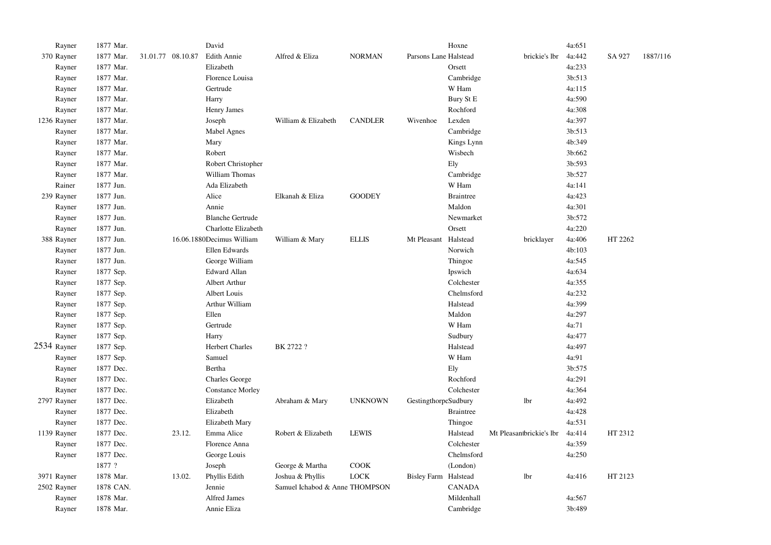| Rayner      | 1877 Mar. |                   | David                     |                                |                |                       | Hoxne            |                          | 4a:651 |         |          |
|-------------|-----------|-------------------|---------------------------|--------------------------------|----------------|-----------------------|------------------|--------------------------|--------|---------|----------|
| 370 Rayner  | 1877 Mar. | 31.01.77 08.10.87 | <b>Edith Annie</b>        | Alfred & Eliza                 | <b>NORMAN</b>  | Parsons Lane Halstead |                  | brickie's lbr            | 4a:442 | SA 927  | 1887/116 |
| Rayner      | 1877 Mar. |                   | Elizabeth                 |                                |                |                       | Orsett           |                          | 4a:233 |         |          |
| Rayner      | 1877 Mar. |                   | Florence Louisa           |                                |                |                       | Cambridge        |                          | 3b:513 |         |          |
| Rayner      | 1877 Mar. |                   | Gertrude                  |                                |                |                       | W Ham            |                          | 4a:115 |         |          |
| Rayner      | 1877 Mar. |                   | Harry                     |                                |                |                       | Bury St E        |                          | 4a:590 |         |          |
| Rayner      | 1877 Mar. |                   | Henry James               |                                |                |                       | Rochford         |                          | 4a:308 |         |          |
| 1236 Rayner | 1877 Mar. |                   | Joseph                    | William & Elizabeth            | <b>CANDLER</b> | Wivenhoe              | Lexden           |                          | 4a:397 |         |          |
| Rayner      | 1877 Mar. |                   | Mabel Agnes               |                                |                |                       | Cambridge        |                          | 3b:513 |         |          |
| Rayner      | 1877 Mar. |                   | Mary                      |                                |                |                       | Kings Lynn       |                          | 4b:349 |         |          |
| Rayner      | 1877 Mar. |                   | Robert                    |                                |                |                       | Wisbech          |                          | 3b:662 |         |          |
| Rayner      | 1877 Mar. |                   | Robert Christopher        |                                |                |                       | Ely              |                          | 3b:593 |         |          |
| Rayner      | 1877 Mar. |                   | William Thomas            |                                |                |                       | Cambridge        |                          | 3b:527 |         |          |
| Rainer      | 1877 Jun. |                   | Ada Elizabeth             |                                |                |                       | W Ham            |                          | 4a:141 |         |          |
| 239 Rayner  | 1877 Jun. |                   | Alice                     | Elkanah & Eliza                | <b>GOODEY</b>  |                       | <b>Braintree</b> |                          | 4a:423 |         |          |
| Rayner      | 1877 Jun. |                   | Annie                     |                                |                |                       | Maldon           |                          | 4a:301 |         |          |
| Rayner      | 1877 Jun. |                   | <b>Blanche Gertrude</b>   |                                |                |                       | Newmarket        |                          | 3b:572 |         |          |
| Rayner      | 1877 Jun. |                   | Charlotte Elizabeth       |                                |                |                       | Orsett           |                          | 4a:220 |         |          |
| 388 Rayner  | 1877 Jun. |                   | 16.06.1880Decimus William | William & Mary                 | <b>ELLIS</b>   | Mt Pleasant           | Halstead         | bricklayer               | 4a:406 | HT 2262 |          |
| Rayner      | 1877 Jun. |                   | Ellen Edwards             |                                |                |                       | Norwich          |                          | 4b:103 |         |          |
| Rayner      | 1877 Jun. |                   | George William            |                                |                |                       | Thingoe          |                          | 4a:545 |         |          |
| Rayner      | 1877 Sep. |                   | <b>Edward Allan</b>       |                                |                |                       | Ipswich          |                          | 4a:634 |         |          |
| Rayner      | 1877 Sep. |                   | Albert Arthur             |                                |                |                       | Colchester       |                          | 4a:355 |         |          |
| Rayner      | 1877 Sep. |                   | Albert Louis              |                                |                |                       | Chelmsford       |                          | 4a:232 |         |          |
| Rayner      | 1877 Sep. |                   | Arthur William            |                                |                |                       | Halstead         |                          | 4a:399 |         |          |
| Rayner      | 1877 Sep. |                   | Ellen                     |                                |                |                       | Maldon           |                          | 4a:297 |         |          |
| Rayner      | 1877 Sep. |                   | Gertrude                  |                                |                |                       | W Ham            |                          | 4a:71  |         |          |
| Rayner      | 1877 Sep. |                   | Harry                     |                                |                |                       | Sudbury          |                          | 4a:477 |         |          |
| 2534 Rayner | 1877 Sep. |                   | <b>Herbert Charles</b>    | BK 2722 ?                      |                |                       | Halstead         |                          | 4a:497 |         |          |
| Rayner      | 1877 Sep. |                   | Samuel                    |                                |                |                       | W Ham            |                          | 4a:91  |         |          |
| Rayner      | 1877 Dec. |                   | Bertha                    |                                |                |                       | Ely              |                          | 3b:575 |         |          |
| Rayner      | 1877 Dec. |                   | <b>Charles George</b>     |                                |                |                       | Rochford         |                          | 4a:291 |         |          |
| Rayner      | 1877 Dec. |                   | <b>Constance Morley</b>   |                                |                |                       | Colchester       |                          | 4a:364 |         |          |
| 2797 Rayner | 1877 Dec. |                   | Elizabeth                 | Abraham & Mary                 | <b>UNKNOWN</b> | GestingthorpeSudbury  |                  | lbr                      | 4a:492 |         |          |
| Rayner      | 1877 Dec. |                   | Elizabeth                 |                                |                |                       | <b>Braintree</b> |                          | 4a:428 |         |          |
| Rayner      | 1877 Dec. |                   | Elizabeth Mary            |                                |                |                       | Thingoe          |                          | 4a:531 |         |          |
| 1139 Rayner | 1877 Dec. | 23.12.            | Emma Alice                | Robert & Elizabeth             | <b>LEWIS</b>   |                       | Halstead         | Mt Pleasantbrickie's lbr | 4a:414 | HT 2312 |          |
| Rayner      | 1877 Dec. |                   | Florence Anna             |                                |                |                       | Colchester       |                          | 4a:359 |         |          |
| Rayner      | 1877 Dec. |                   | George Louis              |                                |                |                       | Chelmsford       |                          | 4a:250 |         |          |
|             | 1877 ?    |                   | Joseph                    | George & Martha                | COOK           |                       | (London)         |                          |        |         |          |
| 3971 Rayner | 1878 Mar. | 13.02.            | Phyllis Edith             | Joshua & Phyllis               | $_{\rm LOCK}$  | Bisley Farm Halstead  |                  | lbr                      | 4a:416 | HT 2123 |          |
| 2502 Rayner | 1878 CAN. |                   | Jennie                    | Samuel Ichabod & Anne THOMPSON |                |                       | <b>CANADA</b>    |                          |        |         |          |
| Rayner      | 1878 Mar. |                   | Alfred James              |                                |                |                       | Mildenhall       |                          | 4a:567 |         |          |
| Rayner      | 1878 Mar. |                   | Annie Eliza               |                                |                |                       | Cambridge        |                          | 3b:489 |         |          |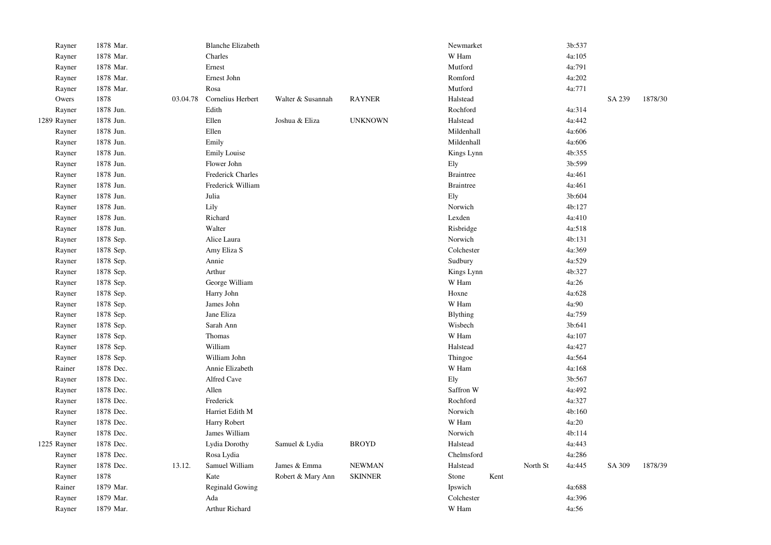| Rayner      | 1878 Mar. |          | <b>Blanche Elizabeth</b> |                   |                |          | Newmarket        |      |          | 3b:537 |        |         |
|-------------|-----------|----------|--------------------------|-------------------|----------------|----------|------------------|------|----------|--------|--------|---------|
| Rayner      | 1878 Mar. |          | Charles                  |                   |                | W Ham    |                  |      |          | 4a:105 |        |         |
| Rayner      | 1878 Mar. |          | Ernest                   |                   |                | Mutford  |                  |      |          | 4a:791 |        |         |
| Rayner      | 1878 Mar. |          | Ernest John              |                   |                |          | Romford          |      |          | 4a:202 |        |         |
| Rayner      | 1878 Mar. |          | Rosa                     |                   |                | Mutford  |                  |      |          | 4a:771 |        |         |
| Owers       | 1878      | 03.04.78 | Cornelius Herbert        | Walter & Susannah | <b>RAYNER</b>  | Halstead |                  |      |          |        | SA 239 | 1878/30 |
| Rayner      | 1878 Jun. |          | Edith                    |                   |                |          | Rochford         |      |          | 4a:314 |        |         |
| 1289 Rayner | 1878 Jun. |          | Ellen                    | Joshua & Eliza    | <b>UNKNOWN</b> |          | Halstead         |      |          | 4a:442 |        |         |
| Rayner      | 1878 Jun. |          | Ellen                    |                   |                |          | Mildenhall       |      |          | 4a:606 |        |         |
| Rayner      | 1878 Jun. |          | Emily                    |                   |                |          | Mildenhall       |      |          | 4a:606 |        |         |
| Rayner      | 1878 Jun. |          | <b>Emily Louise</b>      |                   |                |          | Kings Lynn       |      |          | 4b:355 |        |         |
| Rayner      | 1878 Jun. |          | Flower John              |                   |                | Ely      |                  |      |          | 3b:599 |        |         |
| Rayner      | 1878 Jun. |          | Frederick Charles        |                   |                |          | <b>Braintree</b> |      |          | 4a:461 |        |         |
| Rayner      | 1878 Jun. |          | Frederick William        |                   |                |          | <b>Braintree</b> |      |          | 4a:461 |        |         |
| Rayner      | 1878 Jun. |          | Julia                    |                   |                | Ely      |                  |      |          | 3b:604 |        |         |
| Rayner      | 1878 Jun. |          | Lily                     |                   |                |          | Norwich          |      |          | 4b:127 |        |         |
| Rayner      | 1878 Jun. |          | Richard                  |                   |                | Lexden   |                  |      |          | 4a:410 |        |         |
| Rayner      | 1878 Jun. |          | Walter                   |                   |                |          | Risbridge        |      |          | 4a:518 |        |         |
| Rayner      | 1878 Sep. |          | Alice Laura              |                   |                |          | Norwich          |      |          | 4b:131 |        |         |
| Rayner      | 1878 Sep. |          | Amy Eliza S              |                   |                |          | Colchester       |      |          | 4a:369 |        |         |
| Rayner      | 1878 Sep. |          | Annie                    |                   |                | Sudbury  |                  |      |          | 4a:529 |        |         |
| Rayner      | 1878 Sep. |          | Arthur                   |                   |                |          | Kings Lynn       |      |          | 4b:327 |        |         |
| Rayner      | 1878 Sep. |          | George William           |                   |                | W Ham    |                  |      |          | 4a:26  |        |         |
| Rayner      | 1878 Sep. |          | Harry John               |                   |                | Hoxne    |                  |      |          | 4a:628 |        |         |
| Rayner      | 1878 Sep. |          | James John               |                   |                | W Ham    |                  |      |          | 4a:90  |        |         |
| Rayner      | 1878 Sep. |          | Jane Eliza               |                   |                | Blything |                  |      |          | 4a:759 |        |         |
| Rayner      | 1878 Sep. |          | Sarah Ann                |                   |                | Wisbech  |                  |      |          | 3b:641 |        |         |
| Rayner      | 1878 Sep. |          | Thomas                   |                   |                | W Ham    |                  |      |          | 4a:107 |        |         |
| Rayner      | 1878 Sep. |          | William                  |                   |                | Halstead |                  |      |          | 4a:427 |        |         |
| Rayner      | 1878 Sep. |          | William John             |                   |                | Thingoe  |                  |      |          | 4a:564 |        |         |
| Rainer      | 1878 Dec. |          | Annie Elizabeth          |                   |                | W Ham    |                  |      |          | 4a:168 |        |         |
| Rayner      | 1878 Dec. |          | Alfred Cave              |                   |                | Ely      |                  |      |          | 3b:567 |        |         |
| Rayner      | 1878 Dec. |          | Allen                    |                   |                |          | Saffron W        |      |          | 4a:492 |        |         |
| Rayner      | 1878 Dec. |          | Frederick                |                   |                |          | Rochford         |      |          | 4a:327 |        |         |
| Rayner      | 1878 Dec. |          | Harriet Edith M          |                   |                |          | Norwich          |      |          | 4b:160 |        |         |
| Rayner      | 1878 Dec. |          | Harry Robert             |                   |                | W Ham    |                  |      |          | 4a:20  |        |         |
| Rayner      | 1878 Dec. |          | James William            |                   |                | Norwich  |                  |      |          | 4b:114 |        |         |
| 1225 Rayner | 1878 Dec. |          | Lydia Dorothy            | Samuel & Lydia    | <b>BROYD</b>   |          | Halstead         |      |          | 4a:443 |        |         |
| Rayner      | 1878 Dec. |          | Rosa Lydia               |                   |                |          | Chelmsford       |      |          | 4a:286 |        |         |
| Rayner      | 1878 Dec. | 13.12.   | Samuel William           | James & Emma      | <b>NEWMAN</b>  | Halstead |                  |      | North St | 4a:445 | SA 309 | 1878/39 |
| Rayner      | 1878      |          | Kate                     | Robert & Mary Ann | <b>SKINNER</b> | Stone    |                  | Kent |          |        |        |         |
| Rainer      | 1879 Mar. |          | <b>Reginald Gowing</b>   |                   |                | Ipswich  |                  |      |          | 4a:688 |        |         |
| Rayner      | 1879 Mar. |          | Ada                      |                   |                |          | Colchester       |      |          | 4a:396 |        |         |
| Rayner      | 1879 Mar. |          | Arthur Richard           |                   |                | W Ham    |                  |      |          | 4a:56  |        |         |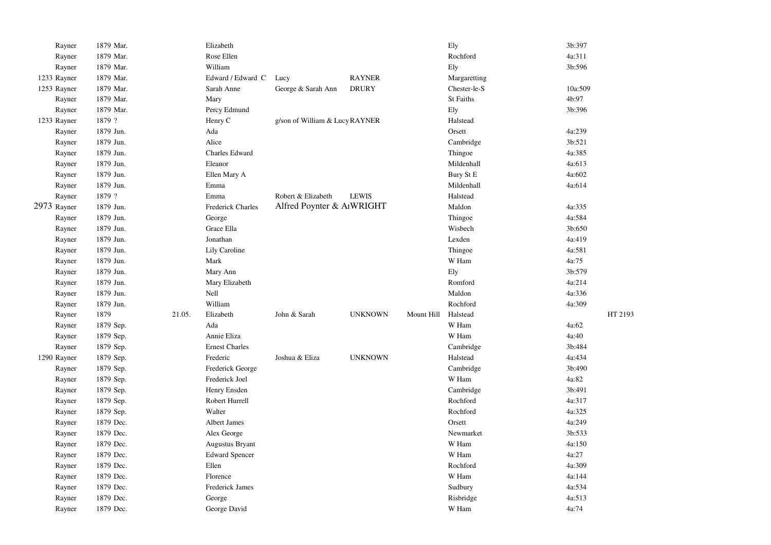| Rayner      | 1879 Mar. |        | Elizabeth             |                                |                |            | Ely              | 3b:397  |
|-------------|-----------|--------|-----------------------|--------------------------------|----------------|------------|------------------|---------|
| Rayner      | 1879 Mar. |        | Rose Ellen            |                                |                |            | Rochford         | 4a:311  |
| Rayner      | 1879 Mar. |        | William               |                                |                |            | Ely              | 3b:596  |
| 1233 Rayner | 1879 Mar. |        | Edward / Edward C     | Lucy                           | <b>RAYNER</b>  |            | Margaretting     |         |
| 1253 Rayner | 1879 Mar. |        | Sarah Anne            | George & Sarah Ann             | <b>DRURY</b>   |            | Chester-le-S     | 10a:509 |
| Rayner      | 1879 Mar. |        | Mary                  |                                |                |            | <b>St Faiths</b> | 4b:97   |
| Rayner      | 1879 Mar. |        | Percy Edmund          |                                |                |            | Ely              | 3b:396  |
| 1233 Rayner | 1879 ?    |        | Henry C               | g/son of William & Lucy RAYNER |                |            | Halstead         |         |
| Rayner      | 1879 Jun. |        | Ada                   |                                |                |            | Orsett           | 4a:239  |
| Rayner      | 1879 Jun. |        | Alice                 |                                |                |            | Cambridge        | 3b:521  |
| Rayner      | 1879 Jun. |        | Charles Edward        |                                |                |            | Thingoe          | 4a:385  |
| Rayner      | 1879 Jun. |        | Eleanor               |                                |                |            | Mildenhall       | 4a:613  |
| Rayner      | 1879 Jun. |        | Ellen Mary A          |                                |                |            | Bury St E        | 4a:602  |
| Rayner      | 1879 Jun. |        | Emma                  |                                |                |            | Mildenhall       | 4a:614  |
| Rayner      | 1879 ?    |        | Emma                  | Robert & Elizabeth             | <b>LEWIS</b>   |            | Halstead         |         |
| 2973 Rayner | 1879 Jun. |        | Frederick Charles     | Alfred Poynter & AIWRIGHT      |                |            | Maldon           | 4a:335  |
| Rayner      | 1879 Jun. |        | George                |                                |                |            | Thingoe          | 4a:584  |
| Rayner      | 1879 Jun. |        | Grace Ella            |                                |                |            | Wisbech          | 3b:650  |
| Rayner      | 1879 Jun. |        | Jonathan              |                                |                |            | Lexden           | 4a:419  |
| Rayner      | 1879 Jun. |        | Lily Caroline         |                                |                |            | Thingoe          | 4a:581  |
| Rayner      | 1879 Jun. |        | Mark                  |                                |                |            | W Ham            | 4a:75   |
| Rayner      | 1879 Jun. |        | Mary Ann              |                                |                |            | Ely              | 3b:579  |
| Rayner      | 1879 Jun. |        | Mary Elizabeth        |                                |                |            | Romford          | 4a:214  |
| Rayner      | 1879 Jun. |        | Nell                  |                                |                |            | Maldon           | 4a:336  |
| Rayner      | 1879 Jun. |        | William               |                                |                |            | Rochford         | 4a:309  |
| Rayner      | 1879      | 21.05. | Elizabeth             | John & Sarah                   | <b>UNKNOWN</b> | Mount Hill | Halstead         | HT 2193 |
| Rayner      | 1879 Sep. |        | Ada                   |                                |                |            | W Ham            | 4a:62   |
| Rayner      | 1879 Sep. |        | Annie Eliza           |                                |                |            | W Ham            | 4a:40   |
| Rayner      | 1879 Sep. |        | <b>Ernest Charles</b> |                                |                |            | Cambridge        | 3b:484  |
| 1290 Rayner | 1879 Sep. |        | Frederic              | Joshua & Eliza                 | <b>UNKNOWN</b> |            | Halstead         | 4a:434  |
| Rayner      | 1879 Sep. |        | Frederick George      |                                |                |            | Cambridge        | 3b:490  |
| Rayner      | 1879 Sep. |        | Frederick Joel        |                                |                |            | W Ham            | 4a:82   |
| Rayner      | 1879 Sep. |        | Henry Ensden          |                                |                |            | Cambridge        | 3b:491  |
| Rayner      | 1879 Sep. |        | Robert Hurrell        |                                |                |            | Rochford         | 4a:317  |
| Rayner      | 1879 Sep. |        | Walter                |                                |                |            | Rochford         | 4a:325  |
| Rayner      | 1879 Dec. |        | Albert James          |                                |                |            | Orsett           | 4a:249  |
| Rayner      | 1879 Dec. |        | Alex George           |                                |                |            | Newmarket        | 3b:533  |
| Rayner      | 1879 Dec. |        | Augustus Bryant       |                                |                |            | W Ham            | 4a:150  |
| Rayner      | 1879 Dec. |        | <b>Edward Spencer</b> |                                |                |            | W Ham            | 4a:27   |
| Rayner      | 1879 Dec. |        | Ellen                 |                                |                |            | Rochford         | 4a:309  |
| Rayner      | 1879 Dec. |        | Florence              |                                |                |            | W Ham            | 4a:144  |
| Rayner      | 1879 Dec. |        | Frederick James       |                                |                |            | Sudbury          | 4a:534  |
| Rayner      | 1879 Dec. |        | George                |                                |                |            | Risbridge        | 4a:513  |
| Rayner      | 1879 Dec. |        | George David          |                                |                |            | W Ham            | 4a:74   |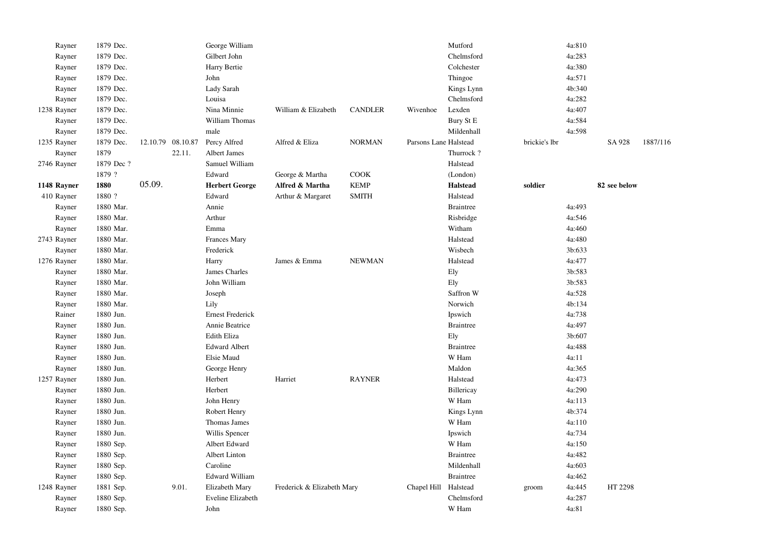| Rayner      | 1879 Dec.  |                   | George William          |                            |                |                       | Mutford          |               | 4a:810 |              |          |
|-------------|------------|-------------------|-------------------------|----------------------------|----------------|-----------------------|------------------|---------------|--------|--------------|----------|
| Rayner      | 1879 Dec.  |                   | Gilbert John            |                            |                |                       | Chelmsford       |               | 4a:283 |              |          |
| Rayner      | 1879 Dec.  |                   | Harry Bertie            |                            |                |                       | Colchester       |               | 4a:380 |              |          |
| Rayner      | 1879 Dec.  |                   | John                    |                            |                |                       | Thingoe          |               | 4a:571 |              |          |
| Rayner      | 1879 Dec.  |                   | Lady Sarah              |                            |                |                       | Kings Lynn       |               | 4b:340 |              |          |
| Rayner      | 1879 Dec.  |                   | Louisa                  |                            |                |                       | Chelmsford       |               | 4a:282 |              |          |
| 1238 Rayner | 1879 Dec.  |                   | Nina Minnie             | William & Elizabeth        | <b>CANDLER</b> | Wivenhoe              | Lexden           |               | 4a:407 |              |          |
| Rayner      | 1879 Dec.  |                   | William Thomas          |                            |                |                       | Bury St E        |               | 4a:584 |              |          |
| Rayner      | 1879 Dec.  |                   | male                    |                            |                |                       | Mildenhall       |               | 4a:598 |              |          |
| 1235 Rayner | 1879 Dec.  | 12.10.79 08.10.87 | Percy Alfred            | Alfred & Eliza             | <b>NORMAN</b>  | Parsons Lane Halstead |                  | brickie's lbr |        | SA 928       | 1887/116 |
| Rayner      | 1879       | 22.11.            | Albert James            |                            |                |                       | Thurrock?        |               |        |              |          |
| 2746 Rayner | 1879 Dec ? |                   | Samuel William          |                            |                |                       | Halstead         |               |        |              |          |
|             | 1879 ?     |                   | Edward                  | George & Martha            | COOK           |                       | (London)         |               |        |              |          |
| 1148 Rayner | 1880       | 05.09.            | <b>Herbert George</b>   | Alfred & Martha            | <b>KEMP</b>    |                       | <b>Halstead</b>  | soldier       |        | 82 see below |          |
| 410 Rayner  | 1880 ?     |                   | Edward                  | Arthur & Margaret          | <b>SMITH</b>   |                       | Halstead         |               |        |              |          |
| Rayner      | 1880 Mar.  |                   | Annie                   |                            |                |                       | <b>Braintree</b> |               | 4a:493 |              |          |
| Rayner      | 1880 Mar.  |                   | Arthur                  |                            |                |                       | Risbridge        |               | 4a:546 |              |          |
| Rayner      | 1880 Mar.  |                   | Emma                    |                            |                |                       | Witham           |               | 4a:460 |              |          |
| 2743 Rayner | 1880 Mar.  |                   | <b>Frances Mary</b>     |                            |                |                       | Halstead         |               | 4a:480 |              |          |
| Rayner      | 1880 Mar.  |                   | Frederick               |                            |                |                       | Wisbech          |               | 3b:633 |              |          |
| 1276 Rayner | 1880 Mar.  |                   | Harry                   | James & Emma               | <b>NEWMAN</b>  |                       | Halstead         |               | 4a:477 |              |          |
| Rayner      | 1880 Mar.  |                   | James Charles           |                            |                |                       | Ely              |               | 3b:583 |              |          |
| Rayner      | 1880 Mar.  |                   | John William            |                            |                |                       | Ely              |               | 3b:583 |              |          |
| Rayner      | 1880 Mar.  |                   | Joseph                  |                            |                |                       | Saffron W        |               | 4a:528 |              |          |
| Rayner      | 1880 Mar.  |                   | Lily                    |                            |                |                       | Norwich          |               | 4b:134 |              |          |
| Rainer      | 1880 Jun.  |                   | <b>Ernest Frederick</b> |                            |                |                       | Ipswich          |               | 4a:738 |              |          |
| Rayner      | 1880 Jun.  |                   | Annie Beatrice          |                            |                |                       | <b>Braintree</b> |               | 4a:497 |              |          |
| Rayner      | 1880 Jun.  |                   | Edith Eliza             |                            |                |                       | Ely              |               | 3b:607 |              |          |
| Rayner      | 1880 Jun.  |                   | <b>Edward Albert</b>    |                            |                |                       | <b>Braintree</b> |               | 4a:488 |              |          |
| Rayner      | 1880 Jun.  |                   | Elsie Maud              |                            |                |                       | W Ham            |               | 4a:11  |              |          |
| Rayner      | 1880 Jun.  |                   | George Henry            |                            |                |                       | Maldon           |               | 4a:365 |              |          |
| 1257 Rayner | 1880 Jun.  |                   | Herbert                 | Harriet                    | <b>RAYNER</b>  |                       | Halstead         |               | 4a:473 |              |          |
| Rayner      | 1880 Jun.  |                   | Herbert                 |                            |                |                       | Billericay       |               | 4a:290 |              |          |
| Rayner      | 1880 Jun.  |                   | John Henry              |                            |                |                       | W Ham            |               | 4a:113 |              |          |
| Rayner      | 1880 Jun.  |                   | Robert Henry            |                            |                |                       | Kings Lynn       |               | 4b:374 |              |          |
| Rayner      | 1880 Jun.  |                   | Thomas James            |                            |                |                       | W Ham            |               | 4a:110 |              |          |
| Rayner      | 1880 Jun.  |                   | Willis Spencer          |                            |                |                       | Ipswich          |               | 4a:734 |              |          |
| Rayner      | 1880 Sep.  |                   | Albert Edward           |                            |                |                       | W Ham            |               | 4a:150 |              |          |
| Rayner      | 1880 Sep.  |                   | Albert Linton           |                            |                |                       | <b>Braintree</b> |               | 4a:482 |              |          |
| Rayner      | 1880 Sep.  |                   | Caroline                |                            |                |                       | Mildenhall       |               | 4a:603 |              |          |
| Rayner      | 1880 Sep.  |                   | <b>Edward William</b>   |                            |                |                       | <b>Braintree</b> |               | 4a:462 |              |          |
| 1248 Rayner | 1881 Sep.  | 9.01.             | Elizabeth Mary          | Frederick & Elizabeth Mary |                | Chapel Hill           | Halstead         | groom         | 4a:445 | HT 2298      |          |
| Rayner      | 1880 Sep.  |                   | Eveline Elizabeth       |                            |                |                       | Chelmsford       |               | 4a:287 |              |          |
| Rayner      | 1880 Sep.  |                   | John                    |                            |                |                       | W Ham            |               | 4a:81  |              |          |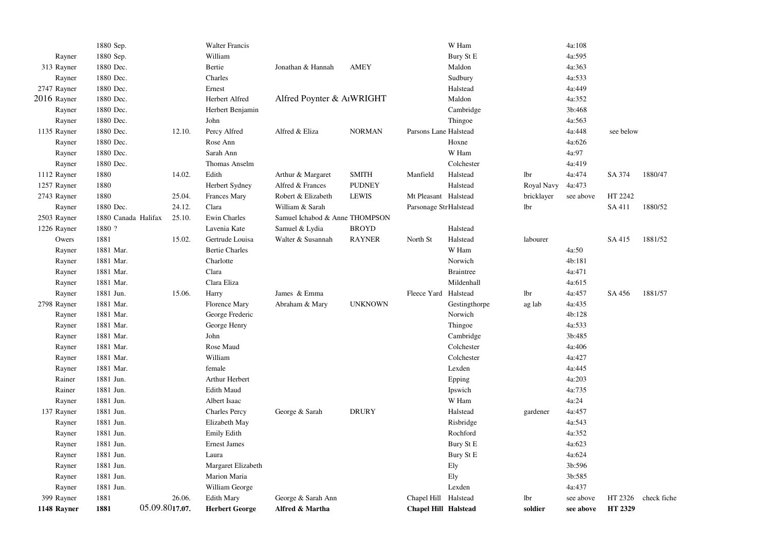| 1148 Rayner | 1881                | 05.09.8017.07. | <b>Herbert George</b> | Alfred & Martha                        |                | <b>Chapel Hill Halstead</b> |                  | soldier    | see above | HT 2329   |             |
|-------------|---------------------|----------------|-----------------------|----------------------------------------|----------------|-----------------------------|------------------|------------|-----------|-----------|-------------|
| 399 Rayner  | 1881                | 26.06.         | <b>Edith Mary</b>     | George & Sarah Ann                     |                | Chapel Hill Halstead        |                  | lbr        | see above | HT 2326   | check fiche |
| Rayner      | 1881 Jun.           |                | William George        |                                        |                |                             | Lexden           |            | 4a:437    |           |             |
| Rayner      | 1881 Jun.           |                | Marion Maria          |                                        |                |                             | Ely              |            | 3b:585    |           |             |
| Rayner      | 1881 Jun.           |                | Margaret Elizabeth    |                                        |                |                             | Ely              |            | 3b:596    |           |             |
| Rayner      | 1881 Jun.           |                | Laura                 |                                        |                |                             | Bury St E        |            | 4a:624    |           |             |
| Rayner      | 1881 Jun.           |                | <b>Ernest James</b>   |                                        |                |                             | Bury St E        |            | 4a:623    |           |             |
| Rayner      | 1881 Jun.           |                | Emily Edith           |                                        |                |                             | Rochford         |            | 4a:352    |           |             |
| Rayner      | 1881 Jun.           |                | Elizabeth May         |                                        |                |                             | Risbridge        |            | 4a:543    |           |             |
| 137 Rayner  | 1881 Jun.           |                | <b>Charles Percy</b>  | George & Sarah                         | <b>DRURY</b>   |                             | Halstead         | gardener   | 4a:457    |           |             |
| Rayner      | 1881 Jun.           |                | Albert Isaac          |                                        |                |                             | W Ham            |            | 4a:24     |           |             |
| Rainer      | 1881 Jun.           |                | Edith Maud            |                                        |                |                             | Ipswich          |            | 4a:735    |           |             |
| Rainer      | 1881 Jun.           |                | Arthur Herbert        |                                        |                |                             | Epping           |            | 4a:203    |           |             |
| Rayner      | 1881 Mar.           |                | female                |                                        |                |                             | Lexden           |            | 4a:445    |           |             |
| Rayner      | 1881 Mar.           |                | William               |                                        |                |                             | Colchester       |            | 4a:427    |           |             |
| Rayner      | 1881 Mar.           |                | Rose Maud             |                                        |                |                             | Colchester       |            | 4a:406    |           |             |
| Rayner      | 1881 Mar.           |                | John                  |                                        |                |                             | Cambridge        |            | 3b:485    |           |             |
| Rayner      | 1881 Mar.           |                | George Henry          |                                        |                |                             | Thingoe          |            | 4a:533    |           |             |
| Rayner      | 1881 Mar.           |                | George Frederic       |                                        |                |                             | Norwich          |            | 4b:128    |           |             |
| 2798 Rayner | 1881 Mar.           |                | <b>Florence Mary</b>  | Abraham & Mary                         | <b>UNKNOWN</b> |                             | Gestingthorpe    | ag lab     | 4a:435    |           |             |
| Rayner      | 1881 Jun.           | 15.06.         | Harry                 | James & Emma                           |                | Fleece Yard Halstead        |                  | lbr        | 4a:457    | SA 456    | 1881/57     |
| Rayner      | 1881 Mar.           |                | Clara Eliza           |                                        |                |                             | Mildenhall       |            | 4a:615    |           |             |
| Rayner      | 1881 Mar.           |                | Clara                 |                                        |                |                             | <b>Braintree</b> |            | 4a:471    |           |             |
| Rayner      | 1881 Mar.           |                | Charlotte             |                                        |                |                             | Norwich          |            | 4b:181    |           |             |
| Rayner      | 1881 Mar.           |                | <b>Bertie Charles</b> |                                        |                |                             | W Ham            |            | 4a:50     |           |             |
| Owers       | 1881                | 15.02.         | Gertrude Louisa       | Walter & Susannah                      | <b>RAYNER</b>  | North St                    | Halstead         | labourer   |           | SA 415    | 1881/52     |
| 1226 Rayner | 1880 ?              |                | Lavenia Kate          | Samuel & Lydia                         | <b>BROYD</b>   |                             | Halstead         |            |           |           |             |
| 2503 Rayner | 1880 Canada Halifax | 25.10.         | Ewin Charles          | Samuel Ichabod & Anne THOMPSON         |                |                             |                  |            |           |           |             |
| Rayner      | 1880 Dec.           | 24.12.         | Clara                 | William & Sarah                        |                | Parsonage Str Halstead      |                  | lbr        |           | SA 411    | 1880/52     |
| 2743 Rayner | 1880                | 25.04.         | <b>Frances Mary</b>   | Robert & Elizabeth                     | <b>LEWIS</b>   | Mt Pleasant Halstead        |                  | bricklayer | see above | HT 2242   |             |
| 1257 Rayner | 1880                |                | Herbert Sydney        | Alfred & Frances                       | <b>PUDNEY</b>  |                             | Halstead         | Royal Navy | 4a:473    |           |             |
| 1112 Rayner | 1880                | 14.02.         | Edith                 | Arthur & Margaret                      | <b>SMITH</b>   | Manfield                    | Halstead         | lbr        | 4a:474    | SA 374    | 1880/47     |
| Rayner      | 1880 Dec.           |                | Thomas Anselm         |                                        |                |                             | Colchester       |            | 4a:419    |           |             |
| Rayner      | 1880 Dec.           |                | Sarah Ann             |                                        |                |                             | W Ham            |            | 4a:97     |           |             |
| Rayner      | 1880 Dec.           |                | Rose Ann              |                                        |                |                             | Hoxne            |            | 4a:626    |           |             |
| 1135 Rayner | 1880 Dec.           | 12.10.         | Percy Alfred          | Alfred & Eliza                         | <b>NORMAN</b>  | Parsons Lane Halstead       |                  |            | 4a:448    | see below |             |
| Rayner      | 1880 Dec.           |                | John                  |                                        |                |                             | Thingoe          |            | 4a:563    |           |             |
| Rayner      | 1880 Dec.           |                | Herbert Benjamin      |                                        |                |                             | Cambridge        |            | 3b:468    |           |             |
| 2016 Rayner | 1880 Dec.           |                | Herbert Alfred        | Alfred Poynter & A <sub>I</sub> WRIGHT |                |                             | Maldon           |            | 4a:352    |           |             |
| 2747 Rayner | 1880 Dec.           |                | Ernest                |                                        |                |                             | Halstead         |            | 4a:449    |           |             |
| Rayner      | 1880 Dec.           |                | Charles               |                                        |                |                             | Sudbury          |            | 4a:533    |           |             |
| 313 Rayner  | 1880 Dec.           |                | Bertie                | Jonathan & Hannah                      | AMEY           |                             | Maldon           |            | 4a:363    |           |             |
| Rayner      | 1880 Sep.           |                | William               |                                        |                |                             | Bury St E        |            | 4a:595    |           |             |
|             | 1880 Sep.           |                | <b>Walter Francis</b> |                                        |                |                             | W Ham            |            | 4a:108    |           |             |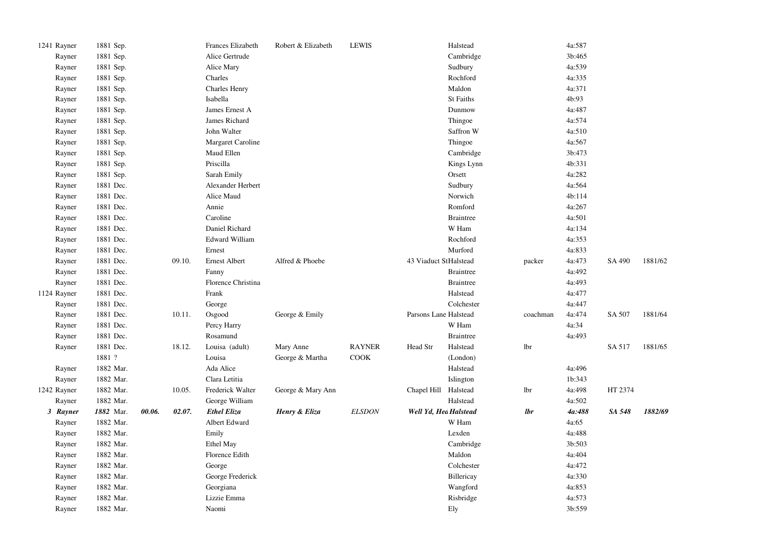| 1241 Rayner | 1881 Sep. |        |        | Frances Elizabeth     | Robert & Elizabeth | <b>LEWIS</b>  |                       | Halstead         |          | 4a:587 |         |         |
|-------------|-----------|--------|--------|-----------------------|--------------------|---------------|-----------------------|------------------|----------|--------|---------|---------|
| Rayner      | 1881 Sep. |        |        | Alice Gertrude        |                    |               |                       | Cambridge        |          | 3b:465 |         |         |
| Rayner      | 1881 Sep. |        |        | Alice Mary            |                    |               |                       | Sudbury          |          | 4a:539 |         |         |
| Rayner      | 1881 Sep. |        |        | Charles               |                    |               |                       | Rochford         |          | 4a:335 |         |         |
| Rayner      | 1881 Sep. |        |        | <b>Charles Henry</b>  |                    |               |                       | Maldon           |          | 4a:371 |         |         |
| Rayner      | 1881 Sep. |        |        | Isabella              |                    |               |                       | St Faiths        |          | 4b:93  |         |         |
| Rayner      | 1881 Sep. |        |        | James Ernest A        |                    |               |                       | Dunmow           |          | 4a:487 |         |         |
| Rayner      | 1881 Sep. |        |        | James Richard         |                    |               |                       | Thingoe          |          | 4a:574 |         |         |
| Rayner      | 1881 Sep. |        |        | John Walter           |                    |               |                       | Saffron W        |          | 4a:510 |         |         |
| Rayner      | 1881 Sep. |        |        | Margaret Caroline     |                    |               |                       | Thingoe          |          | 4a:567 |         |         |
| Rayner      | 1881 Sep. |        |        | Maud Ellen            |                    |               |                       | Cambridge        |          | 3b:473 |         |         |
| Rayner      | 1881 Sep. |        |        | Priscilla             |                    |               |                       | Kings Lynn       |          | 4b:331 |         |         |
| Rayner      | 1881 Sep. |        |        | Sarah Emily           |                    |               |                       | Orsett           |          | 4a:282 |         |         |
| Rayner      | 1881 Dec. |        |        | Alexander Herbert     |                    |               |                       | Sudbury          |          | 4a:564 |         |         |
| Rayner      | 1881 Dec. |        |        | Alice Maud            |                    |               |                       | Norwich          |          | 4b:114 |         |         |
| Rayner      | 1881 Dec. |        |        | Annie                 |                    |               |                       | Romford          |          | 4a:267 |         |         |
| Rayner      | 1881 Dec. |        |        | Caroline              |                    |               |                       | <b>Braintree</b> |          | 4a:501 |         |         |
| Rayner      | 1881 Dec. |        |        | Daniel Richard        |                    |               |                       | W Ham            |          | 4a:134 |         |         |
| Rayner      | 1881 Dec. |        |        | <b>Edward William</b> |                    |               |                       | Rochford         |          | 4a:353 |         |         |
| Rayner      | 1881 Dec. |        |        | Ernest                |                    |               |                       | Murford          |          | 4a:833 |         |         |
| Rayner      | 1881 Dec. |        | 09.10. | <b>Ernest Albert</b>  | Alfred & Phoebe    |               | 43 Viaduct StHalstead |                  | packer   | 4a:473 | SA 490  | 1881/62 |
| Rayner      | 1881 Dec. |        |        | Fanny                 |                    |               |                       | <b>Braintree</b> |          | 4a:492 |         |         |
| Rayner      | 1881 Dec. |        |        | Florence Christina    |                    |               |                       | <b>Braintree</b> |          | 4a:493 |         |         |
| 1124 Rayner | 1881 Dec. |        |        | Frank                 |                    |               |                       | Halstead         |          | 4a:477 |         |         |
| Rayner      | 1881 Dec. |        |        | George                |                    |               |                       | Colchester       |          | 4a:447 |         |         |
| Rayner      | 1881 Dec. |        | 10.11. | Osgood                | George & Emily     |               | Parsons Lane Halstead |                  | coachman | 4a:474 | SA 507  | 1881/64 |
| Rayner      | 1881 Dec. |        |        | Percy Harry           |                    |               |                       | W Ham            |          | 4a:34  |         |         |
| Rayner      | 1881 Dec. |        |        | Rosamund              |                    |               |                       | <b>Braintree</b> |          | 4a:493 |         |         |
| Rayner      | 1881 Dec. |        | 18.12. | Louisa (adult)        | Mary Anne          | <b>RAYNER</b> | Head Str              | Halstead         | lbr      |        | SA 517  | 1881/65 |
|             | 1881 ?    |        |        | Louisa                | George & Martha    | COOK          |                       | (London)         |          |        |         |         |
| Rayner      | 1882 Mar. |        |        | Ada Alice             |                    |               |                       | Halstead         |          | 4a:496 |         |         |
| Rayner      | 1882 Mar. |        |        | Clara Letitia         |                    |               |                       | Islington        |          | 1b:343 |         |         |
| 1242 Rayner | 1882 Mar. |        | 10.05. | Frederick Walter      | George & Mary Ann  |               | Chapel Hill Halstead  |                  | lbr      | 4a:498 | HT 2374 |         |
| Rayner      | 1882 Mar. |        |        | George William        |                    |               |                       | Halstead         |          | 4a:502 |         |         |
| 3 Rayner    | 1882 Mar. | 00.06. | 02.07. | <b>Ethel Eliza</b>    | Henry & Eliza      | <b>ELSDON</b> | Well Yd, Hed Halstead |                  | lbr      | 4a:488 | SA 548  | 1882/69 |
| Rayner      | 1882 Mar. |        |        | Albert Edward         |                    |               |                       | W Ham            |          | 4a:65  |         |         |
| Rayner      | 1882 Mar. |        |        | Emily                 |                    |               |                       | Lexden           |          | 4a:488 |         |         |
| Rayner      | 1882 Mar. |        |        | Ethel May             |                    |               |                       | Cambridge        |          | 3b:503 |         |         |
| Rayner      | 1882 Mar. |        |        | Florence Edith        |                    |               |                       | Maldon           |          | 4a:404 |         |         |
| Rayner      | 1882 Mar. |        |        | George                |                    |               |                       | Colchester       |          | 4a:472 |         |         |
| Rayner      | 1882 Mar. |        |        | George Frederick      |                    |               |                       | Billericay       |          | 4a:330 |         |         |
| Rayner      | 1882 Mar. |        |        | Georgiana             |                    |               |                       | Wangford         |          | 4a:853 |         |         |
| Rayner      | 1882 Mar. |        |        | Lizzie Emma           |                    |               |                       | Risbridge        |          | 4a:573 |         |         |
| Rayner      | 1882 Mar. |        |        | Naomi                 |                    |               |                       | Ely              |          | 3b:559 |         |         |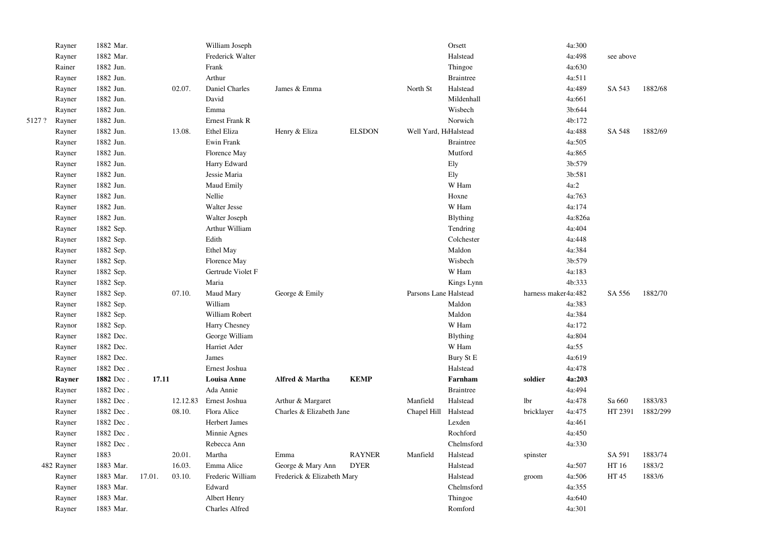|        | Rayner     | 1882 Mar. |        |          | William Joseph        |                            |               |                       | Orsett           |                     | 4a:300  |           |          |
|--------|------------|-----------|--------|----------|-----------------------|----------------------------|---------------|-----------------------|------------------|---------------------|---------|-----------|----------|
|        | Rayner     | 1882 Mar. |        |          | Frederick Walter      |                            |               |                       | Halstead         |                     | 4a:498  | see above |          |
|        | Rainer     | 1882 Jun. |        |          | Frank                 |                            |               |                       | Thingoe          |                     | 4a:630  |           |          |
|        | Rayner     | 1882 Jun. |        |          | Arthur                |                            |               |                       | <b>Braintree</b> |                     | 4a:511  |           |          |
|        | Rayner     | 1882 Jun. |        | 02.07.   | Daniel Charles        | James & Emma               |               | North St              | Halstead         |                     | 4a:489  | SA 543    | 1882/68  |
|        | Rayner     | 1882 Jun. |        |          | David                 |                            |               |                       | Mildenhall       |                     | 4a:661  |           |          |
|        | Rayner     | 1882 Jun. |        |          | Emma                  |                            |               |                       | Wisbech          |                     | 3b:644  |           |          |
| 5127 ? | Rayner     | 1882 Jun. |        |          | Ernest Frank R        |                            |               |                       | Norwich          |                     | 4b:172  |           |          |
|        | Rayner     | 1882 Jun. |        | 13.08.   | Ethel Eliza           | Henry & Eliza              | <b>ELSDON</b> | Well Yard, HtHalstead |                  |                     | 4a:488  | SA 548    | 1882/69  |
|        | Rayner     | 1882 Jun. |        |          | Ewin Frank            |                            |               |                       | <b>Braintree</b> |                     | 4a:505  |           |          |
|        | Rayner     | 1882 Jun. |        |          | Florence May          |                            |               |                       | Mutford          |                     | 4a:865  |           |          |
|        | Rayner     | 1882 Jun. |        |          | Harry Edward          |                            |               |                       | Ely              |                     | 3b:579  |           |          |
|        | Rayner     | 1882 Jun. |        |          | Jessie Maria          |                            |               |                       | Ely              |                     | 3b:581  |           |          |
|        | Rayner     | 1882 Jun. |        |          | Maud Emily            |                            |               |                       | W Ham            |                     | 4a:2    |           |          |
|        | Rayner     | 1882 Jun. |        |          | Nellie                |                            |               |                       | Hoxne            |                     | 4a:763  |           |          |
|        | Rayner     | 1882 Jun. |        |          | Walter Jesse          |                            |               |                       | W Ham            |                     | 4a:174  |           |          |
|        | Rayner     | 1882 Jun. |        |          | Walter Joseph         |                            |               |                       | Blything         |                     | 4a:826a |           |          |
|        | Rayner     | 1882 Sep. |        |          | Arthur William        |                            |               |                       | Tendring         |                     | 4a:404  |           |          |
|        | Rayner     | 1882 Sep. |        |          | Edith                 |                            |               |                       | Colchester       |                     | 4a:448  |           |          |
|        | Rayner     | 1882 Sep. |        |          | Ethel May             |                            |               |                       | Maldon           |                     | 4a:384  |           |          |
|        | Rayner     | 1882 Sep. |        |          | Florence May          |                            |               |                       | Wisbech          |                     | 3b:579  |           |          |
|        | Rayner     | 1882 Sep. |        |          | Gertrude Violet F     |                            |               |                       | W Ham            |                     | 4a:183  |           |          |
|        | Rayner     | 1882 Sep. |        |          | Maria                 |                            |               |                       | Kings Lynn       |                     | 4b:333  |           |          |
|        | Rayner     | 1882 Sep. |        | 07.10.   | Maud Mary             | George & Emily             |               | Parsons Lane Halstead |                  | harness maker4a:482 |         | SA 556    | 1882/70  |
|        | Rayner     | 1882 Sep. |        |          | William               |                            |               |                       | Maldon           |                     | 4a:383  |           |          |
|        | Rayner     | 1882 Sep. |        |          | William Robert        |                            |               |                       | Maldon           |                     | 4a:384  |           |          |
|        | Raynor     | 1882 Sep. |        |          | Harry Chesney         |                            |               |                       | W Ham            |                     | 4a:172  |           |          |
|        | Rayner     | 1882 Dec. |        |          | George William        |                            |               |                       | Blything         |                     | 4a:804  |           |          |
|        | Rayner     | 1882 Dec. |        |          | Harriet Ader          |                            |               |                       | W Ham            |                     | 4a:55   |           |          |
|        | Rayner     | 1882 Dec. |        |          | James                 |                            |               |                       | Bury St E        |                     | 4a:619  |           |          |
|        | Rayner     | 1882 Dec. |        |          | Ernest Joshua         |                            |               |                       | Halstead         |                     | 4a:478  |           |          |
|        | Rayner     | 1882 Dec. | 17.11  |          | <b>Louisa Anne</b>    | Alfred & Martha            | <b>KEMP</b>   |                       | Farnham          | soldier             | 4a:203  |           |          |
|        | Rayner     | 1882 Dec. |        |          | Ada Annie             |                            |               |                       | <b>Braintree</b> |                     | 4a:494  |           |          |
|        | Rayner     | 1882 Dec. |        | 12.12.83 | Ernest Joshua         | Arthur & Margaret          |               | Manfield              | Halstead         | lbr                 | 4a:478  | Sa 660    | 1883/83  |
|        | Rayner     | 1882 Dec. |        | 08.10.   | Flora Alice           | Charles & Elizabeth Jane   |               | Chapel Hill           | Halstead         | bricklayer          | 4a:475  | HT 2391   | 1882/299 |
|        | Rayner     | 1882 Dec. |        |          | Herbert James         |                            |               |                       | Lexden           |                     | 4a:461  |           |          |
|        | Rayner     | 1882 Dec. |        |          | Minnie Agnes          |                            |               |                       | Rochford         |                     | 4a:450  |           |          |
|        | Rayner     | 1882 Dec. |        |          | Rebecca Ann           |                            |               |                       | Chelmsford       |                     | 4a:330  |           |          |
|        | Rayner     | 1883      |        | 20.01.   | Martha                | Emma                       | <b>RAYNER</b> | Manfield              | Halstead         | spinster            |         | SA 591    | 1883/74  |
|        | 482 Rayner | 1883 Mar. |        | 16.03.   | Emma Alice            | George & Mary Ann          | <b>DYER</b>   |                       | Halstead         |                     | 4a:507  | HT 16     | 1883/2   |
|        | Rayner     | 1883 Mar. | 17.01. | 03.10.   | Frederic William      | Frederick & Elizabeth Mary |               |                       | Halstead         | groom               | 4a:506  | HT 45     | 1883/6   |
|        | Rayner     | 1883 Mar. |        |          | Edward                |                            |               |                       | Chelmsford       |                     | 4a:355  |           |          |
|        | Rayner     | 1883 Mar. |        |          | Albert Henry          |                            |               |                       | Thingoe          |                     | 4a:640  |           |          |
|        | Rayner     | 1883 Mar. |        |          | <b>Charles Alfred</b> |                            |               |                       | Romford          |                     | 4a:301  |           |          |
|        |            |           |        |          |                       |                            |               |                       |                  |                     |         |           |          |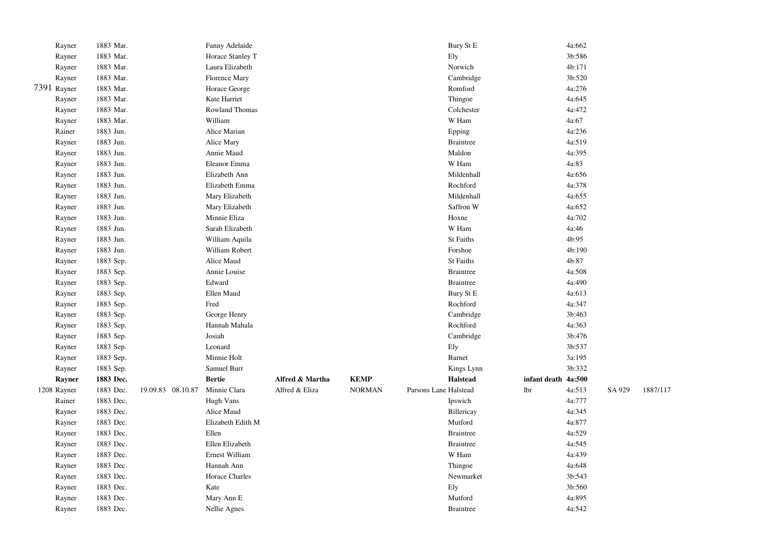|             | Rayner | 1883 Mar. |                   | Fanny Adelaide       |                 |               |                       | Bury St E        |              | 4a:662 |        |          |
|-------------|--------|-----------|-------------------|----------------------|-----------------|---------------|-----------------------|------------------|--------------|--------|--------|----------|
|             | Rayner | 1883 Mar. |                   | Horace Stanley T     |                 |               |                       | Ely              |              | 3b:586 |        |          |
|             | Rayner | 1883 Mar. |                   | Laura Elizabeth      |                 |               |                       | Norwich          |              | 4b:171 |        |          |
|             | Rayner | 1883 Mar. |                   | <b>Florence Mary</b> |                 |               |                       | Cambridge        |              | 3b:520 |        |          |
| 7391 Rayner |        | 1883 Mar. |                   | Horace George        |                 |               |                       | Romford          |              | 4a:276 |        |          |
|             | Rayner | 1883 Mar. |                   | Kate Harriet         |                 |               |                       | Thingoe          |              | 4a:645 |        |          |
|             | Rayner | 1883 Mar. |                   | Rowland Thomas       |                 |               |                       | Colchester       |              | 4a:472 |        |          |
|             | Rayner | 1883 Mar. |                   | William              |                 |               |                       | W Ham            |              | 4a:67  |        |          |
|             | Rainer | 1883 Jun. |                   | Alice Marian         |                 |               |                       | Epping           |              | 4a:236 |        |          |
|             | Rayner | 1883 Jun. |                   | Alice Mary           |                 |               |                       | <b>Braintree</b> |              | 4a:519 |        |          |
|             | Rayner | 1883 Jun. |                   | Annie Maud           |                 |               |                       | Maldon           |              | 4a:395 |        |          |
|             | Rayner | 1883 Jun. |                   | Eleanor Emma         |                 |               |                       | W Ham            |              | 4a:83  |        |          |
|             | Rayner | 1883 Jun. |                   | Elizabeth Ann        |                 |               |                       | Mildenhall       |              | 4a:656 |        |          |
|             | Rayner | 1883 Jun. |                   | Elizabeth Emma       |                 |               |                       | Rochford         |              | 4a:378 |        |          |
|             | Rayner | 1883 Jun. |                   | Mary Elizabeth       |                 |               |                       | Mildenhall       |              | 4a:655 |        |          |
|             | Rayner | 1883 Jun. |                   | Mary Elizabeth       |                 |               |                       | Saffron W        |              | 4a:652 |        |          |
|             | Rayner | 1883 Jun. |                   | Minnie Eliza         |                 |               |                       | Hoxne            |              | 4a:702 |        |          |
|             | Rayner | 1883 Jun. |                   | Sarah Elizabeth      |                 |               |                       | W Ham            |              | 4a:46  |        |          |
|             | Rayner | 1883 Jun. |                   | William Aquila       |                 |               |                       | <b>St Faiths</b> |              | 4b:95  |        |          |
|             | Rayner | 1883 Jun. |                   | William Robert       |                 |               |                       | Forshoe          |              | 4b:190 |        |          |
|             | Rayner | 1883 Sep. |                   | Alice Maud           |                 |               |                       | St Faiths        |              | 4b:87  |        |          |
|             | Rayner | 1883 Sep. |                   | Annie Louise         |                 |               |                       | <b>Braintree</b> |              | 4a:508 |        |          |
|             | Rayner | 1883 Sep. |                   | Edward               |                 |               |                       | <b>Braintree</b> |              | 4a:490 |        |          |
|             | Rayner | 1883 Sep. |                   | Ellen Maud           |                 |               |                       | Bury St E        |              | 4a:613 |        |          |
|             | Rayner | 1883 Sep. |                   | Fred                 |                 |               |                       | Rochford         |              | 4a:347 |        |          |
|             | Rayner | 1883 Sep. |                   | George Henry         |                 |               |                       | Cambridge        |              | 3b:463 |        |          |
|             | Rayner | 1883 Sep. |                   | Hannah Mahala        |                 |               |                       | Rochford         |              | 4a:363 |        |          |
|             | Rayner | 1883 Sep. |                   | Josiah               |                 |               |                       | Cambridge        |              | 3b:476 |        |          |
|             | Rayner | 1883 Sep. |                   | Leonard              |                 |               |                       | Ely              |              | 3b:537 |        |          |
|             | Rayner | 1883 Sep. |                   | Minnie Holt          |                 |               |                       | <b>Barnet</b>    |              | 3a:195 |        |          |
|             | Rayner | 1883 Sep. |                   | Samuel Burr          |                 |               |                       | Kings Lynn       |              | 3b:332 |        |          |
|             | Rayner | 1883 Dec. |                   | <b>Bertie</b>        | Alfred & Martha | <b>KEMP</b>   |                       | <b>Halstead</b>  | infant death | 4a:500 |        |          |
| 1208 Rayner |        | 1883 Dec. | 19.09.83 08.10.87 | Minnie Clara         | Alfred & Eliza  | <b>NORMAN</b> | Parsons Lane Halstead |                  | lbr          | 4a:513 | SA 929 | 1887/117 |
|             | Rainer | 1883 Dec. |                   | Hugh Vans            |                 |               |                       | Ipswich          |              | 4a:777 |        |          |
|             | Rayner | 1883 Dec. |                   | Alice Maud           |                 |               |                       | Billericay       |              | 4a:345 |        |          |
|             | Rayner | 1883 Dec. |                   | Elizabeth Edith M    |                 |               |                       | Mutford          |              | 4a:877 |        |          |
|             | Rayner | 1883 Dec. |                   | Ellen                |                 |               |                       | <b>Braintree</b> |              | 4a:529 |        |          |
|             | Rayner | 1883 Dec. |                   | Ellen Elizabeth      |                 |               |                       | <b>Braintree</b> |              | 4a:545 |        |          |
|             | Rayner | 1883 Dec. |                   | Ernest William       |                 |               |                       | W Ham            |              | 4a:439 |        |          |
|             | Rayner | 1883 Dec. |                   | Hannah Ann           |                 |               |                       | Thingoe          |              | 4a:648 |        |          |
|             | Rayner | 1883 Dec. |                   | Horace Charles       |                 |               |                       | Newmarket        |              | 3b:543 |        |          |
|             | Rayner | 1883 Dec. |                   | Kate                 |                 |               |                       | Ely              |              | 3b:560 |        |          |
|             | Rayner | 1883 Dec. |                   | Mary Ann E           |                 |               |                       | Mutford          |              | 4a:895 |        |          |
|             | Rayner | 1883 Dec. |                   | Nellie Agnes         |                 |               |                       | <b>Braintree</b> |              | 4a:542 |        |          |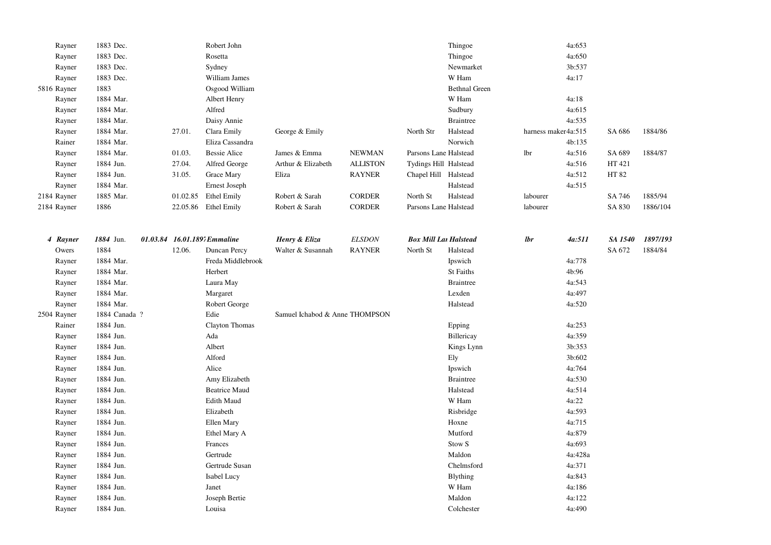| Rayner      | 1883 Dec.     |                              | Robert John          |                                |                 |                              | Thingoe              |                     | 4a:653  |         |          |
|-------------|---------------|------------------------------|----------------------|--------------------------------|-----------------|------------------------------|----------------------|---------------------|---------|---------|----------|
| Rayner      | 1883 Dec.     |                              | Rosetta              |                                |                 |                              | Thingoe              |                     | 4a:650  |         |          |
| Rayner      | 1883 Dec.     |                              | Sydney               |                                |                 |                              | Newmarket            |                     | 3b:537  |         |          |
| Rayner      | 1883 Dec.     |                              | William James        |                                |                 |                              | W Ham                |                     | 4a:17   |         |          |
| 5816 Rayner | 1883          |                              | Osgood William       |                                |                 |                              | <b>Bethnal Green</b> |                     |         |         |          |
| Rayner      | 1884 Mar.     |                              | Albert Henry         |                                |                 |                              | W Ham                |                     | 4a:18   |         |          |
| Rayner      | 1884 Mar.     |                              | Alfred               |                                |                 |                              | Sudbury              |                     | 4a:615  |         |          |
| Rayner      | 1884 Mar.     |                              | Daisy Annie          |                                |                 |                              | <b>Braintree</b>     |                     | 4a:535  |         |          |
| Rayner      | 1884 Mar.     | 27.01.                       | Clara Emily          | George & Emily                 |                 | North Str                    | Halstead             | harness maker4a:515 |         | SA 686  | 1884/86  |
| Rainer      | 1884 Mar.     |                              | Eliza Cassandra      |                                |                 |                              | Norwich              |                     | 4b:135  |         |          |
| Rayner      | 1884 Mar.     | 01.03.                       | <b>Bessie Alice</b>  | James & Emma                   | <b>NEWMAN</b>   | Parsons Lane Halstead        |                      | lbr                 | 4a:516  | SA 689  | 1884/87  |
| Rayner      | 1884 Jun.     | 27.04.                       | Alfred George        | Arthur & Elizabeth             | <b>ALLISTON</b> | Tydings Hill Halstead        |                      |                     | 4a:516  | HT 421  |          |
| Rayner      | 1884 Jun.     | 31.05.                       | Grace Mary           | Eliza                          | <b>RAYNER</b>   | Chapel Hill Halstead         |                      |                     | 4a:512  | HT 82   |          |
| Rayner      | 1884 Mar.     |                              | Ernest Joseph        |                                |                 |                              | Halstead             |                     | 4a:515  |         |          |
| 2184 Rayner | 1885 Mar.     |                              | 01.02.85 Ethel Emily | Robert & Sarah                 | <b>CORDER</b>   | North St                     | Halstead             | labourer            |         | SA 746  | 1885/94  |
| 2184 Rayner | 1886          |                              | 22.05.86 Ethel Emily | Robert & Sarah                 | <b>CORDER</b>   | Parsons Lane Halstead        |                      | labourer            |         | SA 830  | 1886/104 |
|             |               |                              |                      |                                |                 |                              |                      |                     |         |         |          |
| 4 Rayner    | 1884 Jun.     | 01.03.84 16.01.189; Emmaline |                      | Henry & Eliza                  | <b>ELSDON</b>   | <b>Box Mill Lan Halstead</b> |                      | lbr                 | 4a:511  | SA 1540 | 1897/193 |
| Owers       | 1884          | 12.06.                       | Duncan Percy         | Walter & Susannah              | <b>RAYNER</b>   | North St                     | Halstead             |                     |         | SA 672  | 1884/84  |
| Rayner      | 1884 Mar.     |                              | Freda Middlebrook    |                                |                 |                              | Ipswich              |                     | 4a:778  |         |          |
| Rayner      | 1884 Mar.     |                              | Herbert              |                                |                 |                              | <b>St Faiths</b>     |                     | 4b:96   |         |          |
| Rayner      | 1884 Mar.     |                              | Laura May            |                                |                 |                              | <b>Braintree</b>     |                     | 4a:543  |         |          |
| Rayner      | 1884 Mar.     |                              | Margaret             |                                |                 |                              | Lexden               |                     | 4a:497  |         |          |
| Rayner      | 1884 Mar.     |                              | Robert George        |                                |                 |                              | Halstead             |                     | 4a:520  |         |          |
| 2504 Rayner | 1884 Canada ? |                              | Edie                 | Samuel Ichabod & Anne THOMPSON |                 |                              |                      |                     |         |         |          |
| Rainer      | 1884 Jun.     |                              | Clayton Thomas       |                                |                 |                              | Epping               |                     | 4a:253  |         |          |
| Rayner      | 1884 Jun.     |                              | Ada                  |                                |                 |                              | Billericay           |                     | 4a:359  |         |          |
| Rayner      | 1884 Jun.     |                              | Albert               |                                |                 |                              | Kings Lynn           |                     | 3b:353  |         |          |
| Rayner      | 1884 Jun.     |                              | Alford               |                                |                 |                              | Ely                  |                     | 3b:602  |         |          |
| Rayner      | 1884 Jun.     |                              | Alice                |                                |                 |                              | Ipswich              |                     | 4a:764  |         |          |
| Rayner      | 1884 Jun.     |                              | Amy Elizabeth        |                                |                 |                              | <b>Braintree</b>     |                     | 4a:530  |         |          |
| Rayner      | 1884 Jun.     |                              | <b>Beatrice Maud</b> |                                |                 |                              | Halstead             |                     | 4a:514  |         |          |
| Rayner      | 1884 Jun.     |                              | Edith Maud           |                                |                 |                              | W Ham                |                     | 4a:22   |         |          |
| Rayner      | 1884 Jun.     |                              | Elizabeth            |                                |                 |                              | Risbridge            |                     | 4a:593  |         |          |
| Rayner      | 1884 Jun.     |                              | Ellen Mary           |                                |                 |                              | Hoxne                |                     | 4a:715  |         |          |
| Rayner      | 1884 Jun.     |                              | Ethel Mary A         |                                |                 |                              | Mutford              |                     | 4a:879  |         |          |
| Rayner      | 1884 Jun.     |                              | Frances              |                                |                 |                              | Stow <sub>S</sub>    |                     | 4a:693  |         |          |
| Rayner      | 1884 Jun.     |                              | Gertrude             |                                |                 |                              | Maldon               |                     | 4a:428a |         |          |
| Rayner      | 1884 Jun.     |                              | Gertrude Susan       |                                |                 |                              | Chelmsford           |                     | 4a:371  |         |          |
|             | 1884 Jun.     |                              | Isabel Lucy          |                                |                 |                              | <b>Blything</b>      |                     | 4a:843  |         |          |
| Rayner      |               |                              | Janet                |                                |                 |                              | W Ham                |                     | 4a:186  |         |          |
| Rayner      | 1884 Jun.     |                              |                      |                                |                 |                              |                      |                     |         |         |          |
| Rayner      | 1884 Jun.     |                              | Joseph Bertie        |                                |                 |                              | Maldon               |                     | 4a:122  |         |          |
| Rayner      | 1884 Jun.     |                              | Louisa               |                                |                 |                              | Colchester           |                     | 4a:490  |         |          |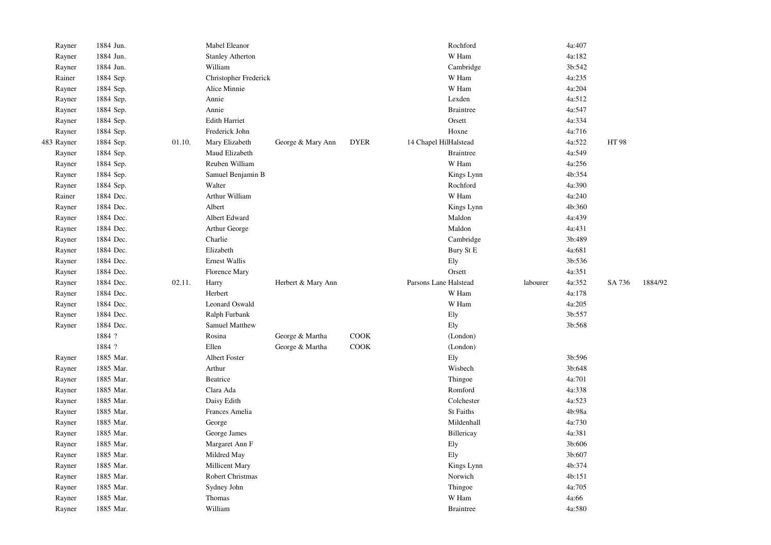| Rayner     | 1884 Jun. |        | Mabel Eleanor           |                    |             | Rochford              |          | 4a:407 |        |         |
|------------|-----------|--------|-------------------------|--------------------|-------------|-----------------------|----------|--------|--------|---------|
| Rayner     | 1884 Jun. |        | <b>Stanley Atherton</b> |                    |             | W Ham                 |          | 4a:182 |        |         |
| Rayner     | 1884 Jun. |        | William                 |                    |             | Cambridge             |          | 3b:542 |        |         |
| Rainer     | 1884 Sep. |        | Christopher Frederick   |                    |             | W Ham                 |          | 4a:235 |        |         |
| Rayner     | 1884 Sep. |        | Alice Minnie            |                    |             | W Ham                 |          | 4a:204 |        |         |
| Rayner     | 1884 Sep. |        | Annie                   |                    |             | Lexden                |          | 4a:512 |        |         |
| Rayner     | 1884 Sep. |        | Annie                   |                    |             | <b>Braintree</b>      |          | 4a:547 |        |         |
| Rayner     | 1884 Sep. |        | <b>Edith Harriet</b>    |                    |             | Orsett                |          | 4a:334 |        |         |
| Rayner     | 1884 Sep. |        | Frederick John          |                    |             | Hoxne                 |          | 4a:716 |        |         |
| 483 Rayner | 1884 Sep. | 01.10. | Mary Elizabeth          | George & Mary Ann  | <b>DYER</b> | 14 Chapel HilHalstead |          | 4a:522 | HT 98  |         |
| Rayner     | 1884 Sep. |        | Maud Elizabeth          |                    |             | <b>Braintree</b>      |          | 4a:549 |        |         |
| Rayner     | 1884 Sep. |        | Reuben William          |                    |             | W Ham                 |          | 4a:256 |        |         |
| Rayner     | 1884 Sep. |        | Samuel Benjamin B       |                    |             | Kings Lynn            |          | 4b:354 |        |         |
| Rayner     | 1884 Sep. |        | Walter                  |                    |             | Rochford              |          | 4a:390 |        |         |
| Rainer     | 1884 Dec. |        | Arthur William          |                    |             | W Ham                 |          | 4a:240 |        |         |
| Rayner     | 1884 Dec. |        | Albert                  |                    |             | Kings Lynn            |          | 4b:360 |        |         |
| Rayner     | 1884 Dec. |        | Albert Edward           |                    |             | Maldon                |          | 4a:439 |        |         |
| Rayner     | 1884 Dec. |        | Arthur George           |                    |             | Maldon                |          | 4a:431 |        |         |
| Rayner     | 1884 Dec. |        | Charlie                 |                    |             | Cambridge             |          | 3b:489 |        |         |
| Rayner     | 1884 Dec. |        | Elizabeth               |                    |             | Bury St E             |          | 4a:681 |        |         |
| Rayner     | 1884 Dec. |        | Ernest Wallis           |                    |             | Ely                   |          | 3b:536 |        |         |
| Rayner     | 1884 Dec. |        | Florence Mary           |                    |             | Orsett                |          | 4a:351 |        |         |
| Rayner     | 1884 Dec. | 02.11. | Harry                   | Herbert & Mary Ann |             | Parsons Lane Halstead | labourer | 4a:352 | SA 736 | 1884/92 |
| Rayner     | 1884 Dec. |        | Herbert                 |                    |             | W Ham                 |          | 4a:178 |        |         |
| Rayner     | 1884 Dec. |        | Leonard Oswald          |                    |             | W Ham                 |          | 4a:205 |        |         |
| Rayner     | 1884 Dec. |        | Ralph Furbank           |                    |             | Ely                   |          | 3b:557 |        |         |
| Rayner     | 1884 Dec. |        | Samuel Matthew          |                    |             | Ely                   |          | 3b:568 |        |         |
|            | 1884 ?    |        | Rosina                  | George & Martha    | COOK        | (London)              |          |        |        |         |
|            | 1884 ?    |        | Ellen                   | George & Martha    | COOK        | (London)              |          |        |        |         |
| Rayner     | 1885 Mar. |        | Albert Foster           |                    |             | Ely                   |          | 3b:596 |        |         |
| Rayner     | 1885 Mar. |        | Arthur                  |                    |             | Wisbech               |          | 3b:648 |        |         |
| Rayner     | 1885 Mar. |        | Beatrice                |                    |             | Thingoe               |          | 4a:701 |        |         |
| Rayner     | 1885 Mar. |        | Clara Ada               |                    |             | Romford               |          | 4a:338 |        |         |
| Rayner     | 1885 Mar. |        | Daisy Edith             |                    |             | Colchester            |          | 4a:523 |        |         |
| Rayner     | 1885 Mar. |        | Frances Amelia          |                    |             | St Faiths             |          | 4b:98a |        |         |
| Rayner     | 1885 Mar. |        | George                  |                    |             | Mildenhall            |          | 4a:730 |        |         |
| Rayner     | 1885 Mar. |        | George James            |                    |             | Billericay            |          | 4a:381 |        |         |
| Rayner     | 1885 Mar. |        | Margaret Ann F          |                    |             | Ely                   |          | 3b:606 |        |         |
| Rayner     | 1885 Mar. |        | Mildred May             |                    |             | Ely                   |          | 3b:607 |        |         |
| Rayner     | 1885 Mar. |        | Millicent Mary          |                    |             | Kings Lynn            |          | 4b:374 |        |         |
| Rayner     | 1885 Mar. |        | Robert Christmas        |                    |             | Norwich               |          | 4b:151 |        |         |
| Rayner     | 1885 Mar. |        | Sydney John             |                    |             | Thingoe               |          | 4a:705 |        |         |
| Rayner     | 1885 Mar. |        | Thomas                  |                    |             | W Ham                 |          | 4a:66  |        |         |
| Rayner     | 1885 Mar. |        | William                 |                    |             | <b>Braintree</b>      |          | 4a:580 |        |         |
|            |           |        |                         |                    |             |                       |          |        |        |         |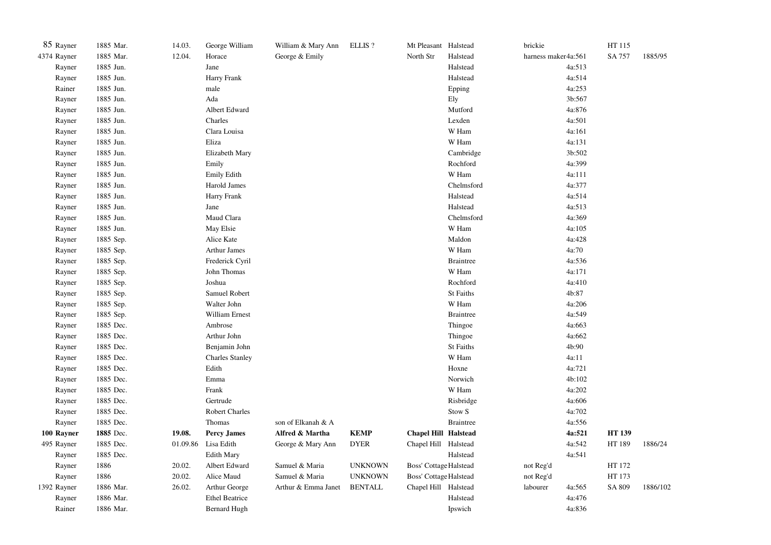| 85 Rayner   | 1885 Mar. | 14.03.   | George William         | William & Mary Ann  | ELLIS?         | Mt Pleasant Halstead          |                   | brickie             |        | HT 115       |          |
|-------------|-----------|----------|------------------------|---------------------|----------------|-------------------------------|-------------------|---------------------|--------|--------------|----------|
| 4374 Rayner | 1885 Mar. | 12.04.   | Horace                 | George & Emily      |                | North Str                     | Halstead          | harness maker4a:561 |        | SA 757       | 1885/95  |
| Rayner      | 1885 Jun. |          | Jane                   |                     |                |                               | Halstead          |                     | 4a:513 |              |          |
| Rayner      | 1885 Jun. |          | Harry Frank            |                     |                |                               | Halstead          |                     | 4a:514 |              |          |
| Rainer      | 1885 Jun. |          | male                   |                     |                |                               | Epping            |                     | 4a:253 |              |          |
| Rayner      | 1885 Jun. |          | Ada                    |                     |                |                               | Ely               |                     | 3b:567 |              |          |
| Rayner      | 1885 Jun. |          | Albert Edward          |                     |                |                               | Mutford           |                     | 4a:876 |              |          |
| Rayner      | 1885 Jun. |          | Charles                |                     |                |                               | Lexden            |                     | 4a:501 |              |          |
| Rayner      | 1885 Jun. |          | Clara Louisa           |                     |                |                               | W Ham             |                     | 4a:161 |              |          |
| Rayner      | 1885 Jun. |          | Eliza                  |                     |                |                               | W Ham             |                     | 4a:131 |              |          |
| Rayner      | 1885 Jun. |          | Elizabeth Mary         |                     |                |                               | Cambridge         |                     | 3b:502 |              |          |
| Rayner      | 1885 Jun. |          | Emily                  |                     |                |                               | Rochford          |                     | 4a:399 |              |          |
| Rayner      | 1885 Jun. |          | Emily Edith            |                     |                |                               | W Ham             |                     | 4a:111 |              |          |
| Rayner      | 1885 Jun. |          | Harold James           |                     |                |                               | Chelmsford        |                     | 4a:377 |              |          |
| Rayner      | 1885 Jun. |          | Harry Frank            |                     |                |                               | Halstead          |                     | 4a:514 |              |          |
| Rayner      | 1885 Jun. |          | Jane                   |                     |                |                               | Halstead          |                     | 4a:513 |              |          |
| Rayner      | 1885 Jun. |          | Maud Clara             |                     |                |                               | Chelmsford        |                     | 4a:369 |              |          |
| Rayner      | 1885 Jun. |          | May Elsie              |                     |                |                               | W Ham             |                     | 4a:105 |              |          |
| Rayner      | 1885 Sep. |          | Alice Kate             |                     |                |                               | Maldon            |                     | 4a:428 |              |          |
| Rayner      | 1885 Sep. |          | <b>Arthur James</b>    |                     |                |                               | W Ham             |                     | 4a:70  |              |          |
| Rayner      | 1885 Sep. |          | Frederick Cyril        |                     |                |                               | <b>Braintree</b>  |                     | 4a:536 |              |          |
| Rayner      | 1885 Sep. |          | John Thomas            |                     |                |                               | W Ham             |                     | 4a:171 |              |          |
| Rayner      | 1885 Sep. |          | Joshua                 |                     |                |                               | Rochford          |                     | 4a:410 |              |          |
| Rayner      | 1885 Sep. |          | Samuel Robert          |                     |                |                               | St Faiths         |                     | 4b:87  |              |          |
| Rayner      | 1885 Sep. |          | Walter John            |                     |                |                               | W Ham             |                     | 4a:206 |              |          |
| Rayner      | 1885 Sep. |          | William Ernest         |                     |                |                               | <b>Braintree</b>  |                     | 4a:549 |              |          |
| Rayner      | 1885 Dec. |          | Ambrose                |                     |                |                               | Thingoe           |                     | 4a:663 |              |          |
| Rayner      | 1885 Dec. |          | Arthur John            |                     |                |                               | Thingoe           |                     | 4a:662 |              |          |
| Rayner      | 1885 Dec. |          | Benjamin John          |                     |                |                               | St Faiths         |                     | 4b:90  |              |          |
| Rayner      | 1885 Dec. |          | <b>Charles Stanley</b> |                     |                |                               | W Ham             |                     | 4a:11  |              |          |
| Rayner      | 1885 Dec. |          | Edith                  |                     |                |                               | Hoxne             |                     | 4a:721 |              |          |
| Rayner      | 1885 Dec. |          | Emma                   |                     |                |                               | Norwich           |                     | 4b:102 |              |          |
| Rayner      | 1885 Dec. |          | Frank                  |                     |                |                               | W Ham             |                     | 4a:202 |              |          |
| Rayner      | 1885 Dec. |          | Gertrude               |                     |                |                               | Risbridge         |                     | 4a:606 |              |          |
| Rayner      | 1885 Dec. |          | <b>Robert Charles</b>  |                     |                |                               | Stow <sub>S</sub> |                     | 4a:702 |              |          |
| Rayner      | 1885 Dec. |          | Thomas                 | son of Elkanah & A  |                |                               | <b>Braintree</b>  |                     | 4a:556 |              |          |
| 100 Rayner  | 1885 Dec. | 19.08.   | <b>Percy James</b>     | Alfred & Martha     | <b>KEMP</b>    | <b>Chapel Hill Halstead</b>   |                   |                     | 4a:521 | <b>HT139</b> |          |
| 495 Rayner  | 1885 Dec. | 01.09.86 | Lisa Edith             | George & Mary Ann   | <b>DYER</b>    | Chapel Hill Halstead          |                   |                     | 4a:542 | HT 189       | 1886/24  |
| Rayner      | 1885 Dec. |          | <b>Edith Mary</b>      |                     |                |                               | Halstead          |                     | 4a:541 |              |          |
| Rayner      | 1886      | 20.02.   | Albert Edward          | Samuel & Maria      | <b>UNKNOWN</b> | <b>Boss' Cottage Halstead</b> |                   | not Reg'd           |        | HT 172       |          |
| Rayner      | 1886      | 20.02.   | Alice Maud             | Samuel & Maria      | <b>UNKNOWN</b> | Boss' Cottage Halstead        |                   | not Reg'd           |        | HT 173       |          |
| 1392 Rayner | 1886 Mar. | 26.02.   | Arthur George          | Arthur & Emma Janet | <b>BENTALL</b> | Chapel Hill Halstead          |                   | labourer            | 4a:565 | SA 809       | 1886/102 |
| Rayner      | 1886 Mar. |          | <b>Ethel Beatrice</b>  |                     |                |                               | Halstead          |                     | 4a:476 |              |          |
| Rainer      | 1886 Mar. |          | <b>Bernard Hugh</b>    |                     |                |                               | Ipswich           |                     | 4a:836 |              |          |
|             |           |          |                        |                     |                |                               |                   |                     |        |              |          |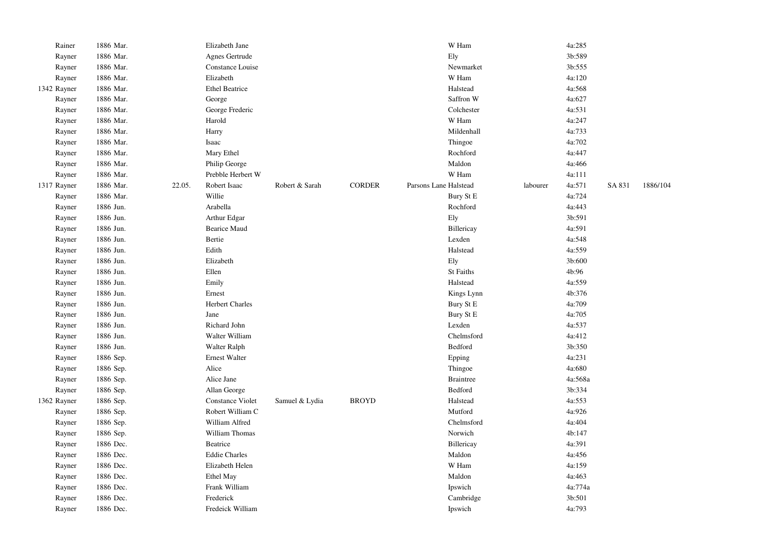| Rainer      | 1886 Mar. |        | Elizabeth Jane          |                |               | W Ham                 |          | 4a:285  |        |          |
|-------------|-----------|--------|-------------------------|----------------|---------------|-----------------------|----------|---------|--------|----------|
| Rayner      | 1886 Mar. |        | Agnes Gertrude          |                |               | Ely                   |          | 3b:589  |        |          |
| Rayner      | 1886 Mar. |        | Constance Louise        |                |               | Newmarket             |          | 3b:555  |        |          |
| Rayner      | 1886 Mar. |        | Elizabeth               |                |               | W Ham                 |          | 4a:120  |        |          |
| 1342 Rayner | 1886 Mar. |        | <b>Ethel Beatrice</b>   |                |               | Halstead              |          | 4a:568  |        |          |
| Rayner      | 1886 Mar. |        | George                  |                |               | Saffron W             |          | 4a:627  |        |          |
| Rayner      | 1886 Mar. |        | George Frederic         |                |               | Colchester            |          | 4a:531  |        |          |
| Rayner      | 1886 Mar. |        | Harold                  |                |               | W Ham                 |          | 4a:247  |        |          |
| Rayner      | 1886 Mar. |        | Harry                   |                |               | Mildenhall            |          | 4a:733  |        |          |
| Rayner      | 1886 Mar. |        | Isaac                   |                |               | Thingoe               |          | 4a:702  |        |          |
| Rayner      | 1886 Mar. |        | Mary Ethel              |                |               | Rochford              |          | 4a:447  |        |          |
| Rayner      | 1886 Mar. |        | Philip George           |                |               | Maldon                |          | 4a:466  |        |          |
| Rayner      | 1886 Mar. |        | Prebble Herbert W       |                |               | W Ham                 |          | 4a:111  |        |          |
| 1317 Rayner | 1886 Mar. | 22.05. | Robert Isaac            | Robert & Sarah | <b>CORDER</b> | Parsons Lane Halstead | labourer | 4a:571  | SA 831 | 1886/104 |
| Rayner      | 1886 Mar. |        | Willie                  |                |               | Bury St E             |          | 4a:724  |        |          |
| Rayner      | 1886 Jun. |        | Arabella                |                |               | Rochford              |          | 4a:443  |        |          |
| Rayner      | 1886 Jun. |        | Arthur Edgar            |                |               | Ely                   |          | 3b:591  |        |          |
| Rayner      | 1886 Jun. |        | <b>Bearice Maud</b>     |                |               | Billericay            |          | 4a:591  |        |          |
| Rayner      | 1886 Jun. |        | Bertie                  |                |               | Lexden                |          | 4a:548  |        |          |
| Rayner      | 1886 Jun. |        | Edith                   |                |               | Halstead              |          | 4a:559  |        |          |
| Rayner      | 1886 Jun. |        | Elizabeth               |                |               | Ely                   |          | 3b:600  |        |          |
| Rayner      | 1886 Jun. |        | Ellen                   |                |               | St Faiths             |          | 4b:96   |        |          |
| Rayner      | 1886 Jun. |        | Emily                   |                |               | Halstead              |          | 4a:559  |        |          |
| Rayner      | 1886 Jun. |        | Ernest                  |                |               | Kings Lynn            |          | 4b:376  |        |          |
| Rayner      | 1886 Jun. |        | <b>Herbert Charles</b>  |                |               | Bury St E             |          | 4a:709  |        |          |
| Rayner      | 1886 Jun. |        | Jane                    |                |               | Bury St E             |          | 4a:705  |        |          |
| Rayner      | 1886 Jun. |        | Richard John            |                |               | Lexden                |          | 4a:537  |        |          |
| Rayner      | 1886 Jun. |        | Walter William          |                |               | Chelmsford            |          | 4a:412  |        |          |
| Rayner      | 1886 Jun. |        | Walter Ralph            |                |               | Bedford               |          | 3b:350  |        |          |
| Rayner      | 1886 Sep. |        | <b>Ernest Walter</b>    |                |               | Epping                |          | 4a:231  |        |          |
| Rayner      | 1886 Sep. |        | Alice                   |                |               | Thingoe               |          | 4a:680  |        |          |
| Rayner      | 1886 Sep. |        | Alice Jane              |                |               | <b>Braintree</b>      |          | 4a:568a |        |          |
| Rayner      | 1886 Sep. |        | Allan George            |                |               | Bedford               |          | 3b:334  |        |          |
| 1362 Rayner | 1886 Sep. |        | <b>Constance Violet</b> | Samuel & Lydia | <b>BROYD</b>  | Halstead              |          | 4a:553  |        |          |
| Rayner      | 1886 Sep. |        | Robert William C        |                |               | Mutford               |          | 4a:926  |        |          |
| Rayner      | 1886 Sep. |        | William Alfred          |                |               | Chelmsford            |          | 4a:404  |        |          |
| Rayner      | 1886 Sep. |        | William Thomas          |                |               | Norwich               |          | 4b:147  |        |          |
| Rayner      | 1886 Dec. |        | Beatrice                |                |               | Billericay            |          | 4a:391  |        |          |
| Rayner      | 1886 Dec. |        | <b>Eddie Charles</b>    |                |               | Maldon                |          | 4a:456  |        |          |
| Rayner      | 1886 Dec. |        | Elizabeth Helen         |                |               | W Ham                 |          | 4a:159  |        |          |
| Rayner      | 1886 Dec. |        | Ethel May               |                |               | Maldon                |          | 4a:463  |        |          |
| Rayner      | 1886 Dec. |        | Frank William           |                |               | Ipswich               |          | 4a:774a |        |          |
| Rayner      | 1886 Dec. |        | Frederick               |                |               | Cambridge             |          | 3b:501  |        |          |
| Rayner      | 1886 Dec. |        | Fredeick William        |                |               | Ipswich               |          | 4a:793  |        |          |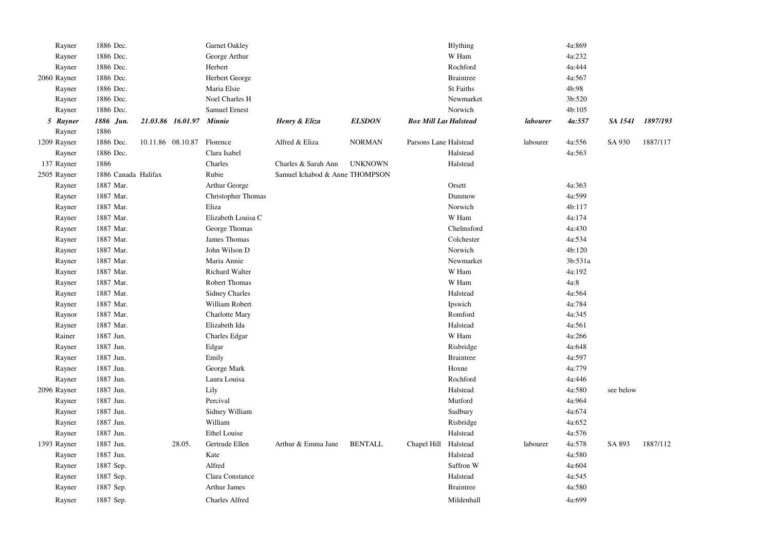| Rayner      | 1886 Dec.           |                   | Garnet Oakley         |                                |                |                              | Blything         |          | 4a:869  |           |          |
|-------------|---------------------|-------------------|-----------------------|--------------------------------|----------------|------------------------------|------------------|----------|---------|-----------|----------|
| Rayner      | 1886 Dec.           |                   | George Arthur         |                                |                |                              | W Ham            |          | 4a:232  |           |          |
| Rayner      | 1886 Dec.           |                   | Herbert               |                                |                |                              | Rochford         |          | 4a:444  |           |          |
| 2060 Rayner | 1886 Dec.           |                   | Herbert George        |                                |                |                              | <b>Braintree</b> |          | 4a:567  |           |          |
| Rayner      | 1886 Dec.           |                   | Maria Elsie           |                                |                |                              | St Faiths        |          | 4b:98   |           |          |
| Rayner      | 1886 Dec.           |                   | Noel Charles H        |                                |                |                              | Newmarket        |          | 3b:520  |           |          |
| Rayner      | 1886 Dec.           |                   | Samuel Ernest         |                                |                |                              | Norwich          |          | 4b:105  |           |          |
| 5 Rayner    | 1886 Jun.           | 21.03.86 16.01.97 | Minnie                | Henry & Eliza                  | <b>ELSDON</b>  | <b>Box Mill Lan Halstead</b> |                  | labourer | 4a:557  | SA 1541   | 1897/193 |
| Rayner      | 1886                |                   |                       |                                |                |                              |                  |          |         |           |          |
| 1209 Rayner | 1886 Dec.           | 10.11.86 08.10.87 | Florence              | Alfred & Eliza                 | <b>NORMAN</b>  | Parsons Lane Halstead        |                  | labourer | 4a:556  | SA 930    | 1887/117 |
| Rayner      | 1886 Dec.           |                   | Clara Isabel          |                                |                |                              | Halstead         |          | 4a:563  |           |          |
| 137 Rayner  | 1886                |                   | Charles               | Charles & Sarah Ann            | <b>UNKNOWN</b> |                              | Halstead         |          |         |           |          |
| 2505 Rayner | 1886 Canada Halifax |                   | Rubie                 | Samuel Ichabod & Anne THOMPSON |                |                              |                  |          |         |           |          |
| Rayner      | 1887 Mar.           |                   | Arthur George         |                                |                |                              | Orsett           |          | 4a:363  |           |          |
| Rayner      | 1887 Mar.           |                   | Christopher Thomas    |                                |                |                              | Dunmow           |          | 4a:599  |           |          |
| Rayner      | 1887 Mar.           |                   | Eliza                 |                                |                |                              | Norwich          |          | 4b:117  |           |          |
| Rayner      | 1887 Mar.           |                   | Elizabeth Louisa C    |                                |                |                              | W Ham            |          | 4a:174  |           |          |
| Rayner      | 1887 Mar.           |                   | George Thomas         |                                |                |                              | Chelmsford       |          | 4a:430  |           |          |
| Rayner      | 1887 Mar.           |                   | James Thomas          |                                |                |                              | Colchester       |          | 4a:534  |           |          |
| Rayner      | 1887 Mar.           |                   | John Wilson D         |                                |                |                              | Norwich          |          | 4b:120  |           |          |
| Rayner      | 1887 Mar.           |                   | Maria Annie           |                                |                |                              | Newmarket        |          | 3b:531a |           |          |
| Rayner      | 1887 Mar.           |                   | <b>Richard Walter</b> |                                |                |                              | W Ham            |          | 4a:192  |           |          |
| Rayner      | 1887 Mar.           |                   | Robert Thomas         |                                |                |                              | W Ham            |          | $4a:8$  |           |          |
| Rayner      | 1887 Mar.           |                   | <b>Sidney Charles</b> |                                |                |                              | Halstead         |          | 4a:564  |           |          |
| Rayner      | 1887 Mar.           |                   | William Robert        |                                |                |                              | Ipswich          |          | 4a:784  |           |          |
| Raynor      | 1887 Mar.           |                   | Charlotte Mary        |                                |                |                              | Romford          |          | 4a:345  |           |          |
| Rayner      | 1887 Mar.           |                   | Elizabeth Ida         |                                |                |                              | Halstead         |          | 4a:561  |           |          |
| Rainer      | 1887 Jun.           |                   | Charles Edgar         |                                |                |                              | W Ham            |          | 4a:266  |           |          |
| Rayner      | 1887 Jun.           |                   | Edgar                 |                                |                |                              | Risbridge        |          | 4a:648  |           |          |
| Rayner      | 1887 Jun.           |                   | Emily                 |                                |                |                              | <b>Braintree</b> |          | 4a:597  |           |          |
| Rayner      | 1887 Jun.           |                   | George Mark           |                                |                |                              | Hoxne            |          | 4a:779  |           |          |
| Rayner      | 1887 Jun.           |                   | Laura Louisa          |                                |                |                              | Rochford         |          | 4a:446  |           |          |
| 2096 Rayner | 1887 Jun.           |                   | Lily                  |                                |                |                              | Halstead         |          | 4a:580  | see below |          |
| Rayner      | 1887 Jun.           |                   | Percival              |                                |                |                              | Mutford          |          | 4a:964  |           |          |
| Rayner      | 1887 Jun.           |                   | Sidney William        |                                |                |                              | Sudbury          |          | 4a:674  |           |          |
| Rayner      | 1887 Jun.           |                   | William               |                                |                |                              | Risbridge        |          | 4a:652  |           |          |
| Rayner      | 1887 Jun.           |                   | <b>Ethel Louise</b>   |                                |                |                              | Halstead         |          | 4a:576  |           |          |
| 1393 Rayner | 1887 Jun.           | 28.05.            | Gertrude Ellen        | Arthur & Emma Jane             | <b>BENTALL</b> | Chapel Hill                  | Halstead         | labourer | 4a:578  | SA 893    | 1887/112 |
| Rayner      | 1887 Jun.           |                   | Kate                  |                                |                |                              | Halstead         |          | 4a:580  |           |          |
| Rayner      | 1887 Sep.           |                   | Alfred                |                                |                |                              | Saffron W        |          | 4a:604  |           |          |
| Rayner      | 1887 Sep.           |                   | Clara Constance       |                                |                |                              | Halstead         |          | 4a:545  |           |          |
| Rayner      | 1887 Sep.           |                   | <b>Arthur James</b>   |                                |                |                              | <b>Braintree</b> |          | 4a:580  |           |          |
| Rayner      | 1887 Sep.           |                   | <b>Charles Alfred</b> |                                |                |                              | Mildenhall       |          | 4a:699  |           |          |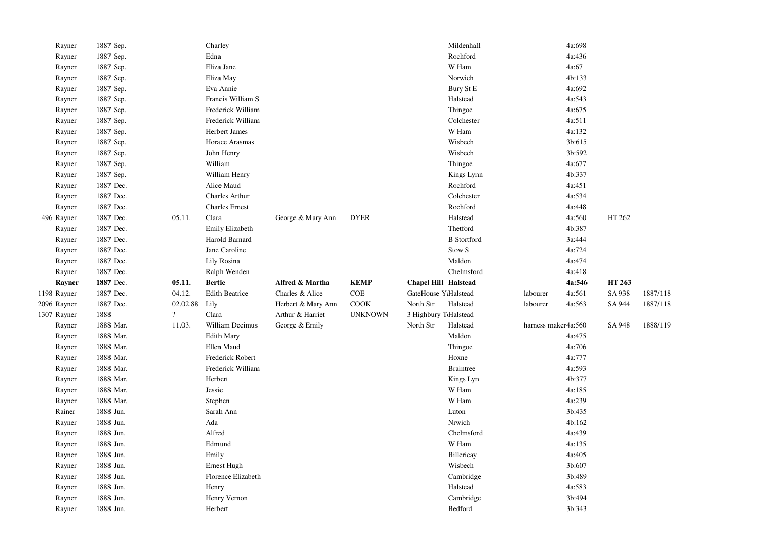| Rayner      | 1887 Sep. |                          | Charley               |                    |                |                             | Mildenhall         |                     | 4a:698 |        |          |
|-------------|-----------|--------------------------|-----------------------|--------------------|----------------|-----------------------------|--------------------|---------------------|--------|--------|----------|
| Rayner      | 1887 Sep. |                          | Edna                  |                    |                |                             | Rochford           |                     | 4a:436 |        |          |
| Rayner      | 1887 Sep. |                          | Eliza Jane            |                    |                |                             | W Ham              |                     | 4a:67  |        |          |
| Rayner      | 1887 Sep. |                          | Eliza May             |                    |                |                             | Norwich            |                     | 4b:133 |        |          |
| Rayner      | 1887 Sep. |                          | Eva Annie             |                    |                |                             | Bury St E          |                     | 4a:692 |        |          |
| Rayner      | 1887 Sep. |                          | Francis William S     |                    |                |                             | Halstead           |                     | 4a:543 |        |          |
| Rayner      | 1887 Sep. |                          | Frederick William     |                    |                |                             | Thingoe            |                     | 4a:675 |        |          |
| Rayner      | 1887 Sep. |                          | Frederick William     |                    |                |                             | Colchester         |                     | 4a:511 |        |          |
| Rayner      | 1887 Sep. |                          | Herbert James         |                    |                |                             | W Ham              |                     | 4a:132 |        |          |
| Rayner      | 1887 Sep. |                          | Horace Arasmas        |                    |                |                             | Wisbech            |                     | 3b:615 |        |          |
| Rayner      | 1887 Sep. |                          | John Henry            |                    |                |                             | Wisbech            |                     | 3b:592 |        |          |
| Rayner      | 1887 Sep. |                          | William               |                    |                |                             | Thingoe            |                     | 4a:677 |        |          |
| Rayner      | 1887 Sep. |                          | William Henry         |                    |                |                             | Kings Lynn         |                     | 4b:337 |        |          |
| Rayner      | 1887 Dec. |                          | Alice Maud            |                    |                |                             | Rochford           |                     | 4a:451 |        |          |
| Rayner      | 1887 Dec. |                          | Charles Arthur        |                    |                |                             | Colchester         |                     | 4a:534 |        |          |
| Rayner      | 1887 Dec. |                          | <b>Charles Ernest</b> |                    |                |                             | Rochford           |                     | 4a:448 |        |          |
| 496 Rayner  | 1887 Dec. | 05.11.                   | Clara                 | George & Mary Ann  | <b>DYER</b>    |                             | Halstead           |                     | 4a:560 | HT 262 |          |
| Rayner      | 1887 Dec. |                          | Emily Elizabeth       |                    |                |                             | Thetford           |                     | 4b:387 |        |          |
| Rayner      | 1887 Dec. |                          | Harold Barnard        |                    |                |                             | <b>B</b> Stortford |                     | 3a:444 |        |          |
| Rayner      | 1887 Dec. |                          | Jane Caroline         |                    |                |                             | Stow <sub>S</sub>  |                     | 4a:724 |        |          |
| Rayner      | 1887 Dec. |                          | Lily Rosina           |                    |                |                             | Maldon             |                     | 4a:474 |        |          |
| Rayner      | 1887 Dec. |                          | Ralph Wenden          |                    |                |                             | Chelmsford         |                     | 4a:418 |        |          |
| Rayner      | 1887 Dec. | 05.11.                   | <b>Bertie</b>         | Alfred & Martha    | <b>KEMP</b>    | <b>Chapel Hill Halstead</b> |                    |                     | 4a:546 | HT 263 |          |
|             |           |                          |                       |                    |                |                             |                    |                     |        |        |          |
| 1198 Rayner | 1887 Dec. | 04.12.                   | <b>Edith Beatrice</b> | Charles & Alice    | COE            | GateHouse Y:Halstead        |                    | labourer            | 4a:561 | SA 938 | 1887/118 |
| 2096 Rayner | 1887 Dec. | 02.02.88                 | Lily                  | Herbert & Mary Ann | COOK           | North Str                   | Halstead           | labourer            | 4a:563 | SA 944 | 1887/118 |
| 1307 Rayner | 1888      | $\overline{\mathcal{L}}$ | Clara                 | Arthur & Harriet   | <b>UNKNOWN</b> | 3 Highbury TdHalstead       |                    |                     |        |        |          |
| Rayner      | 1888 Mar. | 11.03.                   | William Decimus       | George & Emily     |                | North Str                   | Halstead           | harness maker4a:560 |        | SA 948 | 1888/119 |
| Rayner      | 1888 Mar. |                          | <b>Edith Mary</b>     |                    |                |                             | Maldon             |                     | 4a:475 |        |          |
| Rayner      | 1888 Mar. |                          | Ellen Maud            |                    |                |                             | Thingoe            |                     | 4a:706 |        |          |
| Rayner      | 1888 Mar. |                          | Frederick Robert      |                    |                |                             | Hoxne              |                     | 4a:777 |        |          |
| Rayner      | 1888 Mar. |                          | Frederick William     |                    |                |                             | <b>Braintree</b>   |                     | 4a:593 |        |          |
| Rayner      | 1888 Mar. |                          | Herbert               |                    |                |                             | Kings Lyn          |                     | 4b:377 |        |          |
| Rayner      | 1888 Mar. |                          | Jessie                |                    |                |                             | W Ham              |                     | 4a:185 |        |          |
| Rayner      | 1888 Mar. |                          | Stephen               |                    |                |                             | W Ham              |                     | 4a:239 |        |          |
| Rainer      | 1888 Jun. |                          | Sarah Ann             |                    |                |                             | Luton              |                     | 3b:435 |        |          |
| Rayner      | 1888 Jun. |                          | Ada                   |                    |                |                             | Nrwich             |                     | 4b:162 |        |          |
| Rayner      | 1888 Jun. |                          | Alfred                |                    |                |                             | Chelmsford         |                     | 4a:439 |        |          |
| Rayner      | 1888 Jun. |                          | Edmund                |                    |                |                             | W Ham              |                     | 4a:135 |        |          |
| Rayner      | 1888 Jun. |                          | Emily                 |                    |                |                             | Billericay         |                     | 4a:405 |        |          |
| Rayner      | 1888 Jun. |                          | Ernest Hugh           |                    |                |                             | Wisbech            |                     | 3b:607 |        |          |
| Rayner      | 1888 Jun. |                          | Florence Elizabeth    |                    |                |                             | Cambridge          |                     | 3b:489 |        |          |
| Rayner      | 1888 Jun. |                          | Henry                 |                    |                |                             | Halstead           |                     | 4a:583 |        |          |
| Rayner      | 1888 Jun. |                          | Henry Vernon          |                    |                |                             | Cambridge          |                     | 3b:494 |        |          |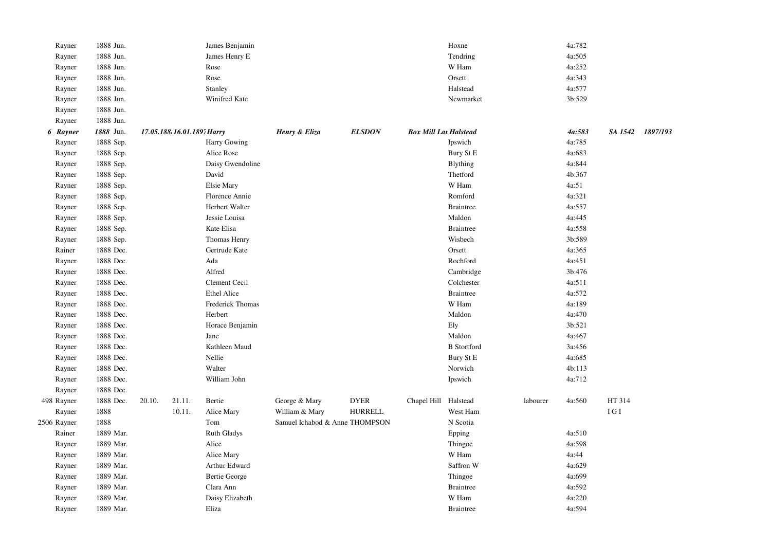| Rayner      | 1888 Jun. |        |                            | James Benjamin       |                                |                |                              | Hoxne              |          | 4a:782 |         |          |
|-------------|-----------|--------|----------------------------|----------------------|--------------------------------|----------------|------------------------------|--------------------|----------|--------|---------|----------|
| Rayner      | 1888 Jun. |        |                            | James Henry E        |                                |                |                              | Tendring           |          | 4a:505 |         |          |
| Rayner      | 1888 Jun. |        |                            | Rose                 |                                |                |                              | W Ham              |          | 4a:252 |         |          |
| Rayner      | 1888 Jun. |        |                            | Rose                 |                                |                |                              | Orsett             |          | 4a:343 |         |          |
| Rayner      | 1888 Jun. |        |                            | Stanley              |                                |                |                              | Halstead           |          | 4a:577 |         |          |
| Rayner      | 1888 Jun. |        |                            | Winifred Kate        |                                |                |                              | Newmarket          |          | 3b:529 |         |          |
| Rayner      | 1888 Jun. |        |                            |                      |                                |                |                              |                    |          |        |         |          |
| Rayner      | 1888 Jun. |        |                            |                      |                                |                |                              |                    |          |        |         |          |
| 6 Rayner    | 1888 Jun. |        | 17.05.188 16.01.1897 Harry |                      | Henry & Eliza                  | <b>ELSDON</b>  | <b>Box Mill Lar Halstead</b> |                    |          | 4a:583 | SA 1542 | 1897/193 |
| Rayner      | 1888 Sep. |        |                            | <b>Harry Gowing</b>  |                                |                |                              | Ipswich            |          | 4a:785 |         |          |
| Rayner      | 1888 Sep. |        |                            | Alice Rose           |                                |                |                              | Bury St E          |          | 4a:683 |         |          |
| Rayner      | 1888 Sep. |        |                            | Daisy Gwendoline     |                                |                |                              | Blything           |          | 4a:844 |         |          |
| Rayner      | 1888 Sep. |        |                            | David                |                                |                |                              | Thetford           |          | 4b:367 |         |          |
| Rayner      | 1888 Sep. |        |                            | Elsie Mary           |                                |                |                              | W Ham              |          | 4a:51  |         |          |
| Rayner      | 1888 Sep. |        |                            | Florence Annie       |                                |                |                              | Romford            |          | 4a:321 |         |          |
| Rayner      | 1888 Sep. |        |                            | Herbert Walter       |                                |                |                              | <b>Braintree</b>   |          | 4a:557 |         |          |
| Rayner      | 1888 Sep. |        |                            | Jessie Louisa        |                                |                |                              | Maldon             |          | 4a:445 |         |          |
| Rayner      | 1888 Sep. |        |                            | Kate Elisa           |                                |                |                              | <b>Braintree</b>   |          | 4a:558 |         |          |
| Rayner      | 1888 Sep. |        |                            | Thomas Henry         |                                |                |                              | Wisbech            |          | 3b:589 |         |          |
| Rainer      | 1888 Dec. |        |                            | Gertrude Kate        |                                |                |                              | Orsett             |          | 4a:365 |         |          |
| Rayner      | 1888 Dec. |        |                            | Ada                  |                                |                |                              | Rochford           |          | 4a:451 |         |          |
| Rayner      | 1888 Dec. |        |                            | Alfred               |                                |                |                              | Cambridge          |          | 3b:476 |         |          |
| Rayner      | 1888 Dec. |        |                            | Clement Cecil        |                                |                |                              | Colchester         |          | 4a:511 |         |          |
| Rayner      | 1888 Dec. |        |                            | Ethel Alice          |                                |                |                              | <b>Braintree</b>   |          | 4a:572 |         |          |
| Rayner      | 1888 Dec. |        |                            | Frederick Thomas     |                                |                |                              | W Ham              |          | 4a:189 |         |          |
| Rayner      | 1888 Dec. |        |                            | Herbert              |                                |                |                              | Maldon             |          | 4a:470 |         |          |
| Rayner      | 1888 Dec. |        |                            | Horace Benjamin      |                                |                |                              | Ely                |          | 3b:521 |         |          |
| Rayner      | 1888 Dec. |        |                            | Jane                 |                                |                |                              | Maldon             |          | 4a:467 |         |          |
| Rayner      | 1888 Dec. |        |                            | Kathleen Maud        |                                |                |                              | <b>B</b> Stortford |          | 3a:456 |         |          |
| Rayner      | 1888 Dec. |        |                            | Nellie               |                                |                |                              | Bury St E          |          | 4a:685 |         |          |
| Rayner      | 1888 Dec. |        |                            | Walter               |                                |                |                              | Norwich            |          | 4b:113 |         |          |
| Rayner      | 1888 Dec. |        |                            | William John         |                                |                |                              | Ipswich            |          | 4a:712 |         |          |
| Rayner      | 1888 Dec. |        |                            |                      |                                |                |                              |                    |          |        |         |          |
| 498 Rayner  | 1888 Dec. | 20.10. | 21.11.                     | Bertie               | George & Mary                  | <b>DYER</b>    | Chapel Hill                  | Halstead           | labourer | 4a:560 | HT 314  |          |
| Rayner      | 1888      |        | 10.11.                     | Alice Mary           | William & Mary                 | <b>HURRELL</b> |                              | West Ham           |          |        | IGI     |          |
| 2506 Rayner | 1888      |        |                            | Tom                  | Samuel Ichabod & Anne THOMPSON |                |                              | N Scotia           |          |        |         |          |
| Rainer      | 1889 Mar. |        |                            | <b>Ruth Gladys</b>   |                                |                |                              | Epping             |          | 4a:510 |         |          |
| Rayner      | 1889 Mar. |        |                            | Alice                |                                |                |                              | Thingoe            |          | 4a:598 |         |          |
| Rayner      | 1889 Mar. |        |                            | Alice Mary           |                                |                |                              | W Ham              |          | 4a:44  |         |          |
| Rayner      | 1889 Mar. |        |                            | Arthur Edward        |                                |                |                              | Saffron W          |          | 4a:629 |         |          |
| Rayner      | 1889 Mar. |        |                            | <b>Bertie George</b> |                                |                |                              | Thingoe            |          | 4a:699 |         |          |
| Rayner      | 1889 Mar. |        |                            | Clara Ann            |                                |                |                              | <b>Braintree</b>   |          | 4a:592 |         |          |
| Rayner      | 1889 Mar. |        |                            | Daisy Elizabeth      |                                |                |                              | W Ham              |          | 4a:220 |         |          |
| Rayner      | 1889 Mar. |        |                            | Eliza                |                                |                |                              | <b>Braintree</b>   |          | 4a:594 |         |          |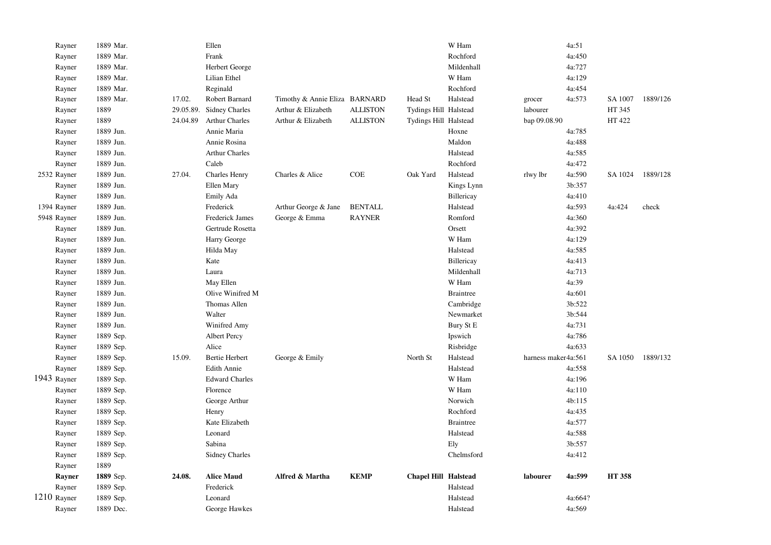| Rayner      | 1889 Mar. |           | Ellen                 |                               |                 |                             | W Ham            |                     | 4a:51   |                  |          |
|-------------|-----------|-----------|-----------------------|-------------------------------|-----------------|-----------------------------|------------------|---------------------|---------|------------------|----------|
| Rayner      | 1889 Mar. |           | Frank                 |                               |                 |                             | Rochford         |                     | 4a:450  |                  |          |
| Rayner      | 1889 Mar. |           | Herbert George        |                               |                 |                             | Mildenhall       |                     | 4a:727  |                  |          |
| Rayner      | 1889 Mar. |           | Lilian Ethel          |                               |                 |                             | W Ham            |                     | 4a:129  |                  |          |
| Rayner      | 1889 Mar. |           | Reginald              |                               |                 |                             | Rochford         |                     | 4a:454  |                  |          |
| Rayner      | 1889 Mar. | 17.02.    | Robert Barnard        | Timothy & Annie Eliza BARNARD |                 | Head St                     | Halstead         | grocer              | 4a:573  | SA 1007          | 1889/126 |
| Rayner      | 1889      | 29.05.89. | <b>Sidney Charles</b> | Arthur & Elizabeth            | <b>ALLISTON</b> | Tydings Hill Halstead       |                  | labourer            |         | HT 345           |          |
| Rayner      | 1889      | 24.04.89  | <b>Arthur Charles</b> | Arthur & Elizabeth            | <b>ALLISTON</b> | Tydings Hill Halstead       |                  | bap 09.08.90        |         | HT 422           |          |
| Rayner      | 1889 Jun. |           | Annie Maria           |                               |                 |                             | Hoxne            |                     | 4a:785  |                  |          |
| Rayner      | 1889 Jun. |           | Annie Rosina          |                               |                 |                             | Maldon           |                     | 4a:488  |                  |          |
| Rayner      | 1889 Jun. |           | <b>Arthur Charles</b> |                               |                 |                             | Halstead         |                     | 4a:585  |                  |          |
| Rayner      | 1889 Jun. |           | Caleb                 |                               |                 |                             | Rochford         |                     | 4a:472  |                  |          |
| 2532 Rayner | 1889 Jun. | 27.04.    | Charles Henry         | Charles & Alice               | <b>COE</b>      | Oak Yard                    | Halstead         | rlwy lbr            | 4a:590  | SA 1024 1889/128 |          |
| Rayner      | 1889 Jun. |           | Ellen Mary            |                               |                 |                             | Kings Lynn       |                     | 3b:357  |                  |          |
| Rayner      | 1889 Jun. |           | Emily Ada             |                               |                 |                             | Billericay       |                     | 4a:410  |                  |          |
| 1394 Rayner | 1889 Jun. |           | Frederick             | Arthur George & Jane          | <b>BENTALL</b>  |                             | Halstead         |                     | 4a:593  | 4a:424           | check    |
| 5948 Rayner | 1889 Jun. |           | Frederick James       | George & Emma                 | <b>RAYNER</b>   |                             | Romford          |                     | 4a:360  |                  |          |
| Rayner      | 1889 Jun. |           | Gertrude Rosetta      |                               |                 |                             | Orsett           |                     | 4a:392  |                  |          |
| Rayner      | 1889 Jun. |           | Harry George          |                               |                 |                             | W Ham            |                     | 4a:129  |                  |          |
| Rayner      | 1889 Jun. |           | Hilda May             |                               |                 |                             | Halstead         |                     | 4a:585  |                  |          |
| Rayner      | 1889 Jun. |           | Kate                  |                               |                 |                             | Billericay       |                     | 4a:413  |                  |          |
| Rayner      | 1889 Jun. |           | Laura                 |                               |                 |                             | Mildenhall       |                     | 4a:713  |                  |          |
| Rayner      | 1889 Jun. |           | May Ellen             |                               |                 |                             | W Ham            |                     | 4a:39   |                  |          |
| Rayner      | 1889 Jun. |           | Olive Winifred M      |                               |                 |                             | <b>Braintree</b> |                     | 4a:601  |                  |          |
| Rayner      | 1889 Jun. |           | Thomas Allen          |                               |                 |                             | Cambridge        |                     | 3b:522  |                  |          |
| Rayner      | 1889 Jun. |           | Walter                |                               |                 |                             | Newmarket        |                     | 3b:544  |                  |          |
| Rayner      | 1889 Jun. |           | Winifred Amy          |                               |                 |                             | Bury St E        |                     | 4a:731  |                  |          |
| Rayner      | 1889 Sep. |           | Albert Percy          |                               |                 |                             | Ipswich          |                     | 4a:786  |                  |          |
| Rayner      | 1889 Sep. |           | Alice                 |                               |                 |                             | Risbridge        |                     | 4a:633  |                  |          |
| Rayner      | 1889 Sep. | 15.09.    | <b>Bertie Herbert</b> | George & Emily                |                 | North St                    | Halstead         | harness maker4a:561 |         | SA 1050          | 1889/132 |
| Rayner      | 1889 Sep. |           | Edith Annie           |                               |                 |                             | Halstead         |                     | 4a:558  |                  |          |
| 1943 Rayner | 1889 Sep. |           | <b>Edward Charles</b> |                               |                 |                             | W Ham            |                     | 4a:196  |                  |          |
| Rayner      | 1889 Sep. |           | Florence              |                               |                 |                             | W Ham            |                     | 4a:110  |                  |          |
| Rayner      | 1889 Sep. |           | George Arthur         |                               |                 |                             | Norwich          |                     | 4b:115  |                  |          |
| Rayner      | 1889 Sep. |           | Henry                 |                               |                 |                             | Rochford         |                     | 4a:435  |                  |          |
| Rayner      | 1889 Sep. |           | Kate Elizabeth        |                               |                 |                             | <b>Braintree</b> |                     | 4a:577  |                  |          |
| Rayner      | 1889 Sep. |           | Leonard               |                               |                 |                             | Halstead         |                     | 4a:588  |                  |          |
| Rayner      | 1889 Sep. |           | Sabina                |                               |                 |                             | Ely              |                     | 3b:557  |                  |          |
| Rayner      | 1889 Sep. |           | <b>Sidney Charles</b> |                               |                 |                             | Chelmsford       |                     | 4a:412  |                  |          |
| Rayner      | 1889      |           |                       |                               |                 |                             |                  |                     |         |                  |          |
| Rayner      | 1889 Sep. | 24.08.    | <b>Alice Maud</b>     | Alfred & Martha               | <b>KEMP</b>     | <b>Chapel Hill Halstead</b> |                  | labourer            | 4a:599  | <b>HT 358</b>    |          |
| Rayner      | 1889 Sep. |           | Frederick             |                               |                 |                             | Halstead         |                     |         |                  |          |
| 1210 Rayner | 1889 Sep. |           | Leonard               |                               |                 |                             | Halstead         |                     | 4a:664? |                  |          |
| Rayner      | 1889 Dec. |           | George Hawkes         |                               |                 |                             | Halstead         |                     | 4a:569  |                  |          |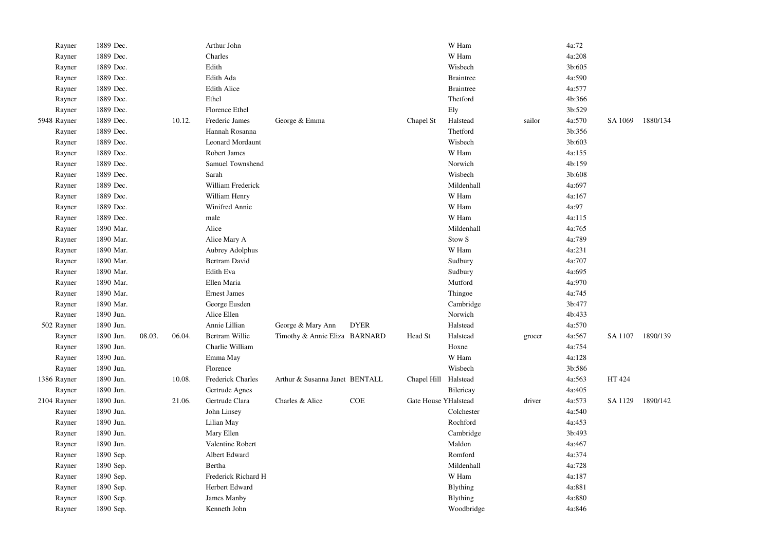| Rayner      | 1889 Dec. |        |        | Arthur John             |                                |             |                      | W Ham             |        | 4a:72  |         |          |
|-------------|-----------|--------|--------|-------------------------|--------------------------------|-------------|----------------------|-------------------|--------|--------|---------|----------|
| Rayner      | 1889 Dec. |        |        | Charles                 |                                |             |                      | W Ham             |        | 4a:208 |         |          |
| Rayner      | 1889 Dec. |        |        | Edith                   |                                |             |                      | Wisbech           |        | 3b:605 |         |          |
| Rayner      | 1889 Dec. |        |        | Edith Ada               |                                |             |                      | <b>Braintree</b>  |        | 4a:590 |         |          |
| Rayner      | 1889 Dec. |        |        | <b>Edith Alice</b>      |                                |             |                      | <b>Braintree</b>  |        | 4a:577 |         |          |
| Rayner      | 1889 Dec. |        |        | Ethel                   |                                |             |                      | Thetford          |        | 4b:366 |         |          |
| Rayner      | 1889 Dec. |        |        | Florence Ethel          |                                |             |                      | Ely               |        | 3b:529 |         |          |
| 5948 Rayner | 1889 Dec. |        | 10.12. | Frederic James          | George & Emma                  |             | Chapel St            | Halstead          | sailor | 4a:570 | SA 1069 | 1880/134 |
| Rayner      | 1889 Dec. |        |        | Hannah Rosanna          |                                |             |                      | Thetford          |        | 3b:356 |         |          |
| Rayner      | 1889 Dec. |        |        | <b>Leonard Mordaunt</b> |                                |             |                      | Wisbech           |        | 3b:603 |         |          |
| Rayner      | 1889 Dec. |        |        | Robert James            |                                |             |                      | W Ham             |        | 4a:155 |         |          |
| Rayner      | 1889 Dec. |        |        | Samuel Townshend        |                                |             |                      | Norwich           |        | 4b:159 |         |          |
| Rayner      | 1889 Dec. |        |        | Sarah                   |                                |             |                      | Wisbech           |        | 3b:608 |         |          |
| Rayner      | 1889 Dec. |        |        | William Frederick       |                                |             |                      | Mildenhall        |        | 4a:697 |         |          |
| Rayner      | 1889 Dec. |        |        | William Henry           |                                |             |                      | W Ham             |        | 4a:167 |         |          |
| Rayner      | 1889 Dec. |        |        | Winifred Annie          |                                |             |                      | W Ham             |        | 4a:97  |         |          |
| Rayner      | 1889 Dec. |        |        | male                    |                                |             |                      | W Ham             |        | 4a:115 |         |          |
| Rayner      | 1890 Mar. |        |        | Alice                   |                                |             |                      | Mildenhall        |        | 4a:765 |         |          |
| Rayner      | 1890 Mar. |        |        | Alice Mary A            |                                |             |                      | Stow <sub>S</sub> |        | 4a:789 |         |          |
| Rayner      | 1890 Mar. |        |        | Aubrey Adolphus         |                                |             |                      | W Ham             |        | 4a:231 |         |          |
| Rayner      | 1890 Mar. |        |        | Bertram David           |                                |             |                      | Sudbury           |        | 4a:707 |         |          |
| Rayner      | 1890 Mar. |        |        | Edith Eva               |                                |             |                      | Sudbury           |        | 4a:695 |         |          |
| Rayner      | 1890 Mar. |        |        | Ellen Maria             |                                |             |                      | Mutford           |        | 4a:970 |         |          |
| Rayner      | 1890 Mar. |        |        | <b>Ernest James</b>     |                                |             |                      | Thingoe           |        | 4a:745 |         |          |
| Rayner      | 1890 Mar. |        |        | George Eusden           |                                |             |                      | Cambridge         |        | 3b:477 |         |          |
| Rayner      | 1890 Jun. |        |        | Alice Ellen             |                                |             |                      | Norwich           |        | 4b:433 |         |          |
| 502 Rayner  | 1890 Jun. |        |        | Annie Lillian           | George & Mary Ann              | <b>DYER</b> |                      | Halstead          |        | 4a:570 |         |          |
| Rayner      | 1890 Jun. | 08.03. | 06.04. | Bertram Willie          | Timothy & Annie Eliza BARNARD  |             | Head St              | Halstead          | grocer | 4a:567 | SA 1107 | 1890/139 |
| Rayner      | 1890 Jun. |        |        | Charlie William         |                                |             |                      | Hoxne             |        | 4a:754 |         |          |
| Rayner      | 1890 Jun. |        |        | Emma May                |                                |             |                      | W Ham             |        | 4a:128 |         |          |
| Rayner      | 1890 Jun. |        |        | Florence                |                                |             |                      | Wisbech           |        | 3b:586 |         |          |
| 1386 Rayner | 1890 Jun. |        | 10.08. | Frederick Charles       | Arthur & Susanna Janet BENTALL |             | Chapel Hill Halstead |                   |        | 4a:563 | HT 424  |          |
| Rayner      | 1890 Jun. |        |        | Gertrude Agnes          |                                |             |                      | Bilericay         |        | 4a:405 |         |          |
| 2104 Rayner | 1890 Jun. |        | 21.06. | Gertrude Clara          | Charles & Alice                | <b>COE</b>  | Gate House YHalstead |                   | driver | 4a:573 | SA 1129 | 1890/142 |
| Rayner      | 1890 Jun. |        |        | John Linsey             |                                |             |                      | Colchester        |        | 4a:540 |         |          |
| Rayner      | 1890 Jun. |        |        | Lilian May              |                                |             |                      | Rochford          |        | 4a:453 |         |          |
| Rayner      | 1890 Jun. |        |        | Mary Ellen              |                                |             |                      | Cambridge         |        | 3b:493 |         |          |
| Rayner      | 1890 Jun. |        |        | Valentine Robert        |                                |             |                      | Maldon            |        | 4a:467 |         |          |
| Rayner      | 1890 Sep. |        |        | Albert Edward           |                                |             |                      | Romford           |        | 4a:374 |         |          |
| Rayner      | 1890 Sep. |        |        | Bertha                  |                                |             |                      | Mildenhall        |        | 4a:728 |         |          |
| Rayner      | 1890 Sep. |        |        | Frederick Richard H     |                                |             |                      | W Ham             |        | 4a:187 |         |          |
| Rayner      | 1890 Sep. |        |        | Herbert Edward          |                                |             |                      | <b>Blything</b>   |        | 4a:881 |         |          |
| Rayner      | 1890 Sep. |        |        | James Manby             |                                |             |                      | <b>Blything</b>   |        | 4a:880 |         |          |
| Rayner      | 1890 Sep. |        |        | Kenneth John            |                                |             |                      | Woodbridge        |        | 4a:846 |         |          |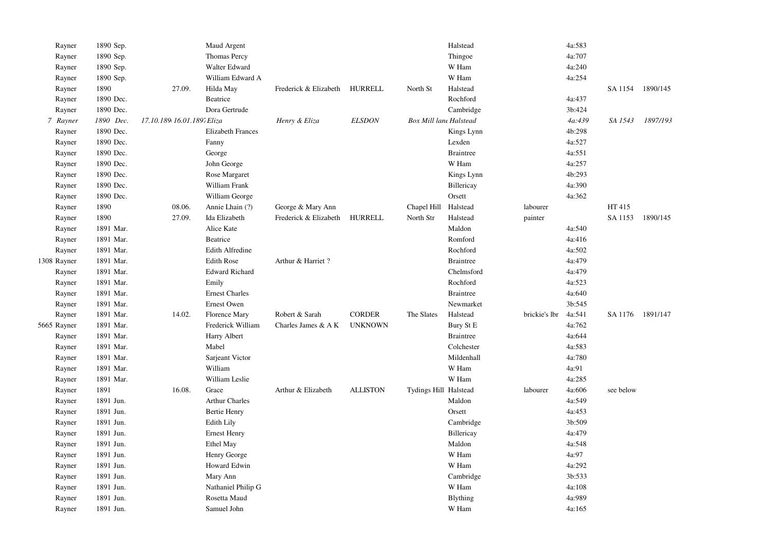| Rayner      | 1890 Sep. |                            | Maud Argent              |                       |                 |                               | Halstead         |               | 4a:583 |                  |          |
|-------------|-----------|----------------------------|--------------------------|-----------------------|-----------------|-------------------------------|------------------|---------------|--------|------------------|----------|
| Rayner      | 1890 Sep. |                            | Thomas Percy             |                       |                 |                               | Thingoe          |               | 4a:707 |                  |          |
| Rayner      | 1890 Sep. |                            | Walter Edward            |                       |                 |                               | W Ham            |               | 4a:240 |                  |          |
| Rayner      | 1890 Sep. |                            | William Edward A         |                       |                 |                               | W Ham            |               | 4a:254 |                  |          |
| Rayner      | 1890      | 27.09.                     | Hilda May                | Frederick & Elizabeth | HURRELL         | North St                      | Halstead         |               |        | SA 1154          | 1890/145 |
| Rayner      | 1890 Dec. |                            | Beatrice                 |                       |                 |                               | Rochford         |               | 4a:437 |                  |          |
| Rayner      | 1890 Dec. |                            | Dora Gertrude            |                       |                 |                               | Cambridge        |               | 3b:424 |                  |          |
| 7 Rayner    | 1890 Dec. | 17.10.189 16.01.189; Eliza |                          | Henry & Eliza         | <b>ELSDON</b>   | <b>Box Mill lane Halstead</b> |                  |               | 4a:439 | SA 1543          | 1897/193 |
| Rayner      | 1890 Dec. |                            | <b>Elizabeth Frances</b> |                       |                 |                               | Kings Lynn       |               | 4b:298 |                  |          |
| Rayner      | 1890 Dec. |                            | Fanny                    |                       |                 |                               | Lexden           |               | 4a:527 |                  |          |
| Rayner      | 1890 Dec. |                            | George                   |                       |                 |                               | <b>Braintree</b> |               | 4a:551 |                  |          |
| Rayner      | 1890 Dec. |                            | John George              |                       |                 |                               | W Ham            |               | 4a:257 |                  |          |
| Rayner      | 1890 Dec. |                            | Rose Margaret            |                       |                 |                               | Kings Lynn       |               | 4b:293 |                  |          |
| Rayner      | 1890 Dec. |                            | William Frank            |                       |                 |                               | Billericay       |               | 4a:390 |                  |          |
| Rayner      | 1890 Dec. |                            | William George           |                       |                 |                               | Orsett           |               | 4a:362 |                  |          |
| Rayner      | 1890      | 08.06.                     | Annie Lhain (?)          | George & Mary Ann     |                 | Chapel Hill                   | Halstead         | labourer      |        | HT 415           |          |
| Rayner      | 1890      | 27.09.                     | Ida Elizabeth            | Frederick & Elizabeth | HURRELL         | North Str                     | Halstead         | painter       |        | SA 1153          | 1890/145 |
| Rayner      | 1891 Mar. |                            | Alice Kate               |                       |                 |                               | Maldon           |               | 4a:540 |                  |          |
| Rayner      | 1891 Mar. |                            | Beatrice                 |                       |                 |                               | Romford          |               | 4a:416 |                  |          |
| Rayner      | 1891 Mar. |                            | <b>Edith Alfredine</b>   |                       |                 |                               | Rochford         |               | 4a:502 |                  |          |
| 1308 Rayner | 1891 Mar. |                            | <b>Edith Rose</b>        | Arthur & Harriet?     |                 |                               | <b>Braintree</b> |               | 4a:479 |                  |          |
| Rayner      | 1891 Mar. |                            | <b>Edward Richard</b>    |                       |                 |                               | Chelmsford       |               | 4a:479 |                  |          |
| Rayner      | 1891 Mar. |                            | Emily                    |                       |                 |                               | Rochford         |               | 4a:523 |                  |          |
| Rayner      | 1891 Mar. |                            | <b>Ernest Charles</b>    |                       |                 |                               | <b>Braintree</b> |               | 4a:640 |                  |          |
| Rayner      | 1891 Mar. |                            | Ernest Owen              |                       |                 |                               | Newmarket        |               | 3b:545 |                  |          |
| Rayner      | 1891 Mar. | 14.02.                     | Florence Mary            | Robert & Sarah        | <b>CORDER</b>   | The Slates                    | Halstead         | brickie's lbr | 4a:541 | SA 1176 1891/147 |          |
| 5665 Rayner | 1891 Mar. |                            | Frederick William        | Charles James & A K   | <b>UNKNOWN</b>  |                               | Bury St E        |               | 4a:762 |                  |          |
| Rayner      | 1891 Mar. |                            | Harry Albert             |                       |                 |                               | <b>Braintree</b> |               | 4a:644 |                  |          |
| Rayner      | 1891 Mar. |                            | Mabel                    |                       |                 |                               | Colchester       |               | 4a:583 |                  |          |
| Rayner      | 1891 Mar. |                            | Sarjeant Victor          |                       |                 |                               | Mildenhall       |               | 4a:780 |                  |          |
| Rayner      | 1891 Mar. |                            | William                  |                       |                 |                               | W Ham            |               | 4a:91  |                  |          |
| Rayner      | 1891 Mar. |                            | William Leslie           |                       |                 |                               | W Ham            |               | 4a:285 |                  |          |
| Rayner      | 1891      | 16.08.                     | Grace                    | Arthur & Elizabeth    | <b>ALLISTON</b> | Tydings Hill Halstead         |                  | labourer      | 4a:606 | see below        |          |
| Rayner      | 1891 Jun. |                            | <b>Arthur Charles</b>    |                       |                 |                               | Maldon           |               | 4a:549 |                  |          |
| Rayner      | 1891 Jun. |                            | <b>Bertie Henry</b>      |                       |                 |                               | Orsett           |               | 4a:453 |                  |          |
| Rayner      | 1891 Jun. |                            | <b>Edith Lily</b>        |                       |                 |                               | Cambridge        |               | 3b:509 |                  |          |
| Rayner      | 1891 Jun. |                            | <b>Ernest Henry</b>      |                       |                 |                               | Billericay       |               | 4a:479 |                  |          |
| Rayner      | 1891 Jun. |                            | Ethel May                |                       |                 |                               | Maldon           |               | 4a:548 |                  |          |
| Rayner      | 1891 Jun. |                            | Henry George             |                       |                 |                               | W Ham            |               | 4a:97  |                  |          |
| Rayner      | 1891 Jun. |                            | Howard Edwin             |                       |                 |                               | W Ham            |               | 4a:292 |                  |          |
| Rayner      | 1891 Jun. |                            | Mary Ann                 |                       |                 |                               | Cambridge        |               | 3b:533 |                  |          |
| Rayner      | 1891 Jun. |                            | Nathaniel Philip G       |                       |                 |                               | W Ham            |               | 4a:108 |                  |          |
| Rayner      | 1891 Jun. |                            | Rosetta Maud             |                       |                 |                               | <b>Blything</b>  |               | 4a:989 |                  |          |
| Rayner      | 1891 Jun. |                            | Samuel John              |                       |                 |                               | W Ham            |               | 4a:165 |                  |          |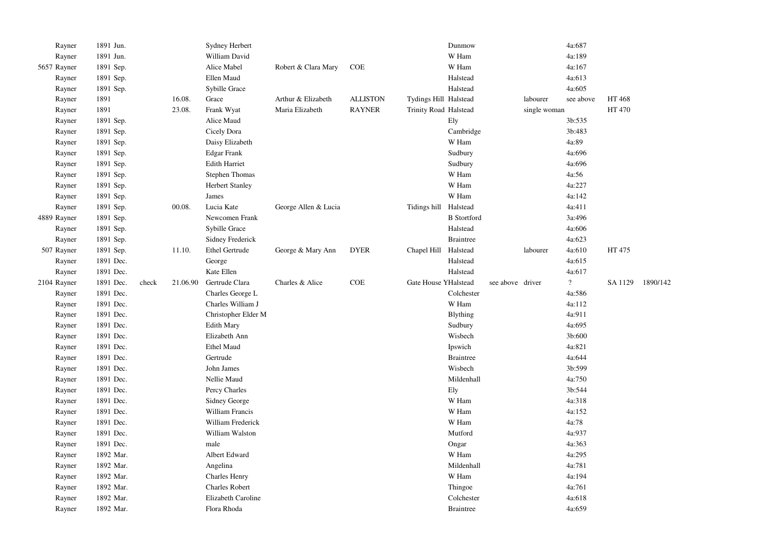| Rayner      | 1891 Jun. |       |          | Sydney Herbert         |                      |                 |                       | Dunmow             |                  |              | 4a:687                   |         |          |
|-------------|-----------|-------|----------|------------------------|----------------------|-----------------|-----------------------|--------------------|------------------|--------------|--------------------------|---------|----------|
| Rayner      | 1891 Jun. |       |          | William David          |                      |                 |                       | W Ham              |                  |              | 4a:189                   |         |          |
| 5657 Rayner | 1891 Sep. |       |          | Alice Mabel            | Robert & Clara Mary  | COE             |                       | W Ham              |                  |              | 4a:167                   |         |          |
| Rayner      | 1891 Sep. |       |          | Ellen Maud             |                      |                 |                       | Halstead           |                  |              | 4a:613                   |         |          |
| Rayner      | 1891 Sep. |       |          | Sybille Grace          |                      |                 |                       | Halstead           |                  |              | 4a:605                   |         |          |
| Rayner      | 1891      |       | 16.08.   | Grace                  | Arthur & Elizabeth   | <b>ALLISTON</b> | Tydings Hill Halstead |                    |                  | labourer     | see above                | HT 468  |          |
| Rayner      | 1891      |       | 23.08.   | Frank Wyat             | Maria Elizabeth      | <b>RAYNER</b>   | Trinity Road Halstead |                    |                  | single woman |                          | HT 470  |          |
| Rayner      | 1891 Sep. |       |          | Alice Maud             |                      |                 |                       | Ely                |                  |              | 3b:535                   |         |          |
| Rayner      | 1891 Sep. |       |          | Cicely Dora            |                      |                 |                       | Cambridge          |                  |              | 3b:483                   |         |          |
| Rayner      | 1891 Sep. |       |          | Daisy Elizabeth        |                      |                 |                       | W Ham              |                  |              | 4a:89                    |         |          |
| Rayner      | 1891 Sep. |       |          | <b>Edgar Frank</b>     |                      |                 |                       | Sudbury            |                  |              | 4a:696                   |         |          |
| Rayner      | 1891 Sep. |       |          | <b>Edith Harriet</b>   |                      |                 |                       | Sudbury            |                  |              | 4a:696                   |         |          |
| Rayner      | 1891 Sep. |       |          | <b>Stephen Thomas</b>  |                      |                 |                       | W Ham              |                  |              | 4a:56                    |         |          |
| Rayner      | 1891 Sep. |       |          | <b>Herbert Stanley</b> |                      |                 |                       | W Ham              |                  |              | 4a:227                   |         |          |
| Rayner      | 1891 Sep. |       |          | James                  |                      |                 |                       | W Ham              |                  |              | 4a:142                   |         |          |
| Rayner      | 1891 Sep. |       | 00.08.   | Lucia Kate             | George Allen & Lucia |                 | Tidings hill          | Halstead           |                  |              | 4a:411                   |         |          |
| 4889 Rayner | 1891 Sep. |       |          | Newcomen Frank         |                      |                 |                       | <b>B</b> Stortford |                  |              | 3a:496                   |         |          |
| Rayner      | 1891 Sep. |       |          | Sybille Grace          |                      |                 |                       | Halstead           |                  |              | 4a:606                   |         |          |
| Rayner      | 1891 Sep. |       |          | Sidney Frederick       |                      |                 |                       | <b>Braintree</b>   |                  |              | 4a:623                   |         |          |
| 507 Rayner  | 1891 Sep. |       | 11.10.   | Ethel Gertrude         | George & Mary Ann    | <b>DYER</b>     | Chapel Hill           | Halstead           |                  | labourer     | 4a:610                   | HT 475  |          |
| Rayner      | 1891 Dec. |       |          | George                 |                      |                 |                       | Halstead           |                  |              | 4a:615                   |         |          |
| Rayner      | 1891 Dec. |       |          | Kate Ellen             |                      |                 |                       | Halstead           |                  |              | 4a:617                   |         |          |
| 2104 Rayner | 1891 Dec. | check | 21.06.90 | Gertrude Clara         | Charles & Alice      | COE             | Gate House YHalstead  |                    | see above driver |              | $\overline{\mathcal{L}}$ | SA 1129 | 1890/142 |
| Rayner      | 1891 Dec. |       |          | Charles George L       |                      |                 |                       | Colchester         |                  |              | 4a:586                   |         |          |
| Rayner      | 1891 Dec. |       |          | Charles William J      |                      |                 |                       | W Ham              |                  |              | 4a:112                   |         |          |
| Rayner      | 1891 Dec. |       |          | Christopher Elder M    |                      |                 |                       | <b>Blything</b>    |                  |              | 4a:911                   |         |          |
| Rayner      | 1891 Dec. |       |          | <b>Edith Mary</b>      |                      |                 |                       | Sudbury            |                  |              | 4a:695                   |         |          |
| Rayner      | 1891 Dec. |       |          | Elizabeth Ann          |                      |                 |                       | Wisbech            |                  |              | 3b:600                   |         |          |
| Rayner      | 1891 Dec. |       |          | <b>Ethel Maud</b>      |                      |                 |                       | Ipswich            |                  |              | 4a:821                   |         |          |
| Rayner      | 1891 Dec. |       |          | Gertrude               |                      |                 |                       | <b>Braintree</b>   |                  |              | 4a:644                   |         |          |
| Rayner      | 1891 Dec. |       |          | John James             |                      |                 |                       | Wisbech            |                  |              | 3b:599                   |         |          |
| Rayner      | 1891 Dec. |       |          | Nellie Maud            |                      |                 |                       | Mildenhall         |                  |              | 4a:750                   |         |          |
| Rayner      | 1891 Dec. |       |          | Percy Charles          |                      |                 |                       | Ely                |                  |              | 3b:544                   |         |          |
| Rayner      | 1891 Dec. |       |          | Sidney George          |                      |                 |                       | W Ham              |                  |              | 4a:318                   |         |          |
| Rayner      | 1891 Dec. |       |          | William Francis        |                      |                 |                       | W Ham              |                  |              | 4a:152                   |         |          |
| Rayner      | 1891 Dec. |       |          | William Frederick      |                      |                 |                       | W Ham              |                  |              | 4a:78                    |         |          |
| Rayner      | 1891 Dec. |       |          | William Walston        |                      |                 |                       | Mutford            |                  |              | 4a:937                   |         |          |
| Rayner      | 1891 Dec. |       |          | male                   |                      |                 |                       | Ongar              |                  |              | 4a:363                   |         |          |
| Rayner      | 1892 Mar. |       |          | Albert Edward          |                      |                 |                       | W Ham              |                  |              | 4a:295                   |         |          |
| Rayner      | 1892 Mar. |       |          | Angelina               |                      |                 |                       | Mildenhall         |                  |              | 4a:781                   |         |          |
| Rayner      | 1892 Mar. |       |          | <b>Charles Henry</b>   |                      |                 |                       | W Ham              |                  |              | 4a:194                   |         |          |
| Rayner      | 1892 Mar. |       |          | <b>Charles Robert</b>  |                      |                 |                       | Thingoe            |                  |              | 4a:761                   |         |          |
| Rayner      | 1892 Mar. |       |          | Elizabeth Caroline     |                      |                 |                       | Colchester         |                  |              | 4a:618                   |         |          |
| Rayner      | 1892 Mar. |       |          | Flora Rhoda            |                      |                 |                       | <b>Braintree</b>   |                  |              | 4a:659                   |         |          |
|             |           |       |          |                        |                      |                 |                       |                    |                  |              |                          |         |          |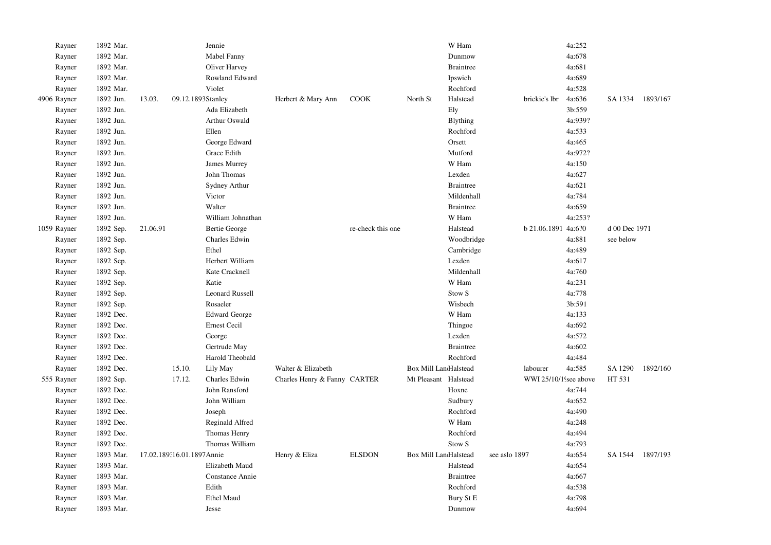| Rayner      | 1892 Mar. |          |                           | Jennie                 |                              |                   |                              | W Ham                   |               |                       | 4a:252  |               |          |
|-------------|-----------|----------|---------------------------|------------------------|------------------------------|-------------------|------------------------------|-------------------------|---------------|-----------------------|---------|---------------|----------|
| Rayner      | 1892 Mar. |          |                           | Mabel Fanny            |                              |                   |                              | Dunmow                  |               |                       | 4a:678  |               |          |
| Rayner      | 1892 Mar. |          |                           | Oliver Harvey          |                              |                   |                              | <b>Braintree</b>        |               |                       | 4a:681  |               |          |
| Rayner      | 1892 Mar. |          |                           | Rowland Edward         |                              |                   |                              | Ipswich                 |               |                       | 4a:689  |               |          |
| Rayner      | 1892 Mar. |          |                           | Violet                 |                              |                   |                              | Rochford                |               |                       | 4a:528  |               |          |
| 4906 Rayner | 1892 Jun. | 13.03.   |                           | 09.12.1893Stanley      | Herbert & Mary Ann           | COOK              | North St                     | Halstead                |               | brickie's lbr         | 4a:636  | SA 1334       | 1893/167 |
| Rayner      | 1892 Jun. |          |                           | Ada Elizabeth          |                              |                   |                              | Ely                     |               |                       | 3b:559  |               |          |
| Rayner      | 1892 Jun. |          |                           | Arthur Oswald          |                              |                   |                              | Blything                |               |                       | 4a:939? |               |          |
| Rayner      | 1892 Jun. |          |                           | Ellen                  |                              |                   |                              | Rochford                |               |                       | 4a:533  |               |          |
| Rayner      | 1892 Jun. |          |                           | George Edward          |                              |                   |                              | Orsett                  |               |                       | 4a:465  |               |          |
| Rayner      | 1892 Jun. |          |                           | Grace Edith            |                              |                   |                              | Mutford                 |               |                       | 4a:972? |               |          |
| Rayner      | 1892 Jun. |          |                           | James Murrey           |                              |                   |                              | W Ham                   |               |                       | 4a:150  |               |          |
| Rayner      | 1892 Jun. |          |                           | John Thomas            |                              |                   |                              | Lexden                  |               |                       | 4a:627  |               |          |
| Rayner      | 1892 Jun. |          |                           | Sydney Arthur          |                              |                   |                              | <b>Braintree</b>        |               |                       | 4a:621  |               |          |
| Rayner      | 1892 Jun. |          |                           | Victor                 |                              |                   |                              | Mildenhall              |               |                       | 4a:784  |               |          |
| Rayner      | 1892 Jun. |          |                           | Walter                 |                              |                   |                              | <b>Braintree</b>        |               |                       | 4a:659  |               |          |
| Rayner      | 1892 Jun. |          |                           | William Johnathan      |                              |                   |                              | W Ham                   |               |                       | 4a:253? |               |          |
| 1059 Rayner | 1892 Sep. | 21.06.91 |                           | <b>Bertie George</b>   |                              | re-check this one |                              | Halstead                |               | b 21.06.1891 4a:6?0   |         | d 00 Dec 1971 |          |
| Rayner      | 1892 Sep. |          |                           | Charles Edwin          |                              |                   |                              | Woodbridge              |               |                       | 4a:881  | see below     |          |
| Rayner      | 1892 Sep. |          |                           | Ethel                  |                              |                   |                              | Cambridge               |               |                       | 4a:489  |               |          |
| Rayner      | 1892 Sep. |          |                           | Herbert William        |                              |                   |                              | Lexden                  |               |                       | 4a:617  |               |          |
| Rayner      | 1892 Sep. |          |                           | Kate Cracknell         |                              |                   |                              | Mildenhall              |               |                       | 4a:760  |               |          |
| Rayner      | 1892 Sep. |          |                           | Katie                  |                              |                   |                              | W Ham                   |               |                       | 4a:231  |               |          |
| Rayner      | 1892 Sep. |          |                           | <b>Leonard Russell</b> |                              |                   |                              | Stow <sub>S</sub>       |               |                       | 4a:778  |               |          |
| Rayner      | 1892 Sep. |          |                           | Rosaeler               |                              |                   |                              | Wisbech                 |               |                       | 3b:591  |               |          |
| Rayner      | 1892 Dec. |          |                           | <b>Edward George</b>   |                              |                   |                              | W Ham                   |               |                       | 4a:133  |               |          |
| Rayner      | 1892 Dec. |          |                           | <b>Ernest Cecil</b>    |                              |                   |                              | Thingoe                 |               |                       | 4a:692  |               |          |
| Rayner      | 1892 Dec. |          |                           | George                 |                              |                   |                              | Lexden                  |               |                       | 4a:572  |               |          |
| Rayner      | 1892 Dec. |          |                           | Gertrude May           |                              |                   |                              | <b>Braintree</b>        |               |                       | 4a:602  |               |          |
| Rayner      | 1892 Dec. |          |                           | Harold Theobald        |                              |                   |                              | Rochford                |               |                       | 4a:484  |               |          |
| Rayner      | 1892 Dec. |          | 15.10.                    | Lily May               | Walter & Elizabeth           |                   | <b>Box Mill LandHalstead</b> |                         |               | labourer              | 4a:585  | SA 1290       | 1892/160 |
| 555 Rayner  | 1892 Sep. |          | 17.12.                    | Charles Edwin          | Charles Henry & Fanny CARTER |                   | Mt Pleasant Halstead         |                         |               | WWI 25/10/1 see above |         | HT 531        |          |
| Rayner      | 1892 Dec. |          |                           | John Ransford          |                              |                   |                              | Hoxne                   |               |                       | 4a:744  |               |          |
| Rayner      | 1892 Dec. |          |                           | John William           |                              |                   |                              | Sudbury                 |               |                       | 4a:652  |               |          |
| Rayner      | 1892 Dec. |          |                           | Joseph                 |                              |                   |                              | Rochford                |               |                       | 4a:490  |               |          |
| Rayner      | 1892 Dec. |          |                           | Reginald Alfred        |                              |                   |                              | W Ham                   |               |                       | 4a:248  |               |          |
| Rayner      | 1892 Dec. |          |                           | Thomas Henry           |                              |                   |                              | Rochford                |               |                       | 4a:494  |               |          |
| Rayner      | 1892 Dec. |          |                           | Thomas William         |                              |                   |                              | $\mbox{Stow}\ \mbox{S}$ |               |                       | 4a:793  |               |          |
| Rayner      | 1893 Mar. |          | 17.02.189.16.01.1897Annie |                        | Henry & Eliza                | <b>ELSDON</b>     | <b>Box Mill LandHalstead</b> |                         | see aslo 1897 |                       | 4a:654  | SA 1544       | 1897/193 |
| Rayner      | 1893 Mar. |          |                           | Elizabeth Maud         |                              |                   |                              | Halstead                |               |                       | 4a:654  |               |          |
| Rayner      | 1893 Mar. |          |                           | Constance Annie        |                              |                   |                              | <b>Braintree</b>        |               |                       | 4a:667  |               |          |
| Rayner      | 1893 Mar. |          |                           | Edith                  |                              |                   |                              | Rochford                |               |                       | 4a:538  |               |          |
| Rayner      | 1893 Mar. |          |                           | <b>Ethel Maud</b>      |                              |                   |                              | Bury St E               |               |                       | 4a:798  |               |          |
| Rayner      | 1893 Mar. |          |                           | Jesse                  |                              |                   |                              | Dunmow                  |               |                       | 4a:694  |               |          |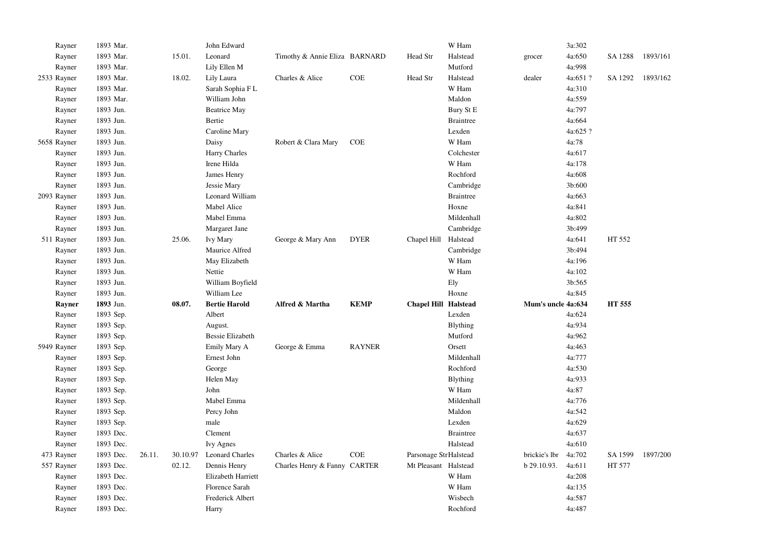| Rayner           | 1893 Mar.              |        |          | John Edward               |                               |               |                       | W Ham               |                    | 3a:302           |         |          |
|------------------|------------------------|--------|----------|---------------------------|-------------------------------|---------------|-----------------------|---------------------|--------------------|------------------|---------|----------|
| Rayner           | 1893 Mar.              |        | 15.01.   | Leonard                   | Timothy & Annie Eliza BARNARD |               | Head Str              | Halstead            | grocer             | 4a:650           | SA 1288 | 1893/161 |
| Rayner           | 1893 Mar.              |        |          | Lily Ellen M              |                               |               |                       | Mutford             |                    | 4a:998           |         |          |
| 2533 Rayner      | 1893 Mar.              |        | 18.02.   | Lily Laura                | Charles & Alice               | COE           | Head Str              | Halstead            | dealer             | 4a:651 ?         | SA 1292 | 1893/162 |
| Rayner           | 1893 Mar.              |        |          | Sarah Sophia F L          |                               |               |                       | W Ham               |                    | 4a:310           |         |          |
| Rayner           | 1893 Mar.              |        |          | William John              |                               |               |                       | Maldon              |                    | 4a:559           |         |          |
| Rayner           | 1893 Jun.              |        |          | <b>Beatrice May</b>       |                               |               |                       | Bury St E           |                    | 4a:797           |         |          |
| Rayner           | 1893 Jun.              |        |          | Bertie                    |                               |               |                       | <b>Braintree</b>    |                    | 4a:664           |         |          |
| Rayner           | 1893 Jun.              |        |          | Caroline Mary             |                               |               |                       | Lexden              |                    | 4a:625 ?         |         |          |
| 5658 Rayner      | 1893 Jun.              |        |          | Daisy                     | Robert & Clara Mary           | <b>COE</b>    |                       | W Ham               |                    | 4a:78            |         |          |
| Rayner           | 1893 Jun.              |        |          | Harry Charles             |                               |               |                       | Colchester          |                    | 4a:617           |         |          |
| Rayner           | 1893 Jun.              |        |          | Irene Hilda               |                               |               |                       | W Ham               |                    | 4a:178           |         |          |
| Rayner           | 1893 Jun.              |        |          | James Henry               |                               |               |                       | Rochford            |                    | 4a:608           |         |          |
| Rayner           | 1893 Jun.              |        |          | Jessie Mary               |                               |               |                       | Cambridge           |                    | 3b:600           |         |          |
| 2093 Rayner      | 1893 Jun.              |        |          | Leonard William           |                               |               |                       | <b>Braintree</b>    |                    | 4a:663           |         |          |
| Rayner           | 1893 Jun.              |        |          | Mabel Alice               |                               |               |                       | Hoxne               |                    | 4a:841           |         |          |
| Rayner           | 1893 Jun.              |        |          | Mabel Emma                |                               |               |                       | Mildenhall          |                    | 4a:802           |         |          |
| Rayner           | 1893 Jun.              |        |          | Margaret Jane             |                               |               |                       | Cambridge           |                    | 3b:499           |         |          |
| 511 Rayner       | 1893 Jun.              |        | 25.06.   | Ivy Mary                  | George & Mary Ann             | <b>DYER</b>   | Chapel Hill Halstead  |                     |                    | 4a:641           | HT 552  |          |
| Rayner           | 1893 Jun.              |        |          | Maurice Alfred            |                               |               |                       | Cambridge           |                    | 3b:494           |         |          |
| Rayner           | 1893 Jun.              |        |          | May Elizabeth             |                               |               |                       | W Ham               |                    | 4a:196           |         |          |
| Rayner           | 1893 Jun.              |        |          | Nettie                    |                               |               |                       | W Ham               |                    | 4a:102           |         |          |
|                  |                        |        |          |                           |                               |               |                       |                     |                    |                  |         |          |
| Rayner           | 1893 Jun.              |        |          | William Boyfield          |                               |               |                       | Ely                 |                    | 3b:565           |         |          |
| Rayner           | 1893 Jun.              |        |          | William Lee               |                               |               |                       | Hoxne               |                    | 4a:845           |         |          |
| Rayner           | 1893 Jun.              |        | 08.07.   | <b>Bertie Harold</b>      | Alfred & Martha               | <b>KEMP</b>   | Chapel Hill Halstead  |                     | Mum's uncle 4a:634 |                  | HT 555  |          |
| Rayner           | 1893 Sep.              |        |          | Albert                    |                               |               |                       | Lexden              |                    | 4a:624           |         |          |
| Rayner           | 1893 Sep.              |        |          | August.                   |                               |               |                       | <b>Blything</b>     |                    | 4a:934           |         |          |
| Rayner           | 1893 Sep.              |        |          | <b>Bessie Elizabeth</b>   |                               |               |                       | Mutford             |                    | 4a:962           |         |          |
| 5949 Rayner      | 1893 Sep.              |        |          | Emily Mary A              | George & Emma                 | <b>RAYNER</b> |                       | Orsett              |                    | 4a:463           |         |          |
| Rayner           | 1893 Sep.              |        |          | Ernest John               |                               |               |                       | Mildenhall          |                    | 4a:777           |         |          |
| Rayner           | 1893 Sep.              |        |          | George                    |                               |               |                       | Rochford            |                    | 4a:530           |         |          |
| Rayner           | 1893 Sep.              |        |          | Helen May                 |                               |               |                       | <b>Blything</b>     |                    | 4a:933           |         |          |
| Rayner           | 1893 Sep.              |        |          | John                      |                               |               |                       | W Ham               |                    | 4a:87            |         |          |
| Rayner           | 1893 Sep.              |        |          | Mabel Emma                |                               |               |                       | Mildenhall          |                    | 4a:776           |         |          |
| Rayner           | 1893 Sep.              |        |          | Percy John                |                               |               |                       | Maldon              |                    | 4a:542           |         |          |
| Rayner           | 1893 Sep.              |        |          | male                      |                               |               |                       | Lexden              |                    | 4a:629           |         |          |
| Rayner           | 1893 Dec.              |        |          | Clement                   |                               |               |                       | <b>Braintree</b>    |                    | 4a:637           |         |          |
| Rayner           | 1893 Dec.              |        |          | <b>Ivy Agnes</b>          |                               |               |                       | Halstead            |                    | 4a:610           |         |          |
| 473 Rayner       | 1893 Dec.              | 26.11. | 30.10.97 | <b>Leonard Charles</b>    | Charles & Alice               | COE           | Parsonage StrHalstead |                     | brickie's lbr      | 4a:702           | SA 1599 | 1897/200 |
| 557 Rayner       | 1893 Dec.              |        | 02.12.   | Dennis Henry              | Charles Henry & Fanny CARTER  |               | Mt Pleasant Halstead  |                     | $b$ 29.10.93.      | 4a:611           | HT 577  |          |
| Rayner           | 1893 Dec.              |        |          | Elizabeth Harriett        |                               |               |                       | W Ham               |                    | 4a:208           |         |          |
| Rayner           | 1893 Dec.              |        |          | Florence Sarah            |                               |               |                       | W Ham               |                    | 4a:135           |         |          |
| Rayner<br>Rayner | 1893 Dec.<br>1893 Dec. |        |          | Frederick Albert<br>Harry |                               |               |                       | Wisbech<br>Rochford |                    | 4a:587<br>4a:487 |         |          |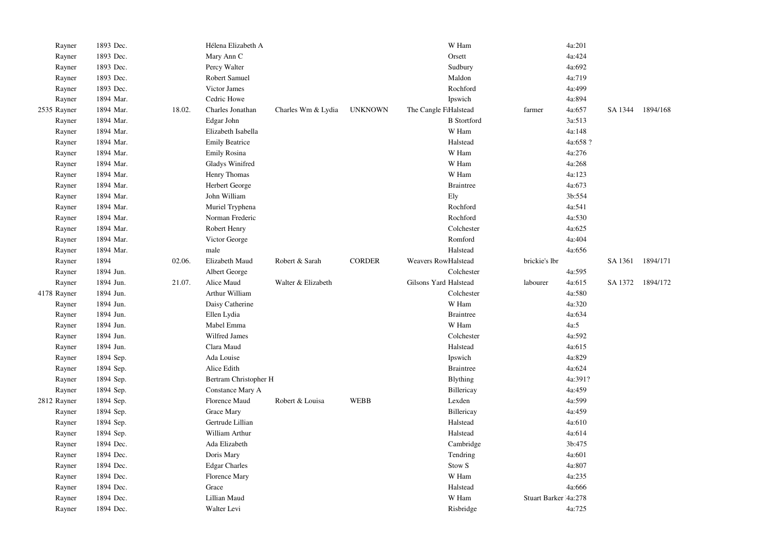| Rayner      | 1893 Dec. |        | Hélena Elizabeth A    |                    |                | W Ham                 |                       | 4a:201   |         |          |
|-------------|-----------|--------|-----------------------|--------------------|----------------|-----------------------|-----------------------|----------|---------|----------|
| Rayner      | 1893 Dec. |        | Mary Ann C            |                    |                | Orsett                |                       | 4a:424   |         |          |
| Rayner      | 1893 Dec. |        | Percy Walter          |                    |                | Sudbury               |                       | 4a:692   |         |          |
| Rayner      | 1893 Dec. |        | Robert Samuel         |                    |                | Maldon                |                       | 4a:719   |         |          |
| Rayner      | 1893 Dec. |        | Victor James          |                    |                | Rochford              |                       | 4a:499   |         |          |
| Rayner      | 1894 Mar. |        | Cedric Howe           |                    |                | Ipswich               |                       | 4a:894   |         |          |
| 2535 Rayner | 1894 Mar. | 18.02. | Charles Jonathan      | Charles Wm & Lydia | <b>UNKNOWN</b> | The Cangle F:Halstead | farmer                | 4a:657   | SA 1344 | 1894/168 |
| Rayner      | 1894 Mar. |        | Edgar John            |                    |                | <b>B</b> Stortford    |                       | 3a:513   |         |          |
| Rayner      | 1894 Mar. |        | Elizabeth Isabella    |                    |                | W Ham                 |                       | 4a:148   |         |          |
| Rayner      | 1894 Mar. |        | <b>Emily Beatrice</b> |                    |                | Halstead              |                       | 4a:658 ? |         |          |
| Rayner      | 1894 Mar. |        | Emily Rosina          |                    |                | W Ham                 |                       | 4a:276   |         |          |
| Rayner      | 1894 Mar. |        | Gladys Winifred       |                    |                | W Ham                 |                       | 4a:268   |         |          |
| Rayner      | 1894 Mar. |        | Henry Thomas          |                    |                | W Ham                 |                       | 4a:123   |         |          |
| Rayner      | 1894 Mar. |        | Herbert George        |                    |                | <b>Braintree</b>      |                       | 4a:673   |         |          |
| Rayner      | 1894 Mar. |        | John William          |                    |                | Ely                   |                       | 3b:554   |         |          |
| Rayner      | 1894 Mar. |        | Muriel Tryphena       |                    |                | Rochford              |                       | 4a:541   |         |          |
| Rayner      | 1894 Mar. |        | Norman Frederic       |                    |                | Rochford              |                       | 4a:530   |         |          |
| Rayner      | 1894 Mar. |        | Robert Henry          |                    |                | Colchester            |                       | 4a:625   |         |          |
| Rayner      | 1894 Mar. |        | Victor George         |                    |                | Romford               |                       | 4a:404   |         |          |
| Rayner      | 1894 Mar. |        | male                  |                    |                | Halstead              |                       | 4a:656   |         |          |
| Rayner      | 1894      | 02.06. | Elizabeth Maud        | Robert & Sarah     | <b>CORDER</b>  | Weavers RowHalstead   | brickie's lbr         |          | SA 1361 | 1894/171 |
| Rayner      | 1894 Jun. |        | Albert George         |                    |                | Colchester            |                       | 4a:595   |         |          |
| Rayner      | 1894 Jun. | 21.07. | Alice Maud            | Walter & Elizabeth |                | Gilsons Yard Halstead | labourer              | 4a:615   | SA 1372 | 1894/172 |
| 4178 Rayner | 1894 Jun. |        | Arthur William        |                    |                | Colchester            |                       | 4a:580   |         |          |
| Rayner      | 1894 Jun. |        | Daisy Catherine       |                    |                | W Ham                 |                       | 4a:320   |         |          |
| Rayner      | 1894 Jun. |        | Ellen Lydia           |                    |                | <b>Braintree</b>      |                       | 4a:634   |         |          |
| Rayner      | 1894 Jun. |        | Mabel Emma            |                    |                | W Ham                 |                       | 4a:5     |         |          |
| Rayner      | 1894 Jun. |        | Wilfred James         |                    |                | Colchester            |                       | 4a:592   |         |          |
| Rayner      | 1894 Jun. |        | Clara Maud            |                    |                | Halstead              |                       | 4a:615   |         |          |
| Rayner      | 1894 Sep. |        | Ada Louise            |                    |                | Ipswich               |                       | 4a:829   |         |          |
| Rayner      | 1894 Sep. |        | Alice Edith           |                    |                | <b>Braintree</b>      |                       | 4a:624   |         |          |
| Rayner      | 1894 Sep. |        | Bertram Christopher H |                    |                | <b>B</b> lything      |                       | 4a:391?  |         |          |
| Rayner      | 1894 Sep. |        | Constance Mary A      |                    |                | Billericay            |                       | 4a:459   |         |          |
| 2812 Rayner | 1894 Sep. |        | Florence Maud         | Robert & Louisa    | <b>WEBB</b>    | Lexden                |                       | 4a:599   |         |          |
| Rayner      | 1894 Sep. |        | Grace Mary            |                    |                | Billericay            |                       | 4a:459   |         |          |
| Rayner      | 1894 Sep. |        | Gertrude Lillian      |                    |                | Halstead              |                       | 4a:610   |         |          |
| Rayner      | 1894 Sep. |        | William Arthur        |                    |                | Halstead              |                       | 4a:614   |         |          |
| Rayner      | 1894 Dec. |        | Ada Elizabeth         |                    |                | Cambridge             |                       | 3b:475   |         |          |
| Rayner      | 1894 Dec. |        | Doris Mary            |                    |                | Tendring              |                       | 4a:601   |         |          |
| Rayner      | 1894 Dec. |        | <b>Edgar Charles</b>  |                    |                | Stow <sub>S</sub>     |                       | 4a:807   |         |          |
| Rayner      | 1894 Dec. |        | Florence Mary         |                    |                | W Ham                 |                       | 4a:235   |         |          |
| Rayner      | 1894 Dec. |        | Grace                 |                    |                | Halstead              |                       | 4a:666   |         |          |
| Rayner      | 1894 Dec. |        | Lillian Maud          |                    |                | W Ham                 | Stuart Barker 14a:278 |          |         |          |
| Rayner      | 1894 Dec. |        | Walter Levi           |                    |                | Risbridge             |                       | 4a:725   |         |          |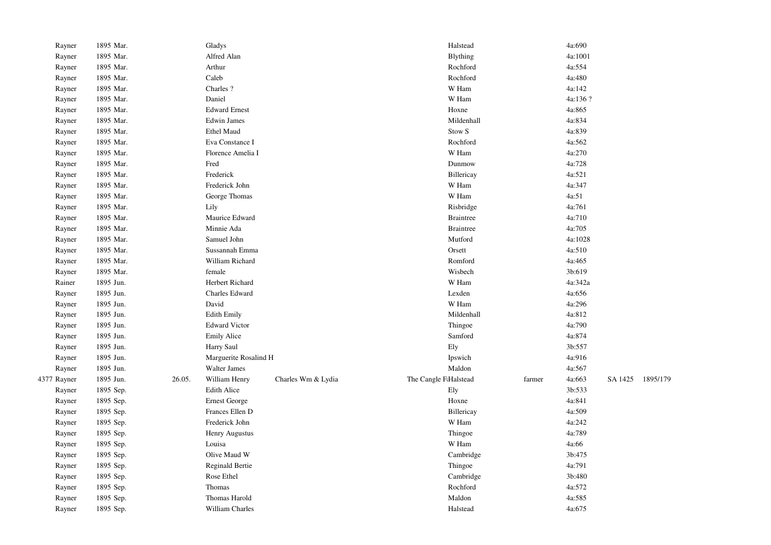| Rayner      | 1895 Mar. |        | Gladys                 |                    | Halstead              |        | 4a:690  |         |          |
|-------------|-----------|--------|------------------------|--------------------|-----------------------|--------|---------|---------|----------|
| Rayner      | 1895 Mar. |        | Alfred Alan            |                    | <b>Blything</b>       |        | 4a:1001 |         |          |
| Rayner      | 1895 Mar. |        | Arthur                 |                    | Rochford              |        | 4a:554  |         |          |
| Rayner      | 1895 Mar. |        | Caleb                  |                    | Rochford              |        | 4a:480  |         |          |
| Rayner      | 1895 Mar. |        | Charles ?              |                    | W Ham                 |        | 4a:142  |         |          |
| Rayner      | 1895 Mar. |        | Daniel                 |                    | W Ham                 |        | 4a:136? |         |          |
| Rayner      | 1895 Mar. |        | <b>Edward Ernest</b>   |                    | Hoxne                 |        | 4a:865  |         |          |
| Rayner      | 1895 Mar. |        | <b>Edwin James</b>     |                    | Mildenhall            |        | 4a:834  |         |          |
| Rayner      | 1895 Mar. |        | <b>Ethel Maud</b>      |                    | Stow <sub>S</sub>     |        | 4a:839  |         |          |
| Rayner      | 1895 Mar. |        | Eva Constance I        |                    | Rochford              |        | 4a:562  |         |          |
| Rayner      | 1895 Mar. |        | Florence Amelia I      |                    | W Ham                 |        | 4a:270  |         |          |
| Rayner      | 1895 Mar. |        | Fred                   |                    | Dunmow                |        | 4a:728  |         |          |
| Rayner      | 1895 Mar. |        | Frederick              |                    | Billericay            |        | 4a:521  |         |          |
| Rayner      | 1895 Mar. |        | Frederick John         |                    | W Ham                 |        | 4a:347  |         |          |
| Rayner      | 1895 Mar. |        | George Thomas          |                    | W Ham                 |        | 4a:51   |         |          |
| Rayner      | 1895 Mar. |        | Lily                   |                    | Risbridge             |        | 4a:761  |         |          |
| Rayner      | 1895 Mar. |        | Maurice Edward         |                    | <b>Braintree</b>      |        | 4a:710  |         |          |
| Rayner      | 1895 Mar. |        | Minnie Ada             |                    | <b>Braintree</b>      |        | 4a:705  |         |          |
| Rayner      | 1895 Mar. |        | Samuel John            |                    | Mutford               |        | 4a:1028 |         |          |
| Rayner      | 1895 Mar. |        | Sussannah Emma         |                    | Orsett                |        | 4a:510  |         |          |
| Rayner      | 1895 Mar. |        | William Richard        |                    | Romford               |        | 4a:465  |         |          |
| Rayner      | 1895 Mar. |        | female                 |                    | Wisbech               |        | 3b:619  |         |          |
| Rainer      | 1895 Jun. |        | Herbert Richard        |                    | W Ham                 |        | 4a:342a |         |          |
| Rayner      | 1895 Jun. |        | Charles Edward         |                    | Lexden                |        | 4a:656  |         |          |
| Rayner      | 1895 Jun. |        | David                  |                    | W Ham                 |        | 4a:296  |         |          |
| Rayner      | 1895 Jun. |        | <b>Edith Emily</b>     |                    | Mildenhall            |        | 4a:812  |         |          |
| Rayner      | 1895 Jun. |        | <b>Edward Victor</b>   |                    | Thingoe               |        | 4a:790  |         |          |
| Rayner      | 1895 Jun. |        | <b>Emily Alice</b>     |                    | Samford               |        | 4a:874  |         |          |
| Rayner      | 1895 Jun. |        | Harry Saul             |                    | Ely                   |        | 3b:557  |         |          |
| Rayner      | 1895 Jun. |        | Marguerite Rosalind H  |                    | Ipswich               |        | 4a:916  |         |          |
| Rayner      | 1895 Jun. |        | Walter James           |                    | Maldon                |        | 4a:567  |         |          |
| 4377 Rayner | 1895 Jun. | 26.05. | William Henry          | Charles Wm & Lydia | The Cangle F:Halstead | farmer | 4a:663  | SA 1425 | 1895/179 |
| Rayner      | 1895 Sep. |        | <b>Edith Alice</b>     |                    | Ely                   |        | 3b:533  |         |          |
| Rayner      | 1895 Sep. |        | <b>Ernest George</b>   |                    | Hoxne                 |        | 4a:841  |         |          |
| Rayner      | 1895 Sep. |        | Frances Ellen D        |                    | Billericay            |        | 4a:509  |         |          |
| Rayner      | 1895 Sep. |        | Frederick John         |                    | W Ham                 |        | 4a:242  |         |          |
| Rayner      | 1895 Sep. |        | Henry Augustus         |                    | Thingoe               |        | 4a:789  |         |          |
| Rayner      | 1895 Sep. |        | Louisa                 |                    | W Ham                 |        | 4a:66   |         |          |
| Rayner      | 1895 Sep. |        | Olive Maud W           |                    | Cambridge             |        | 3b:475  |         |          |
| Rayner      | 1895 Sep. |        | <b>Reginald Bertie</b> |                    | Thingoe               |        | 4a:791  |         |          |
| Rayner      | 1895 Sep. |        | Rose Ethel             |                    | Cambridge             |        | 3b:480  |         |          |
| Rayner      | 1895 Sep. |        | Thomas                 |                    | Rochford              |        | 4a:572  |         |          |
| Rayner      | 1895 Sep. |        | Thomas Harold          |                    | Maldon                |        | 4a:585  |         |          |
| Rayner      | 1895 Sep. |        | William Charles        |                    | Halstead              |        | 4a:675  |         |          |
|             |           |        |                        |                    |                       |        |         |         |          |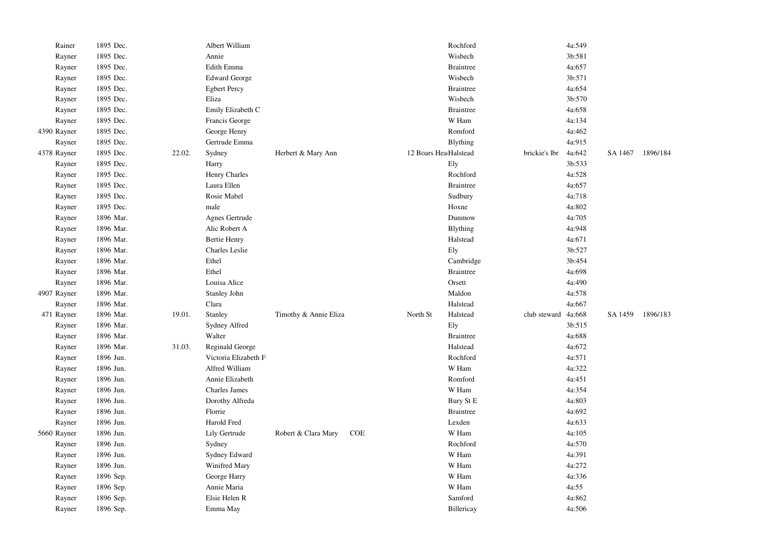| Rainer      | 1895 Dec. |        | Albert William       |                       |     |                       | Rochford         |               | 4a:549 |         |          |
|-------------|-----------|--------|----------------------|-----------------------|-----|-----------------------|------------------|---------------|--------|---------|----------|
| Rayner      | 1895 Dec. |        | Annie                |                       |     |                       | Wisbech          |               | 3b:581 |         |          |
| Rayner      | 1895 Dec. |        | Edith Emma           |                       |     |                       | <b>Braintree</b> |               | 4a:657 |         |          |
| Rayner      | 1895 Dec. |        | <b>Edward George</b> |                       |     |                       | Wisbech          |               | 3b:571 |         |          |
| Rayner      | 1895 Dec. |        | <b>Egbert Percy</b>  |                       |     |                       | <b>Braintree</b> |               | 4a:654 |         |          |
| Rayner      | 1895 Dec. |        | Eliza                |                       |     |                       | Wisbech          |               | 3b:570 |         |          |
| Rayner      | 1895 Dec. |        | Emily Elizabeth C    |                       |     |                       | <b>Braintree</b> |               | 4a:658 |         |          |
| Rayner      | 1895 Dec. |        | Francis George       |                       |     |                       | W Ham            |               | 4a:134 |         |          |
| 4390 Rayner | 1895 Dec. |        | George Henry         |                       |     |                       | Romford          |               | 4a:462 |         |          |
| Rayner      | 1895 Dec. |        | Gertrude Emma        |                       |     |                       | Blything         |               | 4a:915 |         |          |
| 4378 Rayner | 1895 Dec. | 22.02. | Sydney               | Herbert & Mary Ann    |     | 12 Boars HeadHalstead |                  | brickie's lbr | 4a:642 | SA 1467 | 1896/184 |
| Rayner      | 1895 Dec. |        | Harry                |                       |     |                       | Ely              |               | 3b:533 |         |          |
| Rayner      | 1895 Dec. |        | Henry Charles        |                       |     |                       | Rochford         |               | 4a:528 |         |          |
| Rayner      | 1895 Dec. |        | Laura Ellen          |                       |     |                       | <b>Braintree</b> |               | 4a:657 |         |          |
| Rayner      | 1895 Dec. |        | Rosie Mabel          |                       |     |                       | Sudbury          |               | 4a:718 |         |          |
| Rayner      | 1895 Dec. |        | male                 |                       |     |                       | Hoxne            |               | 4a:802 |         |          |
| Rayner      | 1896 Mar. |        | Agnes Gertrude       |                       |     |                       | Dunmow           |               | 4a:705 |         |          |
| Rayner      | 1896 Mar. |        | Alic Robert A        |                       |     |                       | <b>Blything</b>  |               | 4a:948 |         |          |
| Rayner      | 1896 Mar. |        | <b>Bertie Henry</b>  |                       |     |                       | Halstead         |               | 4a:671 |         |          |
| Rayner      | 1896 Mar. |        | Charles Leslie       |                       |     |                       | Ely              |               | 3b:527 |         |          |
| Rayner      | 1896 Mar. |        | Ethel                |                       |     |                       | Cambridge        |               | 3b:454 |         |          |
| Rayner      | 1896 Mar. |        | Ethel                |                       |     |                       | <b>Braintree</b> |               | 4a:698 |         |          |
| Rayner      | 1896 Mar. |        | Louisa Alice         |                       |     |                       | Orsett           |               | 4a:490 |         |          |
| 4907 Rayner | 1896 Mar. |        | Stanley John         |                       |     |                       | Maldon           |               | 4a:578 |         |          |
| Rayner      | 1896 Mar. |        | Clara                |                       |     |                       | Halstead         |               | 4a:667 |         |          |
| 471 Rayner  | 1896 Mar. | 19.01. | Stanley              | Timothy & Annie Eliza |     | North St              | Halstead         | club steward  | 4a:668 | SA 1459 | 1896/183 |
| Rayner      | 1896 Mar. |        | Sydney Alfred        |                       |     |                       | Ely              |               | 3b:515 |         |          |
| Rayner      | 1896 Mar. |        | Walter               |                       |     |                       | <b>Braintree</b> |               | 4a:688 |         |          |
| Rayner      | 1896 Mar. | 31.03. | Reginald George      |                       |     |                       | Halstead         |               | 4a:672 |         |          |
| Rayner      | 1896 Jun. |        | Victoria Elizabeth F |                       |     |                       | Rochford         |               | 4a:571 |         |          |
| Rayner      | 1896 Jun. |        | Alfred William       |                       |     |                       | W Ham            |               | 4a:322 |         |          |
| Rayner      | 1896 Jun. |        | Annie Elizabeth      |                       |     |                       | Romford          |               | 4a:451 |         |          |
| Rayner      | 1896 Jun. |        | <b>Charles James</b> |                       |     |                       | W Ham            |               | 4a:354 |         |          |
| Rayner      | 1896 Jun. |        | Dorothy Alfreda      |                       |     |                       | Bury St E        |               | 4a:803 |         |          |
| Rayner      | 1896 Jun. |        | Florrie              |                       |     |                       | <b>Braintree</b> |               | 4a:692 |         |          |
| Rayner      | 1896 Jun. |        | Harold Fred          |                       |     |                       | Lexden           |               | 4a:633 |         |          |
| 5660 Rayner | 1896 Jun. |        | Lily Gertrude        | Robert & Clara Mary   | COE |                       | W Ham            |               | 4a:105 |         |          |
| Rayner      | 1896 Jun. |        | Sydney               |                       |     |                       | Rochford         |               | 4a:570 |         |          |
| Rayner      | 1896 Jun. |        | Sydney Edward        |                       |     |                       | W Ham            |               | 4a:391 |         |          |
| Rayner      | 1896 Jun. |        | Winifred Mary        |                       |     |                       | W Ham            |               | 4a:272 |         |          |
| Rayner      | 1896 Sep. |        | George Harry         |                       |     |                       | W Ham            |               | 4a:336 |         |          |
| Rayner      | 1896 Sep. |        | Annie Maria          |                       |     |                       | W Ham            |               | 4a:55  |         |          |
| Rayner      | 1896 Sep. |        | Elsie Helen R        |                       |     |                       | Samford          |               | 4a:862 |         |          |
| Rayner      | 1896 Sep. |        | Emma May             |                       |     |                       | Billericay       |               | 4a:506 |         |          |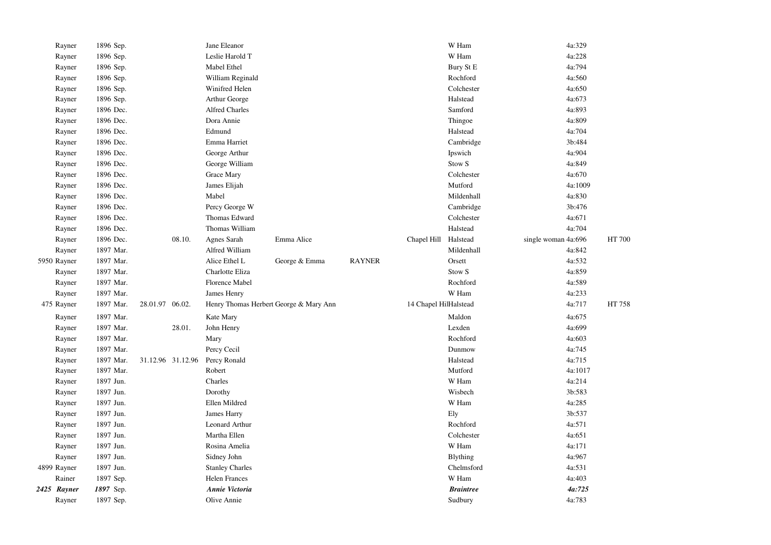| Rayner      | 1896 Sep. |                   |        | Jane Eleanor           |                                        |               |                       | W Ham             | 4a:329              |               |
|-------------|-----------|-------------------|--------|------------------------|----------------------------------------|---------------|-----------------------|-------------------|---------------------|---------------|
| Rayner      | 1896 Sep. |                   |        | Leslie Harold T        |                                        |               |                       | W Ham             | 4a:228              |               |
| Rayner      | 1896 Sep. |                   |        | Mabel Ethel            |                                        |               |                       | Bury St E         | 4a:794              |               |
| Rayner      | 1896 Sep. |                   |        | William Reginald       |                                        |               |                       | Rochford          | 4a:560              |               |
| Rayner      | 1896 Sep. |                   |        | Winifred Helen         |                                        |               |                       | Colchester        | 4a:650              |               |
| Rayner      | 1896 Sep. |                   |        | Arthur George          |                                        |               |                       | Halstead          | 4a:673              |               |
| Rayner      | 1896 Dec. |                   |        | <b>Alfred Charles</b>  |                                        |               |                       | Samford           | 4a:893              |               |
| Rayner      | 1896 Dec. |                   |        | Dora Annie             |                                        |               |                       | Thingoe           | 4a:809              |               |
| Rayner      | 1896 Dec. |                   |        | Edmund                 |                                        |               |                       | Halstead          | 4a:704              |               |
| Rayner      | 1896 Dec. |                   |        | Emma Harriet           |                                        |               |                       | Cambridge         | 3b:484              |               |
| Rayner      | 1896 Dec. |                   |        | George Arthur          |                                        |               |                       | Ipswich           | 4a:904              |               |
| Rayner      | 1896 Dec. |                   |        | George William         |                                        |               |                       | Stow <sub>S</sub> | 4a:849              |               |
| Rayner      | 1896 Dec. |                   |        | Grace Mary             |                                        |               |                       | Colchester        | 4a:670              |               |
| Rayner      | 1896 Dec. |                   |        | James Elijah           |                                        |               |                       | Mutford           | 4a:1009             |               |
| Rayner      | 1896 Dec. |                   |        | Mabel                  |                                        |               |                       | Mildenhall        | 4a:830              |               |
| Rayner      | 1896 Dec. |                   |        | Percy George W         |                                        |               |                       | Cambridge         | 3b:476              |               |
| Rayner      | 1896 Dec. |                   |        | Thomas Edward          |                                        |               |                       | Colchester        | 4a:671              |               |
| Rayner      | 1896 Dec. |                   |        | Thomas William         |                                        |               |                       | Halstead          | 4a:704              |               |
| Rayner      | 1896 Dec. |                   | 08.10. | Agnes Sarah            | Emma Alice                             |               | Chapel Hill           | Halstead          | single woman 4a:696 | <b>HT 700</b> |
| Rayner      | 1897 Mar. |                   |        | Alfred William         |                                        |               |                       | Mildenhall        | 4a:842              |               |
| 5950 Rayner | 1897 Mar. |                   |        | Alice Ethel L          | George & Emma                          | <b>RAYNER</b> |                       | Orsett            | 4a:532              |               |
| Rayner      | 1897 Mar. |                   |        | Charlotte Eliza        |                                        |               |                       | Stow <sub>S</sub> | 4a:859              |               |
| Rayner      | 1897 Mar. |                   |        | Florence Mabel         |                                        |               |                       | Rochford          | 4a:589              |               |
| Rayner      | 1897 Mar. |                   |        | James Henry            |                                        |               |                       | W Ham             | 4a:233              |               |
| 475 Rayner  | 1897 Mar. | 28.01.97 06.02.   |        |                        | Henry Thomas Herbert George & Mary Ann |               | 14 Chapel HilHalstead |                   | 4a:717              | HT 758        |
| Rayner      | 1897 Mar. |                   |        | Kate Mary              |                                        |               |                       | Maldon            | 4a:675              |               |
| Rayner      | 1897 Mar. |                   | 28.01. | John Henry             |                                        |               |                       | Lexden            | 4a:699              |               |
| Rayner      | 1897 Mar. |                   |        | Mary                   |                                        |               |                       | Rochford          | 4a:603              |               |
| Rayner      | 1897 Mar. |                   |        | Percy Cecil            |                                        |               |                       | Dunmow            | 4a:745              |               |
| Rayner      | 1897 Mar. | 31.12.96 31.12.96 |        | Percy Ronald           |                                        |               |                       | Halstead          | 4a:715              |               |
| Rayner      | 1897 Mar. |                   |        | Robert                 |                                        |               |                       | Mutford           | 4a:1017             |               |
| Rayner      | 1897 Jun. |                   |        | Charles                |                                        |               |                       | W Ham             | 4a:214              |               |
| Rayner      | 1897 Jun. |                   |        | Dorothy                |                                        |               |                       | Wisbech           | 3b:583              |               |
| Rayner      | 1897 Jun. |                   |        | Ellen Mildred          |                                        |               |                       | W Ham             | 4a:285              |               |
| Rayner      | 1897 Jun. |                   |        | James Harry            |                                        |               |                       | Ely               | 3b:537              |               |
| Rayner      | 1897 Jun. |                   |        | Leonard Arthur         |                                        |               |                       | Rochford          | 4a:571              |               |
| Rayner      | 1897 Jun. |                   |        | Martha Ellen           |                                        |               |                       | Colchester        | 4a:651              |               |
| Rayner      | 1897 Jun. |                   |        | Rosina Amelia          |                                        |               |                       | W Ham             | 4a:171              |               |
| Rayner      | 1897 Jun. |                   |        | Sidney John            |                                        |               |                       | Blything          | 4a:967              |               |
| 4899 Rayner | 1897 Jun. |                   |        | <b>Stanley Charles</b> |                                        |               |                       | Chelmsford        | 4a:531              |               |
| Rainer      | 1897 Sep. |                   |        | Helen Frances          |                                        |               |                       | W Ham             | 4a:403              |               |
| 2425 Rayner | 1897 Sep. |                   |        | Annie Victoria         |                                        |               |                       | <b>Braintree</b>  | 4a:725              |               |
| Rayner      | 1897 Sep. |                   |        | Olive Annie            |                                        |               |                       | Sudbury           | 4a:783              |               |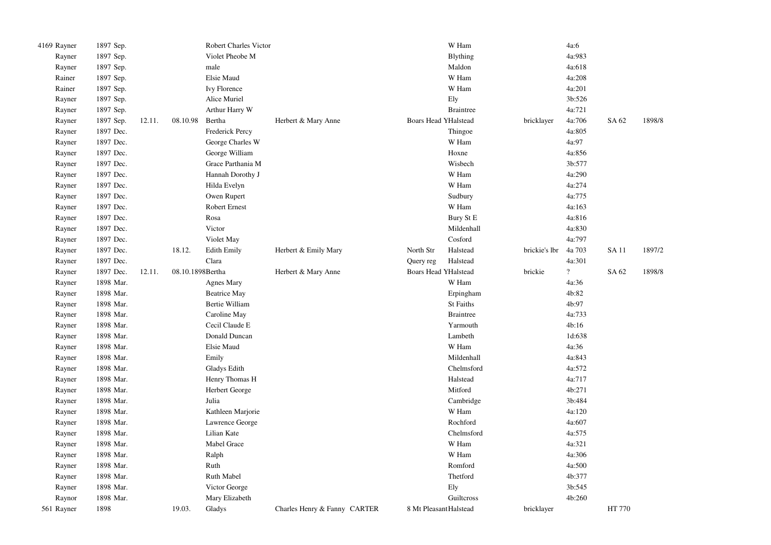| 4169 Rayner | 1897 Sep. |        |                  | Robert Charles Victor  |                              |                             | W Ham            |                      | 4a:6               |             |        |
|-------------|-----------|--------|------------------|------------------------|------------------------------|-----------------------------|------------------|----------------------|--------------------|-------------|--------|
| Rayner      | 1897 Sep. |        |                  | Violet Pheobe M        |                              |                             | <b>Blything</b>  |                      | 4a:983             |             |        |
| Rayner      | 1897 Sep. |        |                  | male                   |                              |                             | Maldon           |                      | 4a:618             |             |        |
| Rainer      | 1897 Sep. |        |                  | Elsie Maud             |                              |                             | W Ham            |                      | 4a:208             |             |        |
| Rainer      | 1897 Sep. |        |                  | Ivy Florence           |                              |                             | W Ham            |                      | 4a:201             |             |        |
| Rayner      | 1897 Sep. |        |                  | Alice Muriel           |                              |                             | Ely              |                      | 3b:526             |             |        |
| Rayner      | 1897 Sep. |        |                  | Arthur Harry W         |                              |                             | <b>Braintree</b> |                      | 4a:721             |             |        |
| Rayner      | 1897 Sep. | 12.11. | 08.10.98         | Bertha                 | Herbert & Mary Anne          | <b>Boars Head YHalstead</b> |                  | bricklayer           | 4a:706             | SA 62       | 1898/8 |
| Rayner      | 1897 Dec. |        |                  | <b>Frederick Percy</b> |                              |                             | Thingoe          |                      | 4a:805             |             |        |
| Rayner      | 1897 Dec. |        |                  | George Charles W       |                              |                             | W Ham            |                      | 4a:97              |             |        |
| Rayner      | 1897 Dec. |        |                  | George William         |                              |                             | Hoxne            |                      | 4a:856             |             |        |
| Rayner      | 1897 Dec. |        |                  | Grace Parthania M      |                              |                             | Wisbech          |                      | 3b:577             |             |        |
| Rayner      | 1897 Dec. |        |                  | Hannah Dorothy J       |                              |                             | W Ham            |                      | 4a:290             |             |        |
| Rayner      | 1897 Dec. |        |                  | Hilda Evelyn           |                              |                             | W Ham            |                      | 4a:274             |             |        |
| Rayner      | 1897 Dec. |        |                  | Owen Rupert            |                              |                             | Sudbury          |                      | 4a:775             |             |        |
| Rayner      | 1897 Dec. |        |                  | <b>Robert Ernest</b>   |                              |                             | W Ham            |                      | 4a:163             |             |        |
| Rayner      | 1897 Dec. |        |                  | Rosa                   |                              |                             | Bury St E        |                      | 4a:816             |             |        |
| Rayner      | 1897 Dec. |        |                  | Victor                 |                              |                             | Mildenhall       |                      | 4a:830             |             |        |
| Rayner      | 1897 Dec. |        |                  | Violet May             |                              |                             | Cosford          |                      | 4a:797             |             |        |
| Rayner      | 1897 Dec. |        | 18.12.           | <b>Edith Emily</b>     | Herbert & Emily Mary         | North Str                   | Halstead         | brickie's lbr 4a 703 |                    | <b>SA11</b> | 1897/2 |
| Rayner      | 1897 Dec. |        |                  | Clara                  |                              | Query reg                   | Halstead         |                      | 4a:301             |             |        |
| Rayner      | 1897 Dec. | 12.11. | 08.10.1898Bertha |                        | Herbert & Mary Anne          | <b>Boars Head YHalstead</b> |                  | brickie              | $\overline{\cdot}$ | SA 62       | 1898/8 |
| Rayner      | 1898 Mar. |        |                  | <b>Agnes Mary</b>      |                              |                             | W Ham            |                      | 4a:36              |             |        |
| Rayner      | 1898 Mar. |        |                  | <b>Beatrice May</b>    |                              |                             | Erpingham        |                      | 4b:82              |             |        |
| Rayner      | 1898 Mar. |        |                  | <b>Bertie William</b>  |                              |                             | St Faiths        |                      | 4b:97              |             |        |
| Rayner      | 1898 Mar. |        |                  | Caroline May           |                              |                             | <b>Braintree</b> |                      | 4a:733             |             |        |
| Rayner      | 1898 Mar. |        |                  | Cecil Claude E         |                              |                             | Yarmouth         |                      | 4b:16              |             |        |
| Rayner      | 1898 Mar. |        |                  | Donald Duncan          |                              |                             | Lambeth          |                      | 1d:638             |             |        |
| Rayner      | 1898 Mar. |        |                  | Elsie Maud             |                              |                             | W Ham            |                      | 4a:36              |             |        |
| Rayner      | 1898 Mar. |        |                  | Emily                  |                              |                             | Mildenhall       |                      | 4a:843             |             |        |
| Rayner      | 1898 Mar. |        |                  | Gladys Edith           |                              |                             | Chelmsford       |                      | 4a:572             |             |        |
| Rayner      | 1898 Mar. |        |                  | Henry Thomas H         |                              |                             | Halstead         |                      | 4a:717             |             |        |
| Rayner      | 1898 Mar. |        |                  | Herbert George         |                              |                             | Mitford          |                      | 4b:271             |             |        |
| Rayner      | 1898 Mar. |        |                  | Julia                  |                              |                             | Cambridge        |                      | 3b:484             |             |        |
| Rayner      | 1898 Mar. |        |                  | Kathleen Marjorie      |                              |                             | W Ham            |                      | 4a:120             |             |        |
| Rayner      | 1898 Mar. |        |                  | Lawrence George        |                              |                             | Rochford         |                      | 4a:607             |             |        |
| Rayner      | 1898 Mar. |        |                  | Lilian Kate            |                              |                             | Chelmsford       |                      | 4a:575             |             |        |
| Rayner      | 1898 Mar. |        |                  | Mabel Grace            |                              |                             | W Ham            |                      | 4a:321             |             |        |
| Rayner      | 1898 Mar. |        |                  | Ralph                  |                              |                             | W Ham            |                      | 4a:306             |             |        |
| Rayner      | 1898 Mar. |        |                  | Ruth                   |                              |                             | Romford          |                      | 4a:500             |             |        |
| Rayner      | 1898 Mar. |        |                  | Ruth Mabel             |                              |                             | Thetford         |                      | 4b:377             |             |        |
| Rayner      | 1898 Mar. |        |                  | Victor George          |                              |                             | Ely              |                      | 3b:545             |             |        |
| Raynor      | 1898 Mar. |        |                  | Mary Elizabeth         |                              |                             | Guilteross       |                      | 4b:260             |             |        |
| 561 Rayner  | 1898      |        | 19.03.           | Gladys                 | Charles Henry & Fanny CARTER | 8 Mt Pleasant Halstead      |                  | bricklayer           |                    | HT 770      |        |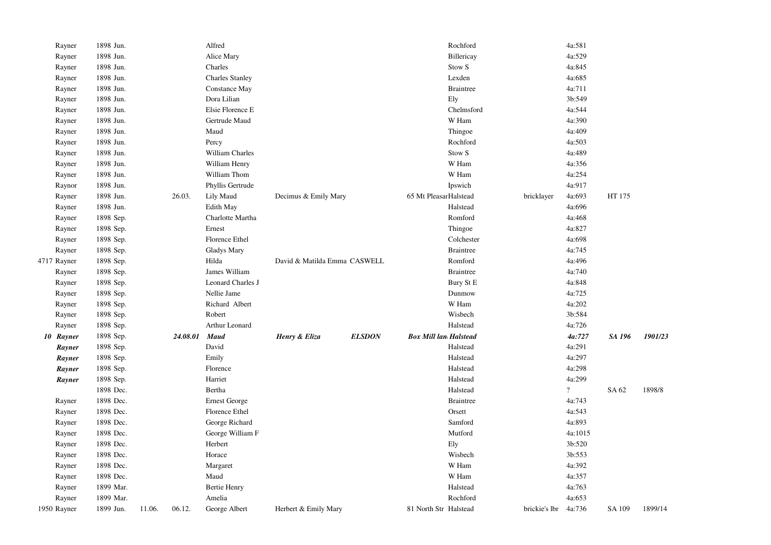| Rayner      | 1898 Jun. |        |          | Alfred                 |                              |               |                              | Rochford          |               | 4a:581         |        |         |
|-------------|-----------|--------|----------|------------------------|------------------------------|---------------|------------------------------|-------------------|---------------|----------------|--------|---------|
| Rayner      | 1898 Jun. |        |          | Alice Mary             |                              |               |                              | Billericay        |               | 4a:529         |        |         |
| Rayner      | 1898 Jun. |        |          | Charles                |                              |               |                              | Stow <sub>S</sub> |               | 4a:845         |        |         |
| Rayner      | 1898 Jun. |        |          | <b>Charles Stanley</b> |                              |               |                              | Lexden            |               | 4a:685         |        |         |
| Rayner      | 1898 Jun. |        |          | Constance May          |                              |               |                              | <b>Braintree</b>  |               | 4a:711         |        |         |
| Rayner      | 1898 Jun. |        |          | Dora Lilian            |                              |               |                              | Ely               |               | 3b:549         |        |         |
| Rayner      | 1898 Jun. |        |          | Elsie Florence E       |                              |               |                              | Chelmsford        |               | 4a:544         |        |         |
| Rayner      | 1898 Jun. |        |          | Gertrude Maud          |                              |               |                              | W Ham             |               | 4a:390         |        |         |
| Rayner      | 1898 Jun. |        |          | Maud                   |                              |               |                              | Thingoe           |               | 4a:409         |        |         |
| Rayner      | 1898 Jun. |        |          | Percy                  |                              |               |                              | Rochford          |               | 4a:503         |        |         |
| Rayner      | 1898 Jun. |        |          | William Charles        |                              |               |                              | Stow <sub>S</sub> |               | 4a:489         |        |         |
| Rayner      | 1898 Jun. |        |          | William Henry          |                              |               |                              | W Ham             |               | 4a:356         |        |         |
| Rayner      | 1898 Jun. |        |          | William Thom           |                              |               |                              | W Ham             |               | 4a:254         |        |         |
| Raynor      | 1898 Jun. |        |          | Phyllis Gertrude       |                              |               |                              | Ipswich           |               | 4a:917         |        |         |
| Rayner      | 1898 Jun. |        | 26.03.   | Lily Maud              | Decimus & Emily Mary         |               | 65 Mt PleasarHalstead        |                   | bricklayer    | 4a:693         | HT 175 |         |
| Rayner      | 1898 Jun. |        |          | Edith May              |                              |               |                              | Halstead          |               | 4a:696         |        |         |
| Rayner      | 1898 Sep. |        |          | Charlotte Martha       |                              |               |                              | Romford           |               | 4a:468         |        |         |
| Rayner      | 1898 Sep. |        |          | Ernest                 |                              |               |                              | Thingoe           |               | 4a:827         |        |         |
| Rayner      | 1898 Sep. |        |          | Florence Ethel         |                              |               |                              | Colchester        |               | 4a:698         |        |         |
| Rayner      | 1898 Sep. |        |          | <b>Gladys Mary</b>     |                              |               |                              | <b>Braintree</b>  |               | 4a:745         |        |         |
| 4717 Rayner | 1898 Sep. |        |          | Hilda                  | David & Matilda Emma CASWELL |               |                              | Romford           |               | 4a:496         |        |         |
| Rayner      | 1898 Sep. |        |          | James William          |                              |               |                              | <b>Braintree</b>  |               | 4a:740         |        |         |
| Rayner      | 1898 Sep. |        |          | Leonard Charles J      |                              |               |                              | Bury St E         |               | 4a:848         |        |         |
| Rayner      | 1898 Sep. |        |          | Nellie Jame            |                              |               |                              | Dunmow            |               | 4a:725         |        |         |
| Rayner      | 1898 Sep. |        |          | Richard Albert         |                              |               |                              | W Ham             |               | 4a:202         |        |         |
| Rayner      | 1898 Sep. |        |          | Robert                 |                              |               |                              | Wisbech           |               | 3b:584         |        |         |
| Rayner      | 1898 Sep. |        |          | Arthur Leonard         |                              |               |                              | Halstead          |               | 4a:726         |        |         |
| 10 Rayner   | 1898 Sep. |        | 24.08.01 | <b>Maud</b>            | Henry & Eliza                | <b>ELSDON</b> | <b>Box Mill lan Halstead</b> |                   |               | 4a:727         | SA 196 | 1901/23 |
| Rayner      | 1898 Sep. |        |          | David                  |                              |               |                              | Halstead          |               | 4a:291         |        |         |
| Rayner      | 1898 Sep. |        |          | Emily                  |                              |               |                              | Halstead          |               | 4a:297         |        |         |
| Rayner      | 1898 Sep. |        |          | Florence               |                              |               |                              | Halstead          |               | 4a:298         |        |         |
| Rayner      | 1898 Sep. |        |          | Harriet                |                              |               |                              | Halstead          |               | 4a:299         |        |         |
|             | 1898 Dec. |        |          | Bertha                 |                              |               |                              | Halstead          |               | $\overline{?}$ | SA 62  | 1898/8  |
| Rayner      | 1898 Dec. |        |          | <b>Ernest George</b>   |                              |               |                              | <b>Braintree</b>  |               | 4a:743         |        |         |
| Rayner      | 1898 Dec. |        |          | Florence Ethel         |                              |               |                              | Orsett            |               | 4a:543         |        |         |
| Rayner      | 1898 Dec. |        |          | George Richard         |                              |               |                              | Samford           |               | 4a:893         |        |         |
| Rayner      | 1898 Dec. |        |          | George William F       |                              |               |                              | Mutford           |               | 4a:1015        |        |         |
| Rayner      | 1898 Dec. |        |          | Herbert                |                              |               |                              | Ely               |               | 3b:520         |        |         |
| Rayner      | 1898 Dec. |        |          | Horace                 |                              |               |                              | Wisbech           |               | 3b:553         |        |         |
| Rayner      | 1898 Dec. |        |          | Margaret               |                              |               |                              | W Ham             |               | 4a:392         |        |         |
| Rayner      | 1898 Dec. |        |          | Maud                   |                              |               |                              | W Ham             |               | 4a:357         |        |         |
| Rayner      | 1899 Mar. |        |          | <b>Bertie Henry</b>    |                              |               |                              | Halstead          |               | 4a:763         |        |         |
| Rayner      | 1899 Mar. |        |          | Amelia                 |                              |               |                              | Rochford          |               | 4a:653         |        |         |
| 1950 Rayner | 1899 Jun. | 11.06. | 06.12.   | George Albert          | Herbert & Emily Mary         |               | 81 North Str Halstead        |                   | brickie's lbr | 4a:736         | SA 109 | 1899/14 |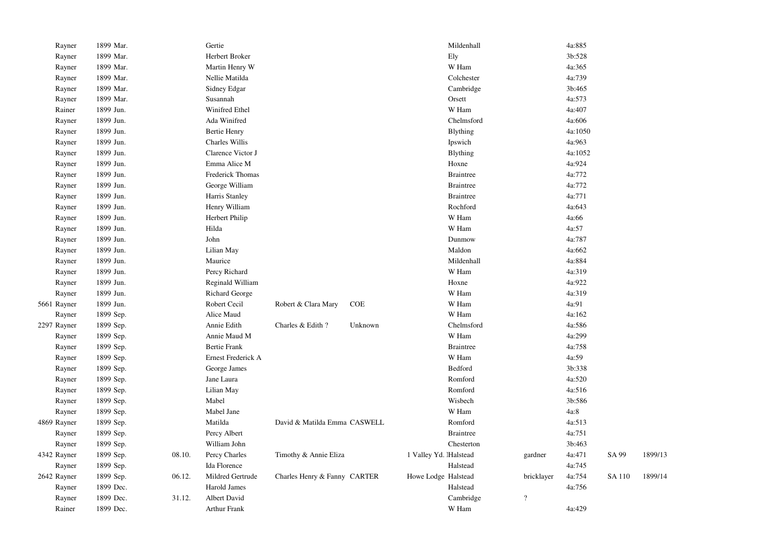| Rayner      | 1899 Mar. |        | Gertie              |                              |            |                        | Mildenhall       |                          | 4a:885  |        |         |
|-------------|-----------|--------|---------------------|------------------------------|------------|------------------------|------------------|--------------------------|---------|--------|---------|
| Rayner      | 1899 Mar. |        | Herbert Broker      |                              |            |                        | Ely              |                          | 3b:528  |        |         |
| Rayner      | 1899 Mar. |        | Martin Henry W      |                              |            |                        | W Ham            |                          | 4a:365  |        |         |
| Rayner      | 1899 Mar. |        | Nellie Matilda      |                              |            |                        | Colchester       |                          | 4a:739  |        |         |
| Rayner      | 1899 Mar. |        | Sidney Edgar        |                              |            |                        | Cambridge        |                          | 3b:465  |        |         |
| Rayner      | 1899 Mar. |        | Susannah            |                              |            |                        | Orsett           |                          | 4a:573  |        |         |
| Rainer      | 1899 Jun. |        | Winifred Ethel      |                              |            |                        | W Ham            |                          | 4a:407  |        |         |
| Rayner      | 1899 Jun. |        | Ada Winifred        |                              |            |                        | Chelmsford       |                          | 4a:606  |        |         |
| Rayner      | 1899 Jun. |        | <b>Bertie Henry</b> |                              |            |                        | Blything         |                          | 4a:1050 |        |         |
| Rayner      | 1899 Jun. |        | Charles Willis      |                              |            |                        | Ipswich          |                          | 4a:963  |        |         |
| Rayner      | 1899 Jun. |        | Clarence Victor J   |                              |            |                        | Blything         |                          | 4a:1052 |        |         |
| Rayner      | 1899 Jun. |        | Emma Alice M        |                              |            |                        | Hoxne            |                          | 4a:924  |        |         |
| Rayner      | 1899 Jun. |        | Frederick Thomas    |                              |            |                        | <b>Braintree</b> |                          | 4a:772  |        |         |
| Rayner      | 1899 Jun. |        | George William      |                              |            |                        | <b>Braintree</b> |                          | 4a:772  |        |         |
| Rayner      | 1899 Jun. |        | Harris Stanley      |                              |            |                        | <b>Braintree</b> |                          | 4a:771  |        |         |
| Rayner      | 1899 Jun. |        | Henry William       |                              |            |                        | Rochford         |                          | 4a:643  |        |         |
| Rayner      | 1899 Jun. |        | Herbert Philip      |                              |            |                        | W Ham            |                          | 4a:66   |        |         |
| Rayner      | 1899 Jun. |        | Hilda               |                              |            |                        | W Ham            |                          | 4a:57   |        |         |
| Rayner      | 1899 Jun. |        | John                |                              |            |                        | Dunmow           |                          | 4a:787  |        |         |
| Rayner      | 1899 Jun. |        | Lilian May          |                              |            |                        | Maldon           |                          | 4a:662  |        |         |
| Rayner      | 1899 Jun. |        | Maurice             |                              |            |                        | Mildenhall       |                          | 4a:884  |        |         |
| Rayner      | 1899 Jun. |        | Percy Richard       |                              |            |                        | W Ham            |                          | 4a:319  |        |         |
| Rayner      | 1899 Jun. |        | Reginald William    |                              |            |                        | Hoxne            |                          | 4a:922  |        |         |
| Rayner      | 1899 Jun. |        | Richard George      |                              |            |                        | W Ham            |                          | 4a:319  |        |         |
| 5661 Rayner | 1899 Jun. |        | Robert Cecil        | Robert & Clara Mary          | <b>COE</b> |                        | W Ham            |                          | 4a:91   |        |         |
| Rayner      | 1899 Sep. |        | Alice Maud          |                              |            |                        | W Ham            |                          | 4a:162  |        |         |
| 2297 Rayner | 1899 Sep. |        | Annie Edith         | Charles & Edith?             | Unknown    |                        | Chelmsford       |                          | 4a:586  |        |         |
| Rayner      | 1899 Sep. |        | Annie Maud M        |                              |            |                        | W Ham            |                          | 4a:299  |        |         |
| Rayner      | 1899 Sep. |        | <b>Bertie Frank</b> |                              |            |                        | <b>Braintree</b> |                          | 4a:758  |        |         |
| Rayner      | 1899 Sep. |        | Ernest Frederick A  |                              |            |                        | W Ham            |                          | 4a:59   |        |         |
| Rayner      | 1899 Sep. |        | George James        |                              |            |                        | Bedford          |                          | 3b:338  |        |         |
| Rayner      | 1899 Sep. |        | Jane Laura          |                              |            |                        | Romford          |                          | 4a:520  |        |         |
| Rayner      | 1899 Sep. |        | Lilian May          |                              |            |                        | Romford          |                          | 4a:516  |        |         |
| Rayner      | 1899 Sep. |        | Mabel               |                              |            |                        | Wisbech          |                          | 3b:586  |        |         |
| Rayner      | 1899 Sep. |        | Mabel Jane          |                              |            |                        | W Ham            |                          | 4a:8    |        |         |
| 4869 Rayner | 1899 Sep. |        | Matilda             | David & Matilda Emma CASWELL |            |                        | Romford          |                          | 4a:513  |        |         |
| Rayner      | 1899 Sep. |        | Percy Albert        |                              |            |                        | <b>Braintree</b> |                          | 4a:751  |        |         |
| Rayner      | 1899 Sep. |        | William John        |                              |            |                        | Chesterton       |                          | 3b:463  |        |         |
| 4342 Rayner | 1899 Sep. | 08.10. | Percy Charles       | Timothy & Annie Eliza        |            | 1 Valley Yd. lHalstead |                  | gardner                  | 4a:471  | SA 99  | 1899/13 |
| Rayner      | 1899 Sep. |        | Ida Florence        |                              |            |                        | Halstead         |                          | 4a:745  |        |         |
| 2642 Rayner | 1899 Sep. | 06.12. | Mildred Gertrude    | Charles Henry & Fanny CARTER |            | Howe Lodge Halstead    |                  | bricklayer               | 4a:754  | SA 110 | 1899/14 |
| Rayner      | 1899 Dec. |        | Harold James        |                              |            |                        | Halstead         |                          | 4a:756  |        |         |
| Rayner      | 1899 Dec. | 31.12. | Albert David        |                              |            |                        | Cambridge        | $\overline{\mathcal{L}}$ |         |        |         |
| Rainer      | 1899 Dec. |        | <b>Arthur Frank</b> |                              |            |                        | W Ham            |                          | 4a:429  |        |         |